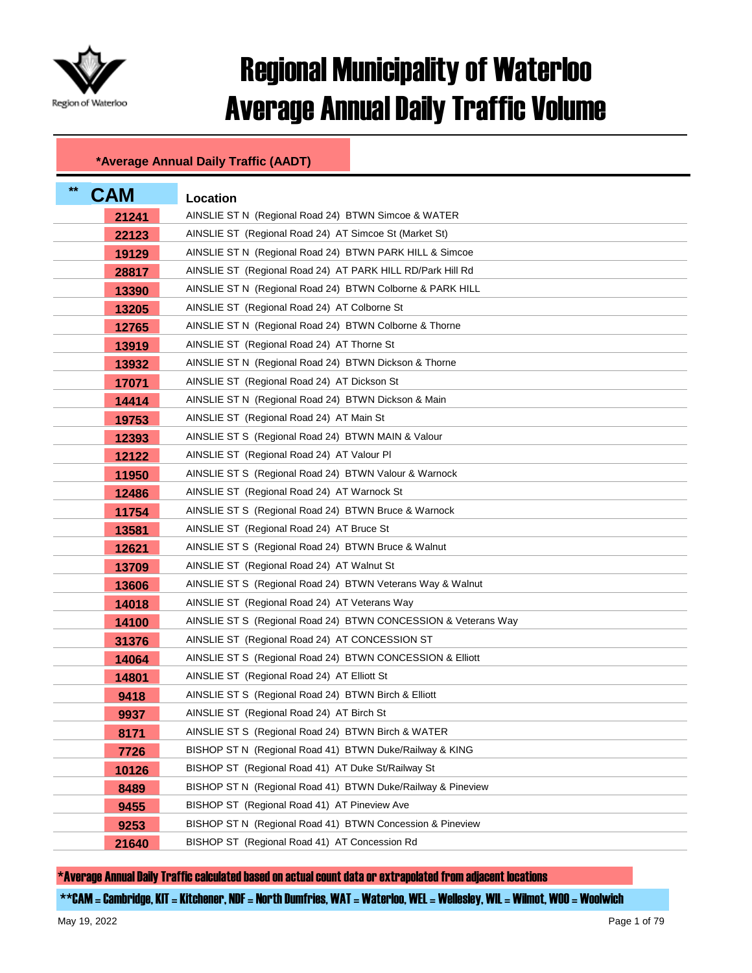

## Regional Municipality of Waterloo Average Annual Daily Traffic Volume

## **\*Average Annual Daily Traffic (AADT)**

| $***$<br><b>CAM</b> | Location                                                       |
|---------------------|----------------------------------------------------------------|
| 21241               | AINSLIE ST N (Regional Road 24) BTWN Simcoe & WATER            |
| 22123               | AINSLIE ST (Regional Road 24) AT Simcoe St (Market St)         |
| 19129               | AINSLIE ST N (Regional Road 24) BTWN PARK HILL & Simcoe        |
| 28817               | AINSLIE ST (Regional Road 24) AT PARK HILL RD/Park Hill Rd     |
| 13390               | AINSLIE ST N (Regional Road 24) BTWN Colborne & PARK HILL      |
| 13205               | AINSLIE ST (Regional Road 24) AT Colborne St                   |
| 12765               | AINSLIE ST N (Regional Road 24) BTWN Colborne & Thorne         |
| 13919               | AINSLIE ST (Regional Road 24) AT Thorne St                     |
| 13932               | AINSLIE ST N (Regional Road 24) BTWN Dickson & Thorne          |
| 17071               | AINSLIE ST (Regional Road 24) AT Dickson St                    |
| 14414               | AINSLIE ST N (Regional Road 24) BTWN Dickson & Main            |
| 19753               | AINSLIE ST (Regional Road 24) AT Main St                       |
| 12393               | AINSLIE ST S (Regional Road 24) BTWN MAIN & Valour             |
| 12122               | AINSLIE ST (Regional Road 24) AT Valour PI                     |
| 11950               | AINSLIE ST S (Regional Road 24) BTWN Valour & Warnock          |
| 12486               | AINSLIE ST (Regional Road 24) AT Warnock St                    |
| 11754               | AINSLIE ST S (Regional Road 24) BTWN Bruce & Warnock           |
| 13581               | AINSLIE ST (Regional Road 24) AT Bruce St                      |
| 12621               | AINSLIE ST S (Regional Road 24) BTWN Bruce & Walnut            |
| 13709               | AINSLIE ST (Regional Road 24) AT Walnut St                     |
| 13606               | AINSLIE ST S (Regional Road 24) BTWN Veterans Way & Walnut     |
| 14018               | AINSLIE ST (Regional Road 24) AT Veterans Way                  |
| 14100               | AINSLIE ST S (Regional Road 24) BTWN CONCESSION & Veterans Way |
| 31376               | AINSLIE ST (Regional Road 24) AT CONCESSION ST                 |
| 14064               | AINSLIE ST S (Regional Road 24) BTWN CONCESSION & Elliott      |
| 14801               | AINSLIE ST (Regional Road 24) AT Elliott St                    |
| 9418                | AINSLIE ST S (Regional Road 24) BTWN Birch & Elliott           |
| 9937                | AINSLIE ST (Regional Road 24) AT Birch St                      |
| 8171                | AINSLIE ST S (Regional Road 24) BTWN Birch & WATER             |
| 7726                | BISHOP ST N (Regional Road 41) BTWN Duke/Railway & KING        |
| 10126               | BISHOP ST (Regional Road 41) AT Duke St/Railway St             |
| 8489                | BISHOP ST N (Regional Road 41) BTWN Duke/Railway & Pineview    |
| 9455                | BISHOP ST (Regional Road 41) AT Pineview Ave                   |
| 9253                | BISHOP ST N (Regional Road 41) BTWN Concession & Pineview      |
| 21640               | BISHOP ST (Regional Road 41) AT Concession Rd                  |

\*Average Annual Daily Traffic calculated based on actual count data or extrapolated from adjacent locations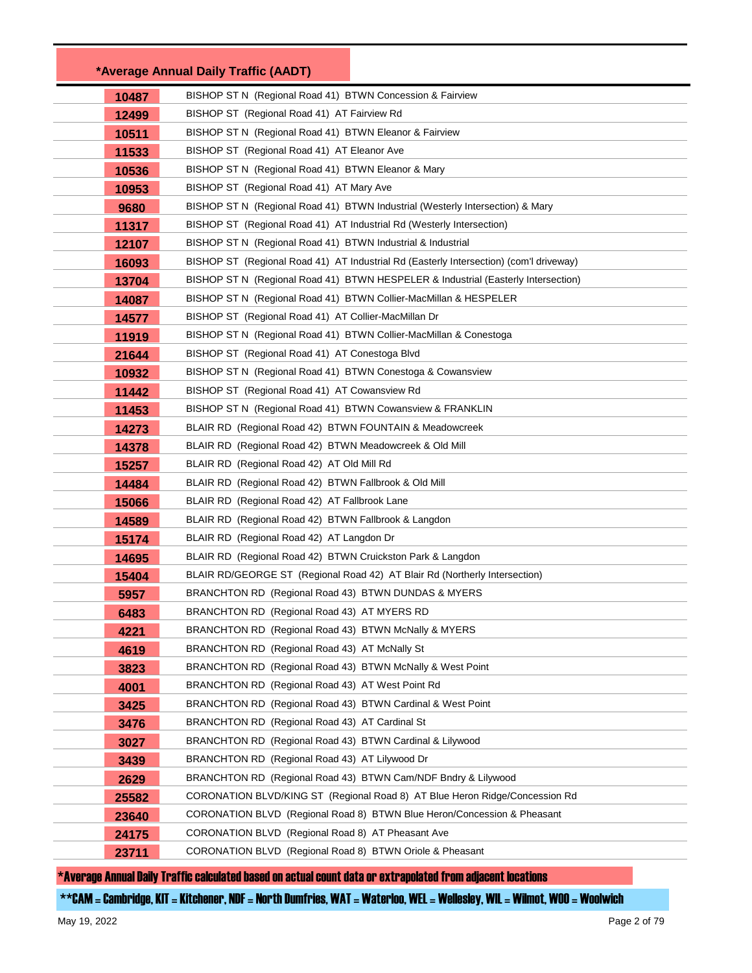|              | *Average Annual Daily Traffic (AADT)                                                                          |
|--------------|---------------------------------------------------------------------------------------------------------------|
| 10487        | BISHOP ST N (Regional Road 41) BTWN Concession & Fairview                                                     |
| 12499        | BISHOP ST (Regional Road 41) AT Fairview Rd                                                                   |
| 10511        | BISHOP ST N (Regional Road 41) BTWN Eleanor & Fairview                                                        |
| 11533        | BISHOP ST (Regional Road 41) AT Eleanor Ave                                                                   |
| 10536        | BISHOP ST N (Regional Road 41) BTWN Eleanor & Mary                                                            |
| 10953        | BISHOP ST (Regional Road 41) AT Mary Ave                                                                      |
| 9680         | BISHOP ST N (Regional Road 41) BTWN Industrial (Westerly Intersection) & Mary                                 |
| 11317        | BISHOP ST (Regional Road 41) AT Industrial Rd (Westerly Intersection)                                         |
| 12107        | BISHOP ST N (Regional Road 41) BTWN Industrial & Industrial                                                   |
| 16093        | BISHOP ST (Regional Road 41) AT Industrial Rd (Easterly Intersection) (com'l driveway)                        |
| 13704        | BISHOP ST N (Regional Road 41) BTWN HESPELER & Industrial (Easterly Intersection)                             |
| 14087        | BISHOP ST N (Regional Road 41) BTWN Collier-MacMillan & HESPELER                                              |
| 14577        | BISHOP ST (Regional Road 41) AT Collier-MacMillan Dr                                                          |
| 11919        | BISHOP ST N (Regional Road 41) BTWN Collier-MacMillan & Conestoga                                             |
| 21644        | BISHOP ST (Regional Road 41) AT Conestoga Blvd                                                                |
| 10932        | BISHOP ST N (Regional Road 41) BTWN Conestoga & Cowansview                                                    |
| 11442        | BISHOP ST (Regional Road 41) AT Cowansview Rd                                                                 |
| 11453        | BISHOP ST N (Regional Road 41) BTWN Cowansview & FRANKLIN                                                     |
| 14273        | BLAIR RD (Regional Road 42) BTWN FOUNTAIN & Meadowcreek                                                       |
| 14378        | BLAIR RD (Regional Road 42) BTWN Meadowcreek & Old Mill                                                       |
| 15257        | BLAIR RD (Regional Road 42) AT Old Mill Rd                                                                    |
| 14484        | BLAIR RD (Regional Road 42) BTWN Fallbrook & Old Mill                                                         |
| 15066        | BLAIR RD (Regional Road 42) AT Fallbrook Lane                                                                 |
| 14589        | BLAIR RD (Regional Road 42) BTWN Fallbrook & Langdon                                                          |
| 15174        | BLAIR RD (Regional Road 42) AT Langdon Dr                                                                     |
| 14695        | BLAIR RD (Regional Road 42) BTWN Cruickston Park & Langdon                                                    |
| 15404        | BLAIR RD/GEORGE ST (Regional Road 42) AT Blair Rd (Northerly Intersection)                                    |
| 5957         | BRANCHTON RD (Regional Road 43) BTWN DUNDAS & MYERS                                                           |
| 6483         | BRANCHTON RD (Regional Road 43) AT MYERS RD                                                                   |
| 4221         | BRANCHTON RD (Regional Road 43) BTWN McNally & MYERS                                                          |
| 4619         | BRANCHTON RD (Regional Road 43) AT McNally St                                                                 |
| 3823         | BRANCHTON RD (Regional Road 43) BTWN McNally & West Point<br>BRANCHTON RD (Regional Road 43) AT West Point Rd |
| 4001         | BRANCHTON RD (Regional Road 43) BTWN Cardinal & West Point                                                    |
| 3425         | BRANCHTON RD (Regional Road 43) AT Cardinal St                                                                |
| 3476         | BRANCHTON RD (Regional Road 43) BTWN Cardinal & Lilywood                                                      |
| 3027<br>3439 | BRANCHTON RD (Regional Road 43) AT Lilywood Dr                                                                |
| 2629         | BRANCHTON RD (Regional Road 43) BTWN Cam/NDF Bndry & Lilywood                                                 |
| 25582        | CORONATION BLVD/KING ST (Regional Road 8) AT Blue Heron Ridge/Concession Rd                                   |
| 23640        | CORONATION BLVD (Regional Road 8) BTWN Blue Heron/Concession & Pheasant                                       |
| 24175        | CORONATION BLVD (Regional Road 8) AT Pheasant Ave                                                             |
| 23711        | CORONATION BLVD (Regional Road 8) BTWN Oriole & Pheasant                                                      |
|              |                                                                                                               |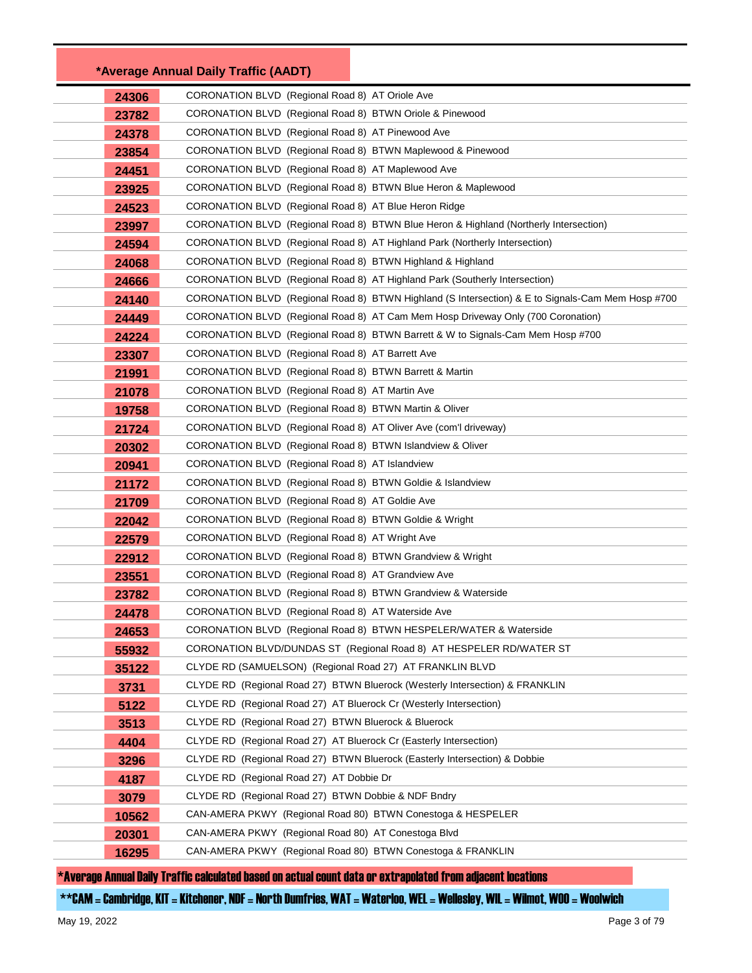|       | *Average Annual Daily Traffic (AADT)                                                                               |                                                                                                   |
|-------|--------------------------------------------------------------------------------------------------------------------|---------------------------------------------------------------------------------------------------|
| 24306 | CORONATION BLVD (Regional Road 8) AT Oriole Ave                                                                    |                                                                                                   |
| 23782 | CORONATION BLVD (Regional Road 8) BTWN Oriole & Pinewood                                                           |                                                                                                   |
| 24378 | CORONATION BLVD (Regional Road 8) AT Pinewood Ave                                                                  |                                                                                                   |
| 23854 | CORONATION BLVD (Regional Road 8) BTWN Maplewood & Pinewood                                                        |                                                                                                   |
| 24451 | CORONATION BLVD (Regional Road 8) AT Maplewood Ave                                                                 |                                                                                                   |
| 23925 | CORONATION BLVD (Regional Road 8) BTWN Blue Heron & Maplewood                                                      |                                                                                                   |
| 24523 | CORONATION BLVD (Regional Road 8) AT Blue Heron Ridge                                                              |                                                                                                   |
| 23997 |                                                                                                                    | CORONATION BLVD (Regional Road 8) BTWN Blue Heron & Highland (Northerly Intersection)             |
| 24594 |                                                                                                                    | CORONATION BLVD (Regional Road 8) AT Highland Park (Northerly Intersection)                       |
| 24068 | CORONATION BLVD (Regional Road 8) BTWN Highland & Highland                                                         |                                                                                                   |
| 24666 |                                                                                                                    | CORONATION BLVD (Regional Road 8) AT Highland Park (Southerly Intersection)                       |
| 24140 |                                                                                                                    | CORONATION BLVD (Regional Road 8) BTWN Highland (S Intersection) & E to Signals-Cam Mem Hosp #700 |
| 24449 |                                                                                                                    | CORONATION BLVD (Regional Road 8) AT Cam Mem Hosp Driveway Only (700 Coronation)                  |
| 24224 |                                                                                                                    | CORONATION BLVD (Regional Road 8) BTWN Barrett & W to Signals-Cam Mem Hosp #700                   |
| 23307 | CORONATION BLVD (Regional Road 8) AT Barrett Ave                                                                   |                                                                                                   |
| 21991 | CORONATION BLVD (Regional Road 8) BTWN Barrett & Martin                                                            |                                                                                                   |
| 21078 | CORONATION BLVD (Regional Road 8) AT Martin Ave                                                                    |                                                                                                   |
| 19758 | CORONATION BLVD (Regional Road 8) BTWN Martin & Oliver                                                             |                                                                                                   |
| 21724 | CORONATION BLVD (Regional Road 8) AT Oliver Ave (com'l driveway)                                                   |                                                                                                   |
| 20302 | CORONATION BLVD (Regional Road 8) BTWN Islandview & Oliver                                                         |                                                                                                   |
| 20941 | CORONATION BLVD (Regional Road 8) AT Islandview                                                                    |                                                                                                   |
| 21172 | CORONATION BLVD (Regional Road 8) BTWN Goldie & Islandview                                                         |                                                                                                   |
| 21709 | CORONATION BLVD (Regional Road 8) AT Goldie Ave                                                                    |                                                                                                   |
| 22042 | CORONATION BLVD (Regional Road 8) BTWN Goldie & Wright                                                             |                                                                                                   |
| 22579 | CORONATION BLVD (Regional Road 8) AT Wright Ave                                                                    |                                                                                                   |
| 22912 | CORONATION BLVD (Regional Road 8) BTWN Grandview & Wright                                                          |                                                                                                   |
| 23551 | CORONATION BLVD (Regional Road 8) AT Grandview Ave                                                                 |                                                                                                   |
| 23782 | CORONATION BLVD (Regional Road 8) BTWN Grandview & Waterside                                                       |                                                                                                   |
| 24478 | CORONATION BLVD (Regional Road 8) AT Waterside Ave                                                                 |                                                                                                   |
| 24653 |                                                                                                                    | CORONATION BLVD (Regional Road 8) BTWN HESPELER/WATER & Waterside                                 |
| 55932 |                                                                                                                    | CORONATION BLVD/DUNDAS ST (Regional Road 8) AT HESPELER RD/WATER ST                               |
| 35122 | CLYDE RD (SAMUELSON) (Regional Road 27) AT FRANKLIN BLVD                                                           |                                                                                                   |
| 3731  |                                                                                                                    | CLYDE RD (Regional Road 27) BTWN Bluerock (Westerly Intersection) & FRANKLIN                      |
| 5122  | CLYDE RD (Regional Road 27) AT Bluerock Cr (Westerly Intersection)                                                 |                                                                                                   |
| 3513  | CLYDE RD (Regional Road 27) BTWN Bluerock & Bluerock                                                               |                                                                                                   |
| 4404  | CLYDE RD (Regional Road 27) AT Bluerock Cr (Easterly Intersection)                                                 |                                                                                                   |
| 3296  |                                                                                                                    | CLYDE RD (Regional Road 27) BTWN Bluerock (Easterly Intersection) & Dobbie                        |
| 4187  | CLYDE RD (Regional Road 27) AT Dobbie Dr                                                                           |                                                                                                   |
| 3079  | CLYDE RD (Regional Road 27) BTWN Dobbie & NDF Bndry<br>CAN-AMERA PKWY (Regional Road 80) BTWN Conestoga & HESPELER |                                                                                                   |
| 10562 | CAN-AMERA PKWY (Regional Road 80) AT Conestoga Blvd                                                                |                                                                                                   |
| 20301 | CAN-AMERA PKWY (Regional Road 80) BTWN Conestoga & FRANKLIN                                                        |                                                                                                   |
| 16295 |                                                                                                                    |                                                                                                   |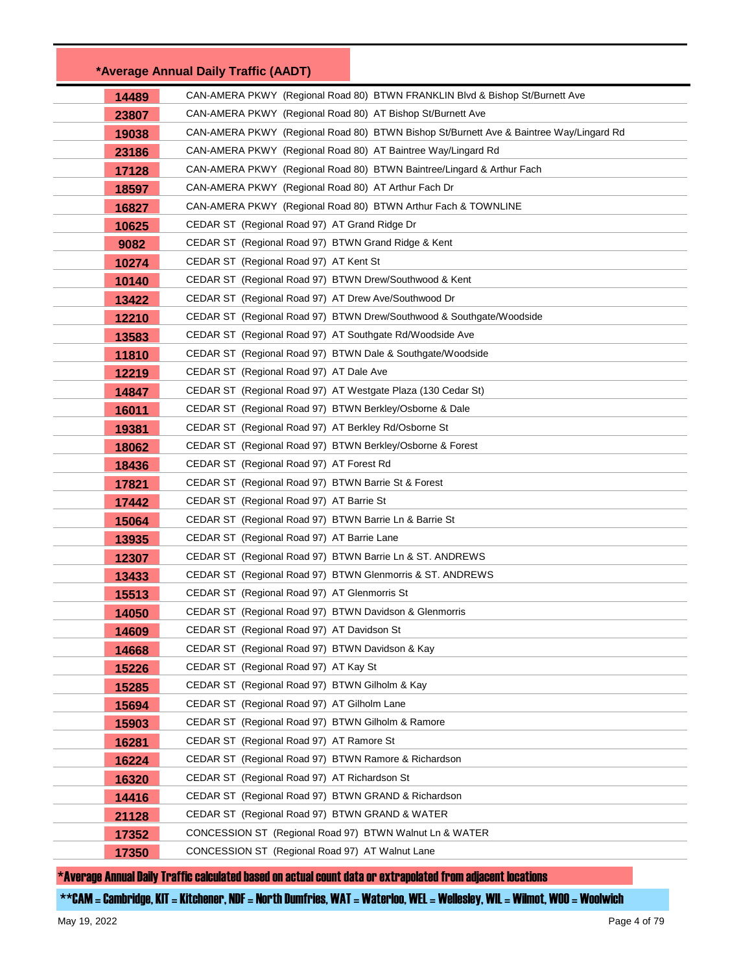|       | *Average Annual Daily Traffic (AADT)                                                                |
|-------|-----------------------------------------------------------------------------------------------------|
| 14489 | CAN-AMERA PKWY (Regional Road 80) BTWN FRANKLIN Blvd & Bishop St/Burnett Ave                        |
| 23807 | CAN-AMERA PKWY (Regional Road 80) AT Bishop St/Burnett Ave                                          |
| 19038 | CAN-AMERA PKWY (Regional Road 80) BTWN Bishop St/Burnett Ave & Baintree Way/Lingard Rd              |
| 23186 | CAN-AMERA PKWY (Regional Road 80) AT Baintree Way/Lingard Rd                                        |
| 17128 | CAN-AMERA PKWY (Regional Road 80) BTWN Baintree/Lingard & Arthur Fach                               |
| 18597 | CAN-AMERA PKWY (Regional Road 80) AT Arthur Fach Dr                                                 |
| 16827 | CAN-AMERA PKWY (Regional Road 80) BTWN Arthur Fach & TOWNLINE                                       |
| 10625 | CEDAR ST (Regional Road 97) AT Grand Ridge Dr                                                       |
| 9082  | CEDAR ST (Regional Road 97) BTWN Grand Ridge & Kent                                                 |
| 10274 | CEDAR ST (Regional Road 97) AT Kent St                                                              |
| 10140 | CEDAR ST (Regional Road 97) BTWN Drew/Southwood & Kent                                              |
| 13422 | CEDAR ST (Regional Road 97) AT Drew Ave/Southwood Dr                                                |
| 12210 | CEDAR ST (Regional Road 97) BTWN Drew/Southwood & Southgate/Woodside                                |
| 13583 | CEDAR ST (Regional Road 97) AT Southgate Rd/Woodside Ave                                            |
| 11810 | CEDAR ST (Regional Road 97) BTWN Dale & Southgate/Woodside                                          |
| 12219 | CEDAR ST (Regional Road 97) AT Dale Ave                                                             |
| 14847 | CEDAR ST (Regional Road 97) AT Westgate Plaza (130 Cedar St)                                        |
| 16011 | CEDAR ST (Regional Road 97) BTWN Berkley/Osborne & Dale                                             |
| 19381 | CEDAR ST (Regional Road 97) AT Berkley Rd/Osborne St                                                |
| 18062 | CEDAR ST (Regional Road 97) BTWN Berkley/Osborne & Forest                                           |
| 18436 | CEDAR ST (Regional Road 97) AT Forest Rd                                                            |
| 17821 | CEDAR ST (Regional Road 97) BTWN Barrie St & Forest                                                 |
| 17442 | CEDAR ST (Regional Road 97) AT Barrie St                                                            |
| 15064 | CEDAR ST (Regional Road 97) BTWN Barrie Ln & Barrie St                                              |
| 13935 | CEDAR ST (Regional Road 97) AT Barrie Lane                                                          |
| 12307 | CEDAR ST (Regional Road 97) BTWN Barrie Ln & ST. ANDREWS                                            |
| 13433 | CEDAR ST (Regional Road 97) BTWN Glenmorris & ST. ANDREWS                                           |
| 15513 | CEDAR ST (Regional Road 97) AT Glenmorris St                                                        |
| 14050 | CEDAR ST (Regional Road 97) BTWN Davidson & Glenmorris                                              |
| 14609 | CEDAR ST (Regional Road 97) AT Davidson St                                                          |
| 14668 | CEDAR ST (Regional Road 97) BTWN Davidson & Kay                                                     |
| 15226 | CEDAR ST (Regional Road 97) AT Kay St                                                               |
| 15285 | CEDAR ST (Regional Road 97) BTWN Gilholm & Kay                                                      |
| 15694 | CEDAR ST (Regional Road 97) AT Gilholm Lane                                                         |
| 15903 | CEDAR ST (Regional Road 97) BTWN Gilholm & Ramore                                                   |
| 16281 | CEDAR ST (Regional Road 97) AT Ramore St                                                            |
| 16224 | CEDAR ST (Regional Road 97) BTWN Ramore & Richardson                                                |
| 16320 | CEDAR ST (Regional Road 97) AT Richardson St<br>CEDAR ST (Regional Road 97) BTWN GRAND & Richardson |
| 14416 | CEDAR ST (Regional Road 97) BTWN GRAND & WATER                                                      |
| 21128 | CONCESSION ST (Regional Road 97) BTWN Walnut Ln & WATER                                             |
| 17352 | CONCESSION ST (Regional Road 97) AT Walnut Lane                                                     |
| 17350 |                                                                                                     |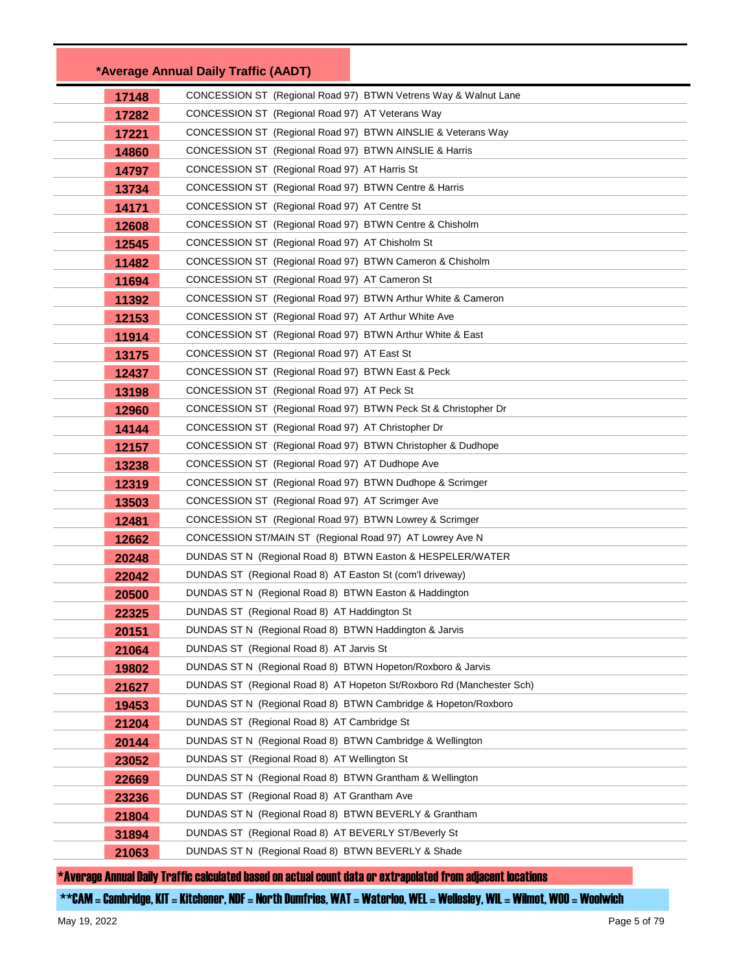|                | *Average Annual Daily Traffic (AADT)                                                                                                 |  |
|----------------|--------------------------------------------------------------------------------------------------------------------------------------|--|
| 17148          | CONCESSION ST (Regional Road 97) BTWN Vetrens Way & Walnut Lane                                                                      |  |
| 17282          | CONCESSION ST (Regional Road 97) AT Veterans Way                                                                                     |  |
| 17221          | CONCESSION ST (Regional Road 97) BTWN AINSLIE & Veterans Way                                                                         |  |
| 14860          | CONCESSION ST (Regional Road 97) BTWN AINSLIE & Harris                                                                               |  |
| 14797          | CONCESSION ST (Regional Road 97) AT Harris St                                                                                        |  |
| 13734          | CONCESSION ST (Regional Road 97) BTWN Centre & Harris                                                                                |  |
| 14171          | CONCESSION ST (Regional Road 97) AT Centre St                                                                                        |  |
| 12608          | CONCESSION ST (Regional Road 97) BTWN Centre & Chisholm                                                                              |  |
| 12545          | CONCESSION ST (Regional Road 97) AT Chisholm St                                                                                      |  |
| 11482          | CONCESSION ST (Regional Road 97) BTWN Cameron & Chisholm                                                                             |  |
| 11694          | CONCESSION ST (Regional Road 97) AT Cameron St                                                                                       |  |
| 11392          | CONCESSION ST (Regional Road 97) BTWN Arthur White & Cameron                                                                         |  |
| 12153          | CONCESSION ST (Regional Road 97) AT Arthur White Ave                                                                                 |  |
| 11914          | CONCESSION ST (Regional Road 97) BTWN Arthur White & East                                                                            |  |
| 13175          | CONCESSION ST (Regional Road 97) AT East St                                                                                          |  |
| 12437          | CONCESSION ST (Regional Road 97) BTWN East & Peck                                                                                    |  |
| 13198          | CONCESSION ST (Regional Road 97) AT Peck St                                                                                          |  |
| 12960          | CONCESSION ST (Regional Road 97) BTWN Peck St & Christopher Dr                                                                       |  |
| 14144          | CONCESSION ST (Regional Road 97) AT Christopher Dr                                                                                   |  |
| 12157          | CONCESSION ST (Regional Road 97) BTWN Christopher & Dudhope                                                                          |  |
| 13238          | CONCESSION ST (Regional Road 97) AT Dudhope Ave                                                                                      |  |
| 12319          | CONCESSION ST (Regional Road 97) BTWN Dudhope & Scrimger                                                                             |  |
| 13503          | CONCESSION ST (Regional Road 97) AT Scrimger Ave                                                                                     |  |
| 12481          | CONCESSION ST (Regional Road 97) BTWN Lowrey & Scrimger                                                                              |  |
| 12662          | CONCESSION ST/MAIN ST (Regional Road 97) AT Lowrey Ave N                                                                             |  |
| 20248          | DUNDAS ST N (Regional Road 8) BTWN Easton & HESPELER/WATER                                                                           |  |
| 22042          | DUNDAS ST (Regional Road 8) AT Easton St (com'l driveway)                                                                            |  |
| 20500          | DUNDAS ST N (Regional Road 8) BTWN Easton & Haddington                                                                               |  |
| 22325          | DUNDAS ST (Regional Road 8) AT Haddington St                                                                                         |  |
| 20151          | DUNDAS ST N (Regional Road 8) BTWN Haddington & Jarvis                                                                               |  |
| 21064          | DUNDAS ST (Regional Road 8) AT Jarvis St                                                                                             |  |
| 19802          | DUNDAS ST N (Regional Road 8) BTWN Hopeton/Roxboro & Jarvis<br>DUNDAS ST (Regional Road 8) AT Hopeton St/Roxboro Rd (Manchester Sch) |  |
| 21627          | DUNDAS ST N (Regional Road 8) BTWN Cambridge & Hopeton/Roxboro                                                                       |  |
| 19453          | DUNDAS ST (Regional Road 8) AT Cambridge St                                                                                          |  |
| 21204<br>20144 | DUNDAS ST N (Regional Road 8) BTWN Cambridge & Wellington                                                                            |  |
| 23052          | DUNDAS ST (Regional Road 8) AT Wellington St                                                                                         |  |
| 22669          | DUNDAS ST N (Regional Road 8) BTWN Grantham & Wellington                                                                             |  |
| 23236          | DUNDAS ST (Regional Road 8) AT Grantham Ave                                                                                          |  |
| 21804          | DUNDAS ST N (Regional Road 8) BTWN BEVERLY & Grantham                                                                                |  |
| 31894          | DUNDAS ST (Regional Road 8) AT BEVERLY ST/Beverly St                                                                                 |  |
| 21063          | DUNDAS ST N (Regional Road 8) BTWN BEVERLY & Shade                                                                                   |  |
|                |                                                                                                                                      |  |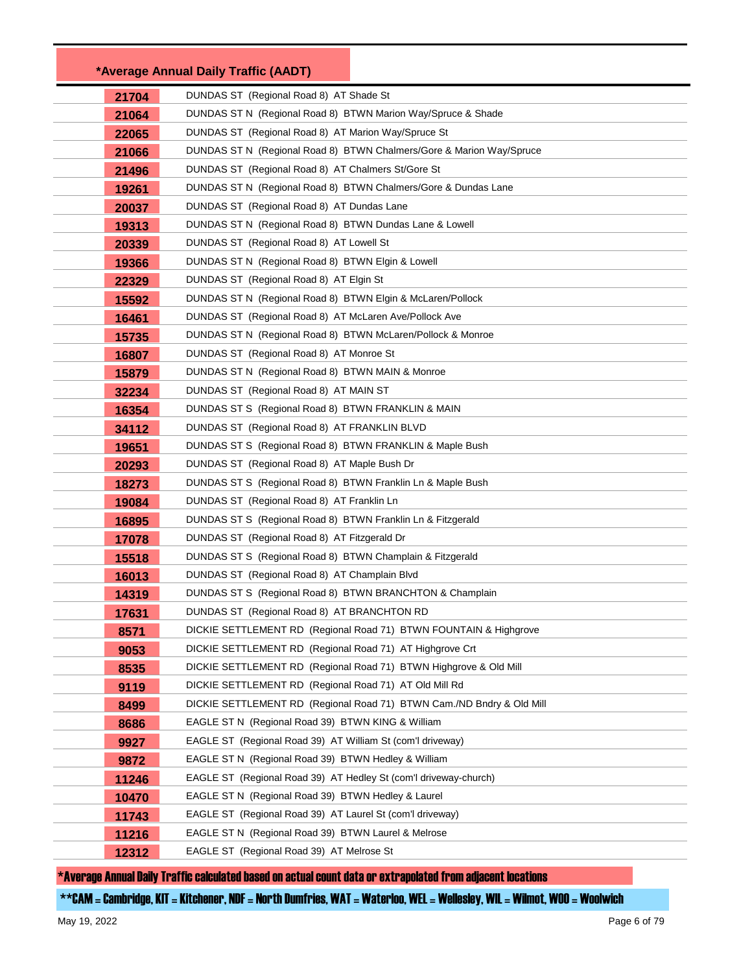|       | *Average Annual Daily Traffic (AADT)                                  |
|-------|-----------------------------------------------------------------------|
| 21704 | DUNDAS ST (Regional Road 8) AT Shade St                               |
| 21064 | DUNDAS ST N (Regional Road 8) BTWN Marion Way/Spruce & Shade          |
| 22065 | DUNDAS ST (Regional Road 8) AT Marion Way/Spruce St                   |
| 21066 | DUNDAS ST N (Regional Road 8) BTWN Chalmers/Gore & Marion Way/Spruce  |
| 21496 | DUNDAS ST (Regional Road 8) AT Chalmers St/Gore St                    |
| 19261 | DUNDAS ST N (Regional Road 8) BTWN Chalmers/Gore & Dundas Lane        |
| 20037 | DUNDAS ST (Regional Road 8) AT Dundas Lane                            |
| 19313 | DUNDAS ST N (Regional Road 8) BTWN Dundas Lane & Lowell               |
| 20339 | DUNDAS ST (Regional Road 8) AT Lowell St                              |
| 19366 | DUNDAS ST N (Regional Road 8) BTWN Elgin & Lowell                     |
| 22329 | DUNDAS ST (Regional Road 8) AT Elgin St                               |
| 15592 | DUNDAS ST N (Regional Road 8) BTWN Elgin & McLaren/Pollock            |
| 16461 | DUNDAS ST (Regional Road 8) AT McLaren Ave/Pollock Ave                |
| 15735 | DUNDAS ST N (Regional Road 8) BTWN McLaren/Pollock & Monroe           |
| 16807 | DUNDAS ST (Regional Road 8) AT Monroe St                              |
| 15879 | DUNDAS ST N (Regional Road 8) BTWN MAIN & Monroe                      |
| 32234 | DUNDAS ST (Regional Road 8) AT MAIN ST                                |
| 16354 | DUNDAS ST S (Regional Road 8) BTWN FRANKLIN & MAIN                    |
| 34112 | DUNDAS ST (Regional Road 8) AT FRANKLIN BLVD                          |
| 19651 | DUNDAS ST S (Regional Road 8) BTWN FRANKLIN & Maple Bush              |
| 20293 | DUNDAS ST (Regional Road 8) AT Maple Bush Dr                          |
| 18273 | DUNDAS ST S (Regional Road 8) BTWN Franklin Ln & Maple Bush           |
| 19084 | DUNDAS ST (Regional Road 8) AT Franklin Ln                            |
| 16895 | DUNDAS ST S (Regional Road 8) BTWN Franklin Ln & Fitzgerald           |
| 17078 | DUNDAS ST (Regional Road 8) AT Fitzgerald Dr                          |
| 15518 | DUNDAS ST S (Regional Road 8) BTWN Champlain & Fitzgerald             |
| 16013 | DUNDAS ST (Regional Road 8) AT Champlain Blvd                         |
| 14319 | DUNDAS ST S (Regional Road 8) BTWN BRANCHTON & Champlain              |
| 17631 | DUNDAS ST (Regional Road 8) AT BRANCHTON RD                           |
| 8571  | DICKIE SETTLEMENT RD (Regional Road 71) BTWN FOUNTAIN & Highgrove     |
| 9053  | DICKIE SETTLEMENT RD (Regional Road 71) AT Highgrove Crt              |
| 8535  | DICKIE SETTLEMENT RD (Regional Road 71) BTWN Highgrove & Old Mill     |
| 9119  | DICKIE SETTLEMENT RD (Regional Road 71) AT Old Mill Rd                |
| 8499  | DICKIE SETTLEMENT RD (Regional Road 71) BTWN Cam./ND Bndry & Old Mill |
| 8686  | EAGLE ST N (Regional Road 39) BTWN KING & William                     |
| 9927  | EAGLE ST (Regional Road 39) AT William St (com'l driveway)            |
| 9872  | EAGLE ST N (Regional Road 39) BTWN Hedley & William                   |
| 11246 | EAGLE ST (Regional Road 39) AT Hedley St (com'l driveway-church)      |
| 10470 | EAGLE ST N (Regional Road 39) BTWN Hedley & Laurel                    |
| 11743 | EAGLE ST (Regional Road 39) AT Laurel St (com'l driveway)             |
| 11216 | EAGLE ST N (Regional Road 39) BTWN Laurel & Melrose                   |
| 12312 | EAGLE ST (Regional Road 39) AT Melrose St                             |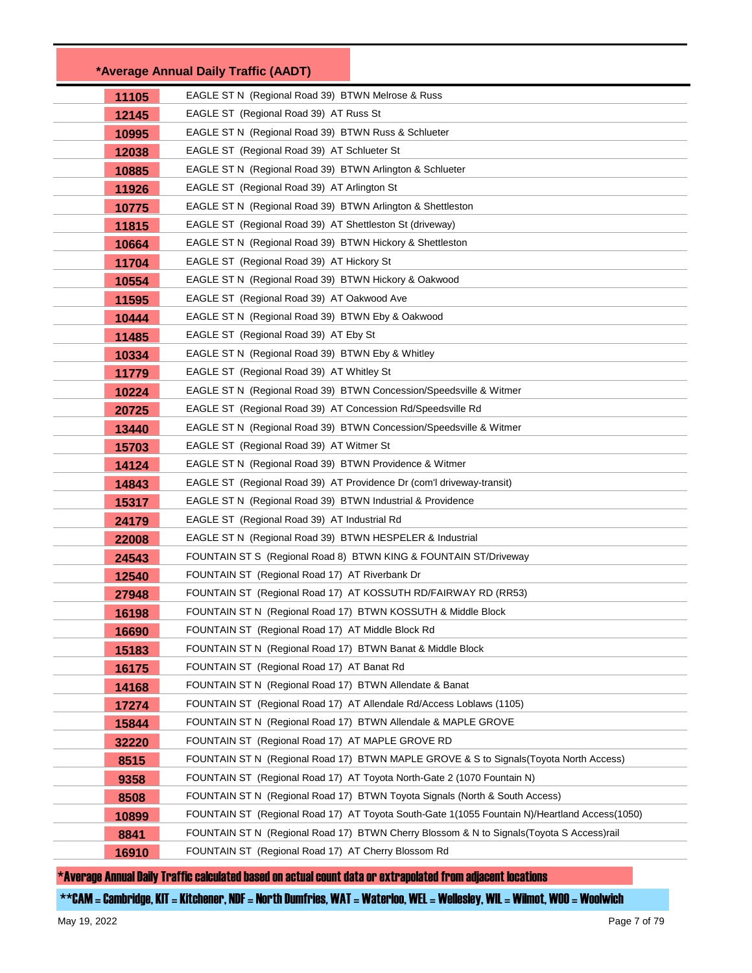|       | *Average Annual Daily Traffic (AADT)                                                          |
|-------|-----------------------------------------------------------------------------------------------|
| 11105 | EAGLE ST N (Regional Road 39) BTWN Melrose & Russ                                             |
| 12145 | EAGLE ST (Regional Road 39) AT Russ St                                                        |
| 10995 | EAGLE ST N (Regional Road 39) BTWN Russ & Schlueter                                           |
| 12038 | EAGLE ST (Regional Road 39) AT Schlueter St                                                   |
| 10885 | EAGLE ST N (Regional Road 39) BTWN Arlington & Schlueter                                      |
| 11926 | EAGLE ST (Regional Road 39) AT Arlington St                                                   |
| 10775 | EAGLE ST N (Regional Road 39) BTWN Arlington & Shettleston                                    |
| 11815 | EAGLE ST (Regional Road 39) AT Shettleston St (driveway)                                      |
| 10664 | EAGLE ST N (Regional Road 39) BTWN Hickory & Shettleston                                      |
| 11704 | EAGLE ST (Regional Road 39) AT Hickory St                                                     |
| 10554 | EAGLE ST N (Regional Road 39) BTWN Hickory & Oakwood                                          |
| 11595 | EAGLE ST (Regional Road 39) AT Oakwood Ave                                                    |
| 10444 | EAGLE ST N (Regional Road 39) BTWN Eby & Oakwood                                              |
| 11485 | EAGLE ST (Regional Road 39) AT Eby St                                                         |
| 10334 | EAGLE ST N (Regional Road 39) BTWN Eby & Whitley                                              |
| 11779 | EAGLE ST (Regional Road 39) AT Whitley St                                                     |
| 10224 | EAGLE ST N (Regional Road 39) BTWN Concession/Speedsville & Witmer                            |
| 20725 | EAGLE ST (Regional Road 39) AT Concession Rd/Speedsville Rd                                   |
| 13440 | EAGLE ST N (Regional Road 39) BTWN Concession/Speedsville & Witmer                            |
| 15703 | EAGLE ST (Regional Road 39) AT Witmer St                                                      |
| 14124 | EAGLE ST N (Regional Road 39) BTWN Providence & Witmer                                        |
| 14843 | EAGLE ST (Regional Road 39) AT Providence Dr (com'l driveway-transit)                         |
| 15317 | EAGLE ST N (Regional Road 39) BTWN Industrial & Providence                                    |
| 24179 | EAGLE ST (Regional Road 39) AT Industrial Rd                                                  |
| 22008 | EAGLE ST N (Regional Road 39) BTWN HESPELER & Industrial                                      |
| 24543 | FOUNTAIN ST S (Regional Road 8) BTWN KING & FOUNTAIN ST/Driveway                              |
| 12540 | FOUNTAIN ST (Regional Road 17) AT Riverbank Dr                                                |
| 27948 | FOUNTAIN ST (Regional Road 17) AT KOSSUTH RD/FAIRWAY RD (RR53)                                |
| 16198 | FOUNTAIN ST N (Regional Road 17) BTWN KOSSUTH & Middle Block                                  |
| 16690 | FOUNTAIN ST (Regional Road 17) AT Middle Block Rd                                             |
| 15183 | FOUNTAIN ST N (Regional Road 17) BTWN Banat & Middle Block                                    |
| 16175 | FOUNTAIN ST (Regional Road 17) AT Banat Rd                                                    |
| 14168 | FOUNTAIN ST N (Regional Road 17) BTWN Allendate & Banat                                       |
| 17274 | FOUNTAIN ST (Regional Road 17) AT Allendale Rd/Access Loblaws (1105)                          |
| 15844 | FOUNTAIN ST N (Regional Road 17) BTWN Allendale & MAPLE GROVE                                 |
| 32220 | FOUNTAIN ST (Regional Road 17) AT MAPLE GROVE RD                                              |
| 8515  | FOUNTAIN ST N (Regional Road 17) BTWN MAPLE GROVE & S to Signals (Toyota North Access)        |
| 9358  | FOUNTAIN ST (Regional Road 17) AT Toyota North-Gate 2 (1070 Fountain N)                       |
| 8508  | FOUNTAIN ST N (Regional Road 17) BTWN Toyota Signals (North & South Access)                   |
| 10899 | FOUNTAIN ST (Regional Road 17) AT Toyota South-Gate 1(1055 Fountain N)/Heartland Access(1050) |
| 8841  | FOUNTAIN ST N (Regional Road 17) BTWN Cherry Blossom & N to Signals(Toyota S Access)rail      |
| 16910 | FOUNTAIN ST (Regional Road 17) AT Cherry Blossom Rd                                           |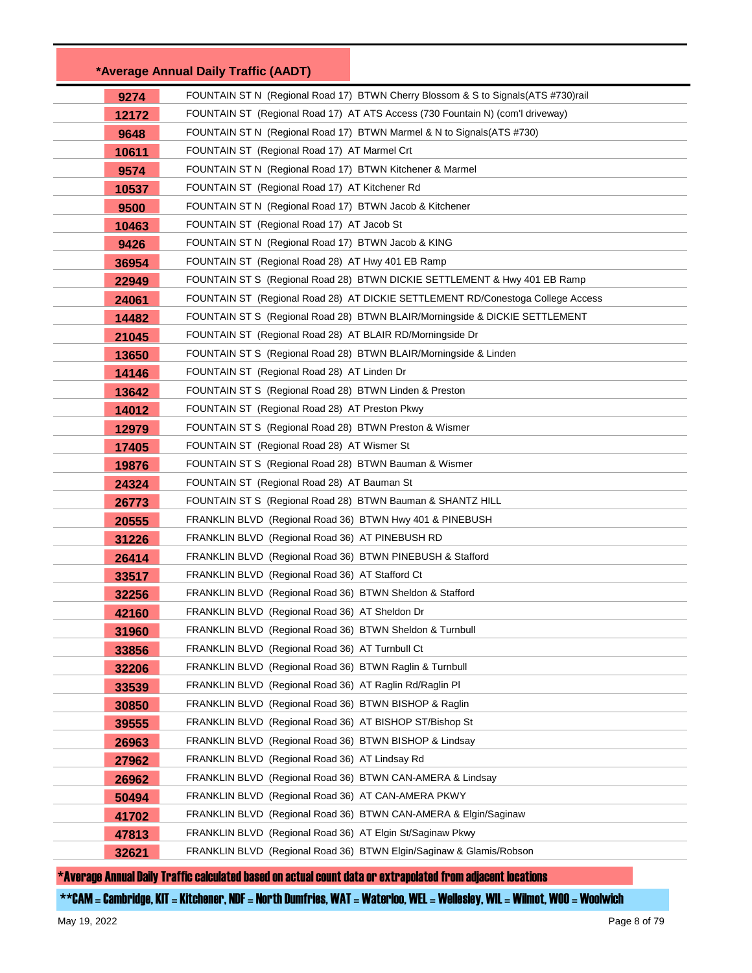|       | *Average Annual Daily Traffic (AADT)                                                |
|-------|-------------------------------------------------------------------------------------|
| 9274  | FOUNTAIN ST N (Regional Road 17) BTWN Cherry Blossom & S to Signals (ATS #730) rail |
| 12172 | FOUNTAIN ST (Regional Road 17) AT ATS Access (730 Fountain N) (com'l driveway)      |
| 9648  | FOUNTAIN ST N (Regional Road 17) BTWN Marmel & N to Signals (ATS #730)              |
| 10611 | FOUNTAIN ST (Regional Road 17) AT Marmel Crt                                        |
| 9574  | FOUNTAIN ST N (Regional Road 17) BTWN Kitchener & Marmel                            |
| 10537 | FOUNTAIN ST (Regional Road 17) AT Kitchener Rd                                      |
| 9500  | FOUNTAIN ST N (Regional Road 17) BTWN Jacob & Kitchener                             |
| 10463 | FOUNTAIN ST (Regional Road 17) AT Jacob St                                          |
| 9426  | FOUNTAIN ST N (Regional Road 17) BTWN Jacob & KING                                  |
| 36954 | FOUNTAIN ST (Regional Road 28) AT Hwy 401 EB Ramp                                   |
| 22949 | FOUNTAIN ST S (Regional Road 28) BTWN DICKIE SETTLEMENT & Hwy 401 EB Ramp           |
| 24061 | FOUNTAIN ST (Regional Road 28) AT DICKIE SETTLEMENT RD/Conestoga College Access     |
| 14482 | FOUNTAIN ST S (Regional Road 28) BTWN BLAIR/Morningside & DICKIE SETTLEMENT         |
| 21045 | FOUNTAIN ST (Regional Road 28) AT BLAIR RD/Morningside Dr                           |
| 13650 | FOUNTAIN ST S (Regional Road 28) BTWN BLAIR/Morningside & Linden                    |
| 14146 | FOUNTAIN ST (Regional Road 28) AT Linden Dr                                         |
| 13642 | FOUNTAIN ST S (Regional Road 28) BTWN Linden & Preston                              |
| 14012 | FOUNTAIN ST (Regional Road 28) AT Preston Pkwy                                      |
| 12979 | FOUNTAIN ST S (Regional Road 28) BTWN Preston & Wismer                              |
| 17405 | FOUNTAIN ST (Regional Road 28) AT Wismer St                                         |
| 19876 | FOUNTAIN ST S (Regional Road 28) BTWN Bauman & Wismer                               |
| 24324 | FOUNTAIN ST (Regional Road 28) AT Bauman St                                         |
| 26773 | FOUNTAIN ST S (Regional Road 28) BTWN Bauman & SHANTZ HILL                          |
| 20555 | FRANKLIN BLVD (Regional Road 36) BTWN Hwy 401 & PINEBUSH                            |
| 31226 | FRANKLIN BLVD (Regional Road 36) AT PINEBUSH RD                                     |
| 26414 | FRANKLIN BLVD (Regional Road 36) BTWN PINEBUSH & Stafford                           |
| 33517 | FRANKLIN BLVD (Regional Road 36) AT Stafford Ct                                     |
| 32256 | FRANKLIN BLVD (Regional Road 36) BTWN Sheldon & Stafford                            |
| 42160 | FRANKLIN BLVD (Regional Road 36) AT Sheldon Dr                                      |
| 31960 | FRANKLIN BLVD (Regional Road 36) BTWN Sheldon & Turnbull                            |
| 33856 | FRANKLIN BLVD (Regional Road 36) AT Turnbull Ct                                     |
| 32206 | FRANKLIN BLVD (Regional Road 36) BTWN Raglin & Turnbull                             |
| 33539 | FRANKLIN BLVD (Regional Road 36) AT Raglin Rd/Raglin PI                             |
| 30850 | FRANKLIN BLVD (Regional Road 36) BTWN BISHOP & Raglin                               |
| 39555 | FRANKLIN BLVD (Regional Road 36) AT BISHOP ST/Bishop St                             |
| 26963 | FRANKLIN BLVD (Regional Road 36) BTWN BISHOP & Lindsay                              |
| 27962 | FRANKLIN BLVD (Regional Road 36) AT Lindsay Rd                                      |
| 26962 | FRANKLIN BLVD (Regional Road 36) BTWN CAN-AMERA & Lindsay                           |
| 50494 | FRANKLIN BLVD (Regional Road 36) AT CAN-AMERA PKWY                                  |
| 41702 | FRANKLIN BLVD (Regional Road 36) BTWN CAN-AMERA & Elgin/Saginaw                     |
| 47813 | FRANKLIN BLVD (Regional Road 36) AT Elgin St/Saginaw Pkwy                           |
| 32621 | FRANKLIN BLVD (Regional Road 36) BTWN Elgin/Saginaw & Glamis/Robson                 |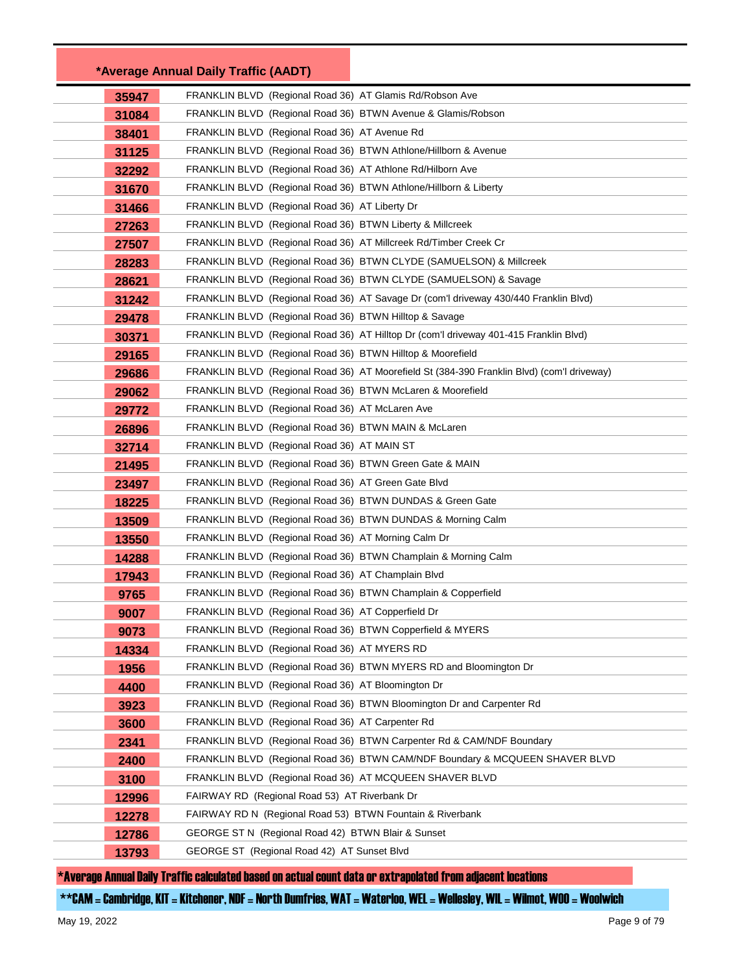|       | *Average Annual Daily Traffic (AADT)                             |                                                                                            |
|-------|------------------------------------------------------------------|--------------------------------------------------------------------------------------------|
| 35947 | FRANKLIN BLVD (Regional Road 36) AT Glamis Rd/Robson Ave         |                                                                                            |
| 31084 | FRANKLIN BLVD (Regional Road 36) BTWN Avenue & Glamis/Robson     |                                                                                            |
| 38401 | FRANKLIN BLVD (Regional Road 36) AT Avenue Rd                    |                                                                                            |
| 31125 | FRANKLIN BLVD (Regional Road 36) BTWN Athlone/Hillborn & Avenue  |                                                                                            |
| 32292 | FRANKLIN BLVD (Regional Road 36) AT Athlone Rd/Hilborn Ave       |                                                                                            |
| 31670 | FRANKLIN BLVD (Regional Road 36) BTWN Athlone/Hillborn & Liberty |                                                                                            |
| 31466 | FRANKLIN BLVD (Regional Road 36) AT Liberty Dr                   |                                                                                            |
| 27263 | FRANKLIN BLVD (Regional Road 36) BTWN Liberty & Millcreek        |                                                                                            |
| 27507 | FRANKLIN BLVD (Regional Road 36) AT Millcreek Rd/Timber Creek Cr |                                                                                            |
| 28283 |                                                                  | FRANKLIN BLVD (Regional Road 36) BTWN CLYDE (SAMUELSON) & Millcreek                        |
| 28621 |                                                                  | FRANKLIN BLVD (Regional Road 36) BTWN CLYDE (SAMUELSON) & Savage                           |
| 31242 |                                                                  | FRANKLIN BLVD (Regional Road 36) AT Savage Dr (com'l driveway 430/440 Franklin Blvd)       |
| 29478 | FRANKLIN BLVD (Regional Road 36) BTWN Hilltop & Savage           |                                                                                            |
| 30371 |                                                                  | FRANKLIN BLVD (Regional Road 36) AT Hilltop Dr (com'l driveway 401-415 Franklin Blvd)      |
| 29165 | FRANKLIN BLVD (Regional Road 36) BTWN Hilltop & Moorefield       |                                                                                            |
| 29686 |                                                                  | FRANKLIN BLVD (Regional Road 36) AT Moorefield St (384-390 Franklin Blvd) (com'l driveway) |
| 29062 | FRANKLIN BLVD (Regional Road 36) BTWN McLaren & Moorefield       |                                                                                            |
| 29772 | FRANKLIN BLVD (Regional Road 36) AT McLaren Ave                  |                                                                                            |
| 26896 | FRANKLIN BLVD (Regional Road 36) BTWN MAIN & McLaren             |                                                                                            |
| 32714 | FRANKLIN BLVD (Regional Road 36) AT MAIN ST                      |                                                                                            |
| 21495 | FRANKLIN BLVD (Regional Road 36) BTWN Green Gate & MAIN          |                                                                                            |
| 23497 | FRANKLIN BLVD (Regional Road 36) AT Green Gate Blvd              |                                                                                            |
| 18225 | FRANKLIN BLVD (Regional Road 36) BTWN DUNDAS & Green Gate        |                                                                                            |
| 13509 | FRANKLIN BLVD (Regional Road 36) BTWN DUNDAS & Morning Calm      |                                                                                            |
| 13550 | FRANKLIN BLVD (Regional Road 36) AT Morning Calm Dr              |                                                                                            |
| 14288 | FRANKLIN BLVD (Regional Road 36) BTWN Champlain & Morning Calm   |                                                                                            |
| 17943 | FRANKLIN BLVD (Regional Road 36) AT Champlain Blvd               |                                                                                            |
| 9765  | FRANKLIN BLVD (Regional Road 36) BTWN Champlain & Copperfield    |                                                                                            |
| 9007  | FRANKLIN BLVD (Regional Road 36) AT Copperfield Dr               |                                                                                            |
| 9073  | FRANKLIN BLVD (Regional Road 36) BTWN Copperfield & MYERS        |                                                                                            |
| 14334 | FRANKLIN BLVD (Regional Road 36) AT MYERS RD                     |                                                                                            |
| 1956  |                                                                  | FRANKLIN BLVD (Regional Road 36) BTWN MYERS RD and Bloomington Dr                          |
| 4400  | FRANKLIN BLVD (Regional Road 36) AT Bloomington Dr               |                                                                                            |
| 3923  |                                                                  | FRANKLIN BLVD (Regional Road 36) BTWN Bloomington Dr and Carpenter Rd                      |
| 3600  | FRANKLIN BLVD (Regional Road 36) AT Carpenter Rd                 |                                                                                            |
| 2341  |                                                                  | FRANKLIN BLVD (Regional Road 36) BTWN Carpenter Rd & CAM/NDF Boundary                      |
| 2400  |                                                                  | FRANKLIN BLVD (Regional Road 36) BTWN CAM/NDF Boundary & MCQUEEN SHAVER BLVD               |
| 3100  | FRANKLIN BLVD (Regional Road 36) AT MCQUEEN SHAVER BLVD          |                                                                                            |
| 12996 | FAIRWAY RD (Regional Road 53) AT Riverbank Dr                    |                                                                                            |
| 12278 | FAIRWAY RD N (Regional Road 53) BTWN Fountain & Riverbank        |                                                                                            |
| 12786 | GEORGE ST N (Regional Road 42) BTWN Blair & Sunset               |                                                                                            |
| 13793 | GEORGE ST (Regional Road 42) AT Sunset Blvd                      |                                                                                            |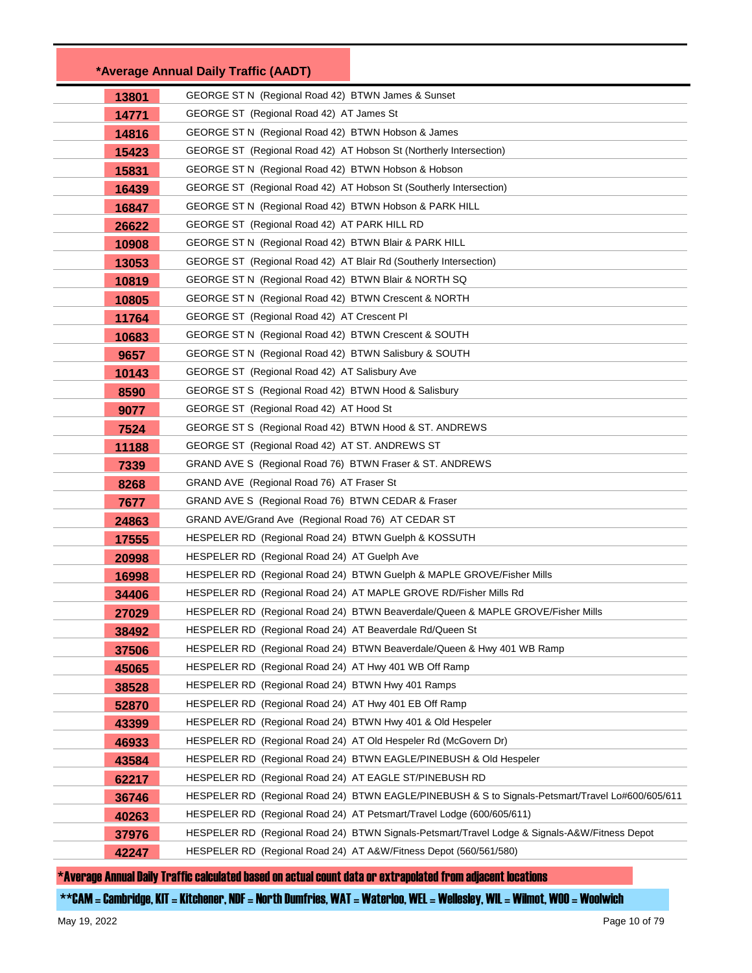|       | *Average Annual Daily Traffic (AADT)                                   |                                                                                                  |  |
|-------|------------------------------------------------------------------------|--------------------------------------------------------------------------------------------------|--|
| 13801 | GEORGE ST N (Regional Road 42) BTWN James & Sunset                     |                                                                                                  |  |
| 14771 |                                                                        | GEORGE ST (Regional Road 42) AT James St                                                         |  |
| 14816 | GEORGE ST N (Regional Road 42) BTWN Hobson & James                     |                                                                                                  |  |
| 15423 | GEORGE ST (Regional Road 42) AT Hobson St (Northerly Intersection)     |                                                                                                  |  |
| 15831 | GEORGE ST N (Regional Road 42) BTWN Hobson & Hobson                    |                                                                                                  |  |
| 16439 | GEORGE ST (Regional Road 42) AT Hobson St (Southerly Intersection)     |                                                                                                  |  |
| 16847 | GEORGE ST N (Regional Road 42) BTWN Hobson & PARK HILL                 |                                                                                                  |  |
| 26622 | GEORGE ST (Regional Road 42) AT PARK HILL RD                           |                                                                                                  |  |
| 10908 | GEORGE ST N (Regional Road 42) BTWN Blair & PARK HILL                  |                                                                                                  |  |
| 13053 | GEORGE ST (Regional Road 42) AT Blair Rd (Southerly Intersection)      |                                                                                                  |  |
| 10819 | GEORGE ST N (Regional Road 42) BTWN Blair & NORTH SQ                   |                                                                                                  |  |
| 10805 | GEORGE ST N (Regional Road 42) BTWN Crescent & NORTH                   |                                                                                                  |  |
| 11764 | GEORGE ST (Regional Road 42) AT Crescent PI                            |                                                                                                  |  |
| 10683 | GEORGE ST N (Regional Road 42) BTWN Crescent & SOUTH                   |                                                                                                  |  |
| 9657  | GEORGE ST N (Regional Road 42) BTWN Salisbury & SOUTH                  |                                                                                                  |  |
| 10143 | GEORGE ST (Regional Road 42) AT Salisbury Ave                          |                                                                                                  |  |
| 8590  | GEORGE ST S (Regional Road 42) BTWN Hood & Salisbury                   |                                                                                                  |  |
| 9077  | GEORGE ST (Regional Road 42) AT Hood St                                |                                                                                                  |  |
| 7524  | GEORGE ST S (Regional Road 42) BTWN Hood & ST. ANDREWS                 |                                                                                                  |  |
| 11188 | GEORGE ST (Regional Road 42) AT ST. ANDREWS ST                         |                                                                                                  |  |
| 7339  | GRAND AVE S (Regional Road 76) BTWN Fraser & ST. ANDREWS               |                                                                                                  |  |
| 8268  | GRAND AVE (Regional Road 76) AT Fraser St                              |                                                                                                  |  |
| 7677  | GRAND AVE S (Regional Road 76) BTWN CEDAR & Fraser                     |                                                                                                  |  |
| 24863 | GRAND AVE/Grand Ave (Regional Road 76) AT CEDAR ST                     |                                                                                                  |  |
| 17555 | HESPELER RD (Regional Road 24) BTWN Guelph & KOSSUTH                   |                                                                                                  |  |
| 20998 | HESPELER RD (Regional Road 24) AT Guelph Ave                           |                                                                                                  |  |
| 16998 | HESPELER RD (Regional Road 24) BTWN Guelph & MAPLE GROVE/Fisher Mills  |                                                                                                  |  |
| 34406 | HESPELER RD (Regional Road 24) AT MAPLE GROVE RD/Fisher Mills Rd       |                                                                                                  |  |
| 27029 |                                                                        | HESPELER RD (Regional Road 24) BTWN Beaverdale/Queen & MAPLE GROVE/Fisher Mills                  |  |
| 38492 | HESPELER RD (Regional Road 24) AT Beaverdale Rd/Queen St               |                                                                                                  |  |
| 37506 | HESPELER RD (Regional Road 24) BTWN Beaverdale/Queen & Hwy 401 WB Ramp |                                                                                                  |  |
| 45065 | HESPELER RD (Regional Road 24) AT Hwy 401 WB Off Ramp                  |                                                                                                  |  |
| 38528 | HESPELER RD (Regional Road 24) BTWN Hwy 401 Ramps                      |                                                                                                  |  |
| 52870 | HESPELER RD (Regional Road 24) AT Hwy 401 EB Off Ramp                  |                                                                                                  |  |
| 43399 | HESPELER RD (Regional Road 24) BTWN Hwy 401 & Old Hespeler             |                                                                                                  |  |
| 46933 | HESPELER RD (Regional Road 24) AT Old Hespeler Rd (McGovern Dr)        |                                                                                                  |  |
| 43584 | HESPELER RD                                                            | (Regional Road 24) BTWN EAGLE/PINEBUSH & Old Hespeler                                            |  |
| 62217 | HESPELER RD (Regional Road 24) AT EAGLE ST/PINEBUSH RD                 |                                                                                                  |  |
| 36746 |                                                                        | HESPELER RD (Regional Road 24) BTWN EAGLE/PINEBUSH & S to Signals-Petsmart/Travel Lo#600/605/611 |  |
| 40263 | HESPELER RD (Regional Road 24) AT Petsmart/Travel Lodge (600/605/611)  |                                                                                                  |  |
| 37976 |                                                                        | HESPELER RD (Regional Road 24) BTWN Signals-Petsmart/Travel Lodge & Signals-A&W/Fitness Depot    |  |
| 42247 | HESPELER RD (Regional Road 24) AT A&W/Fitness Depot (560/561/580)      |                                                                                                  |  |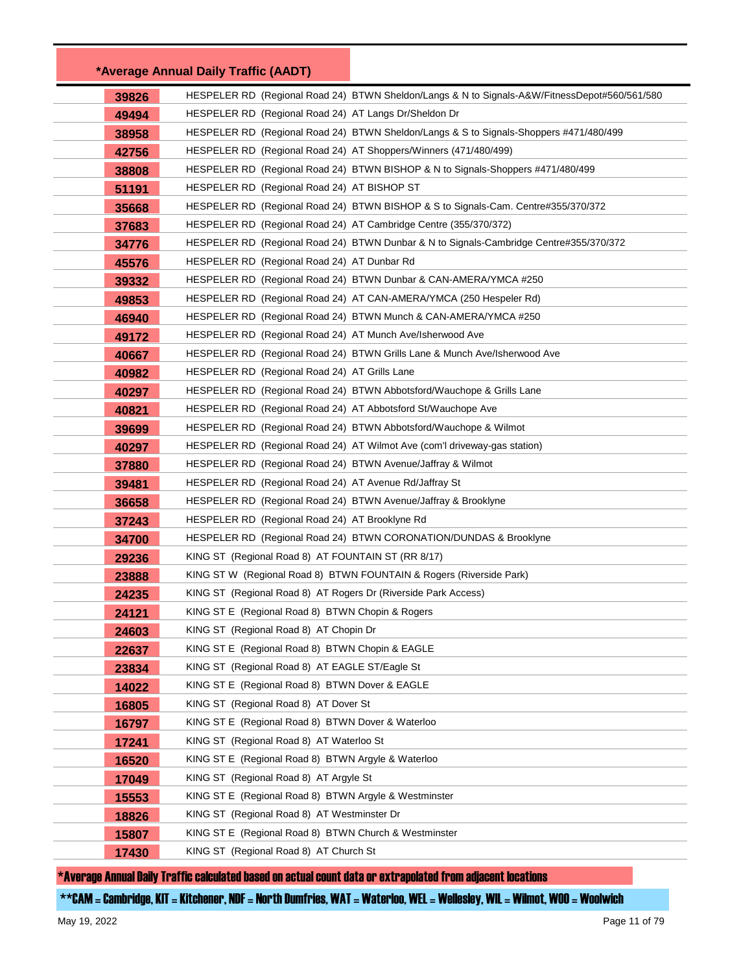|       | *Average Annual Daily Traffic (AADT)                                |                                                                                               |
|-------|---------------------------------------------------------------------|-----------------------------------------------------------------------------------------------|
| 39826 |                                                                     | HESPELER RD (Regional Road 24) BTWN Sheldon/Langs & N to Signals-A&W/FitnessDepot#560/561/580 |
| 49494 | HESPELER RD (Regional Road 24) AT Langs Dr/Sheldon Dr               |                                                                                               |
| 38958 |                                                                     | HESPELER RD (Regional Road 24) BTWN Sheldon/Langs & S to Signals-Shoppers #471/480/499        |
| 42756 | HESPELER RD (Regional Road 24) AT Shoppers/Winners (471/480/499)    |                                                                                               |
| 38808 |                                                                     | HESPELER RD (Regional Road 24) BTWN BISHOP & N to Signals-Shoppers #471/480/499               |
| 51191 | HESPELER RD (Regional Road 24) AT BISHOP ST                         |                                                                                               |
| 35668 |                                                                     | HESPELER RD (Regional Road 24) BTWN BISHOP & S to Signals-Cam. Centre#355/370/372             |
| 37683 | HESPELER RD (Regional Road 24) AT Cambridge Centre (355/370/372)    |                                                                                               |
| 34776 |                                                                     | HESPELER RD (Regional Road 24) BTWN Dunbar & N to Signals-Cambridge Centre#355/370/372        |
| 45576 | HESPELER RD (Regional Road 24) AT Dunbar Rd                         |                                                                                               |
| 39332 |                                                                     | HESPELER RD (Regional Road 24) BTWN Dunbar & CAN-AMERA/YMCA #250                              |
| 49853 |                                                                     | HESPELER RD (Regional Road 24) AT CAN-AMERA/YMCA (250 Hespeler Rd)                            |
| 46940 |                                                                     | HESPELER RD (Regional Road 24) BTWN Munch & CAN-AMERA/YMCA #250                               |
| 49172 | HESPELER RD (Regional Road 24) AT Munch Ave/Isherwood Ave           |                                                                                               |
| 40667 |                                                                     | HESPELER RD (Regional Road 24) BTWN Grills Lane & Munch Ave/Isherwood Ave                     |
| 40982 | HESPELER RD (Regional Road 24) AT Grills Lane                       |                                                                                               |
| 40297 |                                                                     | HESPELER RD (Regional Road 24) BTWN Abbotsford/Wauchope & Grills Lane                         |
| 40821 | HESPELER RD (Regional Road 24) AT Abbotsford St/Wauchope Ave        |                                                                                               |
| 39699 | HESPELER RD (Regional Road 24) BTWN Abbotsford/Wauchope & Wilmot    |                                                                                               |
| 40297 |                                                                     | HESPELER RD (Regional Road 24) AT Wilmot Ave (com'l driveway-gas station)                     |
| 37880 | HESPELER RD (Regional Road 24) BTWN Avenue/Jaffray & Wilmot         |                                                                                               |
| 39481 | HESPELER RD (Regional Road 24) AT Avenue Rd/Jaffray St              |                                                                                               |
| 36658 | HESPELER RD (Regional Road 24) BTWN Avenue/Jaffray & Brooklyne      |                                                                                               |
| 37243 | HESPELER RD (Regional Road 24) AT Brooklyne Rd                      |                                                                                               |
| 34700 |                                                                     | HESPELER RD (Regional Road 24) BTWN CORONATION/DUNDAS & Brooklyne                             |
| 29236 | KING ST (Regional Road 8) AT FOUNTAIN ST (RR 8/17)                  |                                                                                               |
| 23888 | KING ST W (Regional Road 8) BTWN FOUNTAIN & Rogers (Riverside Park) |                                                                                               |
| 24235 | KING ST (Regional Road 8) AT Rogers Dr (Riverside Park Access)      |                                                                                               |
| 24121 | KING ST E (Regional Road 8) BTWN Chopin & Rogers                    |                                                                                               |
| 24603 | KING ST (Regional Road 8) AT Chopin Dr                              |                                                                                               |
| 22637 | KING ST E (Regional Road 8) BTWN Chopin & EAGLE                     |                                                                                               |
| 23834 | KING ST (Regional Road 8) AT EAGLE ST/Eagle St                      |                                                                                               |
| 14022 | KING ST E (Regional Road 8) BTWN Dover & EAGLE                      |                                                                                               |
| 16805 | KING ST (Regional Road 8) AT Dover St                               |                                                                                               |
| 16797 | KING ST E (Regional Road 8) BTWN Dover & Waterloo                   |                                                                                               |
| 17241 | KING ST (Regional Road 8) AT Waterloo St                            |                                                                                               |
| 16520 | KING ST E (Regional Road 8) BTWN Argyle & Waterloo                  |                                                                                               |
| 17049 | KING ST (Regional Road 8) AT Argyle St                              |                                                                                               |
| 15553 | KING ST E (Regional Road 8) BTWN Argyle & Westminster               |                                                                                               |
| 18826 | KING ST (Regional Road 8) AT Westminster Dr                         |                                                                                               |
| 15807 | KING ST E (Regional Road 8) BTWN Church & Westminster               |                                                                                               |
| 17430 | KING ST (Regional Road 8) AT Church St                              |                                                                                               |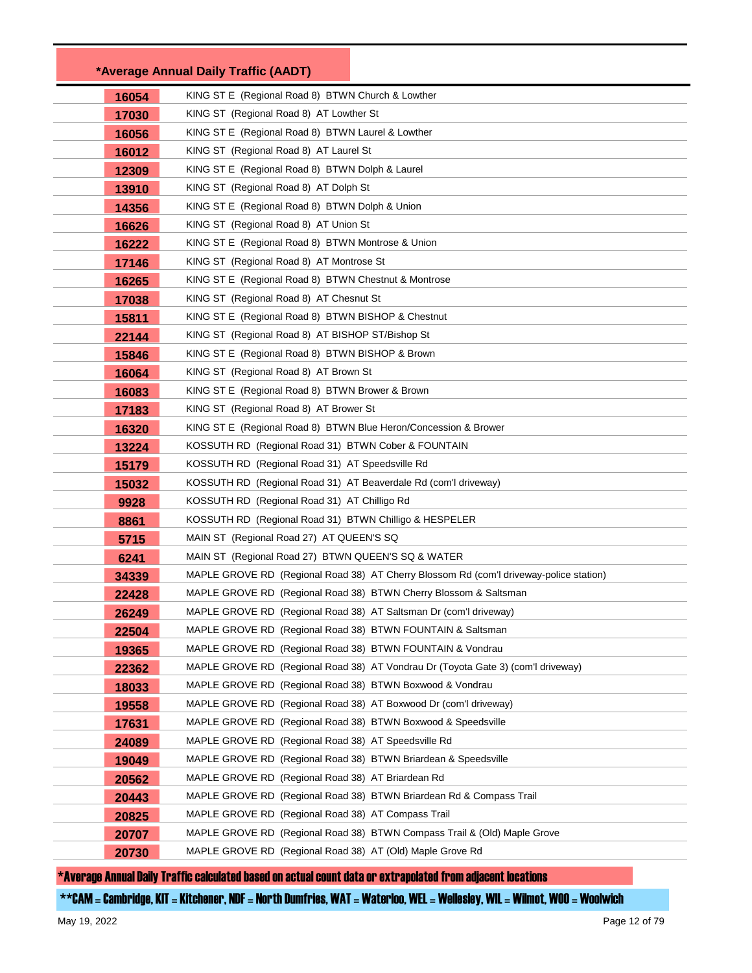|       | *Average Annual Daily Traffic (AADT)                                                                                      |
|-------|---------------------------------------------------------------------------------------------------------------------------|
| 16054 | KING ST E (Regional Road 8) BTWN Church & Lowther                                                                         |
| 17030 | KING ST (Regional Road 8) AT Lowther St                                                                                   |
| 16056 | KING ST E (Regional Road 8) BTWN Laurel & Lowther                                                                         |
| 16012 | KING ST (Regional Road 8) AT Laurel St                                                                                    |
| 12309 | KING ST E (Regional Road 8) BTWN Dolph & Laurel                                                                           |
| 13910 | KING ST (Regional Road 8) AT Dolph St                                                                                     |
| 14356 | KING ST E (Regional Road 8) BTWN Dolph & Union                                                                            |
| 16626 | KING ST (Regional Road 8) AT Union St                                                                                     |
| 16222 | KING ST E (Regional Road 8) BTWN Montrose & Union                                                                         |
| 17146 | KING ST (Regional Road 8) AT Montrose St                                                                                  |
| 16265 | KING ST E (Regional Road 8) BTWN Chestnut & Montrose                                                                      |
| 17038 | KING ST (Regional Road 8) AT Chesnut St                                                                                   |
| 15811 | KING ST E (Regional Road 8) BTWN BISHOP & Chestnut                                                                        |
| 22144 | KING ST (Regional Road 8) AT BISHOP ST/Bishop St                                                                          |
| 15846 | KING ST E (Regional Road 8) BTWN BISHOP & Brown                                                                           |
| 16064 | KING ST (Regional Road 8) AT Brown St                                                                                     |
| 16083 | KING ST E (Regional Road 8) BTWN Brower & Brown                                                                           |
| 17183 | KING ST (Regional Road 8) AT Brower St                                                                                    |
| 16320 | KING ST E (Regional Road 8) BTWN Blue Heron/Concession & Brower                                                           |
| 13224 | KOSSUTH RD (Regional Road 31) BTWN Cober & FOUNTAIN                                                                       |
| 15179 | KOSSUTH RD (Regional Road 31) AT Speedsville Rd                                                                           |
| 15032 | KOSSUTH RD (Regional Road 31) AT Beaverdale Rd (com'l driveway)                                                           |
| 9928  | KOSSUTH RD (Regional Road 31) AT Chilligo Rd                                                                              |
| 8861  | KOSSUTH RD (Regional Road 31) BTWN Chilligo & HESPELER                                                                    |
| 5715  | MAIN ST (Regional Road 27) AT QUEEN'S SQ                                                                                  |
| 6241  | MAIN ST (Regional Road 27) BTWN QUEEN'S SQ & WATER                                                                        |
| 34339 | MAPLE GROVE RD (Regional Road 38) AT Cherry Blossom Rd (com'l driveway-police station)                                    |
| 22428 | MAPLE GROVE RD (Regional Road 38) BTWN Cherry Blossom & Saltsman                                                          |
| 26249 | MAPLE GROVE RD (Regional Road 38) AT Saltsman Dr (com'l driveway)                                                         |
| 22504 | MAPLE GROVE RD (Regional Road 38) BTWN FOUNTAIN & Saltsman                                                                |
| 19365 | MAPLE GROVE RD (Regional Road 38) BTWN FOUNTAIN & Vondrau                                                                 |
| 22362 | MAPLE GROVE RD (Regional Road 38) AT Vondrau Dr (Toyota Gate 3) (com'l driveway)                                          |
| 18033 | MAPLE GROVE RD (Regional Road 38) BTWN Boxwood & Vondrau                                                                  |
| 19558 | MAPLE GROVE RD (Regional Road 38) AT Boxwood Dr (com'l driveway)                                                          |
| 17631 | MAPLE GROVE RD (Regional Road 38) BTWN Boxwood & Speedsville                                                              |
| 24089 | MAPLE GROVE RD (Regional Road 38) AT Speedsville Rd                                                                       |
| 19049 | MAPLE GROVE RD (Regional Road 38) BTWN Briardean & Speedsville                                                            |
| 20562 | MAPLE GROVE RD (Regional Road 38) AT Briardean Rd                                                                         |
| 20443 | MAPLE GROVE RD (Regional Road 38) BTWN Briardean Rd & Compass Trail<br>MAPLE GROVE RD (Regional Road 38) AT Compass Trail |
| 20825 | MAPLE GROVE RD (Regional Road 38) BTWN Compass Trail & (Old) Maple Grove                                                  |
| 20707 | MAPLE GROVE RD (Regional Road 38) AT (Old) Maple Grove Rd                                                                 |
| 20730 |                                                                                                                           |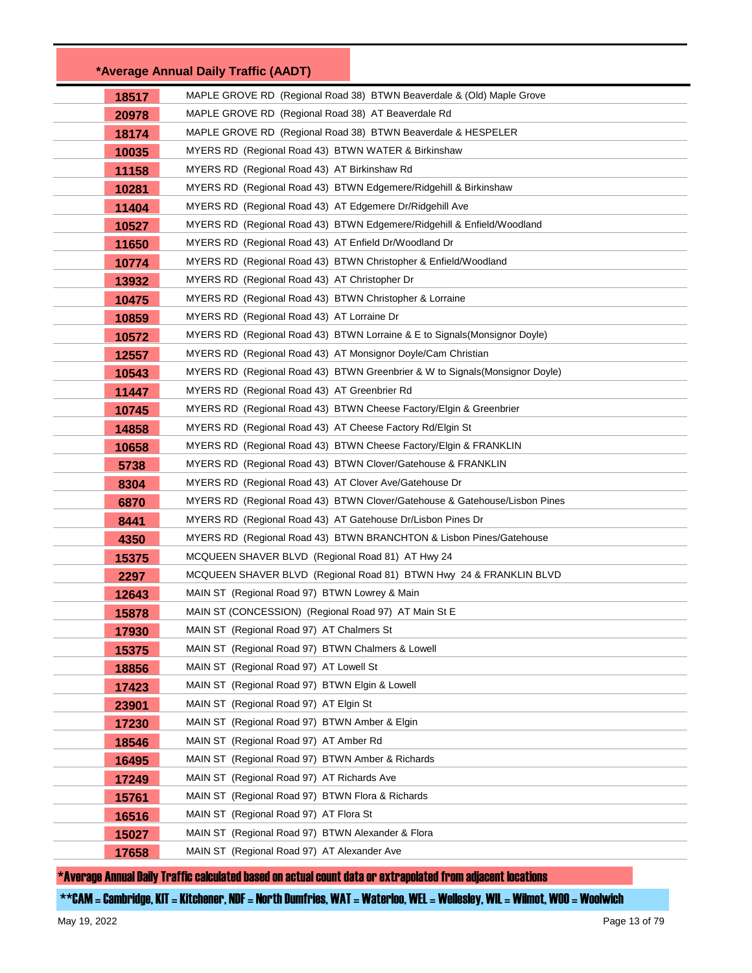|       | *Average Annual Daily Traffic (AADT)                                         |
|-------|------------------------------------------------------------------------------|
| 18517 | MAPLE GROVE RD (Regional Road 38) BTWN Beaverdale & (Old) Maple Grove        |
| 20978 | MAPLE GROVE RD (Regional Road 38) AT Beaverdale Rd                           |
| 18174 | MAPLE GROVE RD (Regional Road 38) BTWN Beaverdale & HESPELER                 |
| 10035 | MYERS RD (Regional Road 43) BTWN WATER & Birkinshaw                          |
| 11158 | MYERS RD (Regional Road 43) AT Birkinshaw Rd                                 |
| 10281 | MYERS RD (Regional Road 43) BTWN Edgemere/Ridgehill & Birkinshaw             |
| 11404 | MYERS RD (Regional Road 43) AT Edgemere Dr/Ridgehill Ave                     |
| 10527 | MYERS RD (Regional Road 43) BTWN Edgemere/Ridgehill & Enfield/Woodland       |
| 11650 | MYERS RD (Regional Road 43) AT Enfield Dr/Woodland Dr                        |
| 10774 | MYERS RD (Regional Road 43) BTWN Christopher & Enfield/Woodland              |
| 13932 | MYERS RD (Regional Road 43) AT Christopher Dr                                |
| 10475 | MYERS RD (Regional Road 43) BTWN Christopher & Lorraine                      |
| 10859 | MYERS RD (Regional Road 43) AT Lorraine Dr                                   |
| 10572 | MYERS RD (Regional Road 43) BTWN Lorraine & E to Signals (Monsignor Doyle)   |
| 12557 | MYERS RD (Regional Road 43) AT Monsignor Doyle/Cam Christian                 |
| 10543 | MYERS RD (Regional Road 43) BTWN Greenbrier & W to Signals (Monsignor Doyle) |
| 11447 | MYERS RD (Regional Road 43) AT Greenbrier Rd                                 |
| 10745 | MYERS RD (Regional Road 43) BTWN Cheese Factory/Elgin & Greenbrier           |
| 14858 | MYERS RD (Regional Road 43) AT Cheese Factory Rd/Elgin St                    |
| 10658 | MYERS RD (Regional Road 43) BTWN Cheese Factory/Elgin & FRANKLIN             |
| 5738  | MYERS RD (Regional Road 43) BTWN Clover/Gatehouse & FRANKLIN                 |
| 8304  | MYERS RD (Regional Road 43) AT Clover Ave/Gatehouse Dr                       |
| 6870  | MYERS RD (Regional Road 43) BTWN Clover/Gatehouse & Gatehouse/Lisbon Pines   |
| 8441  | MYERS RD (Regional Road 43) AT Gatehouse Dr/Lisbon Pines Dr                  |
| 4350  | MYERS RD (Regional Road 43) BTWN BRANCHTON & Lisbon Pines/Gatehouse          |
| 15375 | MCQUEEN SHAVER BLVD (Regional Road 81) AT Hwy 24                             |
| 2297  | MCQUEEN SHAVER BLVD (Regional Road 81) BTWN Hwy 24 & FRANKLIN BLVD           |
| 12643 | MAIN ST (Regional Road 97) BTWN Lowrey & Main                                |
| 15878 | MAIN ST (CONCESSION) (Regional Road 97) AT Main St E                         |
| 17930 | MAIN ST (Regional Road 97) AT Chalmers St                                    |
| 15375 | MAIN ST (Regional Road 97) BTWN Chalmers & Lowell                            |
| 18856 | MAIN ST (Regional Road 97) AT Lowell St                                      |
| 17423 | MAIN ST (Regional Road 97) BTWN Elgin & Lowell                               |
| 23901 | MAIN ST (Regional Road 97) AT Elgin St                                       |
| 17230 | MAIN ST (Regional Road 97) BTWN Amber & Elgin                                |
| 18546 | MAIN ST (Regional Road 97) AT Amber Rd                                       |
| 16495 | MAIN ST (Regional Road 97) BTWN Amber & Richards                             |
| 17249 | MAIN ST (Regional Road 97) AT Richards Ave                                   |
| 15761 | MAIN ST (Regional Road 97) BTWN Flora & Richards                             |
| 16516 | MAIN ST (Regional Road 97) AT Flora St                                       |
| 15027 | MAIN ST (Regional Road 97) BTWN Alexander & Flora                            |
| 17658 | MAIN ST (Regional Road 97) AT Alexander Ave                                  |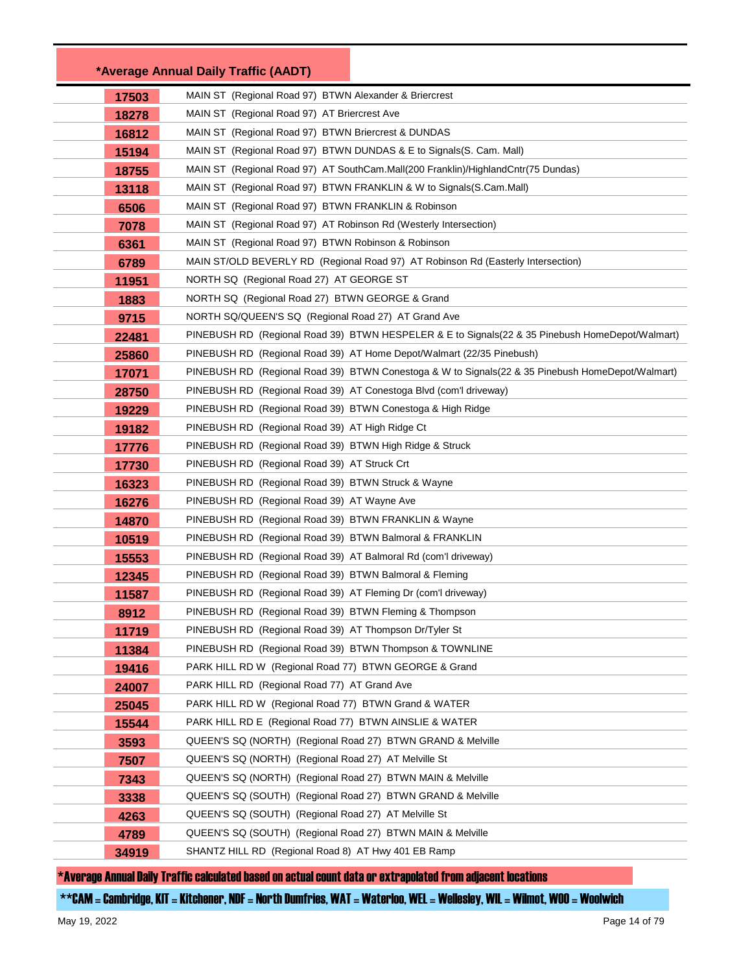|       | *Average Annual Daily Traffic (AADT)                                                              |
|-------|---------------------------------------------------------------------------------------------------|
| 17503 | MAIN ST (Regional Road 97) BTWN Alexander & Briercrest                                            |
| 18278 | MAIN ST (Regional Road 97) AT Briercrest Ave                                                      |
| 16812 | MAIN ST (Regional Road 97) BTWN Briercrest & DUNDAS                                               |
| 15194 | MAIN ST (Regional Road 97) BTWN DUNDAS & E to Signals (S. Cam. Mall)                              |
| 18755 | MAIN ST (Regional Road 97) AT SouthCam.Mall(200 Franklin)/HighlandCntr(75 Dundas)                 |
| 13118 | MAIN ST (Regional Road 97) BTWN FRANKLIN & W to Signals (S.Cam.Mall)                              |
| 6506  | MAIN ST (Regional Road 97) BTWN FRANKLIN & Robinson                                               |
| 7078  | MAIN ST (Regional Road 97) AT Robinson Rd (Westerly Intersection)                                 |
| 6361  | MAIN ST (Regional Road 97) BTWN Robinson & Robinson                                               |
| 6789  | MAIN ST/OLD BEVERLY RD (Regional Road 97) AT Robinson Rd (Easterly Intersection)                  |
| 11951 | NORTH SQ (Regional Road 27) AT GEORGE ST                                                          |
| 1883  | NORTH SQ (Regional Road 27) BTWN GEORGE & Grand                                                   |
| 9715  | NORTH SQ/QUEEN'S SQ (Regional Road 27) AT Grand Ave                                               |
| 22481 | PINEBUSH RD (Regional Road 39) BTWN HESPELER & E to Signals (22 & 35 Pinebush HomeDepot/Walmart)  |
| 25860 | PINEBUSH RD (Regional Road 39) AT Home Depot/Walmart (22/35 Pinebush)                             |
| 17071 | PINEBUSH RD (Regional Road 39) BTWN Conestoga & W to Signals (22 & 35 Pinebush HomeDepot/Walmart) |
| 28750 | PINEBUSH RD (Regional Road 39) AT Conestoga Blvd (com'l driveway)                                 |
| 19229 | PINEBUSH RD (Regional Road 39) BTWN Conestoga & High Ridge                                        |
| 19182 | PINEBUSH RD (Regional Road 39) AT High Ridge Ct                                                   |
| 17776 | PINEBUSH RD (Regional Road 39) BTWN High Ridge & Struck                                           |
| 17730 | PINEBUSH RD (Regional Road 39) AT Struck Crt                                                      |
| 16323 | PINEBUSH RD (Regional Road 39) BTWN Struck & Wayne                                                |
| 16276 | PINEBUSH RD (Regional Road 39) AT Wayne Ave                                                       |
| 14870 | PINEBUSH RD (Regional Road 39) BTWN FRANKLIN & Wayne                                              |
| 10519 | PINEBUSH RD (Regional Road 39) BTWN Balmoral & FRANKLIN                                           |
| 15553 | PINEBUSH RD (Regional Road 39) AT Balmoral Rd (com'l driveway)                                    |
| 12345 | PINEBUSH RD (Regional Road 39) BTWN Balmoral & Fleming                                            |
| 11587 | PINEBUSH RD (Regional Road 39) AT Fleming Dr (com'l driveway)                                     |
| 8912  | PINEBUSH RD (Regional Road 39) BTWN Fleming & Thompson                                            |
| 11719 | PINEBUSH RD (Regional Road 39) AT Thompson Dr/Tyler St                                            |
| 11384 | PINEBUSH RD (Regional Road 39) BTWN Thompson & TOWNLINE                                           |
| 19416 | PARK HILL RD W (Regional Road 77) BTWN GEORGE & Grand                                             |
| 24007 | PARK HILL RD (Regional Road 77) AT Grand Ave                                                      |
| 25045 | PARK HILL RD W (Regional Road 77) BTWN Grand & WATER                                              |
| 15544 | PARK HILL RD E (Regional Road 77) BTWN AINSLIE & WATER                                            |
| 3593  | QUEEN'S SQ (NORTH) (Regional Road 27) BTWN GRAND & Melville                                       |
| 7507  | QUEEN'S SQ (NORTH) (Regional Road 27) AT Melville St                                              |
| 7343  | QUEEN'S SQ (NORTH) (Regional Road 27) BTWN MAIN & Melville                                        |
| 3338  | QUEEN'S SQ (SOUTH) (Regional Road 27) BTWN GRAND & Melville                                       |
| 4263  | QUEEN'S SQ (SOUTH) (Regional Road 27) AT Melville St                                              |
| 4789  | QUEEN'S SQ (SOUTH) (Regional Road 27) BTWN MAIN & Melville                                        |
| 34919 | SHANTZ HILL RD (Regional Road 8) AT Hwy 401 EB Ramp                                               |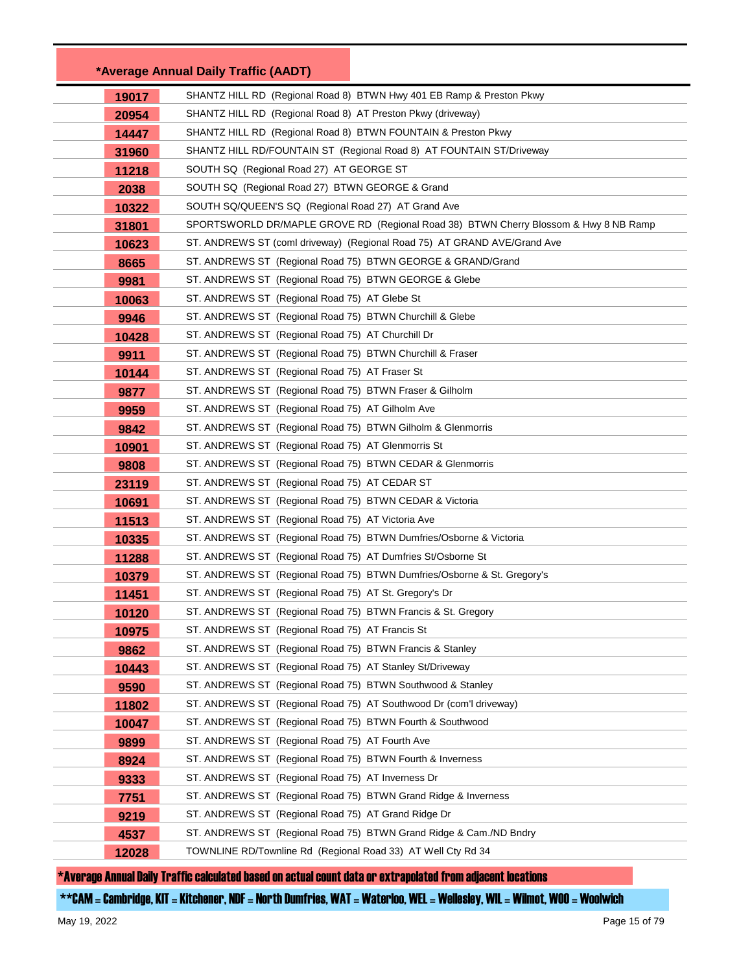|       | *Average Annual Daily Traffic (AADT)                                                 |
|-------|--------------------------------------------------------------------------------------|
| 19017 | SHANTZ HILL RD (Regional Road 8) BTWN Hwy 401 EB Ramp & Preston Pkwy                 |
| 20954 | SHANTZ HILL RD (Regional Road 8) AT Preston Pkwy (driveway)                          |
| 14447 | SHANTZ HILL RD (Regional Road 8) BTWN FOUNTAIN & Preston Pkwy                        |
| 31960 | SHANTZ HILL RD/FOUNTAIN ST (Regional Road 8) AT FOUNTAIN ST/Driveway                 |
| 11218 | SOUTH SQ (Regional Road 27) AT GEORGE ST                                             |
| 2038  | SOUTH SQ (Regional Road 27) BTWN GEORGE & Grand                                      |
| 10322 | SOUTH SQ/QUEEN'S SQ (Regional Road 27) AT Grand Ave                                  |
| 31801 | SPORTSWORLD DR/MAPLE GROVE RD (Regional Road 38) BTWN Cherry Blossom & Hwy 8 NB Ramp |
| 10623 | ST. ANDREWS ST (coml driveway) (Regional Road 75) AT GRAND AVE/Grand Ave             |
| 8665  | ST. ANDREWS ST (Regional Road 75) BTWN GEORGE & GRAND/Grand                          |
| 9981  | ST. ANDREWS ST (Regional Road 75) BTWN GEORGE & Glebe                                |
| 10063 | ST. ANDREWS ST (Regional Road 75) AT Glebe St                                        |
| 9946  | ST. ANDREWS ST (Regional Road 75) BTWN Churchill & Glebe                             |
| 10428 | ST. ANDREWS ST (Regional Road 75) AT Churchill Dr                                    |
| 9911  | ST. ANDREWS ST (Regional Road 75) BTWN Churchill & Fraser                            |
| 10144 | ST. ANDREWS ST (Regional Road 75) AT Fraser St                                       |
| 9877  | ST. ANDREWS ST (Regional Road 75) BTWN Fraser & Gilholm                              |
| 9959  | ST. ANDREWS ST (Regional Road 75) AT Gilholm Ave                                     |
| 9842  | ST. ANDREWS ST (Regional Road 75) BTWN Gilholm & Glenmorris                          |
| 10901 | ST. ANDREWS ST (Regional Road 75) AT Glenmorris St                                   |
| 9808  | ST. ANDREWS ST (Regional Road 75) BTWN CEDAR & Glenmorris                            |
| 23119 | ST. ANDREWS ST (Regional Road 75) AT CEDAR ST                                        |
| 10691 | ST. ANDREWS ST (Regional Road 75) BTWN CEDAR & Victoria                              |
| 11513 | ST. ANDREWS ST (Regional Road 75) AT Victoria Ave                                    |
| 10335 | ST. ANDREWS ST (Regional Road 75) BTWN Dumfries/Osborne & Victoria                   |
| 11288 | ST. ANDREWS ST (Regional Road 75) AT Dumfries St/Osborne St                          |
| 10379 | ST. ANDREWS ST (Regional Road 75) BTWN Dumfries/Osborne & St. Gregory's              |
| 11451 | ST. ANDREWS ST (Regional Road 75) AT St. Gregory's Dr                                |
| 10120 | ST. ANDREWS ST (Regional Road 75) BTWN Francis & St. Gregory                         |
| 10975 | ST. ANDREWS ST (Regional Road 75) AT Francis St                                      |
| 9862  | ST. ANDREWS ST (Regional Road 75) BTWN Francis & Stanley                             |
| 10443 | ST. ANDREWS ST (Regional Road 75) AT Stanley St/Driveway                             |
| 9590  | ST. ANDREWS ST (Regional Road 75) BTWN Southwood & Stanley                           |
| 11802 | ST. ANDREWS ST (Regional Road 75) AT Southwood Dr (com'l driveway)                   |
| 10047 | ST. ANDREWS ST (Regional Road 75) BTWN Fourth & Southwood                            |
| 9899  | ST. ANDREWS ST (Regional Road 75) AT Fourth Ave                                      |
| 8924  | ST. ANDREWS ST (Regional Road 75) BTWN Fourth & Inverness                            |
| 9333  | ST. ANDREWS ST (Regional Road 75) AT Inverness Dr                                    |
| 7751  | ST. ANDREWS ST (Regional Road 75) BTWN Grand Ridge & Inverness                       |
| 9219  | ST. ANDREWS ST (Regional Road 75) AT Grand Ridge Dr                                  |
| 4537  | ST. ANDREWS ST (Regional Road 75) BTWN Grand Ridge & Cam./ND Bndry                   |
| 12028 | TOWNLINE RD/Townline Rd (Regional Road 33) AT Well Cty Rd 34                         |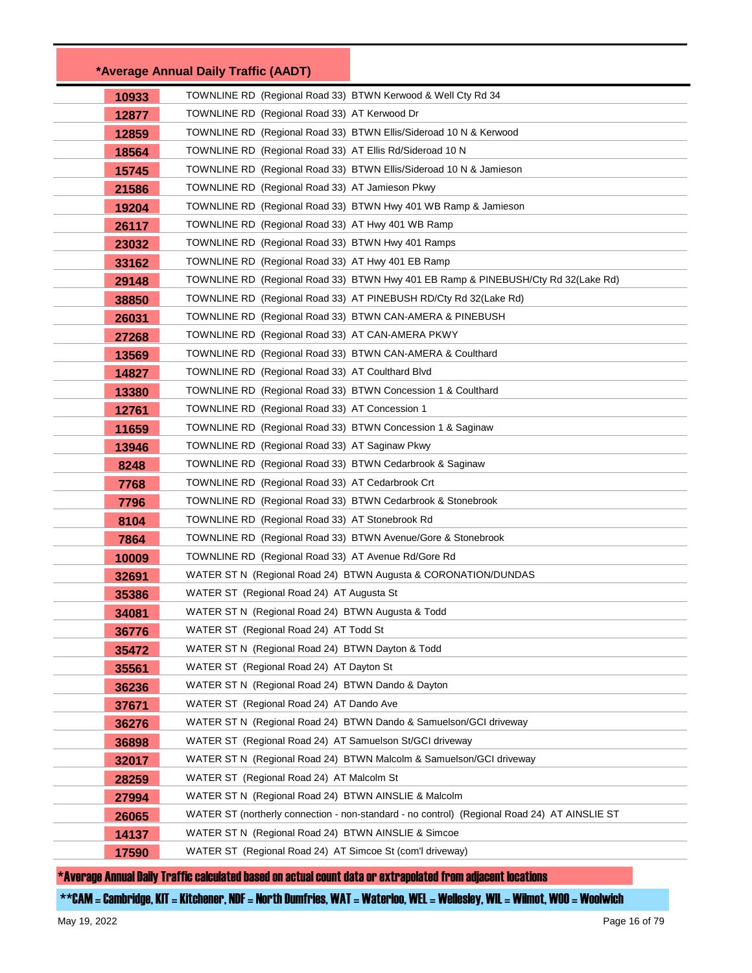|       | *Average Annual Daily Traffic (AADT)                         |                                                                                              |
|-------|--------------------------------------------------------------|----------------------------------------------------------------------------------------------|
| 10933 | TOWNLINE RD (Regional Road 33) BTWN Kerwood & Well Cty Rd 34 |                                                                                              |
| 12877 | TOWNLINE RD (Regional Road 33) AT Kerwood Dr                 |                                                                                              |
| 12859 |                                                              | TOWNLINE RD (Regional Road 33) BTWN Ellis/Sideroad 10 N & Kerwood                            |
| 18564 | TOWNLINE RD (Regional Road 33) AT Ellis Rd/Sideroad 10 N     |                                                                                              |
| 15745 |                                                              | TOWNLINE RD (Regional Road 33) BTWN Ellis/Sideroad 10 N & Jamieson                           |
| 21586 | TOWNLINE RD (Regional Road 33) AT Jamieson Pkwy              |                                                                                              |
| 19204 |                                                              | TOWNLINE RD (Regional Road 33) BTWN Hwy 401 WB Ramp & Jamieson                               |
| 26117 | TOWNLINE RD (Regional Road 33) AT Hwy 401 WB Ramp            |                                                                                              |
| 23032 | TOWNLINE RD (Regional Road 33) BTWN Hwy 401 Ramps            |                                                                                              |
| 33162 | TOWNLINE RD (Regional Road 33) AT Hwy 401 EB Ramp            |                                                                                              |
| 29148 |                                                              | TOWNLINE RD (Regional Road 33) BTWN Hwy 401 EB Ramp & PINEBUSH/Cty Rd 32(Lake Rd)            |
| 38850 |                                                              | TOWNLINE RD (Regional Road 33) AT PINEBUSH RD/Cty Rd 32(Lake Rd)                             |
| 26031 | TOWNLINE RD (Regional Road 33) BTWN CAN-AMERA & PINEBUSH     |                                                                                              |
| 27268 | TOWNLINE RD (Regional Road 33) AT CAN-AMERA PKWY             |                                                                                              |
| 13569 | TOWNLINE RD (Regional Road 33) BTWN CAN-AMERA & Coulthard    |                                                                                              |
| 14827 | TOWNLINE RD (Regional Road 33) AT Coulthard Blvd             |                                                                                              |
| 13380 | TOWNLINE RD (Regional Road 33) BTWN Concession 1 & Coulthard |                                                                                              |
| 12761 | TOWNLINE RD (Regional Road 33) AT Concession 1               |                                                                                              |
| 11659 | TOWNLINE RD (Regional Road 33) BTWN Concession 1 & Saginaw   |                                                                                              |
| 13946 | TOWNLINE RD (Regional Road 33) AT Saginaw Pkwy               |                                                                                              |
| 8248  | TOWNLINE RD (Regional Road 33) BTWN Cedarbrook & Saginaw     |                                                                                              |
| 7768  | TOWNLINE RD (Regional Road 33) AT Cedarbrook Crt             |                                                                                              |
| 7796  | TOWNLINE RD (Regional Road 33) BTWN Cedarbrook & Stonebrook  |                                                                                              |
| 8104  | TOWNLINE RD (Regional Road 33) AT Stonebrook Rd              |                                                                                              |
| 7864  | TOWNLINE RD (Regional Road 33) BTWN Avenue/Gore & Stonebrook |                                                                                              |
| 10009 | TOWNLINE RD (Regional Road 33) AT Avenue Rd/Gore Rd          |                                                                                              |
| 32691 |                                                              | WATER ST N (Regional Road 24) BTWN Augusta & CORONATION/DUNDAS                               |
| 35386 | WATER ST (Regional Road 24) AT Augusta St                    |                                                                                              |
| 34081 | WATER ST N (Regional Road 24) BTWN Augusta & Todd            |                                                                                              |
| 36776 | WATER ST (Regional Road 24) AT Todd St                       |                                                                                              |
| 35472 | WATER ST N (Regional Road 24) BTWN Dayton & Todd             |                                                                                              |
| 35561 | WATER ST (Regional Road 24) AT Dayton St                     |                                                                                              |
| 36236 | WATER ST N (Regional Road 24) BTWN Dando & Dayton            |                                                                                              |
| 37671 | WATER ST (Regional Road 24) AT Dando Ave                     |                                                                                              |
| 36276 |                                                              | WATER ST N (Regional Road 24) BTWN Dando & Samuelson/GCI driveway                            |
| 36898 | WATER ST (Regional Road 24) AT Samuelson St/GCI driveway     |                                                                                              |
| 32017 |                                                              | WATER ST N (Regional Road 24) BTWN Malcolm & Samuelson/GCI driveway                          |
| 28259 | WATER ST (Regional Road 24) AT Malcolm St                    |                                                                                              |
| 27994 | WATER ST N (Regional Road 24) BTWN AINSLIE & Malcolm         |                                                                                              |
| 26065 |                                                              | WATER ST (northerly connection - non-standard - no control) (Regional Road 24) AT AINSLIE ST |
| 14137 | WATER ST N (Regional Road 24) BTWN AINSLIE & Simcoe          |                                                                                              |
| 17590 | WATER ST (Regional Road 24) AT Simcoe St (com'l driveway)    |                                                                                              |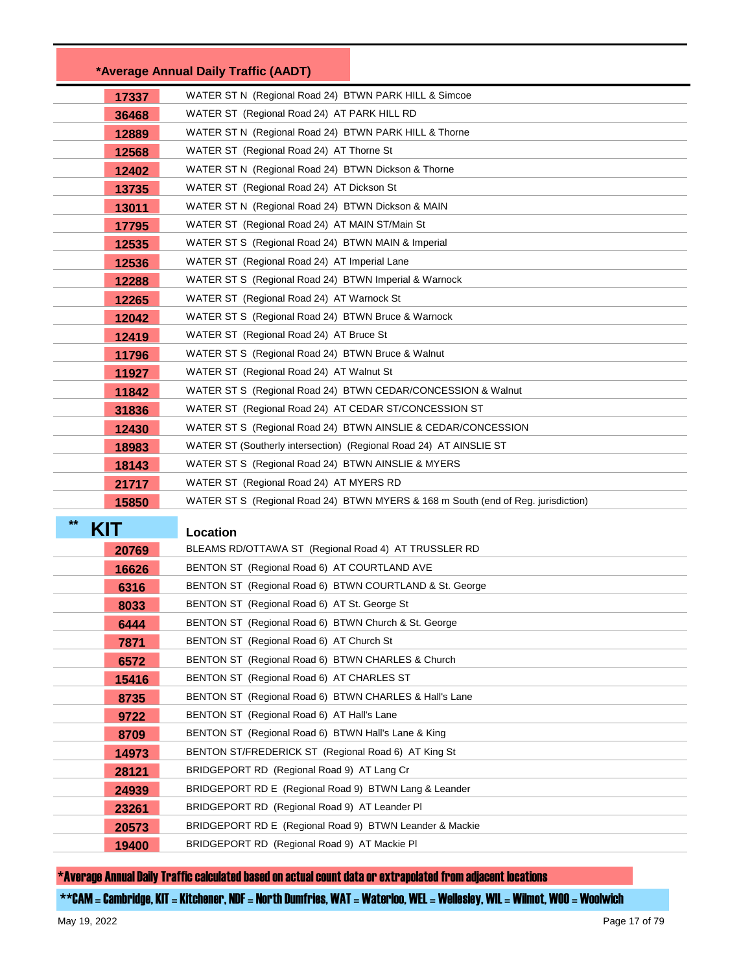|                    | *Average Annual Daily Traffic (AADT)                                              |
|--------------------|-----------------------------------------------------------------------------------|
| 17337              | WATER ST N (Regional Road 24) BTWN PARK HILL & Simcoe                             |
| 36468              | WATER ST (Regional Road 24) AT PARK HILL RD                                       |
| 12889              | WATER ST N (Regional Road 24) BTWN PARK HILL & Thorne                             |
| 12568              | WATER ST (Regional Road 24) AT Thorne St                                          |
| 12402              | WATER ST N (Regional Road 24) BTWN Dickson & Thorne                               |
| 13735              | WATER ST (Regional Road 24) AT Dickson St                                         |
| 13011              | WATER ST N (Regional Road 24) BTWN Dickson & MAIN                                 |
| 17795              | WATER ST (Regional Road 24) AT MAIN ST/Main St                                    |
| 12535              | WATER ST S (Regional Road 24) BTWN MAIN & Imperial                                |
| 12536              | WATER ST (Regional Road 24) AT Imperial Lane                                      |
| 12288              | WATER ST S (Regional Road 24) BTWN Imperial & Warnock                             |
| 12265              | WATER ST (Regional Road 24) AT Warnock St                                         |
| 12042              | WATER ST S (Regional Road 24) BTWN Bruce & Warnock                                |
| 12419              | WATER ST (Regional Road 24) AT Bruce St                                           |
| 11796              | WATER ST S (Regional Road 24) BTWN Bruce & Walnut                                 |
| 11927              | WATER ST (Regional Road 24) AT Walnut St                                          |
| 11842              | WATER ST S (Regional Road 24) BTWN CEDAR/CONCESSION & Walnut                      |
| 31836              | WATER ST (Regional Road 24) AT CEDAR ST/CONCESSION ST                             |
| 12430              | WATER ST S (Regional Road 24) BTWN AINSLIE & CEDAR/CONCESSION                     |
| 18983              | WATER ST (Southerly intersection) (Regional Road 24) AT AINSLIE ST                |
| 18143              | WATER ST S (Regional Road 24) BTWN AINSLIE & MYERS                                |
| 21717              | WATER ST (Regional Road 24) AT MYERS RD                                           |
| 15850              | WATER ST S (Regional Road 24) BTWN MYERS & 168 m South (end of Reg. jurisdiction) |
| $**$<br><b>KIT</b> | Location                                                                          |
| 20769              | BLEAMS RD/OTTAWA ST (Regional Road 4) AT TRUSSLER RD                              |
| 16626              | BENTON ST (Regional Road 6) AT COURTLAND AVE                                      |
| 6316               | BENTON ST (Regional Road 6) BTWN COURTLAND & St. George                           |
| 8033               | BENTON ST (Regional Road 6) AT St. George St                                      |
| 6444               | BENTON ST (Regional Road 6) BTWN Church & St. George                              |
| 7871               | BENTON ST (Regional Road 6) AT Church St                                          |
| 6572               | BENTON ST (Regional Road 6) BTWN CHARLES & Church                                 |
| 15416              | BENTON ST (Regional Road 6) AT CHARLES ST                                         |
| 8735               | BENTON ST (Regional Road 6) BTWN CHARLES & Hall's Lane                            |
| 9722               | BENTON ST (Regional Road 6) AT Hall's Lane                                        |
| 8709               | BENTON ST (Regional Road 6) BTWN Hall's Lane & King                               |
| 14973              | BENTON ST/FREDERICK ST (Regional Road 6) AT King St                               |
| 28121              | BRIDGEPORT RD (Regional Road 9) AT Lang Cr                                        |
| 24939              | BRIDGEPORT RD E (Regional Road 9) BTWN Lang & Leander                             |
| 23261              | BRIDGEPORT RD (Regional Road 9) AT Leander PI                                     |
| 20573              | BRIDGEPORT RD E (Regional Road 9) BTWN Leander & Mackie                           |
| 19400              | BRIDGEPORT RD (Regional Road 9) AT Mackie PI                                      |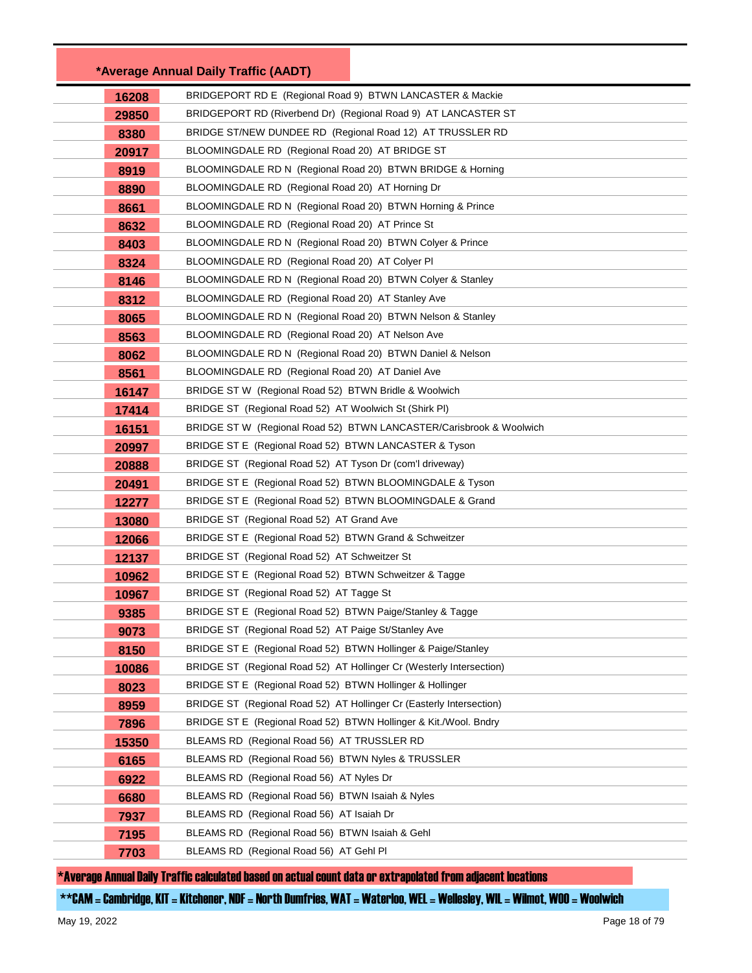|       | *Average Annual Daily Traffic (AADT)                                 |  |
|-------|----------------------------------------------------------------------|--|
| 16208 | BRIDGEPORT RD E (Regional Road 9) BTWN LANCASTER & Mackie            |  |
| 29850 | BRIDGEPORT RD (Riverbend Dr) (Regional Road 9) AT LANCASTER ST       |  |
| 8380  | BRIDGE ST/NEW DUNDEE RD (Regional Road 12) AT TRUSSLER RD            |  |
| 20917 | BLOOMINGDALE RD (Regional Road 20) AT BRIDGE ST                      |  |
| 8919  | BLOOMINGDALE RD N (Regional Road 20) BTWN BRIDGE & Horning           |  |
| 8890  | BLOOMINGDALE RD (Regional Road 20) AT Horning Dr                     |  |
| 8661  | BLOOMINGDALE RD N (Regional Road 20) BTWN Horning & Prince           |  |
| 8632  | BLOOMINGDALE RD (Regional Road 20) AT Prince St                      |  |
| 8403  | BLOOMINGDALE RD N (Regional Road 20) BTWN Colyer & Prince            |  |
| 8324  | BLOOMINGDALE RD (Regional Road 20) AT Colyer PI                      |  |
| 8146  | BLOOMINGDALE RD N (Regional Road 20) BTWN Colyer & Stanley           |  |
| 8312  | BLOOMINGDALE RD (Regional Road 20) AT Stanley Ave                    |  |
| 8065  | BLOOMINGDALE RD N (Regional Road 20) BTWN Nelson & Stanley           |  |
| 8563  | BLOOMINGDALE RD (Regional Road 20) AT Nelson Ave                     |  |
| 8062  | BLOOMINGDALE RD N (Regional Road 20) BTWN Daniel & Nelson            |  |
| 8561  | BLOOMINGDALE RD (Regional Road 20) AT Daniel Ave                     |  |
| 16147 | BRIDGE ST W (Regional Road 52) BTWN Bridle & Woolwich                |  |
| 17414 | BRIDGE ST (Regional Road 52) AT Woolwich St (Shirk PI)               |  |
| 16151 | BRIDGE ST W (Regional Road 52) BTWN LANCASTER/Carisbrook & Woolwich  |  |
| 20997 | BRIDGE ST E (Regional Road 52) BTWN LANCASTER & Tyson                |  |
| 20888 | BRIDGE ST (Regional Road 52) AT Tyson Dr (com'l driveway)            |  |
| 20491 | BRIDGE ST E (Regional Road 52) BTWN BLOOMINGDALE & Tyson             |  |
| 12277 | BRIDGE ST E (Regional Road 52) BTWN BLOOMINGDALE & Grand             |  |
| 13080 | BRIDGE ST (Regional Road 52) AT Grand Ave                            |  |
| 12066 | BRIDGE ST E (Regional Road 52) BTWN Grand & Schweitzer               |  |
| 12137 | BRIDGE ST (Regional Road 52) AT Schweitzer St                        |  |
| 10962 | BRIDGE ST E (Regional Road 52) BTWN Schweitzer & Tagge               |  |
| 10967 | BRIDGE ST (Regional Road 52) AT Tagge St                             |  |
| 9385  | BRIDGE ST E (Regional Road 52) BTWN Paige/Stanley & Tagge            |  |
| 9073  | BRIDGE ST (Regional Road 52) AT Paige St/Stanley Ave                 |  |
| 8150  | BRIDGE ST E (Regional Road 52) BTWN Hollinger & Paige/Stanley        |  |
| 10086 | BRIDGE ST (Regional Road 52) AT Hollinger Cr (Westerly Intersection) |  |
| 8023  | BRIDGE ST E (Regional Road 52) BTWN Hollinger & Hollinger            |  |
| 8959  | BRIDGE ST (Regional Road 52) AT Hollinger Cr (Easterly Intersection) |  |
| 7896  | BRIDGE ST E (Regional Road 52) BTWN Hollinger & Kit./Wool. Bndry     |  |
| 15350 | BLEAMS RD (Regional Road 56) AT TRUSSLER RD                          |  |
| 6165  | BLEAMS RD (Regional Road 56) BTWN Nyles & TRUSSLER                   |  |
| 6922  | BLEAMS RD (Regional Road 56) AT Nyles Dr                             |  |
| 6680  | BLEAMS RD (Regional Road 56) BTWN Isaiah & Nyles                     |  |
| 7937  | BLEAMS RD (Regional Road 56) AT Isaiah Dr                            |  |
| 7195  | BLEAMS RD (Regional Road 56) BTWN Isaiah & Gehl                      |  |
| 7703  | BLEAMS RD (Regional Road 56) AT Gehl PI                              |  |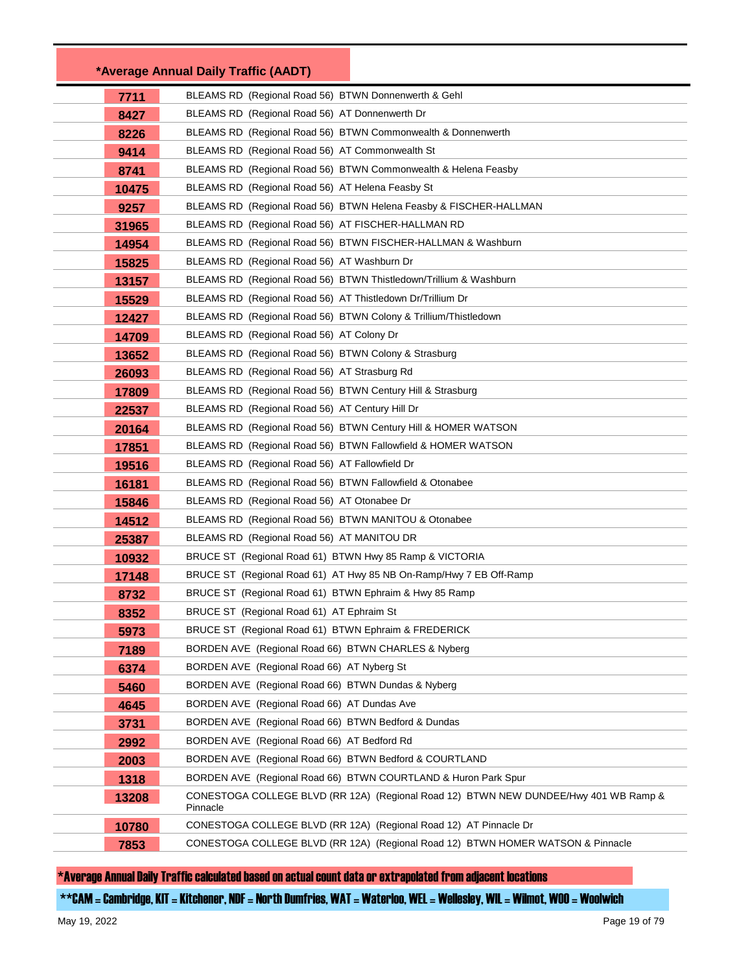|       | *Average Annual Daily Traffic (AADT)                                                             |
|-------|--------------------------------------------------------------------------------------------------|
| 7711  | BLEAMS RD (Regional Road 56) BTWN Donnenwerth & Gehl                                             |
| 8427  | BLEAMS RD (Regional Road 56) AT Donnenwerth Dr                                                   |
| 8226  | BLEAMS RD (Regional Road 56) BTWN Commonwealth & Donnenwerth                                     |
| 9414  | BLEAMS RD (Regional Road 56) AT Commonwealth St                                                  |
| 8741  | BLEAMS RD (Regional Road 56) BTWN Commonwealth & Helena Feasby                                   |
| 10475 | BLEAMS RD (Regional Road 56) AT Helena Feasby St                                                 |
| 9257  | BLEAMS RD (Regional Road 56) BTWN Helena Feasby & FISCHER-HALLMAN                                |
| 31965 | BLEAMS RD (Regional Road 56) AT FISCHER-HALLMAN RD                                               |
| 14954 | BLEAMS RD (Regional Road 56) BTWN FISCHER-HALLMAN & Washburn                                     |
| 15825 | BLEAMS RD (Regional Road 56) AT Washburn Dr                                                      |
| 13157 | BLEAMS RD (Regional Road 56) BTWN Thistledown/Trillium & Washburn                                |
| 15529 | BLEAMS RD (Regional Road 56) AT Thistledown Dr/Trillium Dr                                       |
| 12427 | BLEAMS RD (Regional Road 56) BTWN Colony & Trillium/Thistledown                                  |
| 14709 | BLEAMS RD (Regional Road 56) AT Colony Dr                                                        |
| 13652 | BLEAMS RD (Regional Road 56) BTWN Colony & Strasburg                                             |
| 26093 | BLEAMS RD (Regional Road 56) AT Strasburg Rd                                                     |
| 17809 | BLEAMS RD (Regional Road 56) BTWN Century Hill & Strasburg                                       |
| 22537 | BLEAMS RD (Regional Road 56) AT Century Hill Dr                                                  |
| 20164 | BLEAMS RD (Regional Road 56) BTWN Century Hill & HOMER WATSON                                    |
| 17851 | BLEAMS RD (Regional Road 56) BTWN Fallowfield & HOMER WATSON                                     |
| 19516 | BLEAMS RD (Regional Road 56) AT Fallowfield Dr                                                   |
| 16181 | BLEAMS RD (Regional Road 56) BTWN Fallowfield & Otonabee                                         |
| 15846 | BLEAMS RD (Regional Road 56) AT Otonabee Dr                                                      |
| 14512 | BLEAMS RD (Regional Road 56) BTWN MANITOU & Otonabee                                             |
| 25387 | BLEAMS RD (Regional Road 56) AT MANITOU DR                                                       |
| 10932 | BRUCE ST (Regional Road 61) BTWN Hwy 85 Ramp & VICTORIA                                          |
| 17148 | BRUCE ST (Regional Road 61) AT Hwy 85 NB On-Ramp/Hwy 7 EB Off-Ramp                               |
| 8732  | BRUCE ST (Regional Road 61) BTWN Ephraim & Hwy 85 Ramp                                           |
| 8352  | BRUCE ST (Regional Road 61) AT Ephraim St                                                        |
| 5973  | BRUCE ST (Regional Road 61) BTWN Ephraim & FREDERICK                                             |
| 7189  | BORDEN AVE (Regional Road 66) BTWN CHARLES & Nyberg                                              |
| 6374  | BORDEN AVE (Regional Road 66) AT Nyberg St                                                       |
| 5460  | BORDEN AVE (Regional Road 66) BTWN Dundas & Nyberg                                               |
| 4645  | BORDEN AVE (Regional Road 66) AT Dundas Ave                                                      |
| 3731  | BORDEN AVE (Regional Road 66) BTWN Bedford & Dundas                                              |
| 2992  | BORDEN AVE (Regional Road 66) AT Bedford Rd                                                      |
| 2003  | BORDEN AVE (Regional Road 66) BTWN Bedford & COURTLAND                                           |
| 1318  | BORDEN AVE (Regional Road 66) BTWN COURTLAND & Huron Park Spur                                   |
| 13208 | CONESTOGA COLLEGE BLVD (RR 12A) (Regional Road 12) BTWN NEW DUNDEE/Hwy 401 WB Ramp &<br>Pinnacle |
| 10780 | CONESTOGA COLLEGE BLVD (RR 12A) (Regional Road 12) AT Pinnacle Dr                                |
| 7853  | CONESTOGA COLLEGE BLVD (RR 12A) (Regional Road 12) BTWN HOMER WATSON & Pinnacle                  |
|       |                                                                                                  |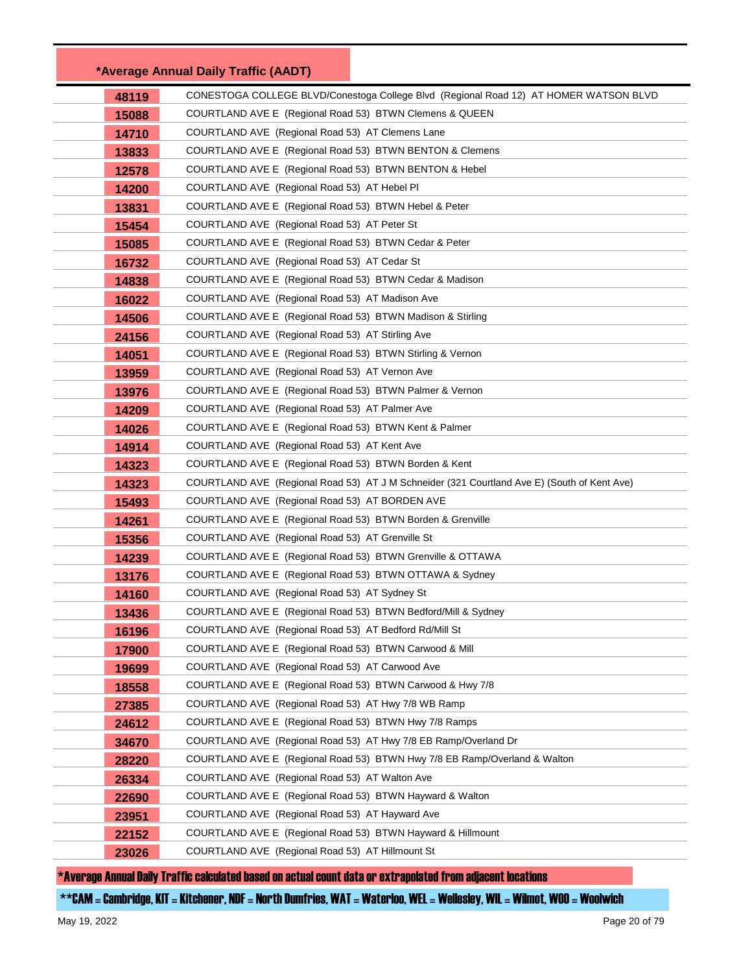|       | *Average Annual Daily Traffic (AADT)                                                        |  |
|-------|---------------------------------------------------------------------------------------------|--|
| 48119 | CONESTOGA COLLEGE BLVD/Conestoga College Blvd (Regional Road 12) AT HOMER WATSON BLVD       |  |
| 15088 | COURTLAND AVE E (Regional Road 53) BTWN Clemens & QUEEN                                     |  |
| 14710 | COURTLAND AVE (Regional Road 53) AT Clemens Lane                                            |  |
| 13833 | COURTLAND AVE E (Regional Road 53) BTWN BENTON & Clemens                                    |  |
| 12578 | COURTLAND AVE E (Regional Road 53) BTWN BENTON & Hebel                                      |  |
| 14200 | COURTLAND AVE (Regional Road 53) AT Hebel PI                                                |  |
| 13831 | COURTLAND AVE E (Regional Road 53) BTWN Hebel & Peter                                       |  |
| 15454 | COURTLAND AVE (Regional Road 53) AT Peter St                                                |  |
| 15085 | COURTLAND AVE E (Regional Road 53) BTWN Cedar & Peter                                       |  |
| 16732 | COURTLAND AVE (Regional Road 53) AT Cedar St                                                |  |
| 14838 | COURTLAND AVE E (Regional Road 53) BTWN Cedar & Madison                                     |  |
| 16022 | COURTLAND AVE (Regional Road 53) AT Madison Ave                                             |  |
| 14506 | COURTLAND AVE E (Regional Road 53) BTWN Madison & Stirling                                  |  |
| 24156 | COURTLAND AVE (Regional Road 53) AT Stirling Ave                                            |  |
| 14051 | COURTLAND AVE E (Regional Road 53) BTWN Stirling & Vernon                                   |  |
| 13959 | COURTLAND AVE (Regional Road 53) AT Vernon Ave                                              |  |
| 13976 | COURTLAND AVE E (Regional Road 53) BTWN Palmer & Vernon                                     |  |
| 14209 | COURTLAND AVE (Regional Road 53) AT Palmer Ave                                              |  |
| 14026 | COURTLAND AVE E (Regional Road 53) BTWN Kent & Palmer                                       |  |
| 14914 | COURTLAND AVE (Regional Road 53) AT Kent Ave                                                |  |
| 14323 | COURTLAND AVE E (Regional Road 53) BTWN Borden & Kent                                       |  |
| 14323 | COURTLAND AVE (Regional Road 53) AT J M Schneider (321 Courtland Ave E) (South of Kent Ave) |  |
| 15493 | COURTLAND AVE (Regional Road 53) AT BORDEN AVE                                              |  |
| 14261 | COURTLAND AVE E (Regional Road 53) BTWN Borden & Grenville                                  |  |
| 15356 | COURTLAND AVE (Regional Road 53) AT Grenville St                                            |  |
| 14239 | COURTLAND AVE E (Regional Road 53) BTWN Grenville & OTTAWA                                  |  |
| 13176 | COURTLAND AVE E (Regional Road 53) BTWN OTTAWA & Sydney                                     |  |
| 14160 | COURTLAND AVE (Regional Road 53) AT Sydney St                                               |  |
| 13436 | COURTLAND AVE E (Regional Road 53) BTWN Bedford/Mill & Sydney                               |  |
| 16196 | COURTLAND AVE (Regional Road 53) AT Bedford Rd/Mill St                                      |  |
| 17900 | COURTLAND AVE E (Regional Road 53) BTWN Carwood & Mill                                      |  |
| 19699 | COURTLAND AVE (Regional Road 53) AT Carwood Ave                                             |  |
| 18558 | COURTLAND AVE E (Regional Road 53) BTWN Carwood & Hwy 7/8                                   |  |
| 27385 | COURTLAND AVE (Regional Road 53) AT Hwy 7/8 WB Ramp                                         |  |
| 24612 | COURTLAND AVE E (Regional Road 53) BTWN Hwy 7/8 Ramps                                       |  |
| 34670 | COURTLAND AVE (Regional Road 53) AT Hwy 7/8 EB Ramp/Overland Dr                             |  |
| 28220 | COURTLAND AVE E (Regional Road 53) BTWN Hwy 7/8 EB Ramp/Overland & Walton                   |  |
| 26334 | COURTLAND AVE (Regional Road 53) AT Walton Ave                                              |  |
| 22690 | COURTLAND AVE E (Regional Road 53) BTWN Hayward & Walton                                    |  |
| 23951 | COURTLAND AVE (Regional Road 53) AT Hayward Ave                                             |  |
| 22152 | COURTLAND AVE E (Regional Road 53) BTWN Hayward & Hillmount                                 |  |
| 23026 | COURTLAND AVE (Regional Road 53) AT Hillmount St                                            |  |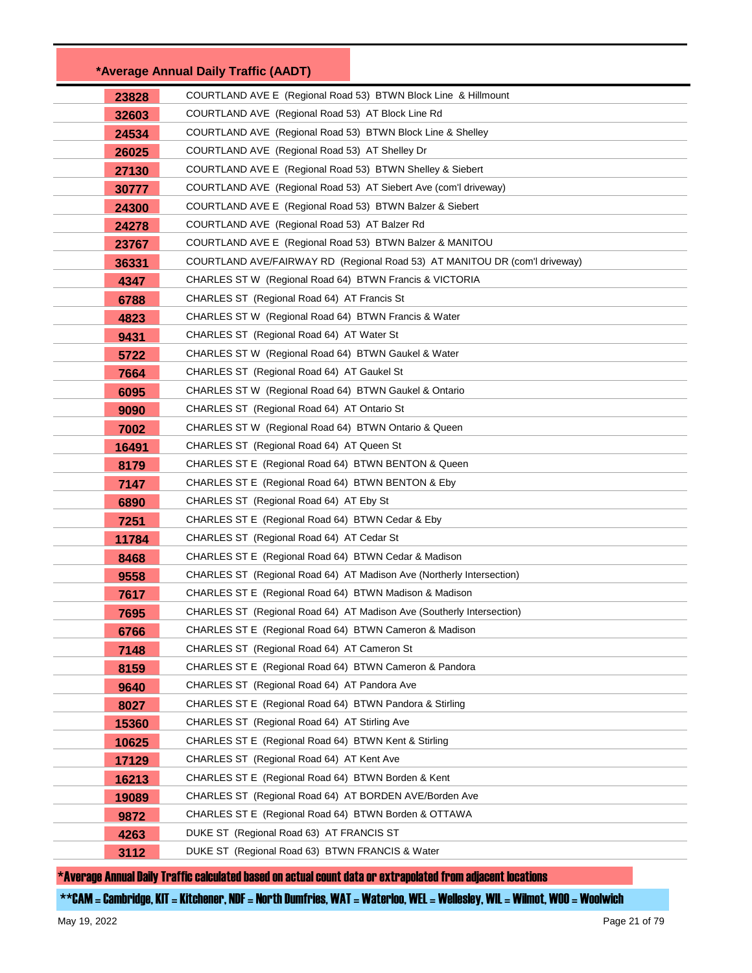|       | *Average Annual Daily Traffic (AADT)                                       |
|-------|----------------------------------------------------------------------------|
| 23828 | COURTLAND AVE E (Regional Road 53) BTWN Block Line & Hillmount             |
| 32603 | COURTLAND AVE (Regional Road 53) AT Block Line Rd                          |
| 24534 | COURTLAND AVE (Regional Road 53) BTWN Block Line & Shelley                 |
| 26025 | COURTLAND AVE (Regional Road 53) AT Shelley Dr                             |
| 27130 | COURTLAND AVE E (Regional Road 53) BTWN Shelley & Siebert                  |
| 30777 | COURTLAND AVE (Regional Road 53) AT Siebert Ave (com'l driveway)           |
| 24300 | COURTLAND AVE E (Regional Road 53) BTWN Balzer & Siebert                   |
| 24278 | COURTLAND AVE (Regional Road 53) AT Balzer Rd                              |
| 23767 | COURTLAND AVE E (Regional Road 53) BTWN Balzer & MANITOU                   |
| 36331 | COURTLAND AVE/FAIRWAY RD (Regional Road 53) AT MANITOU DR (com'l driveway) |
| 4347  | CHARLES ST W (Regional Road 64) BTWN Francis & VICTORIA                    |
| 6788  | CHARLES ST (Regional Road 64) AT Francis St                                |
| 4823  | CHARLES ST W (Regional Road 64) BTWN Francis & Water                       |
| 9431  | CHARLES ST (Regional Road 64) AT Water St                                  |
| 5722  | CHARLES ST W (Regional Road 64) BTWN Gaukel & Water                        |
| 7664  | CHARLES ST (Regional Road 64) AT Gaukel St                                 |
| 6095  | CHARLES ST W (Regional Road 64) BTWN Gaukel & Ontario                      |
| 9090  | CHARLES ST (Regional Road 64) AT Ontario St                                |
| 7002  | CHARLES ST W (Regional Road 64) BTWN Ontario & Queen                       |
| 16491 | CHARLES ST (Regional Road 64) AT Queen St                                  |
| 8179  | CHARLES ST E (Regional Road 64) BTWN BENTON & Queen                        |
| 7147  | CHARLES ST E (Regional Road 64) BTWN BENTON & Eby                          |
| 6890  | CHARLES ST (Regional Road 64) AT Eby St                                    |
| 7251  | CHARLES ST E (Regional Road 64) BTWN Cedar & Eby                           |
| 11784 | CHARLES ST (Regional Road 64) AT Cedar St                                  |
| 8468  | CHARLES ST E (Regional Road 64) BTWN Cedar & Madison                       |
| 9558  | CHARLES ST (Regional Road 64) AT Madison Ave (Northerly Intersection)      |
| 7617  | CHARLES ST E (Regional Road 64) BTWN Madison & Madison                     |
| 7695  | CHARLES ST (Regional Road 64) AT Madison Ave (Southerly Intersection)      |
| 6766  | CHARLES ST E (Regional Road 64) BTWN Cameron & Madison                     |
| 7148  | CHARLES ST (Regional Road 64) AT Cameron St                                |
| 8159  | CHARLES ST E (Regional Road 64) BTWN Cameron & Pandora                     |
| 9640  | CHARLES ST (Regional Road 64) AT Pandora Ave                               |
| 8027  | CHARLES ST E (Regional Road 64) BTWN Pandora & Stirling                    |
| 15360 | CHARLES ST (Regional Road 64) AT Stirling Ave                              |
| 10625 | CHARLES ST E (Regional Road 64) BTWN Kent & Stirling                       |
| 17129 | CHARLES ST (Regional Road 64) AT Kent Ave                                  |
| 16213 | CHARLES ST E (Regional Road 64) BTWN Borden & Kent                         |
| 19089 | CHARLES ST (Regional Road 64) AT BORDEN AVE/Borden Ave                     |
| 9872  | CHARLES ST E (Regional Road 64) BTWN Borden & OTTAWA                       |
| 4263  | DUKE ST (Regional Road 63) AT FRANCIS ST                                   |
| 3112  | DUKE ST (Regional Road 63) BTWN FRANCIS & Water                            |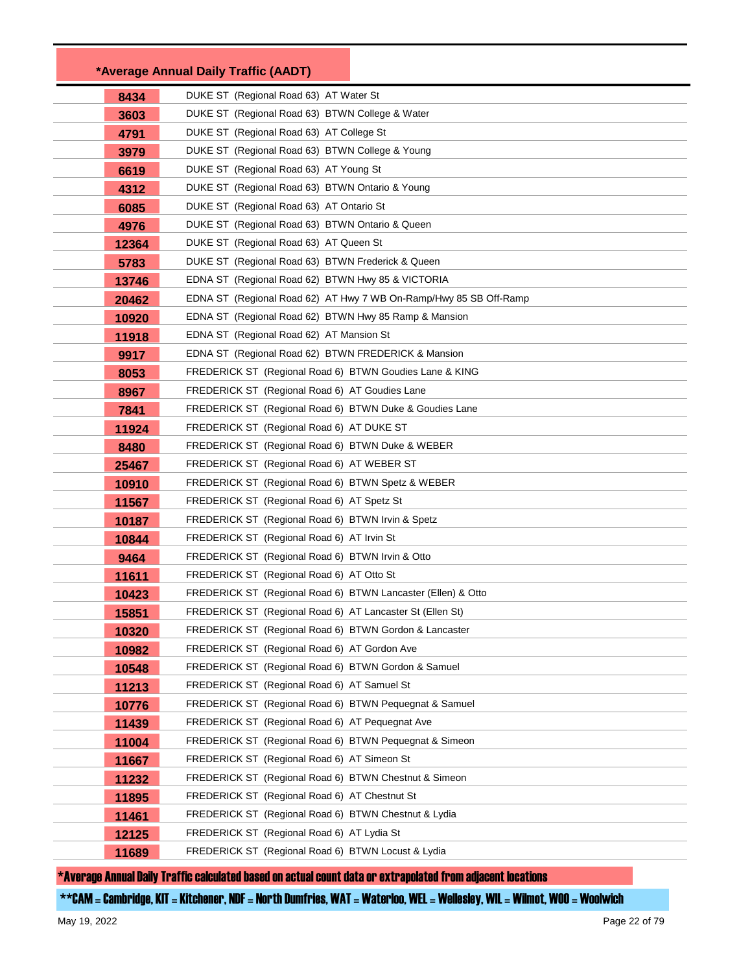|       | *Average Annual Daily Traffic (AADT)                              |
|-------|-------------------------------------------------------------------|
| 8434  | DUKE ST (Regional Road 63) AT Water St                            |
| 3603  | DUKE ST (Regional Road 63) BTWN College & Water                   |
| 4791  | DUKE ST (Regional Road 63) AT College St                          |
| 3979  | DUKE ST (Regional Road 63) BTWN College & Young                   |
| 6619  | DUKE ST (Regional Road 63) AT Young St                            |
| 4312  | DUKE ST (Regional Road 63) BTWN Ontario & Young                   |
| 6085  | DUKE ST (Regional Road 63) AT Ontario St                          |
| 4976  | DUKE ST (Regional Road 63) BTWN Ontario & Queen                   |
| 12364 | DUKE ST (Regional Road 63) AT Queen St                            |
| 5783  | DUKE ST (Regional Road 63) BTWN Frederick & Queen                 |
| 13746 | EDNA ST (Regional Road 62) BTWN Hwy 85 & VICTORIA                 |
| 20462 | EDNA ST (Regional Road 62) AT Hwy 7 WB On-Ramp/Hwy 85 SB Off-Ramp |
| 10920 | EDNA ST (Regional Road 62) BTWN Hwy 85 Ramp & Mansion             |
| 11918 | EDNA ST (Regional Road 62) AT Mansion St                          |
| 9917  | EDNA ST (Regional Road 62) BTWN FREDERICK & Mansion               |
| 8053  | FREDERICK ST (Regional Road 6) BTWN Goudies Lane & KING           |
| 8967  | FREDERICK ST (Regional Road 6) AT Goudies Lane                    |
| 7841  | FREDERICK ST (Regional Road 6) BTWN Duke & Goudies Lane           |
| 11924 | FREDERICK ST (Regional Road 6) AT DUKE ST                         |
| 8480  | FREDERICK ST (Regional Road 6) BTWN Duke & WEBER                  |
| 25467 | FREDERICK ST (Regional Road 6) AT WEBER ST                        |
| 10910 | FREDERICK ST (Regional Road 6) BTWN Spetz & WEBER                 |
| 11567 | FREDERICK ST (Regional Road 6) AT Spetz St                        |
| 10187 | FREDERICK ST (Regional Road 6) BTWN Irvin & Spetz                 |
| 10844 | FREDERICK ST (Regional Road 6) AT Irvin St                        |
| 9464  | FREDERICK ST (Regional Road 6) BTWN Irvin & Otto                  |
| 11611 | FREDERICK ST (Regional Road 6) AT Otto St                         |
| 10423 | FREDERICK ST (Regional Road 6) BTWN Lancaster (Ellen) & Otto      |
| 15851 | FREDERICK ST (Regional Road 6) AT Lancaster St (Ellen St)         |
| 10320 | FREDERICK ST (Regional Road 6) BTWN Gordon & Lancaster            |
| 10982 | FREDERICK ST (Regional Road 6) AT Gordon Ave                      |
| 10548 | FREDERICK ST (Regional Road 6) BTWN Gordon & Samuel               |
| 11213 | FREDERICK ST (Regional Road 6) AT Samuel St                       |
| 10776 | FREDERICK ST (Regional Road 6) BTWN Pequegnat & Samuel            |
| 11439 | FREDERICK ST (Regional Road 6) AT Pequegnat Ave                   |
| 11004 | FREDERICK ST (Regional Road 6) BTWN Pequegnat & Simeon            |
| 11667 | FREDERICK ST (Regional Road 6) AT Simeon St                       |
| 11232 | FREDERICK ST (Regional Road 6) BTWN Chestnut & Simeon             |
| 11895 | FREDERICK ST (Regional Road 6) AT Chestnut St                     |
| 11461 | FREDERICK ST (Regional Road 6) BTWN Chestnut & Lydia              |
| 12125 | FREDERICK ST (Regional Road 6) AT Lydia St                        |
| 11689 | FREDERICK ST (Regional Road 6) BTWN Locust & Lydia                |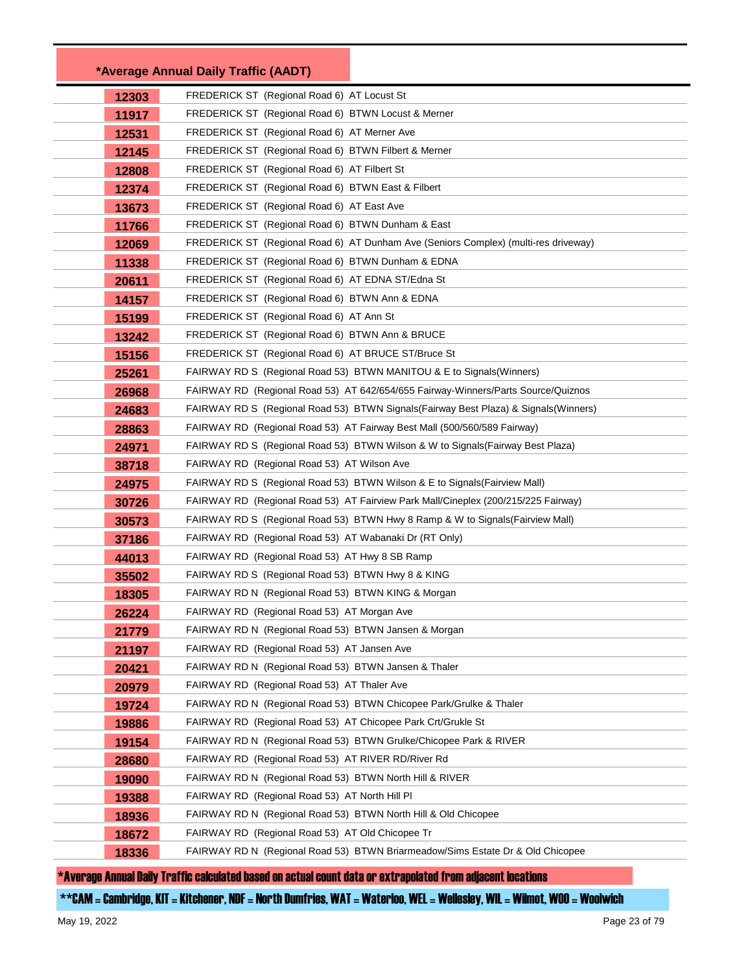|       | *Average Annual Daily Traffic (AADT)                                                  |  |
|-------|---------------------------------------------------------------------------------------|--|
| 12303 | FREDERICK ST (Regional Road 6) AT Locust St                                           |  |
| 11917 | FREDERICK ST (Regional Road 6) BTWN Locust & Merner                                   |  |
| 12531 | FREDERICK ST (Regional Road 6) AT Merner Ave                                          |  |
| 12145 | FREDERICK ST (Regional Road 6) BTWN Filbert & Merner                                  |  |
| 12808 | FREDERICK ST (Regional Road 6) AT Filbert St                                          |  |
| 12374 | FREDERICK ST (Regional Road 6) BTWN East & Filbert                                    |  |
| 13673 | FREDERICK ST (Regional Road 6) AT East Ave                                            |  |
| 11766 | FREDERICK ST (Regional Road 6) BTWN Dunham & East                                     |  |
| 12069 | FREDERICK ST (Regional Road 6) AT Dunham Ave (Seniors Complex) (multi-res driveway)   |  |
| 11338 | FREDERICK ST (Regional Road 6) BTWN Dunham & EDNA                                     |  |
| 20611 | FREDERICK ST (Regional Road 6) AT EDNA ST/Edna St                                     |  |
| 14157 | FREDERICK ST (Regional Road 6) BTWN Ann & EDNA                                        |  |
| 15199 | FREDERICK ST (Regional Road 6) AT Ann St                                              |  |
| 13242 | FREDERICK ST (Regional Road 6) BTWN Ann & BRUCE                                       |  |
| 15156 | FREDERICK ST (Regional Road 6) AT BRUCE ST/Bruce St                                   |  |
| 25261 | FAIRWAY RD S (Regional Road 53) BTWN MANITOU & E to Signals (Winners)                 |  |
| 26968 | FAIRWAY RD (Regional Road 53) AT 642/654/655 Fairway-Winners/Parts Source/Quiznos     |  |
| 24683 | FAIRWAY RD S (Regional Road 53) BTWN Signals (Fairway Best Plaza) & Signals (Winners) |  |
| 28863 | FAIRWAY RD (Regional Road 53) AT Fairway Best Mall (500/560/589 Fairway)              |  |
| 24971 | FAIRWAY RD S (Regional Road 53) BTWN Wilson & W to Signals(Fairway Best Plaza)        |  |
| 38718 | FAIRWAY RD (Regional Road 53) AT Wilson Ave                                           |  |
| 24975 | FAIRWAY RD S (Regional Road 53) BTWN Wilson & E to Signals(Fairview Mall)             |  |
| 30726 | FAIRWAY RD (Regional Road 53) AT Fairview Park Mall/Cineplex (200/215/225 Fairway)    |  |
| 30573 | FAIRWAY RD S (Regional Road 53) BTWN Hwy 8 Ramp & W to Signals(Fairview Mall)         |  |
| 37186 | FAIRWAY RD (Regional Road 53) AT Wabanaki Dr (RT Only)                                |  |
| 44013 | FAIRWAY RD (Regional Road 53) AT Hwy 8 SB Ramp                                        |  |
| 35502 | FAIRWAY RD S (Regional Road 53) BTWN Hwy 8 & KING                                     |  |
| 18305 | FAIRWAY RD N (Regional Road 53) BTWN KING & Morgan                                    |  |
| 26224 | FAIRWAY RD (Regional Road 53) AT Morgan Ave                                           |  |
| 21779 | FAIRWAY RD N (Regional Road 53) BTWN Jansen & Morgan                                  |  |
| 21197 | FAIRWAY RD (Regional Road 53) AT Jansen Ave                                           |  |
| 20421 | FAIRWAY RD N (Regional Road 53) BTWN Jansen & Thaler                                  |  |
| 20979 | FAIRWAY RD (Regional Road 53) AT Thaler Ave                                           |  |
| 19724 | FAIRWAY RD N (Regional Road 53) BTWN Chicopee Park/Grulke & Thaler                    |  |
| 19886 | FAIRWAY RD (Regional Road 53) AT Chicopee Park Crt/Grukle St                          |  |
| 19154 | FAIRWAY RD N (Regional Road 53) BTWN Grulke/Chicopee Park & RIVER                     |  |
| 28680 | FAIRWAY RD (Regional Road 53) AT RIVER RD/River Rd                                    |  |
| 19090 | FAIRWAY RD N (Regional Road 53) BTWN North Hill & RIVER                               |  |
| 19388 | FAIRWAY RD (Regional Road 53) AT North Hill PI                                        |  |
| 18936 | FAIRWAY RD N (Regional Road 53) BTWN North Hill & Old Chicopee                        |  |
| 18672 | FAIRWAY RD (Regional Road 53) AT Old Chicopee Tr                                      |  |
| 18336 | FAIRWAY RD N (Regional Road 53) BTWN Briarmeadow/Sims Estate Dr & Old Chicopee        |  |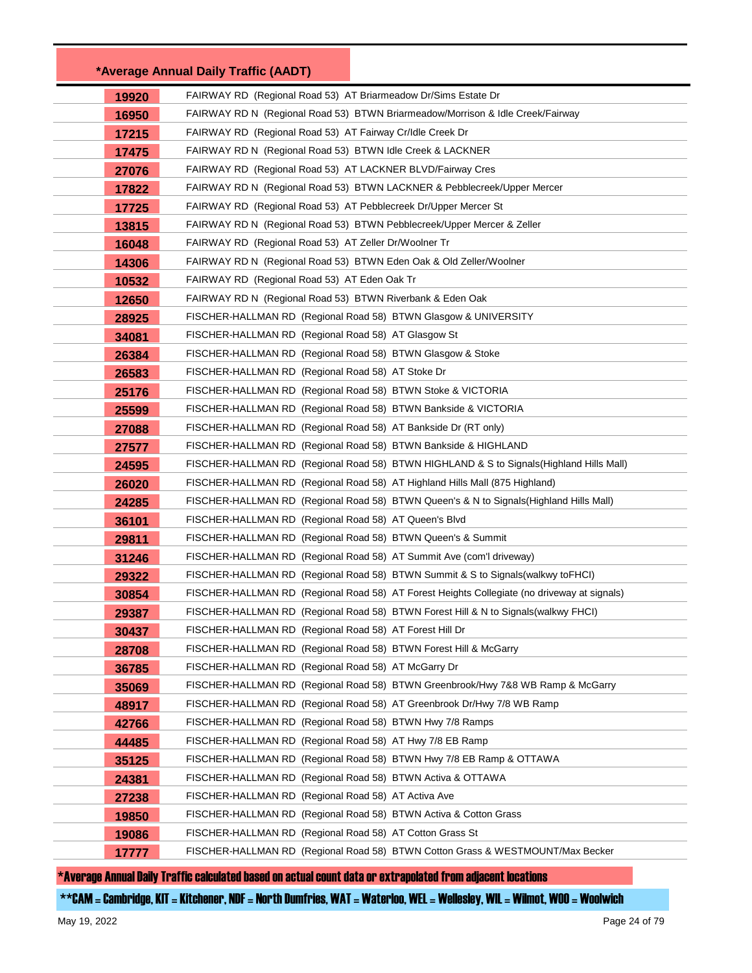|       | *Average Annual Daily Traffic (AADT)                                                        |  |
|-------|---------------------------------------------------------------------------------------------|--|
| 19920 | FAIRWAY RD (Regional Road 53) AT Briarmeadow Dr/Sims Estate Dr                              |  |
| 16950 | FAIRWAY RD N (Regional Road 53) BTWN Briarmeadow/Morrison & Idle Creek/Fairway              |  |
| 17215 | FAIRWAY RD (Regional Road 53) AT Fairway Cr/Idle Creek Dr                                   |  |
| 17475 | FAIRWAY RD N (Regional Road 53) BTWN Idle Creek & LACKNER                                   |  |
| 27076 | FAIRWAY RD (Regional Road 53) AT LACKNER BLVD/Fairway Cres                                  |  |
| 17822 | FAIRWAY RD N (Regional Road 53) BTWN LACKNER & Pebblecreek/Upper Mercer                     |  |
| 17725 | FAIRWAY RD (Regional Road 53) AT Pebblecreek Dr/Upper Mercer St                             |  |
| 13815 | FAIRWAY RD N (Regional Road 53) BTWN Pebblecreek/Upper Mercer & Zeller                      |  |
| 16048 | FAIRWAY RD (Regional Road 53) AT Zeller Dr/Woolner Tr                                       |  |
| 14306 | FAIRWAY RD N (Regional Road 53) BTWN Eden Oak & Old Zeller/Woolner                          |  |
| 10532 | FAIRWAY RD (Regional Road 53) AT Eden Oak Tr                                                |  |
| 12650 | FAIRWAY RD N (Regional Road 53) BTWN Riverbank & Eden Oak                                   |  |
| 28925 | FISCHER-HALLMAN RD(Regional Road 58)BTWN Glasgow & UNIVERSITY                               |  |
| 34081 | FISCHER-HALLMAN RD (Regional Road 58) AT Glasgow St                                         |  |
| 26384 | FISCHER-HALLMAN RD (Regional Road 58) BTWN Glasgow & Stoke                                  |  |
| 26583 | FISCHER-HALLMAN RD (Regional Road 58) AT Stoke Dr                                           |  |
| 25176 | FISCHER-HALLMAN RD(Regional Road 58)BTWN Stoke & VICTORIA                                   |  |
| 25599 | FISCHER-HALLMAN RD (Regional Road 58) BTWN Bankside & VICTORIA                              |  |
| 27088 | FISCHER-HALLMAN RD (Regional Road 58) AT Bankside Dr (RT only)                              |  |
| 27577 | FISCHER-HALLMAN RD  (Regional Road 58)  BTWN Bankside & HIGHLAND                            |  |
| 24595 | FISCHER-HALLMAN RD(Regional Road 58)BTWN HIGHLAND & S to Signals(Highland Hills Mall)       |  |
| 26020 | FISCHER-HALLMAN RD (Regional Road 58) AT Highland Hills Mall (875 Highland)                 |  |
| 24285 | FISCHER-HALLMAN RD (Regional Road 58) BTWN Queen's & N to Signals(Highland Hills Mall)      |  |
| 36101 | FISCHER-HALLMAN RD (Regional Road 58) AT Queen's Blvd                                       |  |
| 29811 | FISCHER-HALLMAN RD(Regional Road 58)BTWN Queen's & Summit                                   |  |
| 31246 | FISCHER-HALLMAN RD (Regional Road 58) AT Summit Ave (com'l driveway)                        |  |
| 29322 | FISCHER-HALLMAN RD (Regional Road 58) BTWN Summit & S to Signals(walkwy toFHCI)             |  |
| 30854 | FISCHER-HALLMAN RD (Regional Road 58) AT Forest Heights Collegiate (no driveway at signals) |  |
| 29387 | FISCHER-HALLMAN RD (Regional Road 58) BTWN Forest Hill & N to Signals (walkwy FHCI)         |  |
| 30437 | FISCHER-HALLMAN RD (Regional Road 58) AT Forest Hill Dr                                     |  |
| 28708 | FISCHER-HALLMAN RD (Regional Road 58) BTWN Forest Hill & McGarry                            |  |
| 36785 | FISCHER-HALLMAN RD (Regional Road 58) AT McGarry Dr                                         |  |
| 35069 | FISCHER-HALLMAN RD (Regional Road 58) BTWN Greenbrook/Hwy 7&8 WB Ramp & McGarry             |  |
| 48917 | FISCHER-HALLMAN RD (Regional Road 58) AT Greenbrook Dr/Hwy 7/8 WB Ramp                      |  |
| 42766 | FISCHER-HALLMAN RD (Regional Road 58) BTWN Hwy 7/8 Ramps                                    |  |
| 44485 | FISCHER-HALLMAN RD (Regional Road 58) AT Hwy 7/8 EB Ramp                                    |  |
| 35125 | FISCHER-HALLMAN RD (Regional Road 58) BTWN Hwy 7/8 EB Ramp & OTTAWA                         |  |
| 24381 | FISCHER-HALLMAN RD (Regional Road 58) BTWN Activa & OTTAWA                                  |  |
| 27238 | FISCHER-HALLMAN RD (Regional Road 58) AT Activa Ave                                         |  |
| 19850 | FISCHER-HALLMAN RD (Regional Road 58) BTWN Activa & Cotton Grass                            |  |
| 19086 | FISCHER-HALLMAN RD (Regional Road 58) AT Cotton Grass St                                    |  |
| 17777 | FISCHER-HALLMAN RD  (Regional Road 58)  BTWN Cotton Grass & WESTMOUNT/Max Becker            |  |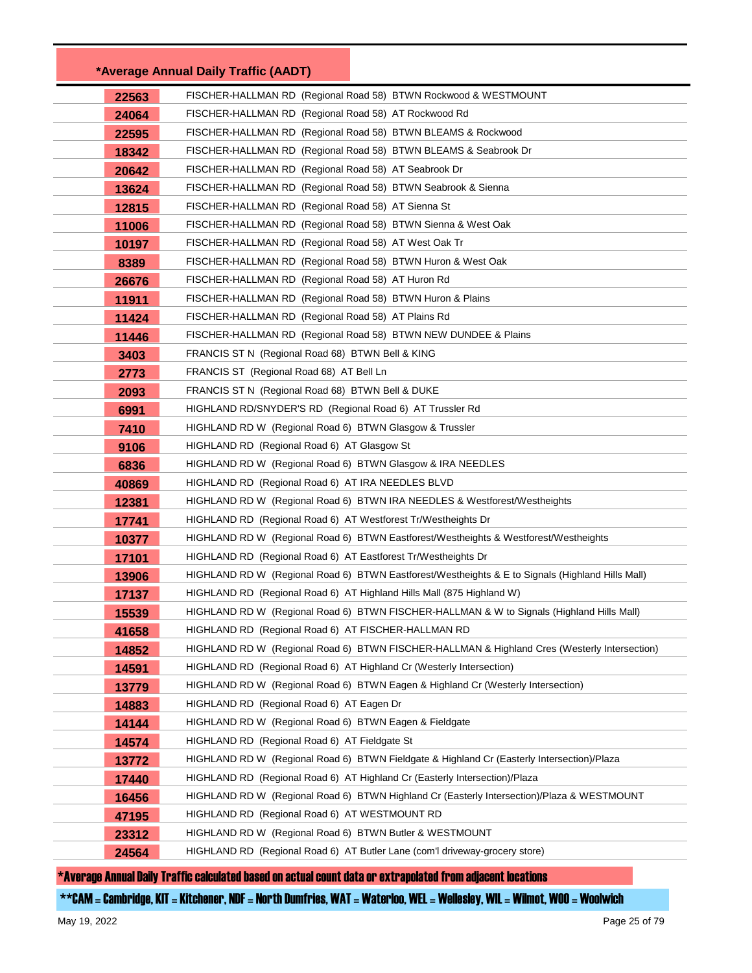|       | *Average Annual Daily Traffic (AADT)                                                             |  |
|-------|--------------------------------------------------------------------------------------------------|--|
| 22563 | FISCHER-HALLMAN RD (Regional Road 58) BTWN Rockwood & WESTMOUNT                                  |  |
| 24064 | FISCHER-HALLMAN RD (Regional Road 58) AT Rockwood Rd                                             |  |
| 22595 | FISCHER-HALLMAN RD  (Regional Road 58)  BTWN BLEAMS & Rockwood                                   |  |
| 18342 | FISCHER-HALLMAN RD (Regional Road 58) BTWN BLEAMS & Seabrook Dr                                  |  |
| 20642 | FISCHER-HALLMAN RD  (Regional Road 58)  AT Seabrook Dr                                           |  |
| 13624 | FISCHER-HALLMAN RD (Regional Road 58) BTWN Seabrook & Sienna                                     |  |
| 12815 | FISCHER-HALLMAN RD (Regional Road 58) AT Sienna St                                               |  |
| 11006 | FISCHER-HALLMAN RD (Regional Road 58) BTWN Sienna & West Oak                                     |  |
| 10197 | FISCHER-HALLMAN RD  (Regional Road 58)  AT West Oak Tr                                           |  |
| 8389  | FISCHER-HALLMAN RD (Regional Road 58) BTWN Huron & West Oak                                      |  |
| 26676 | FISCHER-HALLMAN RD (Regional Road 58) AT Huron Rd                                                |  |
| 11911 | FISCHER-HALLMAN RD (Regional Road 58) BTWN Huron & Plains                                        |  |
| 11424 | FISCHER-HALLMAN RD (Regional Road 58) AT Plains Rd                                               |  |
| 11446 | FISCHER-HALLMAN RD (Regional Road 58) BTWN NEW DUNDEE & Plains                                   |  |
| 3403  | FRANCIS ST N (Regional Road 68) BTWN Bell & KING                                                 |  |
| 2773  | FRANCIS ST (Regional Road 68) AT Bell Ln                                                         |  |
| 2093  | FRANCIS ST N (Regional Road 68) BTWN Bell & DUKE                                                 |  |
| 6991  | HIGHLAND RD/SNYDER'S RD (Regional Road 6) AT Trussler Rd                                         |  |
| 7410  | HIGHLAND RD W (Regional Road 6) BTWN Glasgow & Trussler                                          |  |
| 9106  | HIGHLAND RD (Regional Road 6) AT Glasgow St                                                      |  |
| 6836  |                                                                                                  |  |
| 40869 | HIGHLAND RD (Regional Road 6) AT IRA NEEDLES BLVD                                                |  |
| 12381 | HIGHLAND RD W (Regional Road 6) BTWN IRA NEEDLES & Westforest/Westheights                        |  |
| 17741 | HIGHLAND RD (Regional Road 6) AT Westforest Tr/Westheights Dr                                    |  |
| 10377 | HIGHLAND RD W (Regional Road 6) BTWN Eastforest/Westheights & Westforest/Westheights             |  |
| 17101 | HIGHLAND RD (Regional Road 6) AT Eastforest Tr/Westheights Dr                                    |  |
| 13906 | HIGHLAND RD W (Regional Road 6) BTWN Eastforest/Westheights & E to Signals (Highland Hills Mall) |  |
| 17137 | HIGHLAND RD (Regional Road 6) AT Highland Hills Mall (875 Highland W)                            |  |
| 15539 | HIGHLAND RD W (Regional Road 6) BTWN FISCHER-HALLMAN & W to Signals (Highland Hills Mall)        |  |
| 41658 | HIGHLAND RD (Regional Road 6) AT FISCHER-HALLMAN RD                                              |  |
| 14852 | HIGHLAND RD W (Regional Road 6) BTWN FISCHER-HALLMAN & Highland Cres (Westerly Intersection)     |  |
| 14591 | HIGHLAND RD (Regional Road 6) AT Highland Cr (Westerly Intersection)                             |  |
| 13779 | HIGHLAND RD W (Regional Road 6) BTWN Eagen & Highland Cr (Westerly Intersection)                 |  |
| 14883 | HIGHLAND RD (Regional Road 6) AT Eagen Dr                                                        |  |
| 14144 | HIGHLAND RD W (Regional Road 6) BTWN Eagen & Fieldgate                                           |  |
| 14574 | HIGHLAND RD (Regional Road 6) AT Fieldgate St                                                    |  |
| 13772 | HIGHLAND RD W (Regional Road 6) BTWN Fieldgate & Highland Cr (Easterly Intersection)/Plaza       |  |
| 17440 | HIGHLAND RD (Regional Road 6) AT Highland Cr (Easterly Intersection)/Plaza                       |  |
| 16456 | HIGHLAND RD W (Regional Road 6) BTWN Highland Cr (Easterly Intersection)/Plaza & WESTMOUNT       |  |
| 47195 | HIGHLAND RD (Regional Road 6) AT WESTMOUNT RD                                                    |  |
| 23312 | HIGHLAND RD W (Regional Road 6) BTWN Butler & WESTMOUNT                                          |  |
| 24564 | HIGHLAND RD (Regional Road 6) AT Butler Lane (com'l driveway-grocery store)                      |  |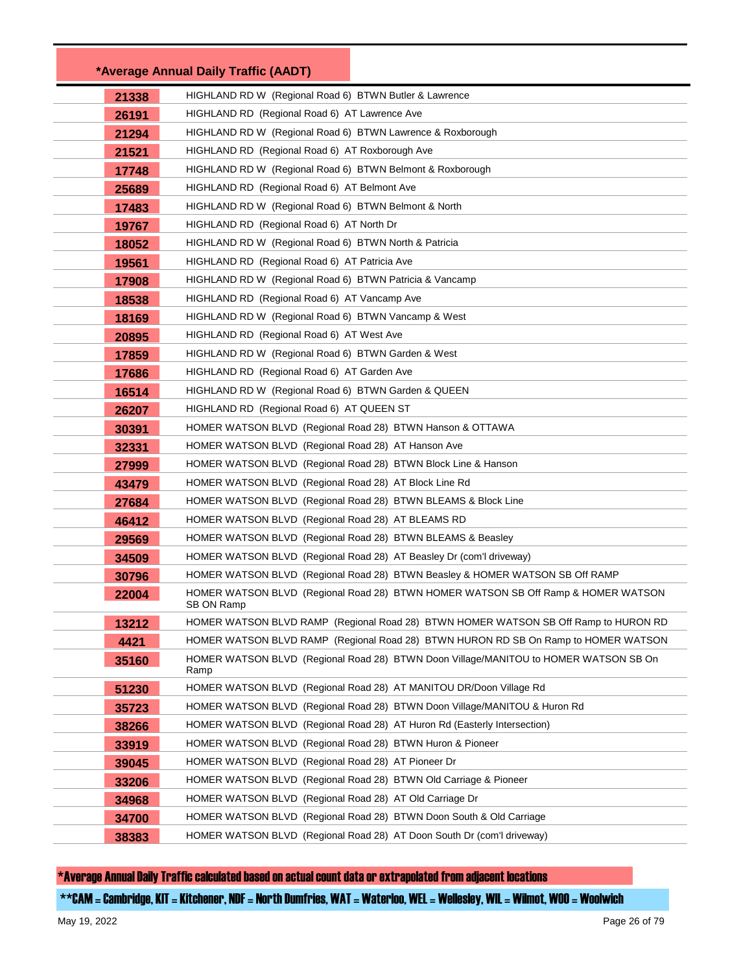|       | *Average Annual Daily Traffic (AADT)                          |                                                                                      |
|-------|---------------------------------------------------------------|--------------------------------------------------------------------------------------|
| 21338 | HIGHLAND RD W (Regional Road 6) BTWN Butler & Lawrence        |                                                                                      |
| 26191 | HIGHLAND RD (Regional Road 6) AT Lawrence Ave                 |                                                                                      |
| 21294 | HIGHLAND RD W (Regional Road 6) BTWN Lawrence & Roxborough    |                                                                                      |
| 21521 | HIGHLAND RD (Regional Road 6) AT Roxborough Ave               |                                                                                      |
| 17748 | HIGHLAND RD W (Regional Road 6) BTWN Belmont & Roxborough     |                                                                                      |
| 25689 | HIGHLAND RD (Regional Road 6) AT Belmont Ave                  |                                                                                      |
| 17483 | HIGHLAND RD W (Regional Road 6) BTWN Belmont & North          |                                                                                      |
| 19767 | HIGHLAND RD (Regional Road 6) AT North Dr                     |                                                                                      |
| 18052 | HIGHLAND RD W (Regional Road 6) BTWN North & Patricia         |                                                                                      |
| 19561 | HIGHLAND RD (Regional Road 6) AT Patricia Ave                 |                                                                                      |
| 17908 | HIGHLAND RD W (Regional Road 6) BTWN Patricia & Vancamp       |                                                                                      |
| 18538 | HIGHLAND RD (Regional Road 6) AT Vancamp Ave                  |                                                                                      |
| 18169 | HIGHLAND RD W (Regional Road 6) BTWN Vancamp & West           |                                                                                      |
| 20895 | HIGHLAND RD (Regional Road 6) AT West Ave                     |                                                                                      |
| 17859 | HIGHLAND RD W (Regional Road 6) BTWN Garden & West            |                                                                                      |
| 17686 | HIGHLAND RD (Regional Road 6) AT Garden Ave                   |                                                                                      |
| 16514 | HIGHLAND RD W (Regional Road 6) BTWN Garden & QUEEN           |                                                                                      |
| 26207 | HIGHLAND RD (Regional Road 6) AT QUEEN ST                     |                                                                                      |
| 30391 | HOMER WATSON BLVD (Regional Road 28) BTWN Hanson & OTTAWA     |                                                                                      |
| 32331 | HOMER WATSON BLVD (Regional Road 28) AT Hanson Ave            |                                                                                      |
| 27999 | HOMER WATSON BLVD (Regional Road 28) BTWN Block Line & Hanson |                                                                                      |
| 43479 | HOMER WATSON BLVD (Regional Road 28) AT Block Line Rd         |                                                                                      |
| 27684 |                                                               | HOMER WATSON BLVD (Regional Road 28) BTWN BLEAMS & Block Line                        |
| 46412 | HOMER WATSON BLVD (Regional Road 28) AT BLEAMS RD             |                                                                                      |
| 29569 | HOMER WATSON BLVD (Regional Road 28) BTWN BLEAMS & Beasley    |                                                                                      |
| 34509 |                                                               | HOMER WATSON BLVD (Regional Road 28) AT Beasley Dr (com'l driveway)                  |
| 30796 |                                                               | HOMER WATSON BLVD (Regional Road 28) BTWN Beasley & HOMER WATSON SB Off RAMP         |
| 22004 | SB ON Ramp                                                    | HOMER WATSON BLVD (Regional Road 28) BTWN HOMER WATSON SB Off Ramp & HOMER WATSON    |
| 13212 |                                                               | HOMER WATSON BLVD RAMP (Regional Road 28) BTWN HOMER WATSON SB Off Ramp to HURON RD  |
| 4421  |                                                               | HOMER WATSON BLVD RAMP (Regional Road 28) BTWN HURON RD SB On Ramp to HOMER WATSON   |
| 35160 | Ramp                                                          | HOMER WATSON BLVD (Regional Road 28) BTWN Doon Village/MANITOU to HOMER WATSON SB On |
| 51230 |                                                               | HOMER WATSON BLVD (Regional Road 28) AT MANITOU DR/Doon Village Rd                   |
| 35723 |                                                               | HOMER WATSON BLVD (Regional Road 28) BTWN Doon Village/MANITOU & Huron Rd            |
| 38266 |                                                               | HOMER WATSON BLVD (Regional Road 28) AT Huron Rd (Easterly Intersection)             |
| 33919 | HOMER WATSON BLVD (Regional Road 28) BTWN Huron & Pioneer     |                                                                                      |
| 39045 | HOMER WATSON BLVD (Regional Road 28) AT Pioneer Dr            |                                                                                      |
| 33206 |                                                               | HOMER WATSON BLVD (Regional Road 28) BTWN Old Carriage & Pioneer                     |
| 34968 | HOMER WATSON BLVD (Regional Road 28) AT Old Carriage Dr       |                                                                                      |
| 34700 |                                                               | HOMER WATSON BLVD (Regional Road 28) BTWN Doon South & Old Carriage                  |
| 38383 |                                                               | HOMER WATSON BLVD (Regional Road 28) AT Doon South Dr (com'l driveway)               |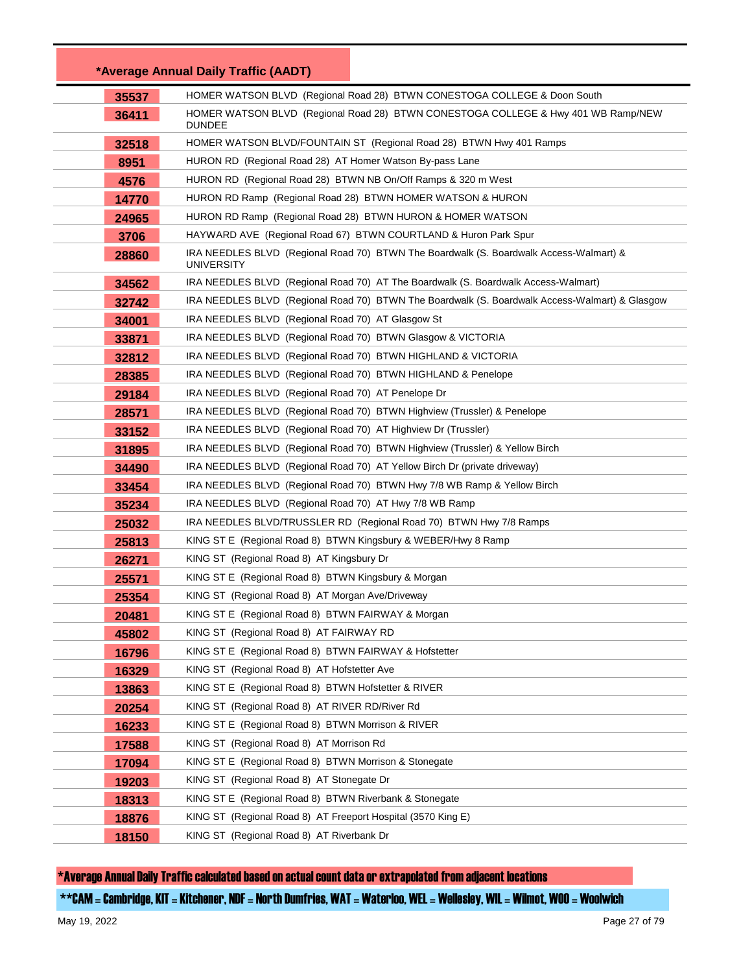|       | *Average Annual Daily Traffic (AADT)                                                                        |
|-------|-------------------------------------------------------------------------------------------------------------|
| 35537 | HOMER WATSON BLVD (Regional Road 28) BTWN CONESTOGA COLLEGE & Doon South                                    |
| 36411 | HOMER WATSON BLVD (Regional Road 28) BTWN CONESTOGA COLLEGE & Hwy 401 WB Ramp/NEW<br><b>DUNDEE</b>          |
| 32518 | HOMER WATSON BLVD/FOUNTAIN ST (Regional Road 28) BTWN Hwy 401 Ramps                                         |
| 8951  | HURON RD (Regional Road 28) AT Homer Watson By-pass Lane                                                    |
| 4576  | HURON RD (Regional Road 28) BTWN NB On/Off Ramps & 320 m West                                               |
| 14770 | HURON RD Ramp (Regional Road 28) BTWN HOMER WATSON & HURON                                                  |
| 24965 | HURON RD Ramp (Regional Road 28) BTWN HURON & HOMER WATSON                                                  |
| 3706  | HAYWARD AVE (Regional Road 67) BTWN COURTLAND & Huron Park Spur                                             |
| 28860 | IRA NEEDLES BLVD (Regional Road 70) BTWN The Boardwalk (S. Boardwalk Access-Walmart) &<br><b>UNIVERSITY</b> |
| 34562 | IRA NEEDLES BLVD (Regional Road 70) AT The Boardwalk (S. Boardwalk Access-Walmart)                          |
| 32742 | IRA NEEDLES BLVD (Regional Road 70) BTWN The Boardwalk (S. Boardwalk Access-Walmart) & Glasgow              |
| 34001 | IRA NEEDLES BLVD (Regional Road 70) AT Glasgow St                                                           |
| 33871 | IRA NEEDLES BLVD (Regional Road 70) BTWN Glasgow & VICTORIA                                                 |
| 32812 | IRA NEEDLES BLVD (Regional Road 70) BTWN HIGHLAND & VICTORIA                                                |
| 28385 | IRA NEEDLES BLVD (Regional Road 70) BTWN HIGHLAND & Penelope                                                |
| 29184 | IRA NEEDLES BLVD (Regional Road 70) AT Penelope Dr                                                          |
| 28571 | IRA NEEDLES BLVD (Regional Road 70) BTWN Highview (Trussler) & Penelope                                     |
| 33152 | IRA NEEDLES BLVD (Regional Road 70) AT Highview Dr (Trussler)                                               |
| 31895 | IRA NEEDLES BLVD (Regional Road 70) BTWN Highview (Trussler) & Yellow Birch                                 |
| 34490 | IRA NEEDLES BLVD (Regional Road 70) AT Yellow Birch Dr (private driveway)                                   |
| 33454 | IRA NEEDLES BLVD (Regional Road 70) BTWN Hwy 7/8 WB Ramp & Yellow Birch                                     |
| 35234 | IRA NEEDLES BLVD (Regional Road 70) AT Hwy 7/8 WB Ramp                                                      |
| 25032 | IRA NEEDLES BLVD/TRUSSLER RD (Regional Road 70) BTWN Hwy 7/8 Ramps                                          |
| 25813 | KING ST E (Regional Road 8) BTWN Kingsbury & WEBER/Hwy 8 Ramp                                               |
| 26271 | KING ST (Regional Road 8) AT Kingsbury Dr                                                                   |
| 25571 | KING ST E (Regional Road 8) BTWN Kingsbury & Morgan                                                         |
| 25354 | KING ST (Regional Road 8) AT Morgan Ave/Driveway                                                            |
| 20481 | KING ST E (Regional Road 8) BTWN FAIRWAY & Morgan                                                           |
| 45802 | KING ST (Regional Road 8) AT FAIRWAY RD                                                                     |
| 16796 | KING ST E (Regional Road 8) BTWN FAIRWAY & Hofstetter                                                       |
| 16329 | KING ST (Regional Road 8) AT Hofstetter Ave                                                                 |
| 13863 | KING ST E (Regional Road 8) BTWN Hofstetter & RIVER                                                         |
| 20254 | KING ST (Regional Road 8) AT RIVER RD/River Rd                                                              |
| 16233 | KING ST E (Regional Road 8) BTWN Morrison & RIVER                                                           |
| 17588 | KING ST (Regional Road 8) AT Morrison Rd                                                                    |
| 17094 | KING ST E (Regional Road 8) BTWN Morrison & Stonegate                                                       |
| 19203 | KING ST (Regional Road 8) AT Stonegate Dr                                                                   |
| 18313 | KING ST E (Regional Road 8) BTWN Riverbank & Stonegate                                                      |
| 18876 | KING ST (Regional Road 8) AT Freeport Hospital (3570 King E)                                                |
| 18150 | KING ST (Regional Road 8) AT Riverbank Dr                                                                   |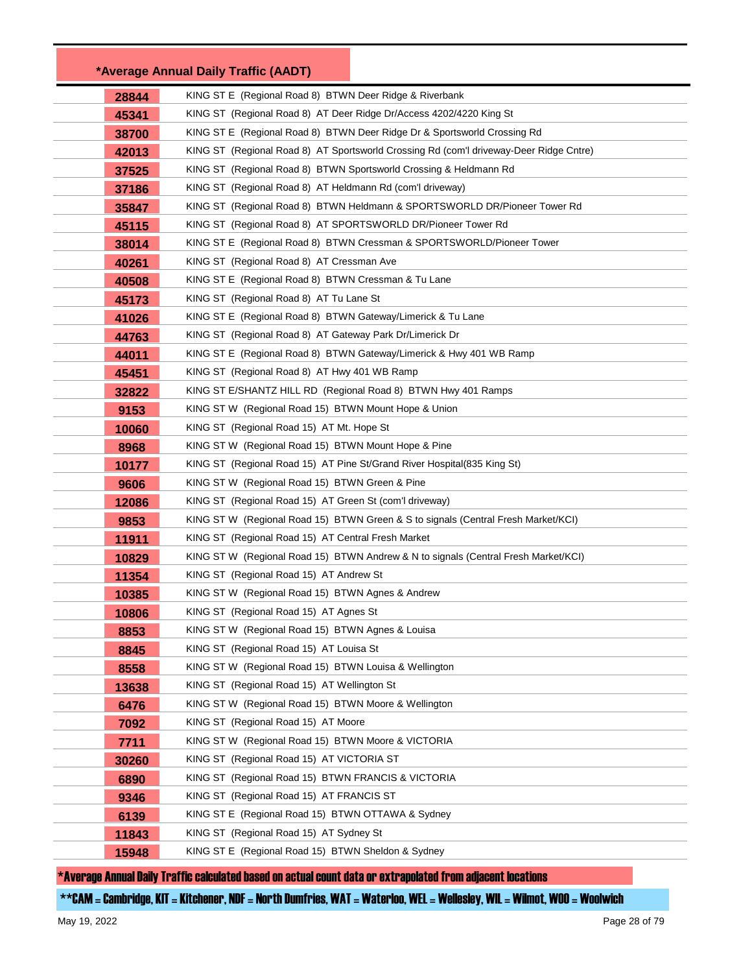|       | *Average Annual Daily Traffic (AADT)                                                   |
|-------|----------------------------------------------------------------------------------------|
| 28844 | KING ST E (Regional Road 8) BTWN Deer Ridge & Riverbank                                |
| 45341 | KING ST (Regional Road 8) AT Deer Ridge Dr/Access 4202/4220 King St                    |
| 38700 | KING ST E (Regional Road 8) BTWN Deer Ridge Dr & Sportsworld Crossing Rd               |
| 42013 | KING ST (Regional Road 8) AT Sportsworld Crossing Rd (com'l driveway-Deer Ridge Cntre) |
| 37525 | KING ST (Regional Road 8) BTWN Sportsworld Crossing & Heldmann Rd                      |
| 37186 | KING ST (Regional Road 8) AT Heldmann Rd (com'l driveway)                              |
| 35847 | KING ST (Regional Road 8) BTWN Heldmann & SPORTSWORLD DR/Pioneer Tower Rd              |
| 45115 | KING ST (Regional Road 8) AT SPORTSWORLD DR/Pioneer Tower Rd                           |
| 38014 | KING ST E (Regional Road 8) BTWN Cressman & SPORTSWORLD/Pioneer Tower                  |
| 40261 | KING ST (Regional Road 8) AT Cressman Ave                                              |
| 40508 | KING ST E (Regional Road 8) BTWN Cressman & Tu Lane                                    |
| 45173 | KING ST (Regional Road 8) AT Tu Lane St                                                |
| 41026 | KING ST E (Regional Road 8) BTWN Gateway/Limerick & Tu Lane                            |
| 44763 | KING ST (Regional Road 8) AT Gateway Park Dr/Limerick Dr                               |
| 44011 | KING ST E (Regional Road 8) BTWN Gateway/Limerick & Hwy 401 WB Ramp                    |
| 45451 | KING ST (Regional Road 8) AT Hwy 401 WB Ramp                                           |
| 32822 | KING ST E/SHANTZ HILL RD (Regional Road 8) BTWN Hwy 401 Ramps                          |
| 9153  | KING ST W (Regional Road 15) BTWN Mount Hope & Union                                   |
| 10060 | KING ST (Regional Road 15) AT Mt. Hope St                                              |
| 8968  | KING ST W (Regional Road 15) BTWN Mount Hope & Pine                                    |
| 10177 | KING ST (Regional Road 15) AT Pine St/Grand River Hospital(835 King St)                |
| 9606  | KING ST W (Regional Road 15) BTWN Green & Pine                                         |
| 12086 | KING ST (Regional Road 15) AT Green St (com'l driveway)                                |
| 9853  | KING ST W (Regional Road 15) BTWN Green & S to signals (Central Fresh Market/KCI)      |
| 11911 | KING ST (Regional Road 15) AT Central Fresh Market                                     |
| 10829 | KING ST W (Regional Road 15) BTWN Andrew & N to signals (Central Fresh Market/KCI)     |
| 11354 | KING ST (Regional Road 15) AT Andrew St                                                |
| 10385 | KING ST W (Regional Road 15) BTWN Agnes & Andrew                                       |
| 10806 | KING ST (Regional Road 15) AT Agnes St                                                 |
| 8853  | KING ST W (Regional Road 15) BTWN Agnes & Louisa                                       |
| 8845  | KING ST (Regional Road 15) AT Louisa St                                                |
| 8558  | KING ST W (Regional Road 15) BTWN Louisa & Wellington                                  |
| 13638 | KING ST (Regional Road 15) AT Wellington St                                            |
| 6476  | KING ST W (Regional Road 15) BTWN Moore & Wellington                                   |
| 7092  | KING ST (Regional Road 15) AT Moore                                                    |
| 7711  | KING ST W (Regional Road 15) BTWN Moore & VICTORIA                                     |
| 30260 | KING ST (Regional Road 15) AT VICTORIA ST                                              |
| 6890  | KING ST (Regional Road 15) BTWN FRANCIS & VICTORIA                                     |
| 9346  | KING ST (Regional Road 15) AT FRANCIS ST                                               |
| 6139  | KING ST E (Regional Road 15) BTWN OTTAWA & Sydney                                      |
| 11843 | KING ST (Regional Road 15) AT Sydney St                                                |
| 15948 | KING ST E (Regional Road 15) BTWN Sheldon & Sydney                                     |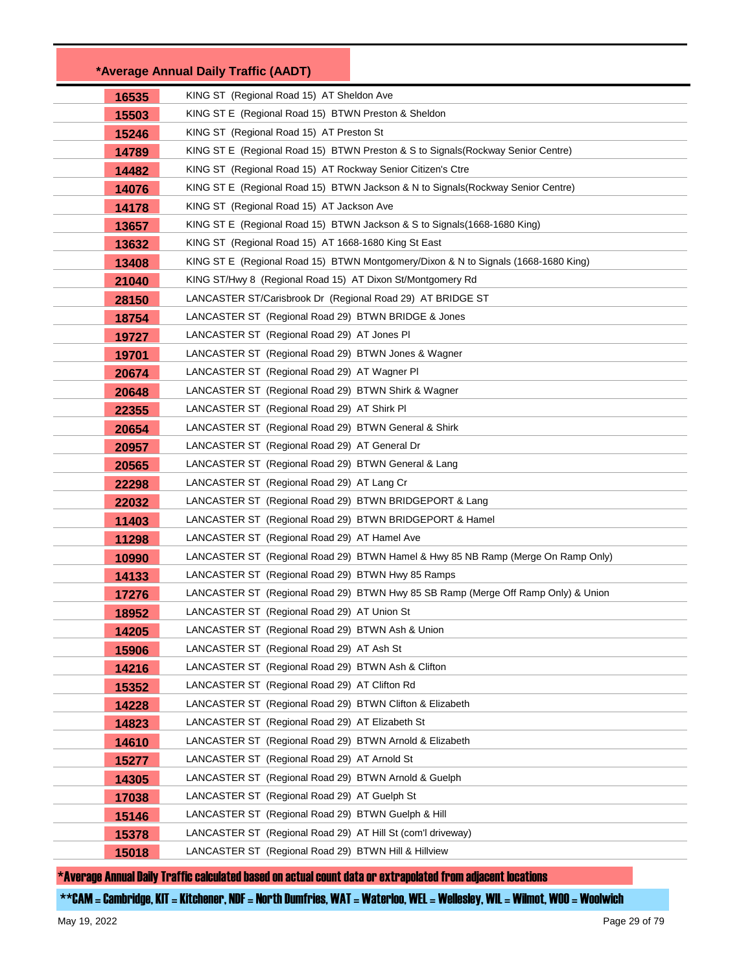|       | *Average Annual Daily Traffic (AADT)                                               |
|-------|------------------------------------------------------------------------------------|
| 16535 | KING ST (Regional Road 15) AT Sheldon Ave                                          |
| 15503 | KING ST E (Regional Road 15) BTWN Preston & Sheldon                                |
| 15246 | KING ST (Regional Road 15) AT Preston St                                           |
| 14789 | KING ST E (Regional Road 15) BTWN Preston & S to Signals (Rockway Senior Centre)   |
| 14482 | KING ST (Regional Road 15) AT Rockway Senior Citizen's Ctre                        |
| 14076 | KING ST E (Regional Road 15) BTWN Jackson & N to Signals (Rockway Senior Centre)   |
| 14178 | KING ST (Regional Road 15) AT Jackson Ave                                          |
| 13657 | KING ST E (Regional Road 15) BTWN Jackson & S to Signals (1668-1680 King)          |
| 13632 | KING ST (Regional Road 15) AT 1668-1680 King St East                               |
| 13408 | KING ST E (Regional Road 15) BTWN Montgomery/Dixon & N to Signals (1668-1680 King) |
| 21040 | KING ST/Hwy 8 (Regional Road 15) AT Dixon St/Montgomery Rd                         |
| 28150 | LANCASTER ST/Carisbrook Dr (Regional Road 29) AT BRIDGE ST                         |
| 18754 | LANCASTER ST (Regional Road 29) BTWN BRIDGE & Jones                                |
| 19727 | LANCASTER ST (Regional Road 29) AT Jones PI                                        |
| 19701 | LANCASTER ST (Regional Road 29) BTWN Jones & Wagner                                |
| 20674 | LANCASTER ST (Regional Road 29) AT Wagner PI                                       |
| 20648 | LANCASTER ST (Regional Road 29) BTWN Shirk & Wagner                                |
| 22355 | LANCASTER ST (Regional Road 29) AT Shirk PI                                        |
| 20654 | LANCASTER ST (Regional Road 29) BTWN General & Shirk                               |
| 20957 | LANCASTER ST (Regional Road 29) AT General Dr                                      |
| 20565 | LANCASTER ST (Regional Road 29) BTWN General & Lang                                |
| 22298 | LANCASTER ST (Regional Road 29) AT Lang Cr                                         |
| 22032 | LANCASTER ST (Regional Road 29) BTWN BRIDGEPORT & Lang                             |
| 11403 | LANCASTER ST (Regional Road 29) BTWN BRIDGEPORT & Hamel                            |
| 11298 | LANCASTER ST (Regional Road 29) AT Hamel Ave                                       |
| 10990 | LANCASTER ST (Regional Road 29) BTWN Hamel & Hwy 85 NB Ramp (Merge On Ramp Only)   |
| 14133 | LANCASTER ST (Regional Road 29) BTWN Hwy 85 Ramps                                  |
| 17276 | LANCASTER ST (Regional Road 29) BTWN Hwy 85 SB Ramp (Merge Off Ramp Only) & Union  |
| 18952 | LANCASTER ST (Regional Road 29) AT Union St                                        |
| 14205 | LANCASTER ST (Regional Road 29) BTWN Ash & Union                                   |
| 15906 | LANCASTER ST (Regional Road 29) AT Ash St                                          |
| 14216 | LANCASTER ST (Regional Road 29) BTWN Ash & Clifton                                 |
| 15352 | LANCASTER ST (Regional Road 29) AT Clifton Rd                                      |
| 14228 | LANCASTER ST (Regional Road 29) BTWN Clifton & Elizabeth                           |
| 14823 | LANCASTER ST (Regional Road 29) AT Elizabeth St                                    |
| 14610 | LANCASTER ST (Regional Road 29) BTWN Arnold & Elizabeth                            |
| 15277 | LANCASTER ST (Regional Road 29) AT Arnold St                                       |
| 14305 | LANCASTER ST (Regional Road 29) BTWN Arnold & Guelph                               |
| 17038 | LANCASTER ST (Regional Road 29) AT Guelph St                                       |
| 15146 | LANCASTER ST (Regional Road 29) BTWN Guelph & Hill                                 |
| 15378 | LANCASTER ST (Regional Road 29) AT Hill St (com'l driveway)                        |
| 15018 | LANCASTER ST (Regional Road 29) BTWN Hill & Hillview                               |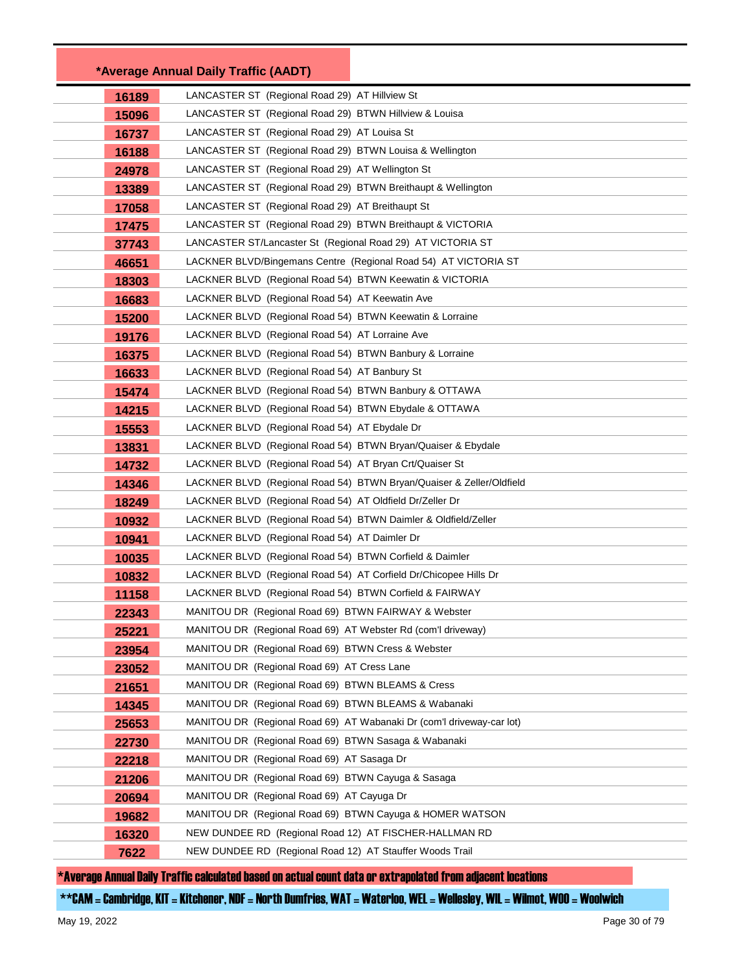|       | *Average Annual Daily Traffic (AADT)                                  |  |
|-------|-----------------------------------------------------------------------|--|
| 16189 | LANCASTER ST (Regional Road 29) AT Hillview St                        |  |
| 15096 | LANCASTER ST (Regional Road 29) BTWN Hillview & Louisa                |  |
| 16737 | LANCASTER ST (Regional Road 29) AT Louisa St                          |  |
| 16188 | LANCASTER ST (Regional Road 29) BTWN Louisa & Wellington              |  |
| 24978 | LANCASTER ST (Regional Road 29) AT Wellington St                      |  |
| 13389 | LANCASTER ST (Regional Road 29) BTWN Breithaupt & Wellington          |  |
| 17058 | LANCASTER ST (Regional Road 29) AT Breithaupt St                      |  |
| 17475 | LANCASTER ST (Regional Road 29) BTWN Breithaupt & VICTORIA            |  |
| 37743 | LANCASTER ST/Lancaster St (Regional Road 29) AT VICTORIA ST           |  |
| 46651 | LACKNER BLVD/Bingemans Centre (Regional Road 54) AT VICTORIA ST       |  |
| 18303 | LACKNER BLVD (Regional Road 54) BTWN Keewatin & VICTORIA              |  |
| 16683 | LACKNER BLVD (Regional Road 54) AT Keewatin Ave                       |  |
| 15200 | LACKNER BLVD (Regional Road 54) BTWN Keewatin & Lorraine              |  |
| 19176 | LACKNER BLVD (Regional Road 54) AT Lorraine Ave                       |  |
| 16375 | LACKNER BLVD (Regional Road 54) BTWN Banbury & Lorraine               |  |
| 16633 | LACKNER BLVD (Regional Road 54) AT Banbury St                         |  |
| 15474 | LACKNER BLVD (Regional Road 54) BTWN Banbury & OTTAWA                 |  |
| 14215 | LACKNER BLVD (Regional Road 54) BTWN Ebydale & OTTAWA                 |  |
| 15553 | LACKNER BLVD (Regional Road 54) AT Ebydale Dr                         |  |
| 13831 | LACKNER BLVD (Regional Road 54) BTWN Bryan/Quaiser & Ebydale          |  |
| 14732 | LACKNER BLVD (Regional Road 54) AT Bryan Crt/Quaiser St               |  |
| 14346 | LACKNER BLVD (Regional Road 54) BTWN Bryan/Quaiser & Zeller/Oldfield  |  |
| 18249 | LACKNER BLVD (Regional Road 54) AT Oldfield Dr/Zeller Dr              |  |
| 10932 | LACKNER BLVD (Regional Road 54) BTWN Daimler & Oldfield/Zeller        |  |
| 10941 | LACKNER BLVD (Regional Road 54) AT Daimler Dr                         |  |
| 10035 | LACKNER BLVD (Regional Road 54) BTWN Corfield & Daimler               |  |
| 10832 | LACKNER BLVD (Regional Road 54) AT Corfield Dr/Chicopee Hills Dr      |  |
| 11158 | LACKNER BLVD (Regional Road 54) BTWN Corfield & FAIRWAY               |  |
| 22343 | MANITOU DR (Regional Road 69) BTWN FAIRWAY & Webster                  |  |
| 25221 | MANITOU DR (Regional Road 69) AT Webster Rd (com'l driveway)          |  |
| 23954 | MANITOU DR (Regional Road 69) BTWN Cress & Webster                    |  |
| 23052 | MANITOU DR (Regional Road 69) AT Cress Lane                           |  |
| 21651 | MANITOU DR (Regional Road 69) BTWN BLEAMS & Cress                     |  |
| 14345 | MANITOU DR (Regional Road 69) BTWN BLEAMS & Wabanaki                  |  |
| 25653 | MANITOU DR (Regional Road 69) AT Wabanaki Dr (com'l driveway-car lot) |  |
| 22730 | MANITOU DR (Regional Road 69) BTWN Sasaga & Wabanaki                  |  |
| 22218 | MANITOU DR (Regional Road 69) AT Sasaga Dr                            |  |
| 21206 | MANITOU DR (Regional Road 69) BTWN Cayuga & Sasaga                    |  |
| 20694 | MANITOU DR (Regional Road 69) AT Cayuga Dr                            |  |
| 19682 | MANITOU DR (Regional Road 69) BTWN Cayuga & HOMER WATSON              |  |
| 16320 | NEW DUNDEE RD (Regional Road 12) AT FISCHER-HALLMAN RD                |  |
| 7622  | NEW DUNDEE RD (Regional Road 12) AT Stauffer Woods Trail              |  |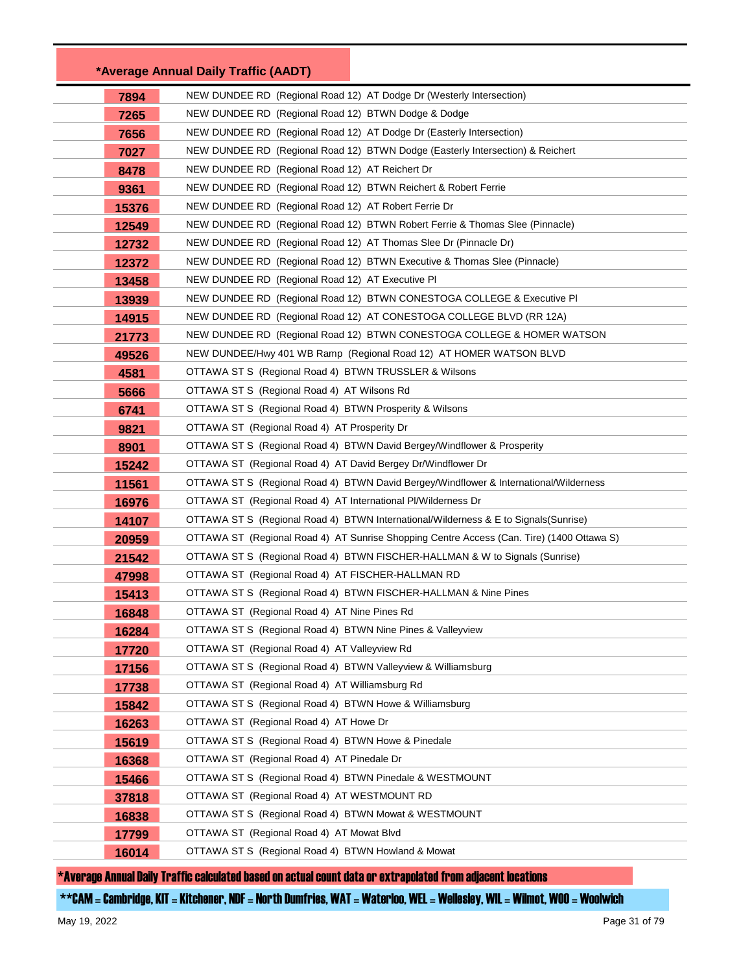|       | *Average Annual Daily Traffic (AADT)                                 |                                                                                           |
|-------|----------------------------------------------------------------------|-------------------------------------------------------------------------------------------|
| 7894  | NEW DUNDEE RD (Regional Road 12) AT Dodge Dr (Westerly Intersection) |                                                                                           |
| 7265  | NEW DUNDEE RD (Regional Road 12) BTWN Dodge & Dodge                  |                                                                                           |
| 7656  | NEW DUNDEE RD (Regional Road 12) AT Dodge Dr (Easterly Intersection) |                                                                                           |
| 7027  |                                                                      | NEW DUNDEE RD (Regional Road 12) BTWN Dodge (Easterly Intersection) & Reichert            |
| 8478  | NEW DUNDEE RD (Regional Road 12) AT Reichert Dr                      |                                                                                           |
| 9361  | NEW DUNDEE RD (Regional Road 12) BTWN Reichert & Robert Ferrie       |                                                                                           |
| 15376 | NEW DUNDEE RD (Regional Road 12) AT Robert Ferrie Dr                 |                                                                                           |
| 12549 |                                                                      | NEW DUNDEE RD (Regional Road 12) BTWN Robert Ferrie & Thomas Slee (Pinnacle)              |
| 12732 | NEW DUNDEE RD (Regional Road 12) AT Thomas Slee Dr (Pinnacle Dr)     |                                                                                           |
| 12372 |                                                                      | NEW DUNDEE RD (Regional Road 12) BTWN Executive & Thomas Slee (Pinnacle)                  |
| 13458 | NEW DUNDEE RD (Regional Road 12) AT Executive PI                     |                                                                                           |
| 13939 |                                                                      | NEW DUNDEE RD (Regional Road 12) BTWN CONESTOGA COLLEGE & Executive PI                    |
| 14915 |                                                                      | NEW DUNDEE RD (Regional Road 12) AT CONESTOGA COLLEGE BLVD (RR 12A)                       |
| 21773 |                                                                      | NEW DUNDEE RD (Regional Road 12) BTWN CONESTOGA COLLEGE & HOMER WATSON                    |
| 49526 |                                                                      | NEW DUNDEE/Hwy 401 WB Ramp (Regional Road 12) AT HOMER WATSON BLVD                        |
| 4581  | OTTAWA ST S (Regional Road 4) BTWN TRUSSLER & Wilsons                |                                                                                           |
| 5666  | OTTAWA ST S (Regional Road 4) AT Wilsons Rd                          |                                                                                           |
| 6741  | OTTAWA ST S (Regional Road 4) BTWN Prosperity & Wilsons              |                                                                                           |
| 9821  | OTTAWA ST (Regional Road 4) AT Prosperity Dr                         |                                                                                           |
| 8901  |                                                                      | OTTAWA ST S (Regional Road 4) BTWN David Bergey/Windflower & Prosperity                   |
| 15242 | OTTAWA ST (Regional Road 4) AT David Bergey Dr/Windflower Dr         |                                                                                           |
| 11561 |                                                                      | OTTAWA ST S (Regional Road 4) BTWN David Bergey/Windflower & International/Wilderness     |
| 16976 | OTTAWA ST (Regional Road 4) AT International PI/Wilderness Dr        |                                                                                           |
| 14107 |                                                                      | OTTAWA ST S (Regional Road 4) BTWN International/Wilderness & E to Signals(Sunrise)       |
| 20959 |                                                                      | OTTAWA ST (Regional Road 4) AT Sunrise Shopping Centre Access (Can. Tire) (1400 Ottawa S) |
| 21542 |                                                                      | OTTAWA ST S (Regional Road 4) BTWN FISCHER-HALLMAN & W to Signals (Sunrise)               |
| 47998 | OTTAWA ST (Regional Road 4) AT FISCHER-HALLMAN RD                    |                                                                                           |
| 15413 | OTTAWA ST S (Regional Road 4) BTWN FISCHER-HALLMAN & Nine Pines      |                                                                                           |
| 16848 | OTTAWA ST (Regional Road 4) AT Nine Pines Rd                         |                                                                                           |
| 16284 | OTTAWA ST S (Regional Road 4) BTWN Nine Pines & Valleyview           |                                                                                           |
| 17720 | OTTAWA ST (Regional Road 4) AT Valleyview Rd                         |                                                                                           |
| 17156 | OTTAWA ST S (Regional Road 4) BTWN Valleyview & Williamsburg         |                                                                                           |
| 17738 | OTTAWA ST (Regional Road 4) AT Williamsburg Rd                       |                                                                                           |
| 15842 | OTTAWA ST S (Regional Road 4) BTWN Howe & Williamsburg               |                                                                                           |
| 16263 | OTTAWA ST (Regional Road 4) AT Howe Dr                               |                                                                                           |
| 15619 | OTTAWA ST S (Regional Road 4) BTWN Howe & Pinedale                   |                                                                                           |
| 16368 | OTTAWA ST (Regional Road 4) AT Pinedale Dr                           |                                                                                           |
| 15466 | OTTAWA ST S (Regional Road 4) BTWN Pinedale & WESTMOUNT              |                                                                                           |
| 37818 | OTTAWA ST (Regional Road 4) AT WESTMOUNT RD                          |                                                                                           |
| 16838 | OTTAWA ST S (Regional Road 4) BTWN Mowat & WESTMOUNT                 |                                                                                           |
| 17799 | OTTAWA ST (Regional Road 4) AT Mowat Blvd                            |                                                                                           |
| 16014 | OTTAWA ST S (Regional Road 4) BTWN Howland & Mowat                   |                                                                                           |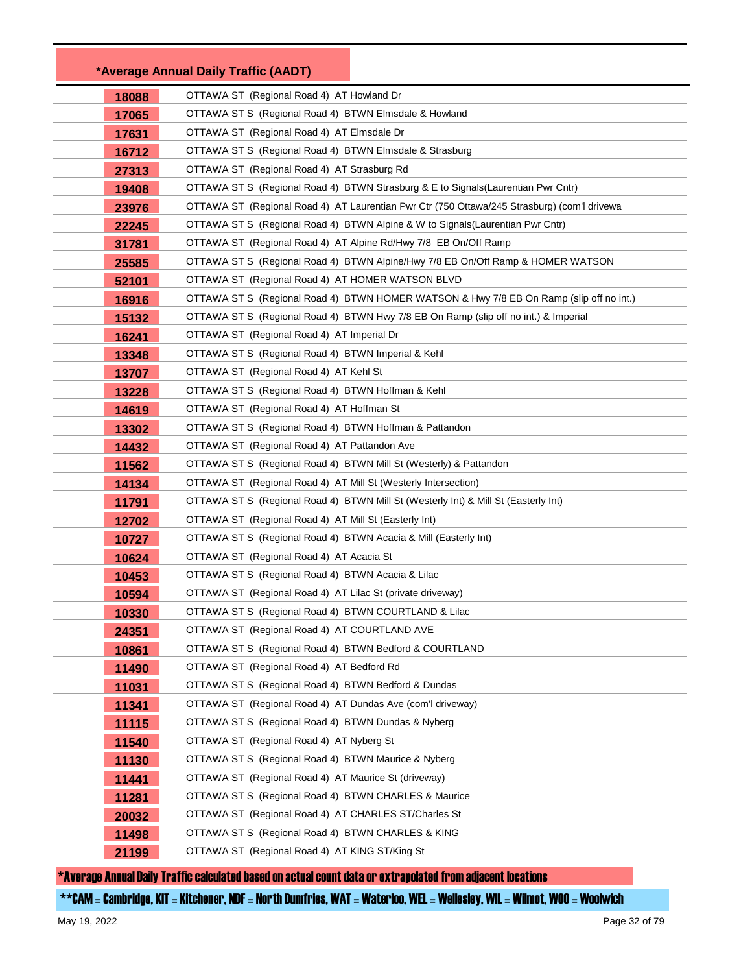|       | *Average Annual Daily Traffic (AADT)                                                        |
|-------|---------------------------------------------------------------------------------------------|
| 18088 | OTTAWA ST (Regional Road 4) AT Howland Dr                                                   |
| 17065 | OTTAWA ST S (Regional Road 4) BTWN Elmsdale & Howland                                       |
| 17631 | OTTAWA ST (Regional Road 4) AT Elmsdale Dr                                                  |
| 16712 | OTTAWA ST S (Regional Road 4) BTWN Elmsdale & Strasburg                                     |
| 27313 | OTTAWA ST (Regional Road 4) AT Strasburg Rd                                                 |
| 19408 | OTTAWA ST S (Regional Road 4) BTWN Strasburg & E to Signals (Laurentian Pwr Cntr)           |
| 23976 | OTTAWA ST (Regional Road 4) AT Laurentian Pwr Ctr (750 Ottawa/245 Strasburg) (com'l drivewa |
| 22245 | OTTAWA ST S (Regional Road 4) BTWN Alpine & W to Signals (Laurentian Pwr Cntr)              |
| 31781 | OTTAWA ST (Regional Road 4) AT Alpine Rd/Hwy 7/8 EB On/Off Ramp                             |
| 25585 | OTTAWA ST S (Regional Road 4) BTWN Alpine/Hwy 7/8 EB On/Off Ramp & HOMER WATSON             |
| 52101 | OTTAWA ST (Regional Road 4) AT HOMER WATSON BLVD                                            |
| 16916 | OTTAWA ST S (Regional Road 4) BTWN HOMER WATSON & Hwy 7/8 EB On Ramp (slip off no int.)     |
| 15132 | OTTAWA ST S (Regional Road 4) BTWN Hwy 7/8 EB On Ramp (slip off no int.) & Imperial         |
| 16241 | OTTAWA ST (Regional Road 4) AT Imperial Dr                                                  |
| 13348 | OTTAWA ST S (Regional Road 4) BTWN Imperial & Kehl                                          |
| 13707 | OTTAWA ST (Regional Road 4) AT Kehl St                                                      |
| 13228 | OTTAWA ST S (Regional Road 4) BTWN Hoffman & Kehl                                           |
| 14619 | OTTAWA ST (Regional Road 4) AT Hoffman St                                                   |
| 13302 | OTTAWA ST S (Regional Road 4) BTWN Hoffman & Pattandon                                      |
| 14432 | OTTAWA ST (Regional Road 4) AT Pattandon Ave                                                |
| 11562 | OTTAWA ST S (Regional Road 4) BTWN Mill St (Westerly) & Pattandon                           |
| 14134 | OTTAWA ST (Regional Road 4) AT Mill St (Westerly Intersection)                              |
| 11791 | OTTAWA ST S (Regional Road 4) BTWN Mill St (Westerly Int) & Mill St (Easterly Int)          |
| 12702 | OTTAWA ST (Regional Road 4) AT Mill St (Easterly Int)                                       |
| 10727 | OTTAWA ST S (Regional Road 4) BTWN Acacia & Mill (Easterly Int)                             |
| 10624 | OTTAWA ST (Regional Road 4) AT Acacia St                                                    |
| 10453 | OTTAWA ST S (Regional Road 4) BTWN Acacia & Lilac                                           |
| 10594 | OTTAWA ST (Regional Road 4) AT Lilac St (private driveway)                                  |
| 10330 | OTTAWA ST S (Regional Road 4) BTWN COURTLAND & Lilac                                        |
| 24351 | OTTAWA ST (Regional Road 4) AT COURTLAND AVE                                                |
| 10861 | OTTAWA ST S (Regional Road 4) BTWN Bedford & COURTLAND                                      |
| 11490 | OTTAWA ST (Regional Road 4) AT Bedford Rd                                                   |
| 11031 | OTTAWA ST S (Regional Road 4) BTWN Bedford & Dundas                                         |
| 11341 | OTTAWA ST (Regional Road 4) AT Dundas Ave (com'l driveway)                                  |
| 11115 | OTTAWA ST S (Regional Road 4) BTWN Dundas & Nyberg                                          |
| 11540 | OTTAWA ST (Regional Road 4) AT Nyberg St                                                    |
| 11130 | OTTAWA ST S (Regional Road 4) BTWN Maurice & Nyberg                                         |
| 11441 | OTTAWA ST (Regional Road 4) AT Maurice St (driveway)                                        |
| 11281 | OTTAWA ST S (Regional Road 4) BTWN CHARLES & Maurice                                        |
| 20032 | OTTAWA ST (Regional Road 4) AT CHARLES ST/Charles St                                        |
| 11498 | OTTAWA ST S (Regional Road 4) BTWN CHARLES & KING                                           |
| 21199 | OTTAWA ST (Regional Road 4) AT KING ST/King St                                              |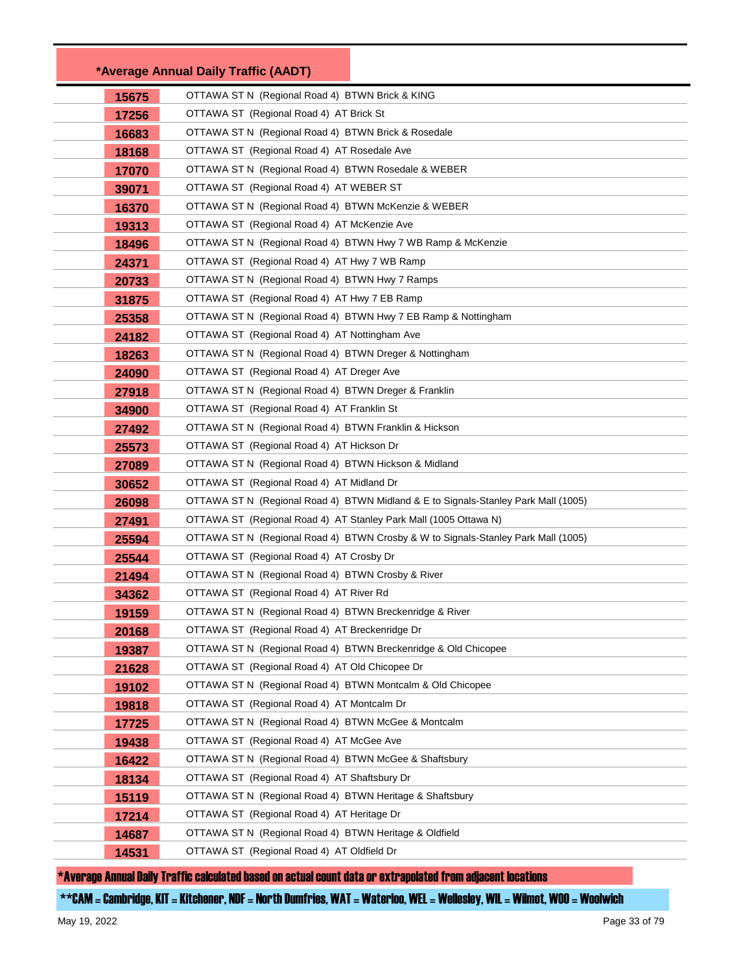|       | *Average Annual Daily Traffic (AADT)                                               |
|-------|------------------------------------------------------------------------------------|
| 15675 | OTTAWA ST N (Regional Road 4) BTWN Brick & KING                                    |
| 17256 | OTTAWA ST (Regional Road 4) AT Brick St                                            |
| 16683 | OTTAWA ST N (Regional Road 4) BTWN Brick & Rosedale                                |
| 18168 | OTTAWA ST (Regional Road 4) AT Rosedale Ave                                        |
| 17070 | OTTAWA ST N (Regional Road 4) BTWN Rosedale & WEBER                                |
| 39071 | OTTAWA ST (Regional Road 4) AT WEBER ST                                            |
| 16370 | OTTAWA ST N (Regional Road 4) BTWN McKenzie & WEBER                                |
| 19313 | OTTAWA ST (Regional Road 4) AT McKenzie Ave                                        |
| 18496 | OTTAWA ST N (Regional Road 4) BTWN Hwy 7 WB Ramp & McKenzie                        |
| 24371 | OTTAWA ST (Regional Road 4) AT Hwy 7 WB Ramp                                       |
| 20733 | OTTAWA ST N (Regional Road 4) BTWN Hwy 7 Ramps                                     |
| 31875 | OTTAWA ST (Regional Road 4) AT Hwy 7 EB Ramp                                       |
| 25358 | OTTAWA ST N (Regional Road 4) BTWN Hwy 7 EB Ramp & Nottingham                      |
| 24182 | OTTAWA ST (Regional Road 4) AT Nottingham Ave                                      |
| 18263 | OTTAWA ST N (Regional Road 4) BTWN Dreger & Nottingham                             |
| 24090 | OTTAWA ST (Regional Road 4) AT Dreger Ave                                          |
| 27918 | OTTAWA ST N (Regional Road 4) BTWN Dreger & Franklin                               |
| 34900 | OTTAWA ST (Regional Road 4) AT Franklin St                                         |
| 27492 | OTTAWA ST N (Regional Road 4) BTWN Franklin & Hickson                              |
| 25573 | OTTAWA ST (Regional Road 4) AT Hickson Dr                                          |
| 27089 | OTTAWA ST N (Regional Road 4) BTWN Hickson & Midland                               |
| 30652 | OTTAWA ST (Regional Road 4) AT Midland Dr                                          |
| 26098 | OTTAWA ST N (Regional Road 4) BTWN Midland & E to Signals-Stanley Park Mall (1005) |
| 27491 | OTTAWA ST (Regional Road 4) AT Stanley Park Mall (1005 Ottawa N)                   |
| 25594 | OTTAWA ST N (Regional Road 4) BTWN Crosby & W to Signals-Stanley Park Mall (1005)  |
| 25544 | OTTAWA ST (Regional Road 4) AT Crosby Dr                                           |
| 21494 | OTTAWA ST N (Regional Road 4) BTWN Crosby & River                                  |
| 34362 | OTTAWA ST (Regional Road 4) AT River Rd                                            |
| 19159 | OTTAWA ST N (Regional Road 4) BTWN Breckenridge & River                            |
| 20168 | OTTAWA ST (Regional Road 4) AT Breckenridge Dr                                     |
| 19387 | OTTAWA ST N (Regional Road 4) BTWN Breckenridge & Old Chicopee                     |
| 21628 | OTTAWA ST (Regional Road 4) AT Old Chicopee Dr                                     |
| 19102 | OTTAWA ST N (Regional Road 4) BTWN Montcalm & Old Chicopee                         |
| 19818 | OTTAWA ST (Regional Road 4) AT Montcalm Dr                                         |
| 17725 | OTTAWA ST N (Regional Road 4) BTWN McGee & Montcalm                                |
| 19438 | OTTAWA ST (Regional Road 4) AT McGee Ave                                           |
| 16422 | OTTAWA ST N (Regional Road 4) BTWN McGee & Shaftsbury                              |
| 18134 | OTTAWA ST (Regional Road 4) AT Shaftsbury Dr                                       |
| 15119 | OTTAWA ST N (Regional Road 4) BTWN Heritage & Shaftsbury                           |
| 17214 | OTTAWA ST (Regional Road 4) AT Heritage Dr                                         |
| 14687 | OTTAWA ST N (Regional Road 4) BTWN Heritage & Oldfield                             |
| 14531 | OTTAWA ST (Regional Road 4) AT Oldfield Dr                                         |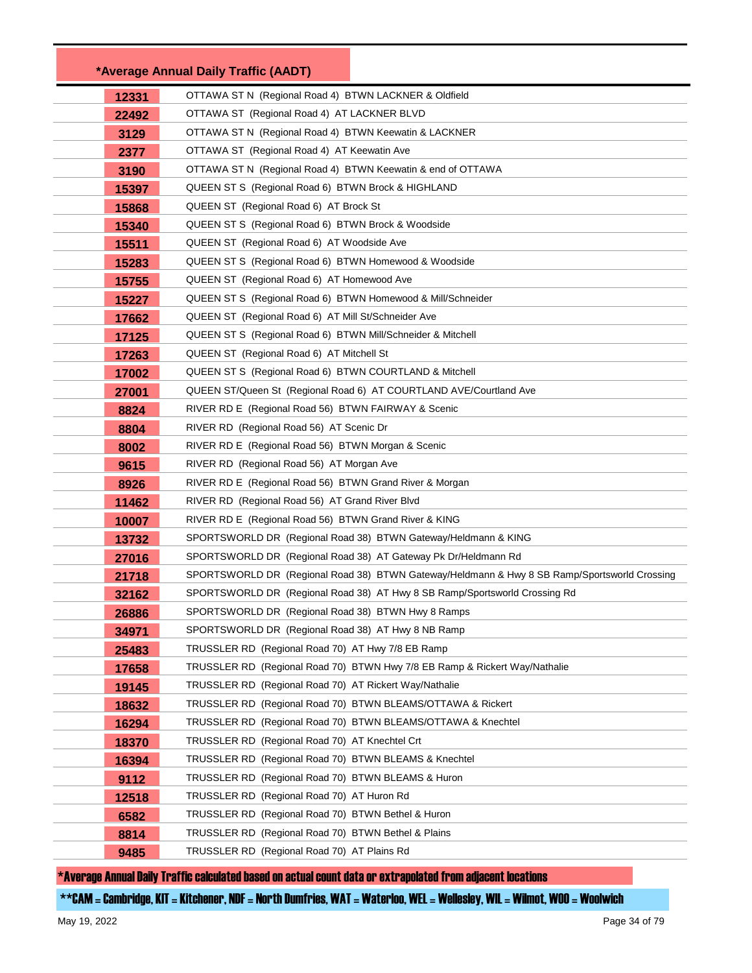|       | *Average Annual Daily Traffic (AADT)                                                         |  |
|-------|----------------------------------------------------------------------------------------------|--|
| 12331 | OTTAWA ST N (Regional Road 4) BTWN LACKNER & Oldfield                                        |  |
| 22492 | OTTAWA ST (Regional Road 4) AT LACKNER BLVD                                                  |  |
| 3129  | OTTAWA ST N (Regional Road 4) BTWN Keewatin & LACKNER                                        |  |
| 2377  | OTTAWA ST (Regional Road 4) AT Keewatin Ave                                                  |  |
| 3190  | OTTAWA ST N (Regional Road 4) BTWN Keewatin & end of OTTAWA                                  |  |
| 15397 | QUEEN ST S (Regional Road 6) BTWN Brock & HIGHLAND                                           |  |
| 15868 | QUEEN ST (Regional Road 6) AT Brock St                                                       |  |
| 15340 | QUEEN ST S (Regional Road 6) BTWN Brock & Woodside                                           |  |
| 15511 | QUEEN ST (Regional Road 6) AT Woodside Ave                                                   |  |
| 15283 | QUEEN ST S (Regional Road 6) BTWN Homewood & Woodside                                        |  |
| 15755 | QUEEN ST (Regional Road 6) AT Homewood Ave                                                   |  |
| 15227 | QUEEN ST S (Regional Road 6) BTWN Homewood & Mill/Schneider                                  |  |
| 17662 | QUEEN ST (Regional Road 6) AT Mill St/Schneider Ave                                          |  |
| 17125 | QUEEN ST S (Regional Road 6) BTWN Mill/Schneider & Mitchell                                  |  |
| 17263 | QUEEN ST (Regional Road 6) AT Mitchell St                                                    |  |
| 17002 | QUEEN ST S (Regional Road 6) BTWN COURTLAND & Mitchell                                       |  |
| 27001 | QUEEN ST/Queen St (Regional Road 6) AT COURTLAND AVE/Courtland Ave                           |  |
| 8824  | RIVER RD E (Regional Road 56) BTWN FAIRWAY & Scenic                                          |  |
| 8804  | RIVER RD (Regional Road 56) AT Scenic Dr                                                     |  |
| 8002  | RIVER RD E (Regional Road 56) BTWN Morgan & Scenic                                           |  |
| 9615  | RIVER RD (Regional Road 56) AT Morgan Ave                                                    |  |
| 8926  | RIVER RD E (Regional Road 56) BTWN Grand River & Morgan                                      |  |
| 11462 | RIVER RD (Regional Road 56) AT Grand River Blvd                                              |  |
| 10007 | RIVER RD E (Regional Road 56) BTWN Grand River & KING                                        |  |
| 13732 | SPORTSWORLD DR (Regional Road 38) BTWN Gateway/Heldmann & KING                               |  |
| 27016 | SPORTSWORLD DR (Regional Road 38) AT Gateway Pk Dr/Heldmann Rd                               |  |
| 21718 | SPORTSWORLD DR (Regional Road 38) BTWN Gateway/Heldmann & Hwy 8 SB Ramp/Sportsworld Crossing |  |
| 32162 | SPORTSWORLD DR (Regional Road 38) AT Hwy 8 SB Ramp/Sportsworld Crossing Rd                   |  |
| 26886 | SPORTSWORLD DR (Regional Road 38) BTWN Hwy 8 Ramps                                           |  |
| 34971 | SPORTSWORLD DR (Regional Road 38) AT Hwy 8 NB Ramp                                           |  |
| 25483 | TRUSSLER RD (Regional Road 70) AT Hwy 7/8 EB Ramp                                            |  |
| 17658 | TRUSSLER RD (Regional Road 70) BTWN Hwy 7/8 EB Ramp & Rickert Way/Nathalie                   |  |
| 19145 | TRUSSLER RD (Regional Road 70) AT Rickert Way/Nathalie                                       |  |
| 18632 | TRUSSLER RD (Regional Road 70) BTWN BLEAMS/OTTAWA & Rickert                                  |  |
| 16294 | TRUSSLER RD (Regional Road 70) BTWN BLEAMS/OTTAWA & Knechtel                                 |  |
| 18370 | TRUSSLER RD (Regional Road 70) AT Knechtel Crt                                               |  |
| 16394 | TRUSSLER RD (Regional Road 70) BTWN BLEAMS & Knechtel                                        |  |
| 9112  | TRUSSLER RD (Regional Road 70) BTWN BLEAMS & Huron                                           |  |
| 12518 | TRUSSLER RD (Regional Road 70) AT Huron Rd                                                   |  |
| 6582  | TRUSSLER RD (Regional Road 70) BTWN Bethel & Huron                                           |  |
| 8814  | TRUSSLER RD (Regional Road 70) BTWN Bethel & Plains                                          |  |
| 9485  | TRUSSLER RD (Regional Road 70) AT Plains Rd                                                  |  |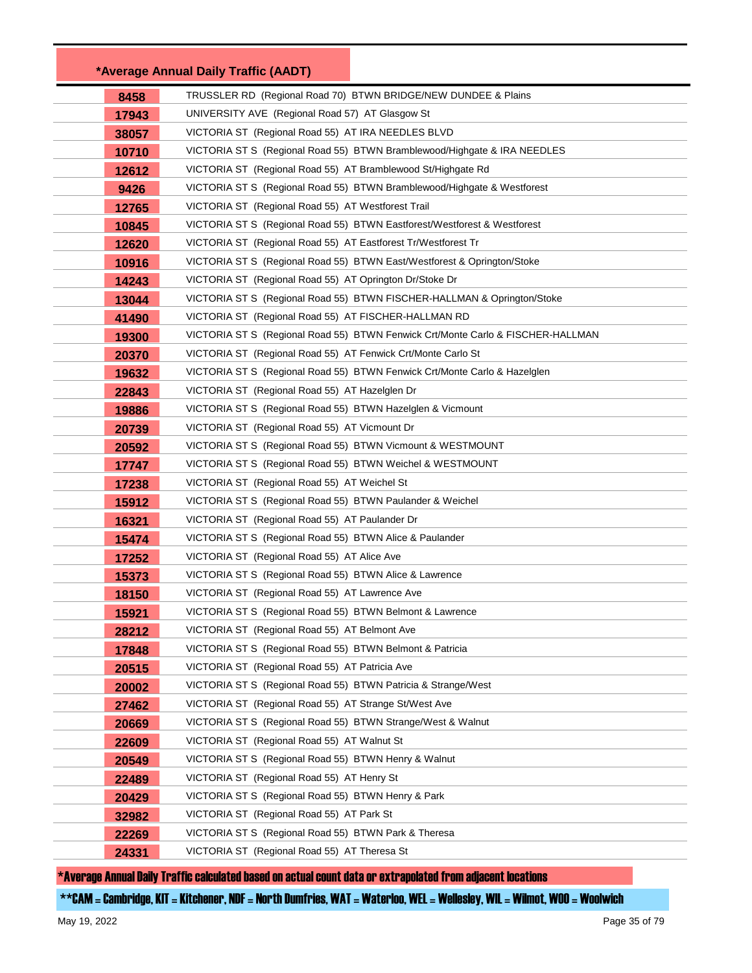|       | *Average Annual Daily Traffic (AADT)                          |                                                                                 |
|-------|---------------------------------------------------------------|---------------------------------------------------------------------------------|
| 8458  |                                                               | TRUSSLER RD (Regional Road 70) BTWN BRIDGE/NEW DUNDEE & Plains                  |
| 17943 | UNIVERSITY AVE (Regional Road 57) AT Glasgow St               |                                                                                 |
| 38057 | VICTORIA ST (Regional Road 55) AT IRA NEEDLES BLVD            |                                                                                 |
| 10710 |                                                               | VICTORIA ST S (Regional Road 55) BTWN Bramblewood/Highgate & IRA NEEDLES        |
| 12612 | VICTORIA ST (Regional Road 55) AT Bramblewood St/Highgate Rd  |                                                                                 |
| 9426  |                                                               | VICTORIA ST S (Regional Road 55) BTWN Bramblewood/Highgate & Westforest         |
| 12765 | VICTORIA ST (Regional Road 55) AT Westforest Trail            |                                                                                 |
| 10845 |                                                               | VICTORIA ST S (Regional Road 55) BTWN Eastforest/Westforest & Westforest        |
| 12620 | VICTORIA ST (Regional Road 55) AT Eastforest Tr/Westforest Tr |                                                                                 |
| 10916 |                                                               | VICTORIA ST S (Regional Road 55) BTWN East/Westforest & Oprington/Stoke         |
| 14243 | VICTORIA ST (Regional Road 55) AT Oprington Dr/Stoke Dr       |                                                                                 |
| 13044 |                                                               | VICTORIA ST S (Regional Road 55) BTWN FISCHER-HALLMAN & Oprington/Stoke         |
| 41490 | VICTORIA ST (Regional Road 55) AT FISCHER-HALLMAN RD          |                                                                                 |
| 19300 |                                                               | VICTORIA ST S (Regional Road 55) BTWN Fenwick Crt/Monte Carlo & FISCHER-HALLMAN |
| 20370 | VICTORIA ST (Regional Road 55) AT Fenwick Crt/Monte Carlo St  |                                                                                 |
| 19632 |                                                               | VICTORIA ST S (Regional Road 55) BTWN Fenwick Crt/Monte Carlo & Hazelglen       |
| 22843 | VICTORIA ST (Regional Road 55) AT Hazelglen Dr                |                                                                                 |
| 19886 | VICTORIA ST S (Regional Road 55) BTWN Hazelglen & Vicmount    |                                                                                 |
| 20739 | VICTORIA ST (Regional Road 55) AT Vicmount Dr                 |                                                                                 |
| 20592 | VICTORIA ST S (Regional Road 55) BTWN Vicmount & WESTMOUNT    |                                                                                 |
| 17747 | VICTORIA ST S (Regional Road 55) BTWN Weichel & WESTMOUNT     |                                                                                 |
| 17238 | VICTORIA ST (Regional Road 55) AT Weichel St                  |                                                                                 |
| 15912 | VICTORIA ST S (Regional Road 55) BTWN Paulander & Weichel     |                                                                                 |
| 16321 | VICTORIA ST (Regional Road 55) AT Paulander Dr                |                                                                                 |
| 15474 | VICTORIA ST S (Regional Road 55) BTWN Alice & Paulander       |                                                                                 |
| 17252 | VICTORIA ST (Regional Road 55) AT Alice Ave                   |                                                                                 |
| 15373 | VICTORIA ST S (Regional Road 55) BTWN Alice & Lawrence        |                                                                                 |
| 18150 | VICTORIA ST (Regional Road 55) AT Lawrence Ave                |                                                                                 |
| 15921 | VICTORIA ST S (Regional Road 55) BTWN Belmont & Lawrence      |                                                                                 |
| 28212 | VICTORIA ST (Regional Road 55) AT Belmont Ave                 |                                                                                 |
| 17848 | VICTORIA ST S (Regional Road 55) BTWN Belmont & Patricia      |                                                                                 |
| 20515 | VICTORIA ST (Regional Road 55) AT Patricia Ave                |                                                                                 |
| 20002 | VICTORIA ST S (Regional Road 55) BTWN Patricia & Strange/West |                                                                                 |
| 27462 | VICTORIA ST (Regional Road 55) AT Strange St/West Ave         |                                                                                 |
| 20669 | VICTORIA ST S (Regional Road 55) BTWN Strange/West & Walnut   |                                                                                 |
| 22609 | VICTORIA ST (Regional Road 55) AT Walnut St                   |                                                                                 |
| 20549 | VICTORIA ST S (Regional Road 55) BTWN Henry & Walnut          |                                                                                 |
| 22489 | VICTORIA ST (Regional Road 55) AT Henry St                    |                                                                                 |
| 20429 | VICTORIA ST S (Regional Road 55) BTWN Henry & Park            |                                                                                 |
| 32982 | VICTORIA ST (Regional Road 55) AT Park St                     |                                                                                 |
| 22269 | VICTORIA ST S (Regional Road 55) BTWN Park & Theresa          |                                                                                 |
| 24331 | VICTORIA ST (Regional Road 55) AT Theresa St                  |                                                                                 |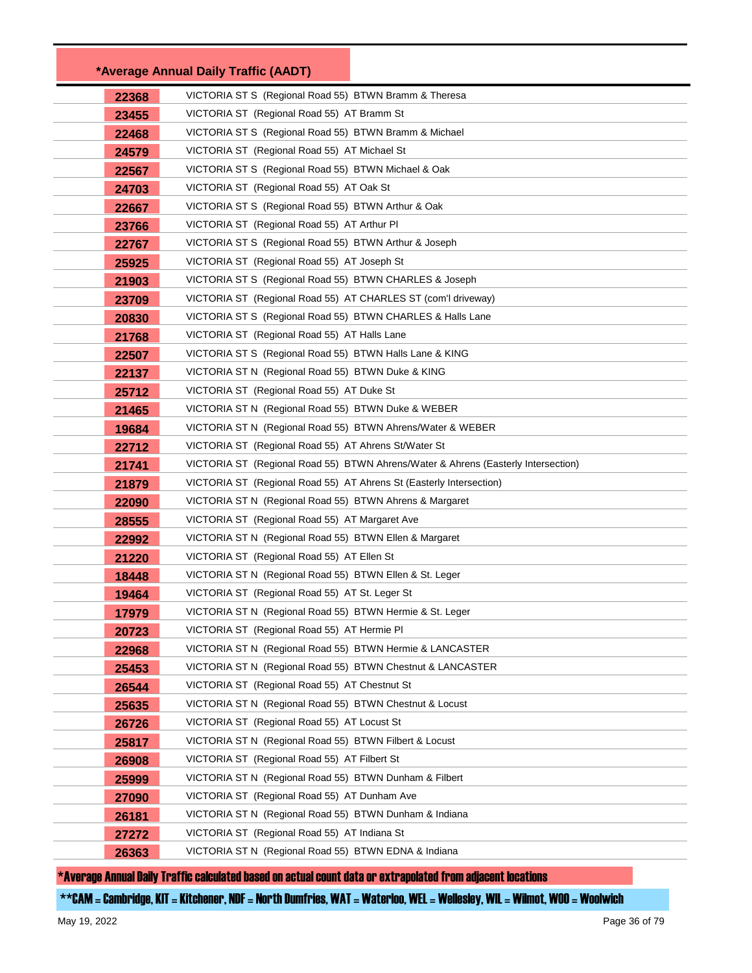|       | *Average Annual Daily Traffic (AADT)                                              |
|-------|-----------------------------------------------------------------------------------|
| 22368 | VICTORIA ST S (Regional Road 55) BTWN Bramm & Theresa                             |
| 23455 | VICTORIA ST (Regional Road 55) AT Bramm St                                        |
| 22468 | VICTORIA ST S (Regional Road 55) BTWN Bramm & Michael                             |
| 24579 | VICTORIA ST (Regional Road 55) AT Michael St                                      |
| 22567 | VICTORIA ST S (Regional Road 55) BTWN Michael & Oak                               |
| 24703 | VICTORIA ST (Regional Road 55) AT Oak St                                          |
| 22667 | VICTORIA ST S (Regional Road 55) BTWN Arthur & Oak                                |
| 23766 | VICTORIA ST (Regional Road 55) AT Arthur PI                                       |
| 22767 | VICTORIA ST S (Regional Road 55) BTWN Arthur & Joseph                             |
| 25925 | VICTORIA ST (Regional Road 55) AT Joseph St                                       |
| 21903 | VICTORIA ST S (Regional Road 55) BTWN CHARLES & Joseph                            |
| 23709 | VICTORIA ST (Regional Road 55) AT CHARLES ST (com'l driveway)                     |
| 20830 | VICTORIA ST S (Regional Road 55) BTWN CHARLES & Halls Lane                        |
| 21768 | VICTORIA ST (Regional Road 55) AT Halls Lane                                      |
| 22507 | VICTORIA ST S (Regional Road 55) BTWN Halls Lane & KING                           |
| 22137 | VICTORIA ST N (Regional Road 55) BTWN Duke & KING                                 |
| 25712 | VICTORIA ST (Regional Road 55) AT Duke St                                         |
| 21465 | VICTORIA ST N (Regional Road 55) BTWN Duke & WEBER                                |
| 19684 | VICTORIA ST N (Regional Road 55) BTWN Ahrens/Water & WEBER                        |
| 22712 | VICTORIA ST (Regional Road 55) AT Ahrens St/Water St                              |
| 21741 | VICTORIA ST (Regional Road 55) BTWN Ahrens/Water & Ahrens (Easterly Intersection) |
| 21879 | VICTORIA ST (Regional Road 55) AT Ahrens St (Easterly Intersection)               |
| 22090 | VICTORIA ST N (Regional Road 55) BTWN Ahrens & Margaret                           |
| 28555 | VICTORIA ST (Regional Road 55) AT Margaret Ave                                    |
| 22992 | VICTORIA ST N (Regional Road 55) BTWN Ellen & Margaret                            |
| 21220 | VICTORIA ST (Regional Road 55) AT Ellen St                                        |
| 18448 | VICTORIA ST N (Regional Road 55) BTWN Ellen & St. Leger                           |
| 19464 | VICTORIA ST (Regional Road 55) AT St. Leger St                                    |
| 17979 | VICTORIA ST N (Regional Road 55) BTWN Hermie & St. Leger                          |
| 20723 | VICTORIA ST (Regional Road 55) AT Hermie PI                                       |
| 22968 | VICTORIA ST N (Regional Road 55) BTWN Hermie & LANCASTER                          |
| 25453 | VICTORIA ST N (Regional Road 55) BTWN Chestnut & LANCASTER                        |
| 26544 | VICTORIA ST (Regional Road 55) AT Chestnut St                                     |
| 25635 | VICTORIA ST N (Regional Road 55) BTWN Chestnut & Locust                           |
| 26726 | VICTORIA ST (Regional Road 55) AT Locust St                                       |
| 25817 | VICTORIA ST N (Regional Road 55) BTWN Filbert & Locust                            |
| 26908 | VICTORIA ST (Regional Road 55) AT Filbert St                                      |
| 25999 | VICTORIA ST N (Regional Road 55) BTWN Dunham & Filbert                            |
| 27090 | VICTORIA ST (Regional Road 55) AT Dunham Ave                                      |
| 26181 | VICTORIA ST N (Regional Road 55) BTWN Dunham & Indiana                            |
| 27272 | VICTORIA ST (Regional Road 55) AT Indiana St                                      |
| 26363 | VICTORIA ST N (Regional Road 55) BTWN EDNA & Indiana                              |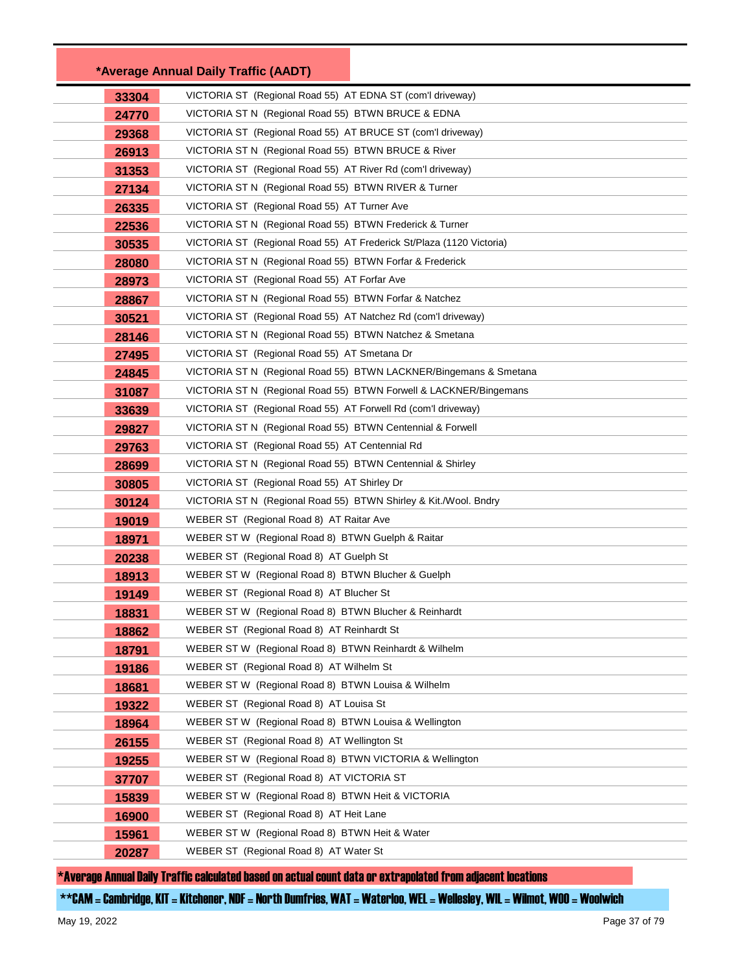|       | *Average Annual Daily Traffic (AADT)                                 |
|-------|----------------------------------------------------------------------|
| 33304 | VICTORIA ST (Regional Road 55) AT EDNA ST (com'l driveway)           |
| 24770 | VICTORIA ST N (Regional Road 55) BTWN BRUCE & EDNA                   |
| 29368 | VICTORIA ST (Regional Road 55) AT BRUCE ST (com'l driveway)          |
| 26913 | VICTORIA ST N (Regional Road 55) BTWN BRUCE & River                  |
| 31353 | VICTORIA ST (Regional Road 55) AT River Rd (com'l driveway)          |
| 27134 | VICTORIA ST N (Regional Road 55) BTWN RIVER & Turner                 |
| 26335 | VICTORIA ST (Regional Road 55) AT Turner Ave                         |
| 22536 | VICTORIA ST N (Regional Road 55) BTWN Frederick & Turner             |
| 30535 | VICTORIA ST (Regional Road 55) AT Frederick St/Plaza (1120 Victoria) |
| 28080 | VICTORIA ST N (Regional Road 55) BTWN Forfar & Frederick             |
| 28973 | VICTORIA ST (Regional Road 55) AT Forfar Ave                         |
| 28867 | VICTORIA ST N (Regional Road 55) BTWN Forfar & Natchez               |
| 30521 | VICTORIA ST (Regional Road 55) AT Natchez Rd (com'l driveway)        |
| 28146 | VICTORIA ST N (Regional Road 55) BTWN Natchez & Smetana              |
| 27495 | VICTORIA ST (Regional Road 55) AT Smetana Dr                         |
| 24845 | VICTORIA ST N (Regional Road 55) BTWN LACKNER/Bingemans & Smetana    |
| 31087 | VICTORIA ST N (Regional Road 55) BTWN Forwell & LACKNER/Bingemans    |
| 33639 | VICTORIA ST (Regional Road 55) AT Forwell Rd (com'l driveway)        |
| 29827 | VICTORIA ST N (Regional Road 55) BTWN Centennial & Forwell           |
| 29763 | VICTORIA ST (Regional Road 55) AT Centennial Rd                      |
| 28699 | VICTORIA ST N (Regional Road 55) BTWN Centennial & Shirley           |
| 30805 | VICTORIA ST (Regional Road 55) AT Shirley Dr                         |
| 30124 | VICTORIA ST N (Regional Road 55) BTWN Shirley & Kit./Wool. Bndry     |
| 19019 | WEBER ST (Regional Road 8) AT Raitar Ave                             |
| 18971 | WEBER ST W (Regional Road 8) BTWN Guelph & Raitar                    |
| 20238 | WEBER ST (Regional Road 8) AT Guelph St                              |
| 18913 | WEBER ST W (Regional Road 8) BTWN Blucher & Guelph                   |
| 19149 | WEBER ST (Regional Road 8) AT Blucher St                             |
| 18831 | WEBER ST W (Regional Road 8) BTWN Blucher & Reinhardt                |
| 18862 | WEBER ST (Regional Road 8) AT Reinhardt St                           |
| 18791 | WEBER ST W (Regional Road 8) BTWN Reinhardt & Wilhelm                |
| 19186 | WEBER ST (Regional Road 8) AT Wilhelm St                             |
| 18681 | WEBER ST W (Regional Road 8) BTWN Louisa & Wilhelm                   |
| 19322 | WEBER ST (Regional Road 8) AT Louisa St                              |
| 18964 | WEBER ST W (Regional Road 8) BTWN Louisa & Wellington                |
| 26155 | WEBER ST (Regional Road 8) AT Wellington St                          |
| 19255 | WEBER ST W (Regional Road 8) BTWN VICTORIA & Wellington              |
| 37707 | WEBER ST (Regional Road 8) AT VICTORIA ST                            |
| 15839 | WEBER ST W (Regional Road 8) BTWN Heit & VICTORIA                    |
| 16900 | WEBER ST (Regional Road 8) AT Heit Lane                              |
| 15961 | WEBER ST W (Regional Road 8) BTWN Heit & Water                       |
| 20287 | WEBER ST (Regional Road 8) AT Water St                               |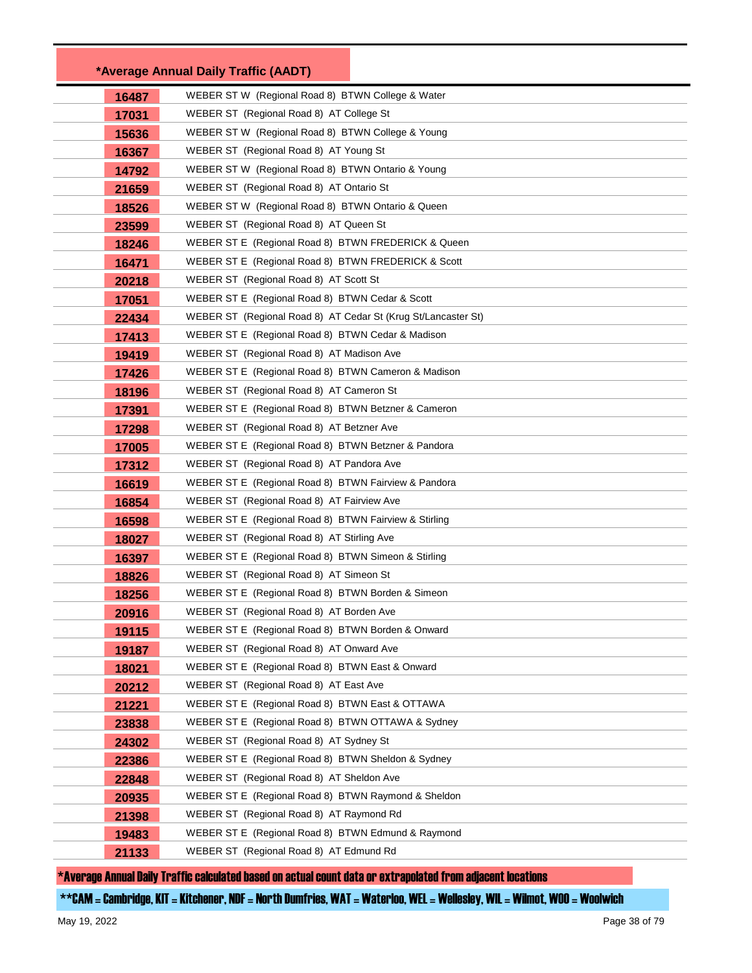|       | *Average Annual Daily Traffic (AADT)                                                            |
|-------|-------------------------------------------------------------------------------------------------|
| 16487 | WEBER ST W (Regional Road 8) BTWN College & Water                                               |
| 17031 | WEBER ST (Regional Road 8) AT College St                                                        |
| 15636 | WEBER ST W (Regional Road 8) BTWN College & Young                                               |
| 16367 | WEBER ST (Regional Road 8) AT Young St                                                          |
| 14792 | WEBER ST W (Regional Road 8) BTWN Ontario & Young                                               |
| 21659 | WEBER ST (Regional Road 8) AT Ontario St                                                        |
| 18526 | WEBER ST W (Regional Road 8) BTWN Ontario & Queen                                               |
| 23599 | WEBER ST (Regional Road 8) AT Queen St                                                          |
| 18246 | WEBER ST E (Regional Road 8) BTWN FREDERICK & Queen                                             |
| 16471 | WEBER ST E (Regional Road 8) BTWN FREDERICK & Scott                                             |
| 20218 | WEBER ST (Regional Road 8) AT Scott St                                                          |
| 17051 | WEBER ST E (Regional Road 8) BTWN Cedar & Scott                                                 |
| 22434 | WEBER ST (Regional Road 8) AT Cedar St (Krug St/Lancaster St)                                   |
| 17413 | WEBER ST E (Regional Road 8) BTWN Cedar & Madison                                               |
| 19419 | WEBER ST (Regional Road 8) AT Madison Ave                                                       |
| 17426 | WEBER ST E (Regional Road 8) BTWN Cameron & Madison                                             |
| 18196 | WEBER ST (Regional Road 8) AT Cameron St                                                        |
| 17391 | WEBER ST E (Regional Road 8) BTWN Betzner & Cameron                                             |
| 17298 | WEBER ST (Regional Road 8) AT Betzner Ave                                                       |
| 17005 | WEBER ST E (Regional Road 8) BTWN Betzner & Pandora                                             |
| 17312 | WEBER ST (Regional Road 8) AT Pandora Ave                                                       |
| 16619 | WEBER ST E (Regional Road 8) BTWN Fairview & Pandora                                            |
| 16854 | WEBER ST (Regional Road 8) AT Fairview Ave                                                      |
| 16598 | WEBER ST E (Regional Road 8) BTWN Fairview & Stirling                                           |
| 18027 | WEBER ST (Regional Road 8) AT Stirling Ave                                                      |
| 16397 | WEBER ST E (Regional Road 8) BTWN Simeon & Stirling                                             |
| 18826 | WEBER ST (Regional Road 8) AT Simeon St                                                         |
| 18256 | WEBER ST E (Regional Road 8) BTWN Borden & Simeon                                               |
| 20916 | WEBER ST (Regional Road 8) AT Borden Ave                                                        |
| 19115 | WEBER ST E (Regional Road 8) BTWN Borden & Onward                                               |
| 19187 | WEBER ST (Regional Road 8) AT Onward Ave                                                        |
| 18021 | WEBER ST E (Regional Road 8) BTWN East & Onward                                                 |
| 20212 | WEBER ST (Regional Road 8) AT East Ave                                                          |
| 21221 | WEBER ST E (Regional Road 8) BTWN East & OTTAWA                                                 |
| 23838 | WEBER ST E (Regional Road 8) BTWN OTTAWA & Sydney                                               |
| 24302 | WEBER ST (Regional Road 8) AT Sydney St                                                         |
| 22386 | WEBER ST E (Regional Road 8) BTWN Sheldon & Sydney                                              |
| 22848 | WEBER ST (Regional Road 8) AT Sheldon Ave                                                       |
| 20935 | WEBER ST E (Regional Road 8) BTWN Raymond & Sheldon<br>WEBER ST (Regional Road 8) AT Raymond Rd |
| 21398 | WEBER ST E (Regional Road 8) BTWN Edmund & Raymond                                              |
| 19483 | WEBER ST (Regional Road 8) AT Edmund Rd                                                         |
| 21133 |                                                                                                 |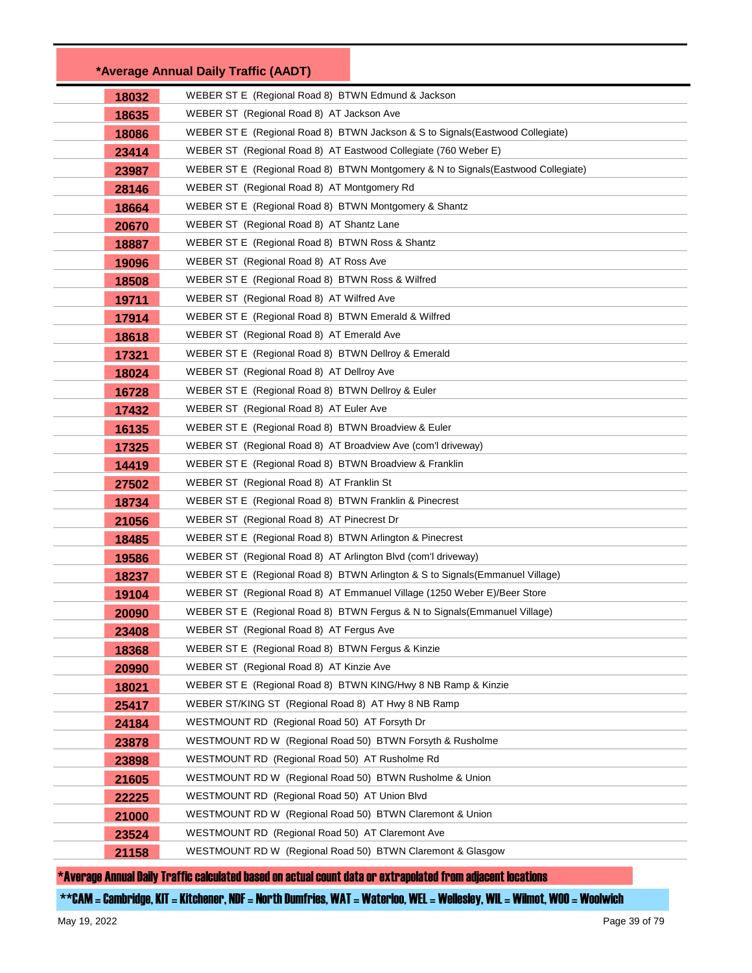|       | *Average Annual Daily Traffic (AADT)                                              |
|-------|-----------------------------------------------------------------------------------|
| 18032 | WEBER ST E (Regional Road 8) BTWN Edmund & Jackson                                |
| 18635 | WEBER ST (Regional Road 8) AT Jackson Ave                                         |
| 18086 | WEBER ST E (Regional Road 8) BTWN Jackson & S to Signals (Eastwood Collegiate)    |
| 23414 | WEBER ST (Regional Road 8) AT Eastwood Collegiate (760 Weber E)                   |
| 23987 | WEBER ST E (Regional Road 8) BTWN Montgomery & N to Signals (Eastwood Collegiate) |
| 28146 | WEBER ST (Regional Road 8) AT Montgomery Rd                                       |
| 18664 | WEBER ST E (Regional Road 8) BTWN Montgomery & Shantz                             |
| 20670 | WEBER ST (Regional Road 8) AT Shantz Lane                                         |
| 18887 | WEBER ST E (Regional Road 8) BTWN Ross & Shantz                                   |
| 19096 | WEBER ST (Regional Road 8) AT Ross Ave                                            |
| 18508 | WEBER ST E (Regional Road 8) BTWN Ross & Wilfred                                  |
| 19711 | WEBER ST (Regional Road 8) AT Wilfred Ave                                         |
| 17914 | WEBER ST E (Regional Road 8) BTWN Emerald & Wilfred                               |
| 18618 | WEBER ST (Regional Road 8) AT Emerald Ave                                         |
| 17321 | WEBER ST E (Regional Road 8) BTWN Dellroy & Emerald                               |
| 18024 | WEBER ST (Regional Road 8) AT Dellroy Ave                                         |
| 16728 | WEBER ST E (Regional Road 8) BTWN Dellroy & Euler                                 |
| 17432 | WEBER ST (Regional Road 8) AT Euler Ave                                           |
| 16135 | WEBER ST E (Regional Road 8) BTWN Broadview & Euler                               |
| 17325 | WEBER ST (Regional Road 8) AT Broadview Ave (com'l driveway)                      |
| 14419 | WEBER ST E (Regional Road 8) BTWN Broadview & Franklin                            |
| 27502 | WEBER ST (Regional Road 8) AT Franklin St                                         |
| 18734 | WEBER ST E (Regional Road 8) BTWN Franklin & Pinecrest                            |
| 21056 | WEBER ST (Regional Road 8) AT Pinecrest Dr                                        |
| 18485 | WEBER ST E (Regional Road 8) BTWN Arlington & Pinecrest                           |
| 19586 | WEBER ST (Regional Road 8) AT Arlington Blvd (com'l driveway)                     |
| 18237 | WEBER ST E (Regional Road 8) BTWN Arlington & S to Signals (Emmanuel Village)     |
| 19104 | WEBER ST (Regional Road 8) AT Emmanuel Village (1250 Weber E)/Beer Store          |
| 20090 | WEBER ST E (Regional Road 8) BTWN Fergus & N to Signals (Emmanuel Village)        |
| 23408 | WEBER ST (Regional Road 8) AT Fergus Ave                                          |
| 18368 | WEBER ST E (Regional Road 8) BTWN Fergus & Kinzie                                 |
| 20990 | WEBER ST (Regional Road 8) AT Kinzie Ave                                          |
| 18021 | WEBER ST E (Regional Road 8) BTWN KING/Hwy 8 NB Ramp & Kinzie                     |
| 25417 | WEBER ST/KING ST (Regional Road 8) AT Hwy 8 NB Ramp                               |
| 24184 | WESTMOUNT RD (Regional Road 50) AT Forsyth Dr                                     |
| 23878 | WESTMOUNT RD W (Regional Road 50) BTWN Forsyth & Rusholme                         |
| 23898 | WESTMOUNT RD (Regional Road 50) AT Rusholme Rd                                    |
| 21605 | WESTMOUNT RD W (Regional Road 50) BTWN Rusholme & Union                           |
| 22225 | WESTMOUNT RD (Regional Road 50) AT Union Blvd                                     |
| 21000 | WESTMOUNT RD W (Regional Road 50) BTWN Claremont & Union                          |
| 23524 | WESTMOUNT RD (Regional Road 50) AT Claremont Ave                                  |
| 21158 | WESTMOUNT RD W (Regional Road 50) BTWN Claremont & Glasgow                        |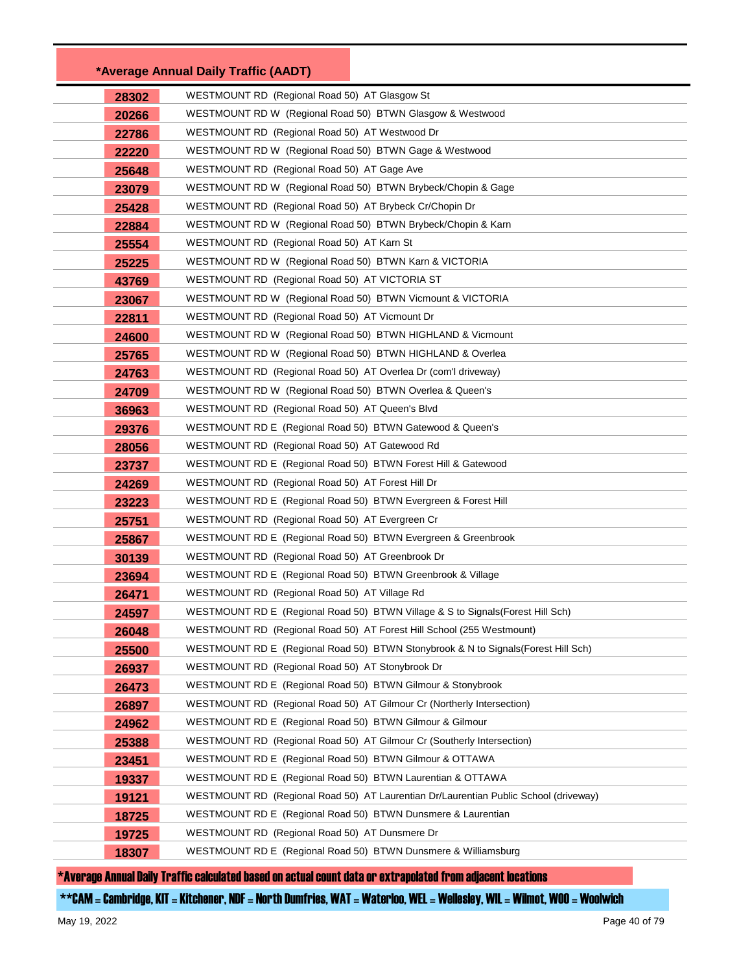|       | *Average Annual Daily Traffic (AADT)                                                 |
|-------|--------------------------------------------------------------------------------------|
| 28302 | WESTMOUNT RD (Regional Road 50) AT Glasgow St                                        |
| 20266 | WESTMOUNT RD W (Regional Road 50) BTWN Glasgow & Westwood                            |
| 22786 | WESTMOUNT RD (Regional Road 50) AT Westwood Dr                                       |
| 22220 | WESTMOUNT RD W (Regional Road 50) BTWN Gage & Westwood                               |
| 25648 | WESTMOUNT RD (Regional Road 50) AT Gage Ave                                          |
| 23079 | WESTMOUNT RD W (Regional Road 50) BTWN Brybeck/Chopin & Gage                         |
| 25428 | WESTMOUNT RD (Regional Road 50) AT Brybeck Cr/Chopin Dr                              |
| 22884 | WESTMOUNT RD W (Regional Road 50) BTWN Brybeck/Chopin & Karn                         |
| 25554 | WESTMOUNT RD (Regional Road 50) AT Karn St                                           |
| 25225 | WESTMOUNT RD W (Regional Road 50) BTWN Karn & VICTORIA                               |
| 43769 | WESTMOUNT RD (Regional Road 50) AT VICTORIA ST                                       |
| 23067 | WESTMOUNT RD W (Regional Road 50) BTWN Vicmount & VICTORIA                           |
| 22811 | WESTMOUNT RD (Regional Road 50) AT Vicmount Dr                                       |
| 24600 | WESTMOUNT RD W (Regional Road 50) BTWN HIGHLAND & Vicmount                           |
| 25765 | WESTMOUNT RD W (Regional Road 50) BTWN HIGHLAND & Overlea                            |
| 24763 | WESTMOUNT RD (Regional Road 50) AT Overlea Dr (com'l driveway)                       |
| 24709 | WESTMOUNT RD W (Regional Road 50) BTWN Overlea & Queen's                             |
| 36963 | WESTMOUNT RD (Regional Road 50) AT Queen's Blvd                                      |
| 29376 | WESTMOUNT RD E (Regional Road 50) BTWN Gatewood & Queen's                            |
| 28056 | WESTMOUNT RD (Regional Road 50) AT Gatewood Rd                                       |
| 23737 | WESTMOUNT RD E (Regional Road 50) BTWN Forest Hill & Gatewood                        |
| 24269 | WESTMOUNT RD (Regional Road 50) AT Forest Hill Dr                                    |
| 23223 | WESTMOUNT RD E (Regional Road 50) BTWN Evergreen & Forest Hill                       |
| 25751 | WESTMOUNT RD (Regional Road 50) AT Evergreen Cr                                      |
| 25867 | WESTMOUNT RD E (Regional Road 50) BTWN Evergreen & Greenbrook                        |
| 30139 | WESTMOUNT RD (Regional Road 50) AT Greenbrook Dr                                     |
| 23694 | WESTMOUNT RD E (Regional Road 50) BTWN Greenbrook & Village                          |
| 26471 | WESTMOUNT RD (Regional Road 50) AT Village Rd                                        |
| 24597 | WESTMOUNT RD E (Regional Road 50) BTWN Village & S to Signals (Forest Hill Sch)      |
| 26048 | WESTMOUNT RD (Regional Road 50) AT Forest Hill School (255 Westmount)                |
| 25500 | WESTMOUNT RD E (Regional Road 50) BTWN Stonybrook & N to Signals (Forest Hill Sch)   |
| 26937 | WESTMOUNT RD (Regional Road 50) AT Stonybrook Dr                                     |
| 26473 | WESTMOUNT RD E (Regional Road 50) BTWN Gilmour & Stonybrook                          |
| 26897 | WESTMOUNT RD (Regional Road 50) AT Gilmour Cr (Northerly Intersection)               |
| 24962 | WESTMOUNT RD E (Regional Road 50) BTWN Gilmour & Gilmour                             |
| 25388 | WESTMOUNT RD (Regional Road 50) AT Gilmour Cr (Southerly Intersection)               |
| 23451 | WESTMOUNT RD E (Regional Road 50) BTWN Gilmour & OTTAWA                              |
| 19337 | WESTMOUNT RD E (Regional Road 50) BTWN Laurentian & OTTAWA                           |
| 19121 | WESTMOUNT RD (Regional Road 50) AT Laurentian Dr/Laurentian Public School (driveway) |
| 18725 | WESTMOUNT RD E (Regional Road 50) BTWN Dunsmere & Laurentian                         |
| 19725 | WESTMOUNT RD (Regional Road 50) AT Dunsmere Dr                                       |
| 18307 | WESTMOUNT RD E (Regional Road 50) BTWN Dunsmere & Williamsburg                       |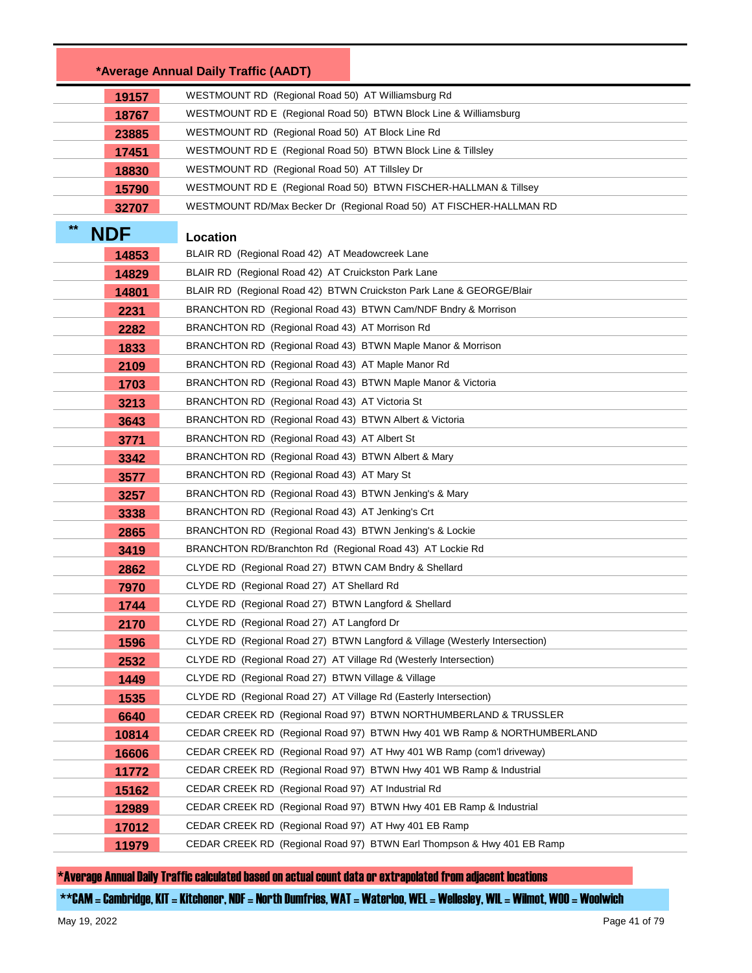|                    | *Average Annual Daily Traffic (AADT)                                        |
|--------------------|-----------------------------------------------------------------------------|
| 19157              | WESTMOUNT RD (Regional Road 50) AT Williamsburg Rd                          |
| 18767              | WESTMOUNT RD E (Regional Road 50) BTWN Block Line & Williamsburg            |
| 23885              | WESTMOUNT RD (Regional Road 50) AT Block Line Rd                            |
| 17451              | WESTMOUNT RD E (Regional Road 50) BTWN Block Line & Tillsley                |
| 18830              | WESTMOUNT RD (Regional Road 50) AT Tillsley Dr                              |
| 15790              | WESTMOUNT RD E (Regional Road 50) BTWN FISCHER-HALLMAN & Tillsey            |
| 32707              | WESTMOUNT RD/Max Becker Dr (Regional Road 50) AT FISCHER-HALLMAN RD         |
| $**$<br><b>NDF</b> | Location                                                                    |
| 14853              | BLAIR RD (Regional Road 42) AT Meadowcreek Lane                             |
| 14829              | BLAIR RD (Regional Road 42) AT Cruickston Park Lane                         |
| 14801              | BLAIR RD (Regional Road 42) BTWN Cruickston Park Lane & GEORGE/Blair        |
| 2231               | BRANCHTON RD (Regional Road 43) BTWN Cam/NDF Bndry & Morrison               |
| 2282               | BRANCHTON RD (Regional Road 43) AT Morrison Rd                              |
| 1833               | BRANCHTON RD (Regional Road 43) BTWN Maple Manor & Morrison                 |
| 2109               | BRANCHTON RD (Regional Road 43) AT Maple Manor Rd                           |
| 1703               | BRANCHTON RD (Regional Road 43) BTWN Maple Manor & Victoria                 |
| 3213               | BRANCHTON RD (Regional Road 43) AT Victoria St                              |
| 3643               | BRANCHTON RD (Regional Road 43) BTWN Albert & Victoria                      |
| 3771               | BRANCHTON RD (Regional Road 43) AT Albert St                                |
| 3342               | BRANCHTON RD (Regional Road 43) BTWN Albert & Mary                          |
| 3577               | BRANCHTON RD (Regional Road 43) AT Mary St                                  |
| 3257               | BRANCHTON RD (Regional Road 43) BTWN Jenking's & Mary                       |
| 3338               | BRANCHTON RD (Regional Road 43) AT Jenking's Crt                            |
| 2865               | BRANCHTON RD (Regional Road 43) BTWN Jenking's & Lockie                     |
| 3419               | BRANCHTON RD/Branchton Rd (Regional Road 43) AT Lockie Rd                   |
| 2862               | CLYDE RD (Regional Road 27) BTWN CAM Bndry & Shellard                       |
| 7970               | CLYDE RD (Regional Road 27) AT Shellard Rd                                  |
| 1744               | CLYDE RD (Regional Road 27) BTWN Langford & Shellard                        |
| 2170               | CLYDE RD (Regional Road 27) AT Langford Dr                                  |
| 1596               | CLYDE RD (Regional Road 27) BTWN Langford & Village (Westerly Intersection) |
| 2532               | CLYDE RD (Regional Road 27) AT Village Rd (Westerly Intersection)           |
| 1449               | CLYDE RD (Regional Road 27) BTWN Village & Village                          |
| 1535               | CLYDE RD (Regional Road 27) AT Village Rd (Easterly Intersection)           |
| 6640               | CEDAR CREEK RD (Regional Road 97) BTWN NORTHUMBERLAND & TRUSSLER            |
| 10814              | CEDAR CREEK RD (Regional Road 97) BTWN Hwy 401 WB Ramp & NORTHUMBERLAND     |
| 16606              | CEDAR CREEK RD (Regional Road 97) AT Hwy 401 WB Ramp (com'l driveway)       |
| 11772              | CEDAR CREEK RD (Regional Road 97) BTWN Hwy 401 WB Ramp & Industrial         |
| 15162              | CEDAR CREEK RD (Regional Road 97) AT Industrial Rd                          |
| 12989              | CEDAR CREEK RD (Regional Road 97) BTWN Hwy 401 EB Ramp & Industrial         |
| 17012              | CEDAR CREEK RD (Regional Road 97) AT Hwy 401 EB Ramp                        |
| 11979              | CEDAR CREEK RD (Regional Road 97) BTWN Earl Thompson & Hwy 401 EB Ramp      |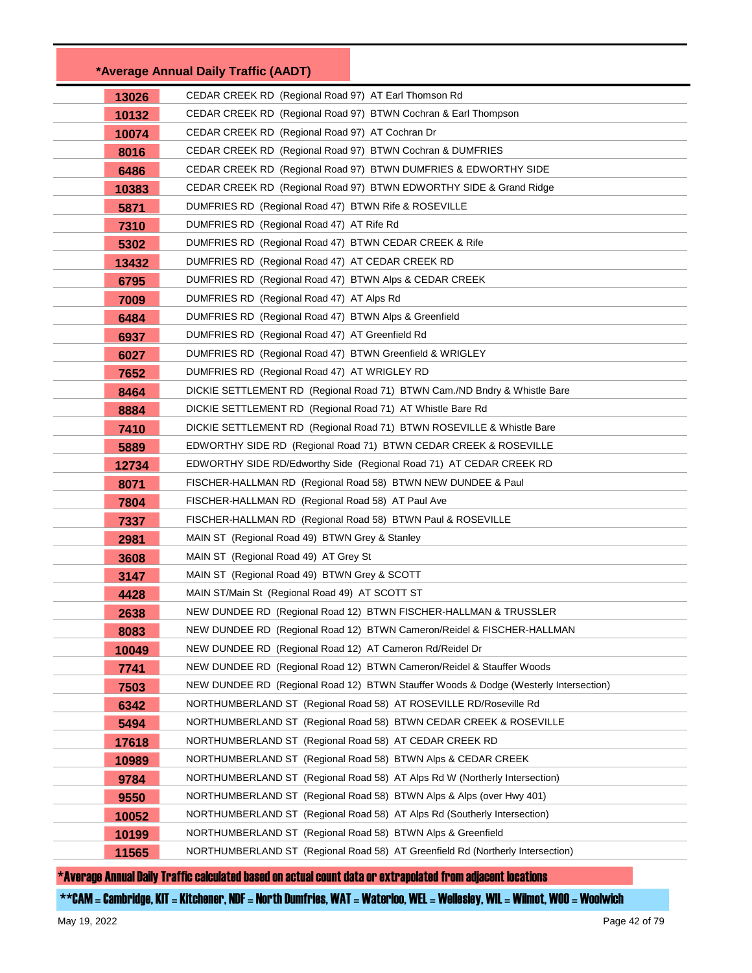|       | *Average Annual Daily Traffic (AADT)                        |                                                                                      |
|-------|-------------------------------------------------------------|--------------------------------------------------------------------------------------|
| 13026 | CEDAR CREEK RD (Regional Road 97) AT Earl Thomson Rd        |                                                                                      |
| 10132 |                                                             | CEDAR CREEK RD (Regional Road 97) BTWN Cochran & Earl Thompson                       |
| 10074 | CEDAR CREEK RD (Regional Road 97) AT Cochran Dr             |                                                                                      |
| 8016  | CEDAR CREEK RD (Regional Road 97) BTWN Cochran & DUMFRIES   |                                                                                      |
| 6486  |                                                             | CEDAR CREEK RD (Regional Road 97) BTWN DUMFRIES & EDWORTHY SIDE                      |
| 10383 |                                                             | CEDAR CREEK RD (Regional Road 97) BTWN EDWORTHY SIDE & Grand Ridge                   |
| 5871  | DUMFRIES RD (Regional Road 47) BTWN Rife & ROSEVILLE        |                                                                                      |
| 7310  | DUMFRIES RD (Regional Road 47) AT Rife Rd                   |                                                                                      |
| 5302  | DUMFRIES RD (Regional Road 47) BTWN CEDAR CREEK & Rife      |                                                                                      |
| 13432 | DUMFRIES RD (Regional Road 47) AT CEDAR CREEK RD            |                                                                                      |
| 6795  | DUMFRIES RD (Regional Road 47) BTWN Alps & CEDAR CREEK      |                                                                                      |
| 7009  | DUMFRIES RD (Regional Road 47) AT Alps Rd                   |                                                                                      |
| 6484  | DUMFRIES RD (Regional Road 47) BTWN Alps & Greenfield       |                                                                                      |
| 6937  | DUMFRIES RD (Regional Road 47) AT Greenfield Rd             |                                                                                      |
| 6027  | DUMFRIES RD (Regional Road 47) BTWN Greenfield & WRIGLEY    |                                                                                      |
| 7652  | DUMFRIES RD (Regional Road 47) AT WRIGLEY RD                |                                                                                      |
| 8464  |                                                             | DICKIE SETTLEMENT RD (Regional Road 71) BTWN Cam./ND Bndry & Whistle Bare            |
| 8884  | DICKIE SETTLEMENT RD (Regional Road 71) AT Whistle Bare Rd  |                                                                                      |
| 7410  |                                                             | DICKIE SETTLEMENT RD (Regional Road 71) BTWN ROSEVILLE & Whistle Bare                |
| 5889  |                                                             | EDWORTHY SIDE RD (Regional Road 71) BTWN CEDAR CREEK & ROSEVILLE                     |
| 12734 |                                                             | EDWORTHY SIDE RD/Edworthy Side (Regional Road 71) AT CEDAR CREEK RD                  |
| 8071  |                                                             | FISCHER-HALLMAN RD (Regional Road 58) BTWN NEW DUNDEE & Paul                         |
| 7804  | FISCHER-HALLMAN RD (Regional Road 58) AT Paul Ave           |                                                                                      |
| 7337  | FISCHER-HALLMAN RD (Regional Road 58) BTWN Paul & ROSEVILLE |                                                                                      |
| 2981  | MAIN ST (Regional Road 49) BTWN Grey & Stanley              |                                                                                      |
| 3608  | MAIN ST (Regional Road 49) AT Grey St                       |                                                                                      |
| 3147  | MAIN ST (Regional Road 49) BTWN Grey & SCOTT                |                                                                                      |
| 4428  | MAIN ST/Main St (Regional Road 49) AT SCOTT ST              |                                                                                      |
| 2638  |                                                             | NEW DUNDEE RD (Regional Road 12) BTWN FISCHER-HALLMAN & TRUSSLER                     |
| 8083  |                                                             | NEW DUNDEE RD (Regional Road 12) BTWN Cameron/Reidel & FISCHER-HALLMAN               |
| 10049 | NEW DUNDEE RD (Regional Road 12) AT Cameron Rd/Reidel Dr    |                                                                                      |
| 7741  |                                                             | NEW DUNDEE RD (Regional Road 12) BTWN Cameron/Reidel & Stauffer Woods                |
| 7503  |                                                             | NEW DUNDEE RD (Regional Road 12) BTWN Stauffer Woods & Dodge (Westerly Intersection) |
| 6342  |                                                             | NORTHUMBERLAND ST (Regional Road 58) AT ROSEVILLE RD/Roseville Rd                    |
| 5494  |                                                             | NORTHUMBERLAND ST (Regional Road 58) BTWN CEDAR CREEK & ROSEVILLE                    |
| 17618 | NORTHUMBERLAND ST (Regional Road 58) AT CEDAR CREEK RD      |                                                                                      |
| 10989 |                                                             | NORTHUMBERLAND ST (Regional Road 58) BTWN Alps & CEDAR CREEK                         |
| 9784  |                                                             | NORTHUMBERLAND ST (Regional Road 58) AT Alps Rd W (Northerly Intersection)           |
| 9550  |                                                             | NORTHUMBERLAND ST (Regional Road 58) BTWN Alps & Alps (over Hwy 401)                 |
| 10052 |                                                             | NORTHUMBERLAND ST (Regional Road 58) AT Alps Rd (Southerly Intersection)             |
| 10199 | NORTHUMBERLAND ST (Regional Road 58) BTWN Alps & Greenfield |                                                                                      |
| 11565 |                                                             | NORTHUMBERLAND ST (Regional Road 58) AT Greenfield Rd (Northerly Intersection)       |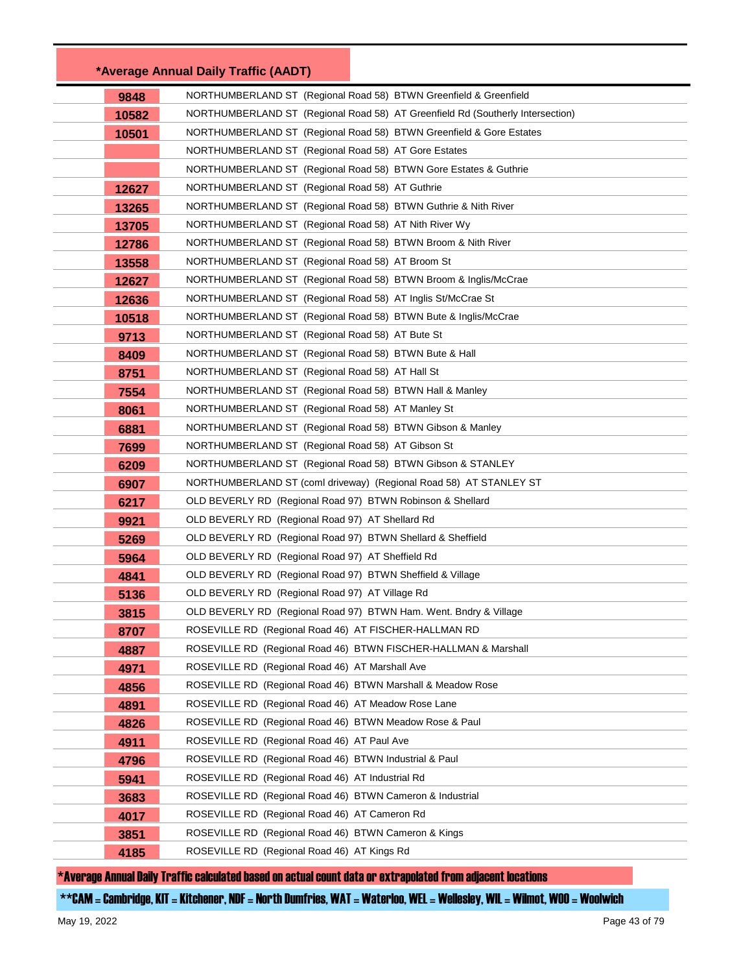|       | *Average Annual Daily Traffic (AADT)                                           |
|-------|--------------------------------------------------------------------------------|
| 9848  | NORTHUMBERLAND ST (Regional Road 58) BTWN Greenfield & Greenfield              |
| 10582 | NORTHUMBERLAND ST (Regional Road 58) AT Greenfield Rd (Southerly Intersection) |
| 10501 | NORTHUMBERLAND ST (Regional Road 58) BTWN Greenfield & Gore Estates            |
|       | NORTHUMBERLAND ST (Regional Road 58) AT Gore Estates                           |
|       | NORTHUMBERLAND ST (Regional Road 58) BTWN Gore Estates & Guthrie               |
| 12627 | NORTHUMBERLAND ST (Regional Road 58) AT Guthrie                                |
| 13265 | NORTHUMBERLAND ST (Regional Road 58) BTWN Guthrie & Nith River                 |
| 13705 | NORTHUMBERLAND ST (Regional Road 58) AT Nith River Wy                          |
| 12786 | NORTHUMBERLAND ST (Regional Road 58) BTWN Broom & Nith River                   |
| 13558 | NORTHUMBERLAND ST (Regional Road 58) AT Broom St                               |
| 12627 | NORTHUMBERLAND ST (Regional Road 58) BTWN Broom & Inglis/McCrae                |
| 12636 | NORTHUMBERLAND ST (Regional Road 58) AT Inglis St/McCrae St                    |
| 10518 | NORTHUMBERLAND ST (Regional Road 58) BTWN Bute & Inglis/McCrae                 |
| 9713  | NORTHUMBERLAND ST (Regional Road 58) AT Bute St                                |
| 8409  | NORTHUMBERLAND ST (Regional Road 58) BTWN Bute & Hall                          |
| 8751  | NORTHUMBERLAND ST (Regional Road 58) AT Hall St                                |
| 7554  | NORTHUMBERLAND ST (Regional Road 58) BTWN Hall & Manley                        |
| 8061  | NORTHUMBERLAND ST (Regional Road 58) AT Manley St                              |
| 6881  | NORTHUMBERLAND ST (Regional Road 58) BTWN Gibson & Manley                      |
| 7699  | NORTHUMBERLAND ST (Regional Road 58) AT Gibson St                              |
| 6209  | NORTHUMBERLAND ST (Regional Road 58) BTWN Gibson & STANLEY                     |
| 6907  | NORTHUMBERLAND ST (coml driveway) (Regional Road 58) AT STANLEY ST             |
| 6217  | OLD BEVERLY RD (Regional Road 97) BTWN Robinson & Shellard                     |
| 9921  | OLD BEVERLY RD (Regional Road 97) AT Shellard Rd                               |
| 5269  | OLD BEVERLY RD (Regional Road 97) BTWN Shellard & Sheffield                    |
| 5964  | OLD BEVERLY RD (Regional Road 97) AT Sheffield Rd                              |
| 4841  | OLD BEVERLY RD (Regional Road 97) BTWN Sheffield & Village                     |
| 5136  | OLD BEVERLY RD (Regional Road 97) AT Village Rd                                |
| 3815  | OLD BEVERLY RD (Regional Road 97) BTWN Ham. Went. Bndry & Village              |
| 8707  | ROSEVILLE RD (Regional Road 46) AT FISCHER-HALLMAN RD                          |
| 4887  | ROSEVILLE RD (Regional Road 46) BTWN FISCHER-HALLMAN & Marshall                |
| 4971  | ROSEVILLE RD (Regional Road 46) AT Marshall Ave                                |
| 4856  | ROSEVILLE RD<br>(Regional Road 46) BTWN Marshall & Meadow Rose                 |
| 4891  | ROSEVILLE RD (Regional Road 46) AT Meadow Rose Lane                            |
| 4826  | ROSEVILLE RD<br>(Regional Road 46) BTWN Meadow Rose & Paul                     |
| 4911  | ROSEVILLE RD<br>(Regional Road 46) AT Paul Ave                                 |
| 4796  | ROSEVILLE RD<br>(Regional Road 46) BTWN Industrial & Paul                      |
| 5941  | ROSEVILLE RD<br>(Regional Road 46) AT Industrial Rd                            |
| 3683  | ROSEVILLE RD<br>(Regional Road 46) BTWN Cameron & Industrial                   |
| 4017  | ROSEVILLE RD<br>(Regional Road 46) AT Cameron Rd                               |
| 3851  | ROSEVILLE RD<br>(Regional Road 46) BTWN Cameron & Kings                        |
| 4185  | ROSEVILLE RD (Regional Road 46) AT Kings Rd                                    |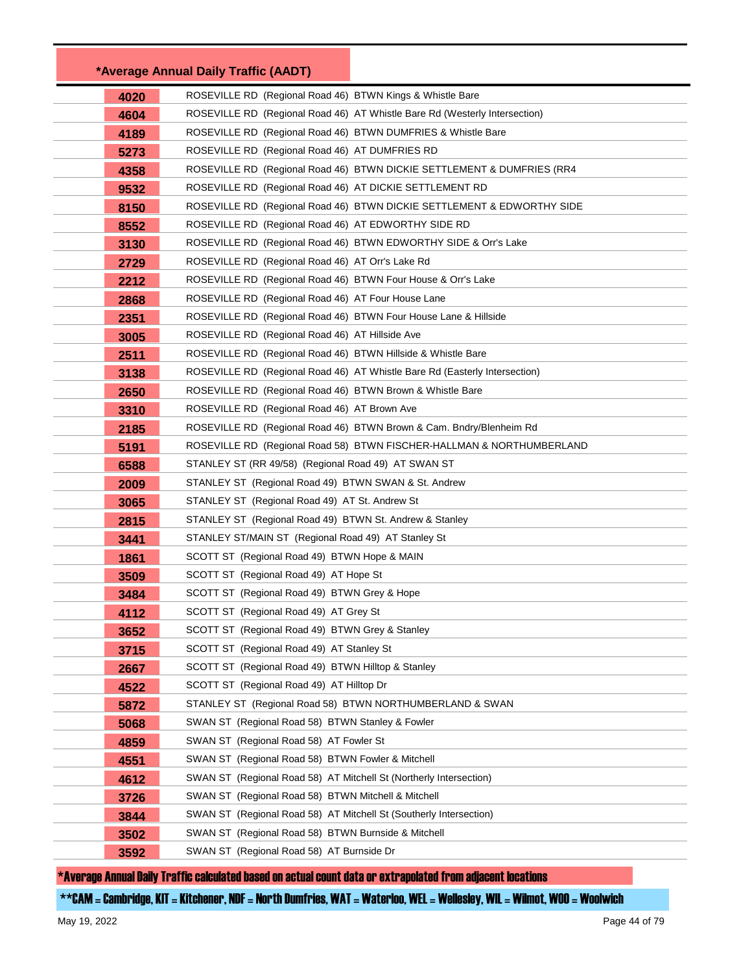|              | *Average Annual Daily Traffic (AADT)                                                        |                                                                            |
|--------------|---------------------------------------------------------------------------------------------|----------------------------------------------------------------------------|
| 4020         | ROSEVILLE RD (Regional Road 46) BTWN Kings & Whistle Bare                                   |                                                                            |
| 4604         |                                                                                             | ROSEVILLE RD (Regional Road 46) AT Whistle Bare Rd (Westerly Intersection) |
| 4189         | ROSEVILLE RD (Regional Road 46) BTWN DUMFRIES & Whistle Bare                                |                                                                            |
| 5273         | ROSEVILLE RD (Regional Road 46) AT DUMFRIES RD                                              |                                                                            |
| 4358         |                                                                                             | ROSEVILLE RD (Regional Road 46) BTWN DICKIE SETTLEMENT & DUMFRIES (RR4     |
| 9532         | ROSEVILLE RD (Regional Road 46) AT DICKIE SETTLEMENT RD                                     |                                                                            |
| 8150         |                                                                                             | ROSEVILLE RD (Regional Road 46) BTWN DICKIE SETTLEMENT & EDWORTHY SIDE     |
| 8552         | ROSEVILLE RD (Regional Road 46) AT EDWORTHY SIDE RD                                         |                                                                            |
| 3130         | ROSEVILLE RD (Regional Road 46) BTWN EDWORTHY SIDE & Orr's Lake                             |                                                                            |
| 2729         | ROSEVILLE RD (Regional Road 46) AT Orr's Lake Rd                                            |                                                                            |
| 2212         | ROSEVILLE RD (Regional Road 46) BTWN Four House & Orr's Lake                                |                                                                            |
| 2868         | ROSEVILLE RD (Regional Road 46) AT Four House Lane                                          |                                                                            |
| 2351         | ROSEVILLE RD (Regional Road 46) BTWN Four House Lane & Hillside                             |                                                                            |
| 3005         | ROSEVILLE RD (Regional Road 46) AT Hillside Ave                                             |                                                                            |
| 2511         | ROSEVILLE RD (Regional Road 46) BTWN Hillside & Whistle Bare                                |                                                                            |
| 3138         |                                                                                             | ROSEVILLE RD (Regional Road 46) AT Whistle Bare Rd (Easterly Intersection) |
| 2650         | ROSEVILLE RD (Regional Road 46) BTWN Brown & Whistle Bare                                   |                                                                            |
| 3310         | ROSEVILLE RD (Regional Road 46) AT Brown Ave                                                |                                                                            |
| 2185         |                                                                                             | ROSEVILLE RD (Regional Road 46) BTWN Brown & Cam. Bndry/Blenheim Rd        |
| 5191         |                                                                                             | ROSEVILLE RD (Regional Road 58) BTWN FISCHER-HALLMAN & NORTHUMBERLAND      |
| 6588         | STANLEY ST (RR 49/58) (Regional Road 49) AT SWAN ST                                         |                                                                            |
| 2009         | STANLEY ST (Regional Road 49) BTWN SWAN & St. Andrew                                        |                                                                            |
| 3065         | STANLEY ST (Regional Road 49) AT St. Andrew St                                              |                                                                            |
| 2815         | STANLEY ST (Regional Road 49) BTWN St. Andrew & Stanley                                     |                                                                            |
| 3441         | STANLEY ST/MAIN ST (Regional Road 49) AT Stanley St                                         |                                                                            |
| 1861         | SCOTT ST (Regional Road 49) BTWN Hope & MAIN                                                |                                                                            |
| 3509         | SCOTT ST (Regional Road 49) AT Hope St                                                      |                                                                            |
| 3484         | SCOTT ST (Regional Road 49) BTWN Grey & Hope                                                |                                                                            |
| 4112         | SCOTT ST (Regional Road 49) AT Grey St                                                      |                                                                            |
| 3652         | SCOTT ST (Regional Road 49) BTWN Grey & Stanley                                             |                                                                            |
| 3715         | SCOTT ST (Regional Road 49) AT Stanley St                                                   |                                                                            |
| 2667         | SCOTT ST (Regional Road 49) BTWN Hilltop & Stanley                                          |                                                                            |
| 4522         | SCOTT ST (Regional Road 49) AT Hilltop Dr                                                   |                                                                            |
| 5872         | STANLEY ST (Regional Road 58) BTWN NORTHUMBERLAND & SWAN                                    |                                                                            |
| 5068         | SWAN ST (Regional Road 58) BTWN Stanley & Fowler<br>SWAN ST (Regional Road 58) AT Fowler St |                                                                            |
| 4859         | SWAN ST (Regional Road 58) BTWN Fowler & Mitchell                                           |                                                                            |
| 4551         | SWAN ST (Regional Road 58) AT Mitchell St (Northerly Intersection)                          |                                                                            |
| 4612         | SWAN ST (Regional Road 58) BTWN Mitchell & Mitchell                                         |                                                                            |
| 3726         | SWAN ST (Regional Road 58) AT Mitchell St (Southerly Intersection)                          |                                                                            |
| 3844<br>3502 | SWAN ST (Regional Road 58) BTWN Burnside & Mitchell                                         |                                                                            |
|              | SWAN ST (Regional Road 58) AT Burnside Dr                                                   |                                                                            |
| 3592         |                                                                                             |                                                                            |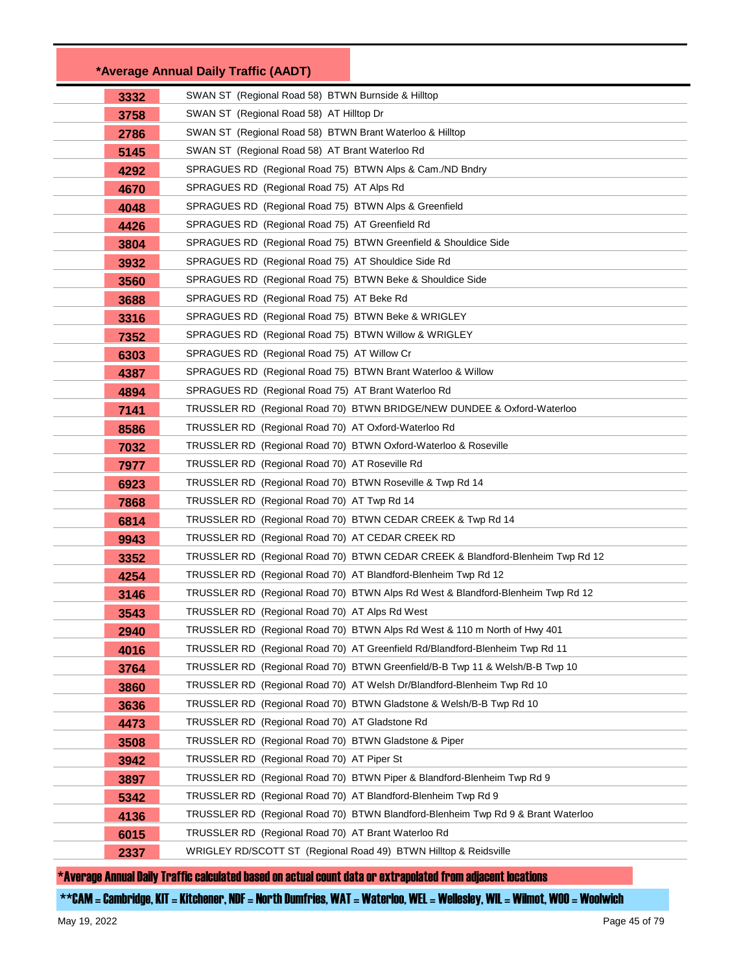|      | *Average Annual Daily Traffic (AADT)                                             |
|------|----------------------------------------------------------------------------------|
| 3332 | SWAN ST (Regional Road 58) BTWN Burnside & Hilltop                               |
| 3758 | SWAN ST (Regional Road 58) AT Hilltop Dr                                         |
| 2786 | SWAN ST (Regional Road 58) BTWN Brant Waterloo & Hilltop                         |
| 5145 | SWAN ST (Regional Road 58) AT Brant Waterloo Rd                                  |
| 4292 | SPRAGUES RD (Regional Road 75) BTWN Alps & Cam./ND Bndry                         |
| 4670 | SPRAGUES RD (Regional Road 75) AT Alps Rd                                        |
| 4048 | SPRAGUES RD (Regional Road 75) BTWN Alps & Greenfield                            |
| 4426 | SPRAGUES RD (Regional Road 75) AT Greenfield Rd                                  |
| 3804 | SPRAGUES RD (Regional Road 75) BTWN Greenfield & Shouldice Side                  |
| 3932 | SPRAGUES RD (Regional Road 75) AT Shouldice Side Rd                              |
| 3560 | SPRAGUES RD (Regional Road 75) BTWN Beke & Shouldice Side                        |
| 3688 | SPRAGUES RD (Regional Road 75) AT Beke Rd                                        |
| 3316 | SPRAGUES RD (Regional Road 75) BTWN Beke & WRIGLEY                               |
| 7352 | SPRAGUES RD (Regional Road 75) BTWN Willow & WRIGLEY                             |
| 6303 | SPRAGUES RD (Regional Road 75) AT Willow Cr                                      |
| 4387 | SPRAGUES RD (Regional Road 75) BTWN Brant Waterloo & Willow                      |
| 4894 | SPRAGUES RD (Regional Road 75) AT Brant Waterloo Rd                              |
| 7141 | TRUSSLER RD (Regional Road 70) BTWN BRIDGE/NEW DUNDEE & Oxford-Waterloo          |
| 8586 | TRUSSLER RD (Regional Road 70) AT Oxford-Waterloo Rd                             |
| 7032 | TRUSSLER RD (Regional Road 70) BTWN Oxford-Waterloo & Roseville                  |
| 7977 | TRUSSLER RD (Regional Road 70) AT Roseville Rd                                   |
| 6923 | TRUSSLER RD (Regional Road 70) BTWN Roseville & Twp Rd 14                        |
| 7868 | TRUSSLER RD (Regional Road 70) AT Twp Rd 14                                      |
| 6814 | TRUSSLER RD (Regional Road 70) BTWN CEDAR CREEK & Twp Rd 14                      |
| 9943 | TRUSSLER RD (Regional Road 70) AT CEDAR CREEK RD                                 |
| 3352 | TRUSSLER RD (Regional Road 70) BTWN CEDAR CREEK & Blandford-Blenheim Twp Rd 12   |
| 4254 | TRUSSLER RD (Regional Road 70) AT Blandford-Blenheim Twp Rd 12                   |
| 3146 | TRUSSLER RD (Regional Road 70) BTWN Alps Rd West & Blandford-Blenheim Twp Rd 12  |
| 3543 | TRUSSLER RD (Regional Road 70) AT Alps Rd West                                   |
| 2940 | TRUSSLER RD (Regional Road 70) BTWN Alps Rd West & 110 m North of Hwy 401        |
| 4016 | (Regional Road 70) AT Greenfield Rd/Blandford-Blenheim Twp Rd 11<br>TRUSSLER RD  |
| 3764 | TRUSSLER RD (Regional Road 70) BTWN Greenfield/B-B Twp 11 & Welsh/B-B Twp 10     |
| 3860 | TRUSSLER RD<br>(Regional Road 70) AT Welsh Dr/Blandford-Blenheim Twp Rd 10       |
| 3636 | TRUSSLER RD (Regional Road 70) BTWN Gladstone & Welsh/B-B Twp Rd 10              |
| 4473 | TRUSSLER RD<br>(Regional Road 70) AT Gladstone Rd                                |
| 3508 | TRUSSLER RD (Regional Road 70) BTWN Gladstone & Piper                            |
| 3942 | TRUSSLER RD (Regional Road 70) AT Piper St                                       |
| 3897 | TRUSSLER RD (Regional Road 70) BTWN Piper & Blandford-Blenheim Twp Rd 9          |
| 5342 | TRUSSLER RD (Regional Road 70) AT Blandford-Blenheim Twp Rd 9                    |
| 4136 | TRUSSLER RD (Regional Road 70) BTWN Blandford-Blenheim Twp Rd 9 & Brant Waterloo |
| 6015 | TRUSSLER RD (Regional Road 70) AT Brant Waterloo Rd                              |
| 2337 | WRIGLEY RD/SCOTT ST (Regional Road 49) BTWN Hilltop & Reidsville                 |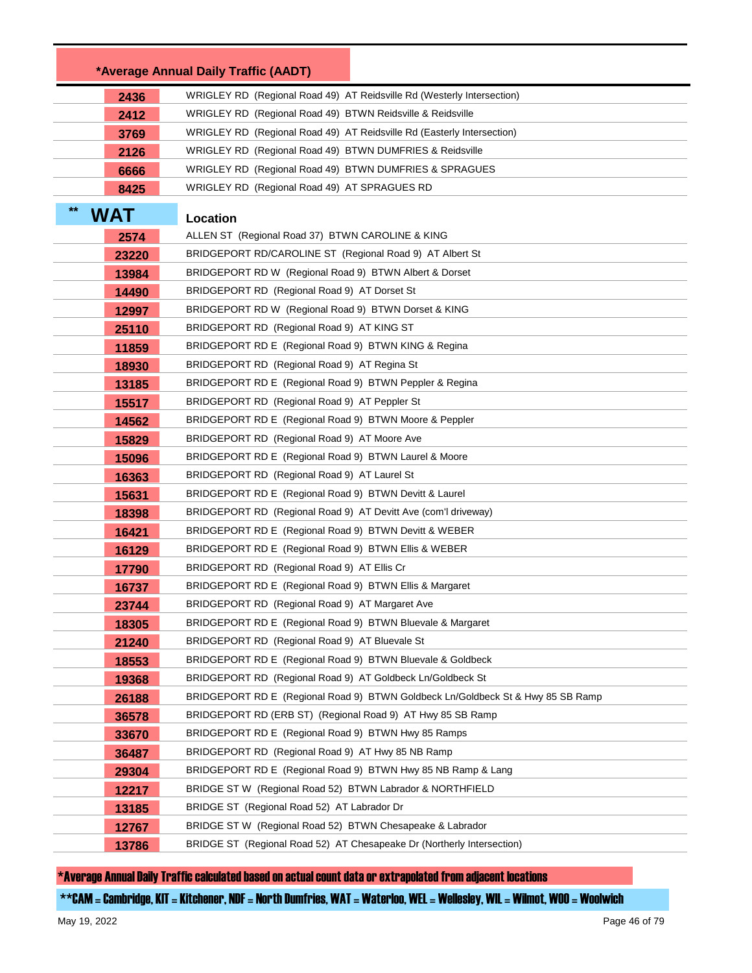|                     | *Average Annual Daily Traffic (AADT)                                            |
|---------------------|---------------------------------------------------------------------------------|
| 2436                | WRIGLEY RD (Regional Road 49) AT Reidsville Rd (Westerly Intersection)          |
| 2412                | WRIGLEY RD (Regional Road 49) BTWN Reidsville & Reidsville                      |
| 3769                | WRIGLEY RD (Regional Road 49) AT Reidsville Rd (Easterly Intersection)          |
| 2126                | WRIGLEY RD (Regional Road 49) BTWN DUMFRIES & Reidsville                        |
| 6666                | WRIGLEY RD (Regional Road 49) BTWN DUMFRIES & SPRAGUES                          |
| 8425                | WRIGLEY RD (Regional Road 49) AT SPRAGUES RD                                    |
| $***$<br><b>WAT</b> | Location                                                                        |
| 2574                | ALLEN ST (Regional Road 37) BTWN CAROLINE & KING                                |
| 23220               | BRIDGEPORT RD/CAROLINE ST (Regional Road 9) AT Albert St                        |
| 13984               | BRIDGEPORT RD W (Regional Road 9) BTWN Albert & Dorset                          |
| 14490               | BRIDGEPORT RD (Regional Road 9) AT Dorset St                                    |
| 12997               | BRIDGEPORT RD W (Regional Road 9) BTWN Dorset & KING                            |
| 25110               | BRIDGEPORT RD (Regional Road 9) AT KING ST                                      |
| 11859               | BRIDGEPORT RD E (Regional Road 9) BTWN KING & Regina                            |
| 18930               | BRIDGEPORT RD (Regional Road 9) AT Regina St                                    |
| 13185               | BRIDGEPORT RD E (Regional Road 9) BTWN Peppler & Regina                         |
| 15517               | BRIDGEPORT RD (Regional Road 9) AT Peppler St                                   |
| 14562               | BRIDGEPORT RD E (Regional Road 9) BTWN Moore & Peppler                          |
| 15829               | BRIDGEPORT RD (Regional Road 9) AT Moore Ave                                    |
| 15096               | BRIDGEPORT RD E (Regional Road 9) BTWN Laurel & Moore                           |
| 16363               | BRIDGEPORT RD (Regional Road 9) AT Laurel St                                    |
| 15631               | BRIDGEPORT RD E (Regional Road 9) BTWN Devitt & Laurel                          |
| 18398               | BRIDGEPORT RD (Regional Road 9) AT Devitt Ave (com'l driveway)                  |
| 16421               | BRIDGEPORT RD E (Regional Road 9) BTWN Devitt & WEBER                           |
| 16129               | BRIDGEPORT RD E (Regional Road 9) BTWN Ellis & WEBER                            |
| 17790               | BRIDGEPORT RD (Regional Road 9) AT Ellis Cr                                     |
| 16737               | BRIDGEPORT RD E (Regional Road 9) BTWN Ellis & Margaret                         |
| 23744               | BRIDGEPORT RD (Regional Road 9) AT Margaret Ave                                 |
| 18305               | BRIDGEPORT RD E (Regional Road 9) BTWN Bluevale & Margaret                      |
| 21240               | BRIDGEPORT RD (Regional Road 9) AT Bluevale St                                  |
| 18553               | BRIDGEPORT RD E (Regional Road 9) BTWN Bluevale & Goldbeck                      |
| 19368               | BRIDGEPORT RD (Regional Road 9) AT Goldbeck Ln/Goldbeck St                      |
| 26188               | BRIDGEPORT RD E (Regional Road 9) BTWN Goldbeck Ln/Goldbeck St & Hwy 85 SB Ramp |
| 36578               | BRIDGEPORT RD (ERB ST) (Regional Road 9) AT Hwy 85 SB Ramp                      |
| 33670               | BRIDGEPORT RD E (Regional Road 9) BTWN Hwy 85 Ramps                             |
| 36487               | BRIDGEPORT RD (Regional Road 9) AT Hwy 85 NB Ramp                               |
| 29304               | BRIDGEPORT RD E (Regional Road 9) BTWN Hwy 85 NB Ramp & Lang                    |
| 12217               | BRIDGE ST W (Regional Road 52) BTWN Labrador & NORTHFIELD                       |
| 13185               | BRIDGE ST (Regional Road 52) AT Labrador Dr                                     |
| 12767               | BRIDGE ST W (Regional Road 52) BTWN Chesapeake & Labrador                       |
| 13786               | BRIDGE ST (Regional Road 52) AT Chesapeake Dr (Northerly Intersection)          |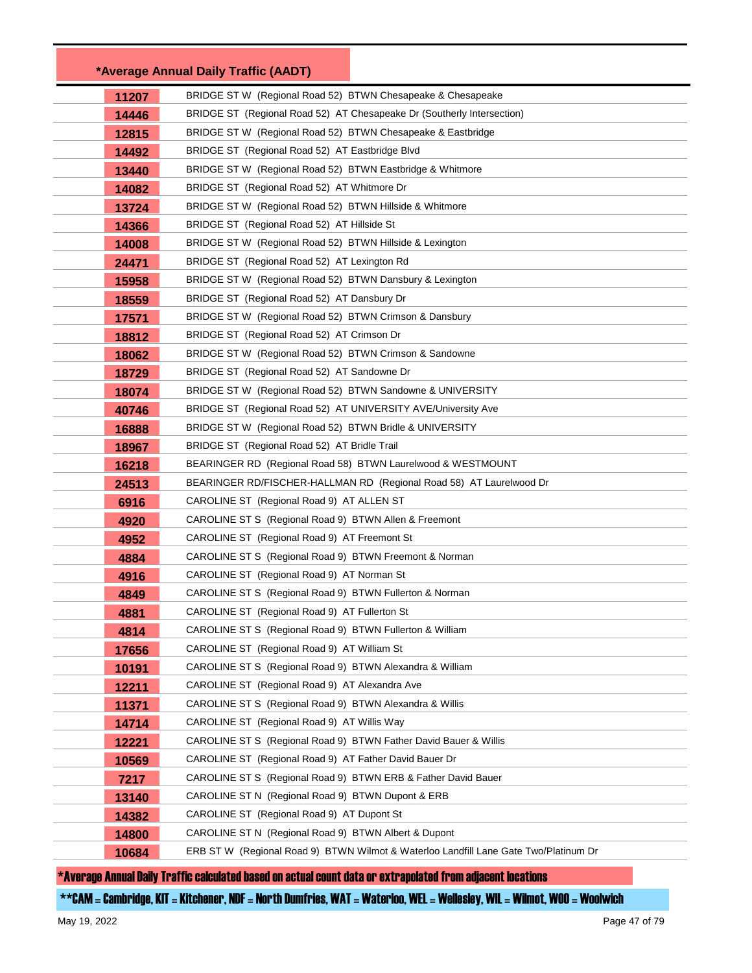|       | *Average Annual Daily Traffic (AADT)                                                 |
|-------|--------------------------------------------------------------------------------------|
| 11207 | BRIDGE ST W (Regional Road 52) BTWN Chesapeake & Chesapeake                          |
| 14446 | BRIDGE ST (Regional Road 52) AT Chesapeake Dr (Southerly Intersection)               |
| 12815 | BRIDGE ST W (Regional Road 52) BTWN Chesapeake & Eastbridge                          |
| 14492 | BRIDGE ST (Regional Road 52) AT Eastbridge Blvd                                      |
| 13440 | BRIDGE ST W (Regional Road 52) BTWN Eastbridge & Whitmore                            |
| 14082 | BRIDGE ST (Regional Road 52) AT Whitmore Dr                                          |
| 13724 | BRIDGE ST W (Regional Road 52) BTWN Hillside & Whitmore                              |
| 14366 | BRIDGE ST (Regional Road 52) AT Hillside St                                          |
| 14008 | BRIDGE ST W (Regional Road 52) BTWN Hillside & Lexington                             |
| 24471 | BRIDGE ST (Regional Road 52) AT Lexington Rd                                         |
| 15958 | BRIDGE ST W (Regional Road 52) BTWN Dansbury & Lexington                             |
| 18559 | BRIDGE ST (Regional Road 52) AT Dansbury Dr                                          |
| 17571 | BRIDGE ST W (Regional Road 52) BTWN Crimson & Dansbury                               |
| 18812 | BRIDGE ST (Regional Road 52) AT Crimson Dr                                           |
| 18062 | BRIDGE ST W (Regional Road 52) BTWN Crimson & Sandowne                               |
| 18729 | BRIDGE ST (Regional Road 52) AT Sandowne Dr                                          |
| 18074 | BRIDGE ST W (Regional Road 52) BTWN Sandowne & UNIVERSITY                            |
| 40746 | BRIDGE ST (Regional Road 52) AT UNIVERSITY AVE/University Ave                        |
| 16888 | BRIDGE ST W (Regional Road 52) BTWN Bridle & UNIVERSITY                              |
| 18967 | BRIDGE ST (Regional Road 52) AT Bridle Trail                                         |
| 16218 | BEARINGER RD (Regional Road 58) BTWN Laurelwood & WESTMOUNT                          |
| 24513 | BEARINGER RD/FISCHER-HALLMAN RD (Regional Road 58) AT Laurelwood Dr                  |
| 6916  | CAROLINE ST (Regional Road 9) AT ALLEN ST                                            |
| 4920  | CAROLINE ST S (Regional Road 9) BTWN Allen & Freemont                                |
| 4952  | CAROLINE ST (Regional Road 9) AT Freemont St                                         |
| 4884  | CAROLINE ST S (Regional Road 9) BTWN Freemont & Norman                               |
| 4916  | CAROLINE ST (Regional Road 9) AT Norman St                                           |
| 4849  | CAROLINE ST S (Regional Road 9) BTWN Fullerton & Norman                              |
| 4881  | CAROLINE ST (Regional Road 9) AT Fullerton St                                        |
| 4814  | CAROLINE ST S (Regional Road 9) BTWN Fullerton & William                             |
| 17656 | CAROLINE ST (Regional Road 9) AT William St                                          |
| 10191 | CAROLINE ST S (Regional Road 9) BTWN Alexandra & William                             |
| 12211 | CAROLINE ST (Regional Road 9) AT Alexandra Ave                                       |
| 11371 | CAROLINE ST S (Regional Road 9) BTWN Alexandra & Willis                              |
| 14714 | CAROLINE ST (Regional Road 9) AT Willis Way                                          |
| 12221 | CAROLINE ST S (Regional Road 9) BTWN Father David Bauer & Willis                     |
| 10569 | CAROLINE ST (Regional Road 9) AT Father David Bauer Dr                               |
| 7217  | CAROLINE ST S (Regional Road 9) BTWN ERB & Father David Bauer                        |
| 13140 | CAROLINE ST N (Regional Road 9) BTWN Dupont & ERB                                    |
| 14382 | CAROLINE ST (Regional Road 9) AT Dupont St                                           |
| 14800 | CAROLINE ST N (Regional Road 9) BTWN Albert & Dupont                                 |
| 10684 | ERB ST W (Regional Road 9) BTWN Wilmot & Waterloo Landfill Lane Gate Two/Platinum Dr |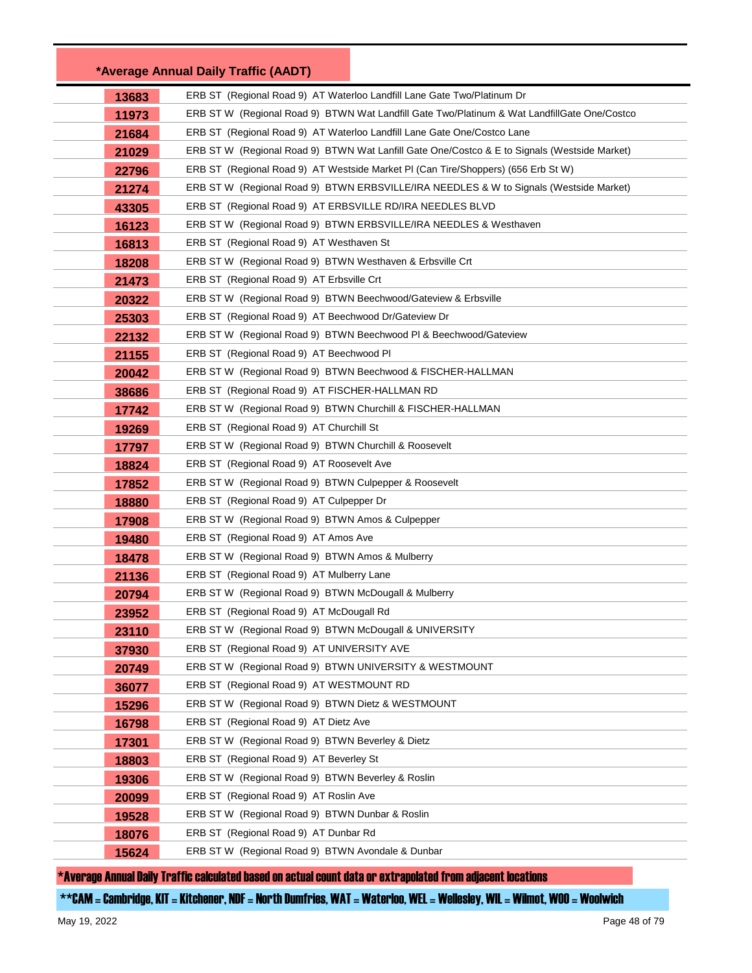|       | *Average Annual Daily Traffic (AADT)                                                         |
|-------|----------------------------------------------------------------------------------------------|
| 13683 | ERB ST (Regional Road 9) AT Waterloo Landfill Lane Gate Two/Platinum Dr                      |
| 11973 | ERB ST W (Regional Road 9) BTWN Wat Landfill Gate Two/Platinum & Wat LandfillGate One/Costco |
| 21684 | ERB ST (Regional Road 9) AT Waterloo Landfill Lane Gate One/Costco Lane                      |
| 21029 | ERB ST W (Regional Road 9) BTWN Wat Lanfill Gate One/Costco & E to Signals (Westside Market) |
| 22796 | ERB ST (Regional Road 9) AT Westside Market PI (Can Tire/Shoppers) (656 Erb St W)            |
| 21274 | ERB ST W (Regional Road 9) BTWN ERBSVILLE/IRA NEEDLES & W to Signals (Westside Market)       |
| 43305 | ERB ST (Regional Road 9) AT ERBSVILLE RD/IRA NEEDLES BLVD                                    |
| 16123 | ERB ST W (Regional Road 9) BTWN ERBSVILLE/IRA NEEDLES & Westhaven                            |
| 16813 | ERB ST (Regional Road 9) AT Westhaven St                                                     |
| 18208 | ERB ST W (Regional Road 9) BTWN Westhaven & Erbsville Crt                                    |
| 21473 | ERB ST (Regional Road 9) AT Erbsville Crt                                                    |
| 20322 | ERB ST W (Regional Road 9) BTWN Beechwood/Gateview & Erbsville                               |
| 25303 | ERB ST (Regional Road 9) AT Beechwood Dr/Gateview Dr                                         |
| 22132 | ERB ST W (Regional Road 9) BTWN Beechwood PI & Beechwood/Gateview                            |
| 21155 | ERB ST (Regional Road 9) AT Beechwood PI                                                     |
| 20042 | ERB ST W (Regional Road 9) BTWN Beechwood & FISCHER-HALLMAN                                  |
| 38686 | ERB ST (Regional Road 9) AT FISCHER-HALLMAN RD                                               |
| 17742 | ERB ST W (Regional Road 9) BTWN Churchill & FISCHER-HALLMAN                                  |
| 19269 | ERB ST (Regional Road 9) AT Churchill St                                                     |
| 17797 | ERB ST W (Regional Road 9) BTWN Churchill & Roosevelt                                        |
| 18824 | ERB ST (Regional Road 9) AT Roosevelt Ave                                                    |
| 17852 | ERB ST W (Regional Road 9) BTWN Culpepper & Roosevelt                                        |
| 18880 | ERB ST (Regional Road 9) AT Culpepper Dr                                                     |
| 17908 | ERB ST W (Regional Road 9) BTWN Amos & Culpepper                                             |
| 19480 | ERB ST (Regional Road 9) AT Amos Ave                                                         |
| 18478 | ERB ST W (Regional Road 9) BTWN Amos & Mulberry                                              |
| 21136 | ERB ST (Regional Road 9) AT Mulberry Lane                                                    |
| 20794 | ERB ST W (Regional Road 9) BTWN McDougall & Mulberry                                         |
| 23952 | ERB ST (Regional Road 9) AT McDougall Rd                                                     |
| 23110 | ERB ST W (Regional Road 9) BTWN McDougall & UNIVERSITY                                       |
| 37930 | ERB ST (Regional Road 9) AT UNIVERSITY AVE                                                   |
| 20749 | ERB ST W (Regional Road 9) BTWN UNIVERSITY & WESTMOUNT                                       |
| 36077 | ERB ST (Regional Road 9) AT WESTMOUNT RD                                                     |
| 15296 | ERB ST W (Regional Road 9) BTWN Dietz & WESTMOUNT                                            |
| 16798 | ERB ST (Regional Road 9) AT Dietz Ave                                                        |
| 17301 | ERB ST W (Regional Road 9) BTWN Beverley & Dietz                                             |
| 18803 | ERB ST (Regional Road 9) AT Beverley St                                                      |
| 19306 | ERB ST W (Regional Road 9) BTWN Beverley & Roslin                                            |
| 20099 | ERB ST (Regional Road 9) AT Roslin Ave                                                       |
| 19528 | ERB ST W (Regional Road 9) BTWN Dunbar & Roslin                                              |
| 18076 | ERB ST (Regional Road 9) AT Dunbar Rd                                                        |
| 15624 | ERB ST W (Regional Road 9) BTWN Avondale & Dunbar                                            |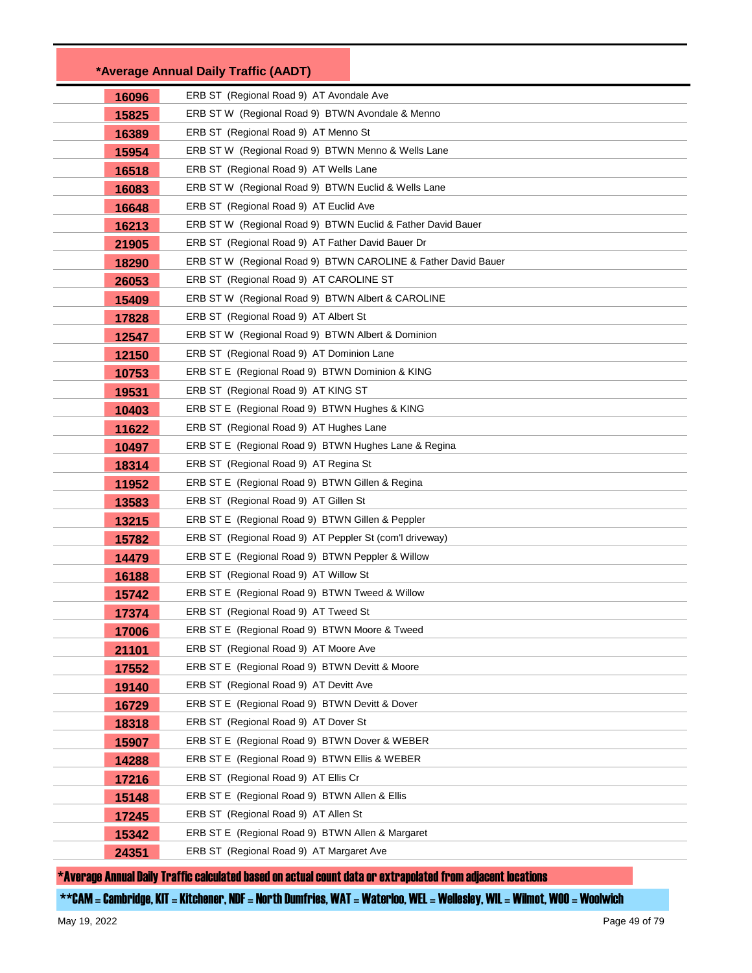|       | *Average Annual Daily Traffic (AADT)                          |
|-------|---------------------------------------------------------------|
| 16096 | ERB ST (Regional Road 9) AT Avondale Ave                      |
| 15825 | ERB ST W (Regional Road 9) BTWN Avondale & Menno              |
| 16389 | ERB ST (Regional Road 9) AT Menno St                          |
| 15954 | ERB ST W (Regional Road 9) BTWN Menno & Wells Lane            |
| 16518 | ERB ST (Regional Road 9) AT Wells Lane                        |
| 16083 | ERB ST W (Regional Road 9) BTWN Euclid & Wells Lane           |
| 16648 | ERB ST (Regional Road 9) AT Euclid Ave                        |
| 16213 | ERB ST W (Regional Road 9) BTWN Euclid & Father David Bauer   |
| 21905 | ERB ST (Regional Road 9) AT Father David Bauer Dr             |
| 18290 | ERB ST W (Regional Road 9) BTWN CAROLINE & Father David Bauer |
| 26053 | ERB ST (Regional Road 9) AT CAROLINE ST                       |
| 15409 | ERB ST W (Regional Road 9) BTWN Albert & CAROLINE             |
| 17828 | ERB ST (Regional Road 9) AT Albert St                         |
| 12547 | ERB ST W (Regional Road 9) BTWN Albert & Dominion             |
| 12150 | ERB ST (Regional Road 9) AT Dominion Lane                     |
| 10753 | ERB ST E (Regional Road 9) BTWN Dominion & KING               |
| 19531 | ERB ST (Regional Road 9) AT KING ST                           |
| 10403 | ERB ST E (Regional Road 9) BTWN Hughes & KING                 |
| 11622 | ERB ST (Regional Road 9) AT Hughes Lane                       |
| 10497 | ERB ST E (Regional Road 9) BTWN Hughes Lane & Regina          |
| 18314 | ERB ST (Regional Road 9) AT Regina St                         |
| 11952 | ERB ST E (Regional Road 9) BTWN Gillen & Regina               |
| 13583 | ERB ST (Regional Road 9) AT Gillen St                         |
| 13215 | ERB ST E (Regional Road 9) BTWN Gillen & Peppler              |
| 15782 | ERB ST (Regional Road 9) AT Peppler St (com'l driveway)       |
| 14479 | ERB ST E (Regional Road 9) BTWN Peppler & Willow              |
| 16188 | ERB ST (Regional Road 9) AT Willow St                         |
| 15742 | ERB ST E (Regional Road 9) BTWN Tweed & Willow                |
| 17374 | ERB ST (Regional Road 9) AT Tweed St                          |
| 17006 | ERB ST E (Regional Road 9) BTWN Moore & Tweed                 |
| 21101 | ERB ST (Regional Road 9) AT Moore Ave                         |
| 17552 | ERB ST E (Regional Road 9) BTWN Devitt & Moore                |
| 19140 | ERB ST (Regional Road 9) AT Devitt Ave                        |
| 16729 | ERB ST E (Regional Road 9) BTWN Devitt & Dover                |
| 18318 | ERB ST (Regional Road 9) AT Dover St                          |
| 15907 | ERB ST E (Regional Road 9) BTWN Dover & WEBER                 |
| 14288 | ERB ST E (Regional Road 9) BTWN Ellis & WEBER                 |
| 17216 | ERB ST (Regional Road 9) AT Ellis Cr                          |
| 15148 | ERB ST E (Regional Road 9) BTWN Allen & Ellis                 |
| 17245 | ERB ST (Regional Road 9) AT Allen St                          |
| 15342 | ERB ST E (Regional Road 9) BTWN Allen & Margaret              |
| 24351 | ERB ST (Regional Road 9) AT Margaret Ave                      |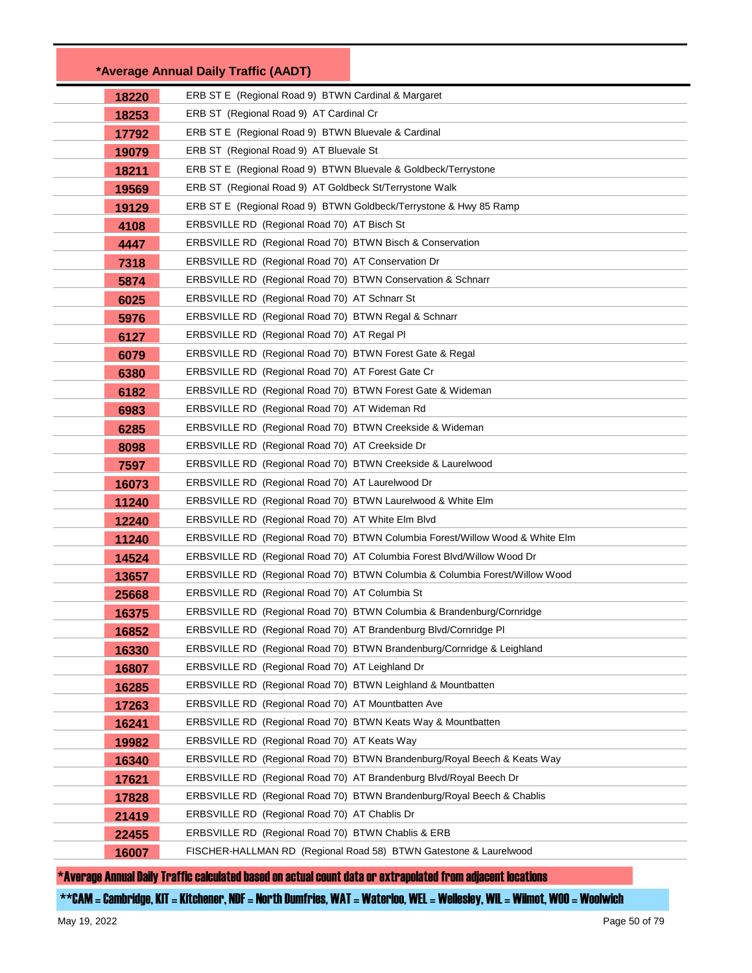|                | *Average Annual Daily Traffic (AADT)                                   |                                                                              |
|----------------|------------------------------------------------------------------------|------------------------------------------------------------------------------|
| 18220          | ERB ST E (Regional Road 9) BTWN Cardinal & Margaret                    |                                                                              |
| 18253          | ERB ST (Regional Road 9) AT Cardinal Cr                                |                                                                              |
| 17792          | ERB ST E (Regional Road 9) BTWN Bluevale & Cardinal                    |                                                                              |
| 19079          | ERB ST (Regional Road 9) AT Bluevale St                                |                                                                              |
| 18211          | ERB ST E (Regional Road 9) BTWN Bluevale & Goldbeck/Terrystone         |                                                                              |
| 19569          | ERB ST (Regional Road 9) AT Goldbeck St/Terrystone Walk                |                                                                              |
| 19129          | ERB ST E (Regional Road 9) BTWN Goldbeck/Terrystone & Hwy 85 Ramp      |                                                                              |
| 4108           | ERBSVILLE RD (Regional Road 70) AT Bisch St                            |                                                                              |
| 4447           | ERBSVILLE RD (Regional Road 70) BTWN Bisch & Conservation              |                                                                              |
| 7318           | ERBSVILLE RD (Regional Road 70) AT Conservation Dr                     |                                                                              |
| 5874           | ERBSVILLE RD (Regional Road 70) BTWN Conservation & Schnarr            |                                                                              |
| 6025           | ERBSVILLE RD (Regional Road 70) AT Schnarr St                          |                                                                              |
| 5976           | ERBSVILLE RD (Regional Road 70) BTWN Regal & Schnarr                   |                                                                              |
| 6127           | ERBSVILLE RD (Regional Road 70) AT Regal PI                            |                                                                              |
| 6079           | ERBSVILLE RD (Regional Road 70) BTWN Forest Gate & Regal               |                                                                              |
| 6380           | ERBSVILLE RD (Regional Road 70) AT Forest Gate Cr                      |                                                                              |
| 6182           | ERBSVILLE RD (Regional Road 70) BTWN Forest Gate & Wideman             |                                                                              |
| 6983           | ERBSVILLE RD (Regional Road 70) AT Wideman Rd                          |                                                                              |
| 6285           | ERBSVILLE RD (Regional Road 70) BTWN Creekside & Wideman               |                                                                              |
| 8098           | ERBSVILLE RD (Regional Road 70) AT Creekside Dr                        |                                                                              |
| 7597           | ERBSVILLE RD (Regional Road 70) BTWN Creekside & Laurelwood            |                                                                              |
| 16073          | ERBSVILLE RD (Regional Road 70) AT Laurelwood Dr                       |                                                                              |
| 11240          | ERBSVILLE RD (Regional Road 70) BTWN Laurelwood & White Elm            |                                                                              |
| 12240          | ERBSVILLE RD (Regional Road 70) AT White Elm Blvd                      |                                                                              |
| 11240          |                                                                        | ERBSVILLE RD (Regional Road 70) BTWN Columbia Forest/Willow Wood & White Elm |
| 14524          | ERBSVILLE RD (Regional Road 70) AT Columbia Forest Blvd/Willow Wood Dr |                                                                              |
| 13657          |                                                                        | ERBSVILLE RD (Regional Road 70) BTWN Columbia & Columbia Forest/Willow Wood  |
| 25668          | ERBSVILLE RD (Regional Road 70) AT Columbia St                         |                                                                              |
| 16375          |                                                                        | ERBSVILLE RD (Regional Road 70) BTWN Columbia & Brandenburg/Cornridge        |
| 16852          | ERBSVILLE RD (Regional Road 70) AT Brandenburg Blvd/Cornridge PI       | ERBSVILLE RD (Regional Road 70) BTWN Brandenburg/Cornridge & Leighland       |
| 16330          | ERBSVILLE RD (Regional Road 70) AT Leighland Dr                        |                                                                              |
| 16807          | ERBSVILLE RD (Regional Road 70) BTWN Leighland & Mountbatten           |                                                                              |
| 16285          | ERBSVILLE RD (Regional Road 70) AT Mountbatten Ave                     |                                                                              |
| 17263<br>16241 | ERBSVILLE RD (Regional Road 70) BTWN Keats Way & Mountbatten           |                                                                              |
| 19982          | ERBSVILLE RD (Regional Road 70) AT Keats Way                           |                                                                              |
| 16340          |                                                                        | ERBSVILLE RD (Regional Road 70) BTWN Brandenburg/Royal Beech & Keats Way     |
| 17621          | ERBSVILLE RD (Regional Road 70) AT Brandenburg Blvd/Royal Beech Dr     |                                                                              |
| 17828          |                                                                        | ERBSVILLE RD (Regional Road 70) BTWN Brandenburg/Royal Beech & Chablis       |
| 21419          | ERBSVILLE RD (Regional Road 70) AT Chablis Dr                          |                                                                              |
| 22455          | ERBSVILLE RD (Regional Road 70) BTWN Chablis & ERB                     |                                                                              |
| 16007          | FISCHER-HALLMAN RD (Regional Road 58) BTWN Gatestone & Laurelwood      |                                                                              |
|                |                                                                        |                                                                              |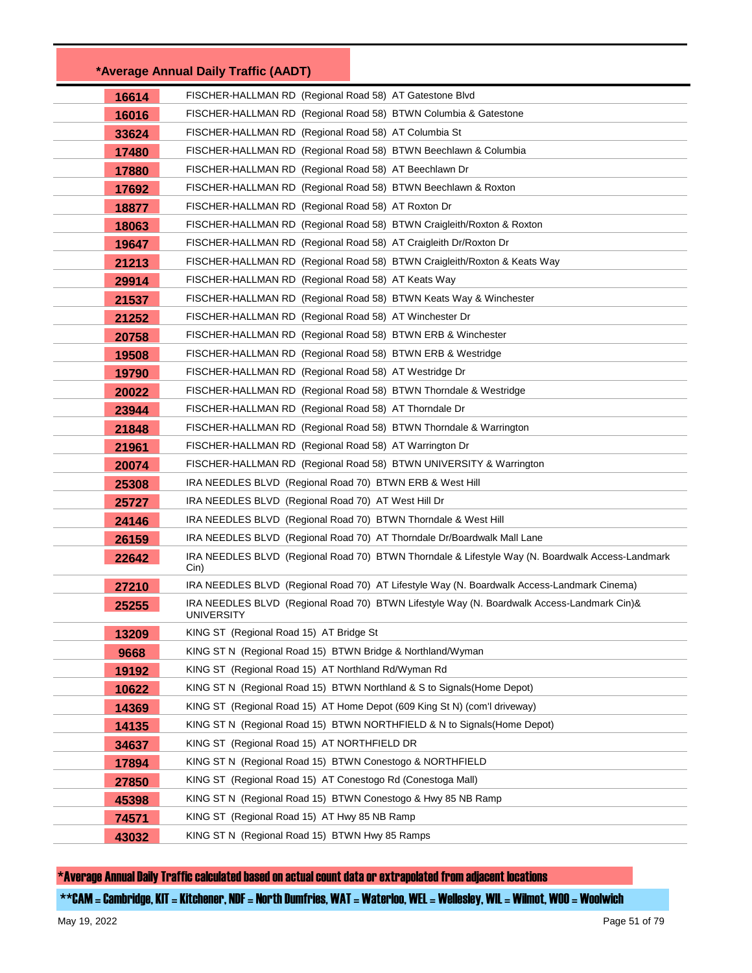| 16614 | FISCHER-HALLMAN RD (Regional Road 58) AT Gatestone Blvd                                                  |
|-------|----------------------------------------------------------------------------------------------------------|
| 16016 | FISCHER-HALLMAN RD (Regional Road 58) BTWN Columbia & Gatestone                                          |
| 33624 | FISCHER-HALLMAN RD (Regional Road 58) AT Columbia St                                                     |
| 17480 | FISCHER-HALLMAN RD (Regional Road 58) BTWN Beechlawn & Columbia                                          |
| 17880 | FISCHER-HALLMAN RD (Regional Road 58) AT Beechlawn Dr                                                    |
| 17692 | FISCHER-HALLMAN RD (Regional Road 58) BTWN Beechlawn & Roxton                                            |
| 18877 | FISCHER-HALLMAN RD (Regional Road 58) AT Roxton Dr                                                       |
| 18063 | FISCHER-HALLMAN RD (Regional Road 58) BTWN Craigleith/Roxton & Roxton                                    |
| 19647 | FISCHER-HALLMAN RD (Regional Road 58) AT Craigleith Dr/Roxton Dr                                         |
| 21213 | FISCHER-HALLMAN RD (Regional Road 58) BTWN Craigleith/Roxton & Keats Way                                 |
| 29914 | FISCHER-HALLMAN RD (Regional Road 58) AT Keats Way                                                       |
| 21537 | FISCHER-HALLMAN RD (Regional Road 58) BTWN Keats Way & Winchester                                        |
| 21252 | FISCHER-HALLMAN RD (Regional Road 58) AT Winchester Dr                                                   |
| 20758 | FISCHER-HALLMAN RD (Regional Road 58) BTWN ERB & Winchester                                              |
| 19508 | FISCHER-HALLMAN RD (Regional Road 58) BTWN ERB & Westridge                                               |
| 19790 | FISCHER-HALLMAN RD (Regional Road 58) AT Westridge Dr                                                    |
| 20022 | FISCHER-HALLMAN RD (Regional Road 58) BTWN Thorndale & Westridge                                         |
| 23944 | FISCHER-HALLMAN RD (Regional Road 58) AT Thorndale Dr                                                    |
| 21848 | FISCHER-HALLMAN RD (Regional Road 58) BTWN Thorndale & Warrington                                        |
| 21961 | FISCHER-HALLMAN RD (Regional Road 58) AT Warrington Dr                                                   |
| 20074 | FISCHER-HALLMAN RD (Regional Road 58) BTWN UNIVERSITY & Warrington                                       |
| 25308 | IRA NEEDLES BLVD (Regional Road 70) BTWN ERB & West Hill                                                 |
| 25727 | IRA NEEDLES BLVD (Regional Road 70) AT West Hill Dr                                                      |
| 24146 | IRA NEEDLES BLVD (Regional Road 70) BTWN Thorndale & West Hill                                           |
| 26159 | IRA NEEDLES BLVD (Regional Road 70) AT Thorndale Dr/Boardwalk Mall Lane                                  |
| 22642 | IRA NEEDLES BLVD (Regional Road 70) BTWN Thorndale & Lifestyle Way (N. Boardwalk Access-Landmark<br>Cin) |
| 27210 | IRA NEEDLES BLVD (Regional Road 70) AT Lifestyle Way (N. Boardwalk Access-Landmark Cinema)               |
| 25255 | IRA NEEDLES BLVD (Regional Road 70) BTWN Lifestyle Way (N. Boardwalk Access-Landmark Cin)&<br>UNIVERSITY |
| 13209 | KING ST (Regional Road 15) AT Bridge St                                                                  |
| 9668  | KING ST N (Regional Road 15) BTWN Bridge & Northland/Wyman                                               |
| 19192 | KING ST (Regional Road 15) AT Northland Rd/Wyman Rd                                                      |
| 10622 | KING ST N (Regional Road 15) BTWN Northland & S to Signals (Home Depot)                                  |
| 14369 | KING ST (Regional Road 15) AT Home Depot (609 King St N) (com'l driveway)                                |
| 14135 | KING ST N (Regional Road 15) BTWN NORTHFIELD & N to Signals (Home Depot)                                 |
| 34637 | KING ST (Regional Road 15) AT NORTHFIELD DR                                                              |
| 17894 | KING ST N (Regional Road 15) BTWN Conestogo & NORTHFIELD                                                 |
| 27850 | KING ST (Regional Road 15) AT Conestogo Rd (Conestoga Mall)                                              |
| 45398 | KING ST N (Regional Road 15) BTWN Conestogo & Hwy 85 NB Ramp                                             |
| 74571 | KING ST (Regional Road 15) AT Hwy 85 NB Ramp                                                             |
| 43032 | KING ST N (Regional Road 15) BTWN Hwy 85 Ramps                                                           |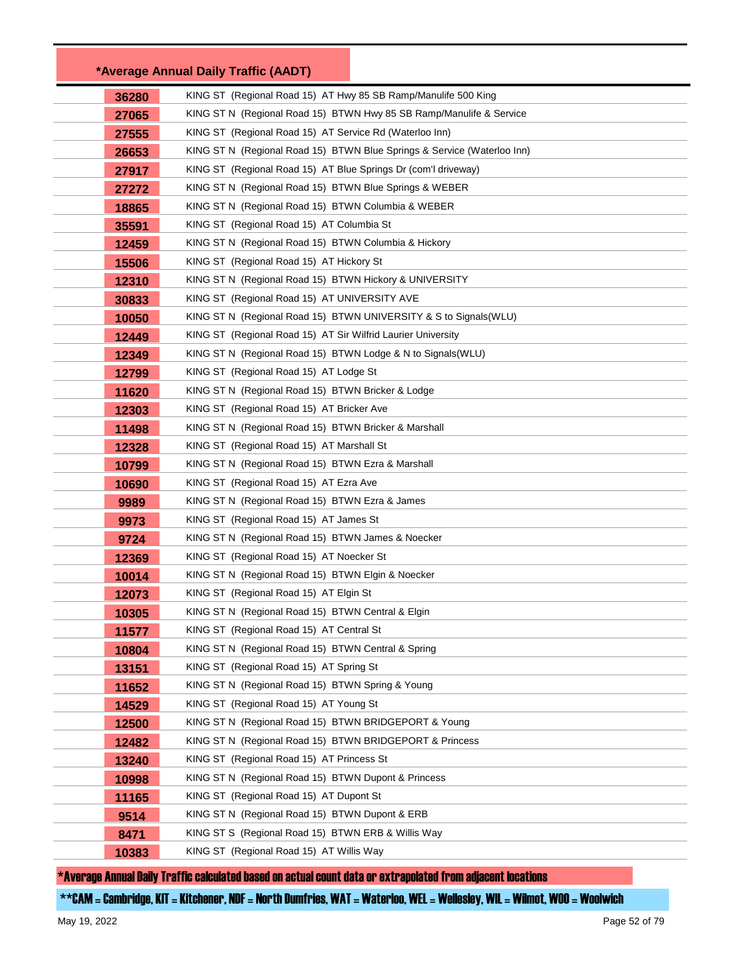|       | *Average Annual Daily Traffic (AADT)                                    |  |
|-------|-------------------------------------------------------------------------|--|
| 36280 | KING ST (Regional Road 15) AT Hwy 85 SB Ramp/Manulife 500 King          |  |
| 27065 | KING ST N (Regional Road 15) BTWN Hwy 85 SB Ramp/Manulife & Service     |  |
| 27555 | KING ST (Regional Road 15) AT Service Rd (Waterloo Inn)                 |  |
| 26653 | KING ST N (Regional Road 15) BTWN Blue Springs & Service (Waterloo Inn) |  |
| 27917 | KING ST (Regional Road 15) AT Blue Springs Dr (com'l driveway)          |  |
| 27272 | KING ST N (Regional Road 15) BTWN Blue Springs & WEBER                  |  |
| 18865 | KING ST N (Regional Road 15) BTWN Columbia & WEBER                      |  |
| 35591 | KING ST (Regional Road 15) AT Columbia St                               |  |
| 12459 | KING ST N (Regional Road 15) BTWN Columbia & Hickory                    |  |
| 15506 | KING ST (Regional Road 15) AT Hickory St                                |  |
| 12310 | KING ST N (Regional Road 15) BTWN Hickory & UNIVERSITY                  |  |
| 30833 | KING ST (Regional Road 15) AT UNIVERSITY AVE                            |  |
| 10050 | KING ST N (Regional Road 15) BTWN UNIVERSITY & S to Signals (WLU)       |  |
| 12449 | KING ST (Regional Road 15) AT Sir Wilfrid Laurier University            |  |
| 12349 | KING ST N (Regional Road 15) BTWN Lodge & N to Signals(WLU)             |  |
| 12799 | KING ST (Regional Road 15) AT Lodge St                                  |  |
| 11620 | KING ST N (Regional Road 15) BTWN Bricker & Lodge                       |  |
| 12303 | KING ST (Regional Road 15) AT Bricker Ave                               |  |
| 11498 | KING ST N (Regional Road 15) BTWN Bricker & Marshall                    |  |
| 12328 | KING ST (Regional Road 15) AT Marshall St                               |  |
| 10799 | KING ST N (Regional Road 15) BTWN Ezra & Marshall                       |  |
| 10690 | KING ST (Regional Road 15) AT Ezra Ave                                  |  |
| 9989  | KING ST N  (Regional Road 15) BTWN Ezra & James                         |  |
| 9973  | KING ST (Regional Road 15) AT James St                                  |  |
| 9724  | KING ST N  (Regional Road 15) BTWN James & Noecker                      |  |
| 12369 | KING ST (Regional Road 15) AT Noecker St                                |  |
| 10014 | KING ST N (Regional Road 15) BTWN Elgin & Noecker                       |  |
| 12073 | KING ST (Regional Road 15) AT Elgin St                                  |  |
| 10305 | KING ST N (Regional Road 15) BTWN Central & Elgin                       |  |
| 11577 | KING ST (Regional Road 15) AT Central St                                |  |
| 10804 | KING ST N (Regional Road 15) BTWN Central & Spring                      |  |
| 13151 | KING ST (Regional Road 15) AT Spring St                                 |  |
| 11652 | KING ST N (Regional Road 15) BTWN Spring & Young                        |  |
| 14529 | KING ST (Regional Road 15) AT Young St                                  |  |
| 12500 | KING ST N (Regional Road 15) BTWN BRIDGEPORT & Young                    |  |
| 12482 | KING ST N (Regional Road 15) BTWN BRIDGEPORT & Princess                 |  |
| 13240 | KING ST (Regional Road 15) AT Princess St                               |  |
| 10998 | KING ST N (Regional Road 15) BTWN Dupont & Princess                     |  |
| 11165 | KING ST (Regional Road 15) AT Dupont St                                 |  |
| 9514  | KING ST N (Regional Road 15) BTWN Dupont & ERB                          |  |
| 8471  | KING ST S (Regional Road 15) BTWN ERB & Willis Way                      |  |
| 10383 | KING ST (Regional Road 15) AT Willis Way                                |  |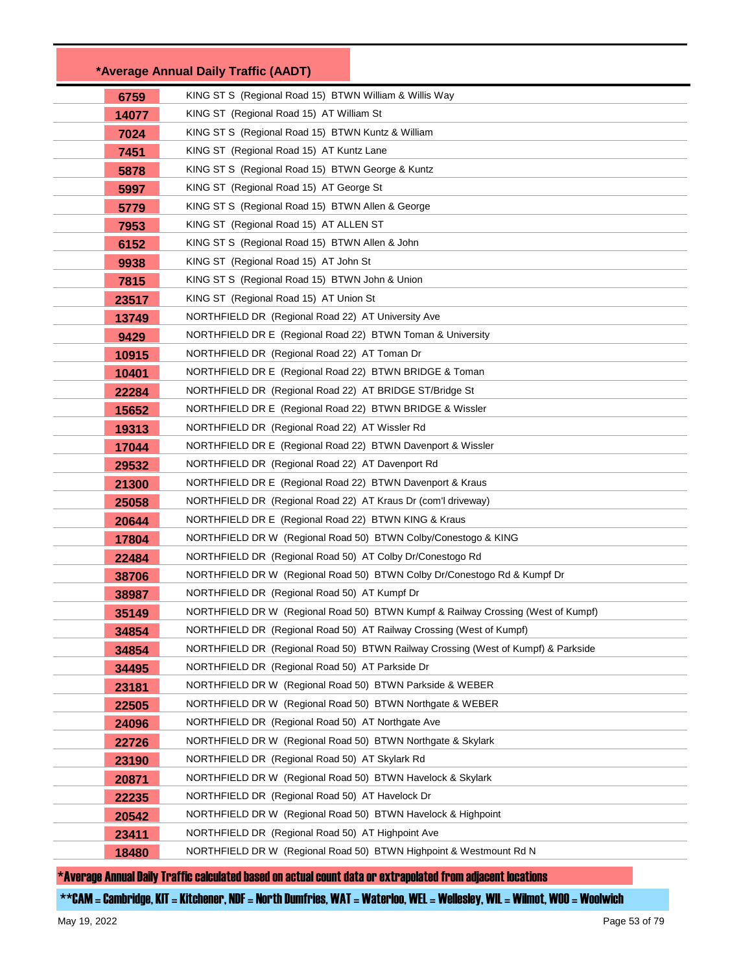|       | *Average Annual Daily Traffic (AADT)                                              |
|-------|-----------------------------------------------------------------------------------|
| 6759  | KING ST S (Regional Road 15) BTWN William & Willis Way                            |
| 14077 | KING ST (Regional Road 15) AT William St                                          |
| 7024  | KING ST S (Regional Road 15) BTWN Kuntz & William                                 |
| 7451  | KING ST (Regional Road 15) AT Kuntz Lane                                          |
| 5878  | KING ST S (Regional Road 15) BTWN George & Kuntz                                  |
| 5997  | KING ST (Regional Road 15) AT George St                                           |
| 5779  | KING ST S (Regional Road 15) BTWN Allen & George                                  |
| 7953  | KING ST (Regional Road 15) AT ALLEN ST                                            |
| 6152  | KING ST S (Regional Road 15) BTWN Allen & John                                    |
| 9938  | KING ST (Regional Road 15) AT John St                                             |
| 7815  | KING ST S (Regional Road 15) BTWN John & Union                                    |
| 23517 | KING ST (Regional Road 15) AT Union St                                            |
| 13749 | NORTHFIELD DR (Regional Road 22) AT University Ave                                |
| 9429  | NORTHFIELD DR E (Regional Road 22) BTWN Toman & University                        |
| 10915 | NORTHFIELD DR (Regional Road 22) AT Toman Dr                                      |
| 10401 | NORTHFIELD DR E (Regional Road 22) BTWN BRIDGE & Toman                            |
| 22284 | NORTHFIELD DR (Regional Road 22) AT BRIDGE ST/Bridge St                           |
| 15652 | NORTHFIELD DR E (Regional Road 22) BTWN BRIDGE & Wissler                          |
| 19313 | NORTHFIELD DR (Regional Road 22) AT Wissler Rd                                    |
| 17044 | NORTHFIELD DR E (Regional Road 22) BTWN Davenport & Wissler                       |
| 29532 | NORTHFIELD DR (Regional Road 22) AT Davenport Rd                                  |
| 21300 | NORTHFIELD DR E (Regional Road 22) BTWN Davenport & Kraus                         |
| 25058 | NORTHFIELD DR (Regional Road 22) AT Kraus Dr (com'l driveway)                     |
| 20644 | NORTHFIELD DR E (Regional Road 22) BTWN KING & Kraus                              |
| 17804 | NORTHFIELD DR W (Regional Road 50) BTWN Colby/Conestogo & KING                    |
| 22484 | NORTHFIELD DR (Regional Road 50) AT Colby Dr/Conestogo Rd                         |
| 38706 | NORTHFIELD DR W (Regional Road 50) BTWN Colby Dr/Conestogo Rd & Kumpf Dr          |
| 38987 | NORTHFIELD DR (Regional Road 50) AT Kumpf Dr                                      |
| 35149 | NORTHFIELD DR W (Regional Road 50) BTWN Kumpf & Railway Crossing (West of Kumpf)  |
| 34854 | NORTHFIELD DR (Regional Road 50) AT Railway Crossing (West of Kumpf)              |
| 34854 | NORTHFIELD DR (Regional Road 50) BTWN Railway Crossing (West of Kumpf) & Parkside |
| 34495 | NORTHFIELD DR (Regional Road 50) AT Parkside Dr                                   |
| 23181 | NORTHFIELD DR W (Regional Road 50) BTWN Parkside & WEBER                          |
| 22505 | NORTHFIELD DR W (Regional Road 50) BTWN Northgate & WEBER                         |
| 24096 | NORTHFIELD DR (Regional Road 50) AT Northgate Ave                                 |
| 22726 | NORTHFIELD DR W (Regional Road 50) BTWN Northgate & Skylark                       |
| 23190 | NORTHFIELD DR (Regional Road 50) AT Skylark Rd                                    |
| 20871 | NORTHFIELD DR W (Regional Road 50) BTWN Havelock & Skylark                        |
| 22235 | NORTHFIELD DR (Regional Road 50) AT Havelock Dr                                   |
| 20542 | NORTHFIELD DR W (Regional Road 50) BTWN Havelock & Highpoint                      |
| 23411 | NORTHFIELD DR (Regional Road 50) AT Highpoint Ave                                 |
| 18480 | NORTHFIELD DR W (Regional Road 50) BTWN Highpoint & Westmount Rd N                |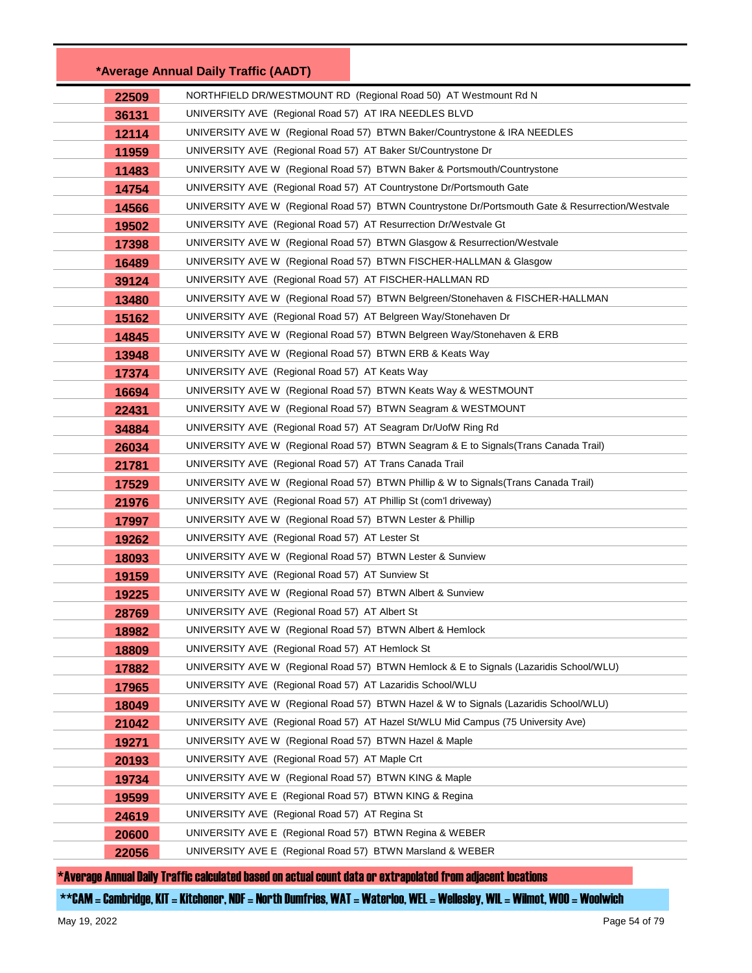|       | *Average Annual Daily Traffic (AADT)                                                             |  |
|-------|--------------------------------------------------------------------------------------------------|--|
| 22509 | NORTHFIELD DR/WESTMOUNT RD (Regional Road 50) AT Westmount Rd N                                  |  |
| 36131 | UNIVERSITY AVE (Regional Road 57) AT IRA NEEDLES BLVD                                            |  |
| 12114 | UNIVERSITY AVE W (Regional Road 57) BTWN Baker/Countrystone & IRA NEEDLES                        |  |
| 11959 | UNIVERSITY AVE (Regional Road 57) AT Baker St/Countrystone Dr                                    |  |
| 11483 | UNIVERSITY AVE W (Regional Road 57) BTWN Baker & Portsmouth/Countrystone                         |  |
| 14754 | UNIVERSITY AVE (Regional Road 57) AT Countrystone Dr/Portsmouth Gate                             |  |
| 14566 | UNIVERSITY AVE W (Regional Road 57) BTWN Countrystone Dr/Portsmouth Gate & Resurrection/Westvale |  |
| 19502 | UNIVERSITY AVE (Regional Road 57) AT Resurrection Dr/Westvale Gt                                 |  |
| 17398 | UNIVERSITY AVE W (Regional Road 57) BTWN Glasgow & Resurrection/Westvale                         |  |
| 16489 | UNIVERSITY AVE W (Regional Road 57) BTWN FISCHER-HALLMAN & Glasgow                               |  |
| 39124 | UNIVERSITY AVE (Regional Road 57) AT FISCHER-HALLMAN RD                                          |  |
| 13480 | UNIVERSITY AVE W (Regional Road 57) BTWN Belgreen/Stonehaven & FISCHER-HALLMAN                   |  |
| 15162 | UNIVERSITY AVE (Regional Road 57) AT Belgreen Way/Stonehaven Dr                                  |  |
| 14845 | UNIVERSITY AVE W (Regional Road 57) BTWN Belgreen Way/Stonehaven & ERB                           |  |
| 13948 | UNIVERSITY AVE W (Regional Road 57) BTWN ERB & Keats Way                                         |  |
| 17374 | UNIVERSITY AVE (Regional Road 57) AT Keats Way                                                   |  |
| 16694 | UNIVERSITY AVE W (Regional Road 57) BTWN Keats Way & WESTMOUNT                                   |  |
| 22431 | UNIVERSITY AVE W (Regional Road 57) BTWN Seagram & WESTMOUNT                                     |  |
| 34884 | UNIVERSITY AVE (Regional Road 57) AT Seagram Dr/UofW Ring Rd                                     |  |
| 26034 | UNIVERSITY AVE W (Regional Road 57) BTWN Seagram & E to Signals(Trans Canada Trail)              |  |
| 21781 | UNIVERSITY AVE (Regional Road 57) AT Trans Canada Trail                                          |  |
| 17529 | UNIVERSITY AVE W (Regional Road 57) BTWN Phillip & W to Signals(Trans Canada Trail)              |  |
| 21976 | UNIVERSITY AVE (Regional Road 57) AT Phillip St (com'l driveway)                                 |  |
| 17997 | UNIVERSITY AVE W (Regional Road 57) BTWN Lester & Phillip                                        |  |
| 19262 | UNIVERSITY AVE (Regional Road 57) AT Lester St                                                   |  |
| 18093 | UNIVERSITY AVE W (Regional Road 57) BTWN Lester & Sunview                                        |  |
| 19159 | UNIVERSITY AVE (Regional Road 57) AT Sunview St                                                  |  |
| 19225 | UNIVERSITY AVE W (Regional Road 57) BTWN Albert & Sunview                                        |  |
| 28769 | UNIVERSITY AVE (Regional Road 57) AT Albert St                                                   |  |
| 18982 | UNIVERSITY AVE W (Regional Road 57) BTWN Albert & Hemlock                                        |  |
| 18809 | UNIVERSITY AVE (Regional Road 57) AT Hemlock St                                                  |  |
| 17882 | UNIVERSITY AVE W (Regional Road 57) BTWN Hemlock & E to Signals (Lazaridis School/WLU)           |  |
| 17965 | UNIVERSITY AVE (Regional Road 57) AT Lazaridis School/WLU                                        |  |
| 18049 | UNIVERSITY AVE W (Regional Road 57) BTWN Hazel & W to Signals (Lazaridis School/WLU)             |  |
| 21042 | UNIVERSITY AVE (Regional Road 57) AT Hazel St/WLU Mid Campus (75 University Ave)                 |  |
| 19271 | UNIVERSITY AVE W (Regional Road 57) BTWN Hazel & Maple                                           |  |
| 20193 | UNIVERSITY AVE (Regional Road 57) AT Maple Crt                                                   |  |
| 19734 | UNIVERSITY AVE W (Regional Road 57) BTWN KING & Maple                                            |  |
| 19599 | UNIVERSITY AVE E (Regional Road 57) BTWN KING & Regina                                           |  |
| 24619 | UNIVERSITY AVE (Regional Road 57) AT Regina St                                                   |  |
| 20600 | UNIVERSITY AVE E (Regional Road 57) BTWN Regina & WEBER                                          |  |
| 22056 | UNIVERSITY AVE E (Regional Road 57) BTWN Marsland & WEBER                                        |  |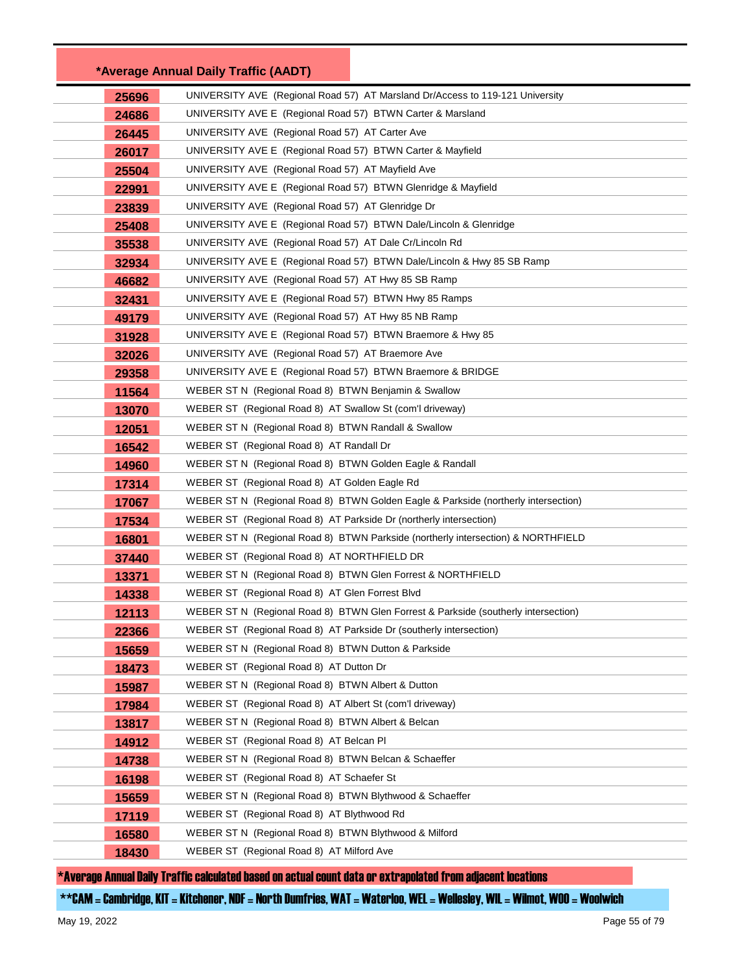|       | *Average Annual Daily Traffic (AADT)                                               |  |
|-------|------------------------------------------------------------------------------------|--|
| 25696 | UNIVERSITY AVE (Regional Road 57) AT Marsland Dr/Access to 119-121 University      |  |
| 24686 | UNIVERSITY AVE E (Regional Road 57) BTWN Carter & Marsland                         |  |
| 26445 | UNIVERSITY AVE (Regional Road 57) AT Carter Ave                                    |  |
| 26017 | UNIVERSITY AVE E (Regional Road 57) BTWN Carter & Mayfield                         |  |
| 25504 | UNIVERSITY AVE (Regional Road 57) AT Mayfield Ave                                  |  |
| 22991 | UNIVERSITY AVE E (Regional Road 57) BTWN Glenridge & Mayfield                      |  |
| 23839 | UNIVERSITY AVE (Regional Road 57) AT Glenridge Dr                                  |  |
| 25408 | UNIVERSITY AVE E (Regional Road 57) BTWN Dale/Lincoln & Glenridge                  |  |
| 35538 | UNIVERSITY AVE (Regional Road 57) AT Dale Cr/Lincoln Rd                            |  |
| 32934 | UNIVERSITY AVE E (Regional Road 57) BTWN Dale/Lincoln & Hwy 85 SB Ramp             |  |
| 46682 | UNIVERSITY AVE (Regional Road 57) AT Hwy 85 SB Ramp                                |  |
| 32431 | UNIVERSITY AVE E (Regional Road 57) BTWN Hwy 85 Ramps                              |  |
| 49179 | UNIVERSITY AVE (Regional Road 57) AT Hwy 85 NB Ramp                                |  |
| 31928 | UNIVERSITY AVE E (Regional Road 57) BTWN Braemore & Hwy 85                         |  |
| 32026 | UNIVERSITY AVE (Regional Road 57) AT Braemore Ave                                  |  |
| 29358 | UNIVERSITY AVE E (Regional Road 57) BTWN Braemore & BRIDGE                         |  |
| 11564 | WEBER ST N (Regional Road 8) BTWN Benjamin & Swallow                               |  |
| 13070 | WEBER ST (Regional Road 8) AT Swallow St (com'l driveway)                          |  |
| 12051 | WEBER ST N (Regional Road 8) BTWN Randall & Swallow                                |  |
| 16542 | WEBER ST (Regional Road 8) AT Randall Dr                                           |  |
| 14960 | WEBER ST N (Regional Road 8) BTWN Golden Eagle & Randall                           |  |
| 17314 | WEBER ST (Regional Road 8) AT Golden Eagle Rd                                      |  |
| 17067 | WEBER ST N (Regional Road 8) BTWN Golden Eagle & Parkside (northerly intersection) |  |
| 17534 | WEBER ST (Regional Road 8) AT Parkside Dr (northerly intersection)                 |  |
| 16801 | WEBER ST N (Regional Road 8) BTWN Parkside (northerly intersection) & NORTHFIELD   |  |
| 37440 | WEBER ST (Regional Road 8) AT NORTHFIELD DR                                        |  |
| 13371 | WEBER ST N (Regional Road 8) BTWN Glen Forrest & NORTHFIELD                        |  |
| 14338 | WEBER ST (Regional Road 8) AT Glen Forrest Blvd                                    |  |
| 12113 | WEBER ST N (Regional Road 8) BTWN Glen Forrest & Parkside (southerly intersection) |  |
| 22366 | WEBER ST (Regional Road 8) AT Parkside Dr (southerly intersection)                 |  |
| 15659 | WEBER ST N (Regional Road 8) BTWN Dutton & Parkside                                |  |
| 18473 | WEBER ST (Regional Road 8) AT Dutton Dr                                            |  |
| 15987 | WEBER ST N (Regional Road 8) BTWN Albert & Dutton                                  |  |
| 17984 | WEBER ST (Regional Road 8) AT Albert St (com'l driveway)                           |  |
| 13817 | WEBER ST N (Regional Road 8) BTWN Albert & Belcan                                  |  |
| 14912 | WEBER ST (Regional Road 8) AT Belcan PI                                            |  |
| 14738 | WEBER ST N (Regional Road 8) BTWN Belcan & Schaeffer                               |  |
| 16198 | WEBER ST (Regional Road 8) AT Schaefer St                                          |  |
| 15659 | WEBER ST N (Regional Road 8) BTWN Blythwood & Schaeffer                            |  |
| 17119 | WEBER ST (Regional Road 8) AT Blythwood Rd                                         |  |
| 16580 | WEBER ST N (Regional Road 8) BTWN Blythwood & Milford                              |  |
| 18430 | WEBER ST (Regional Road 8) AT Milford Ave                                          |  |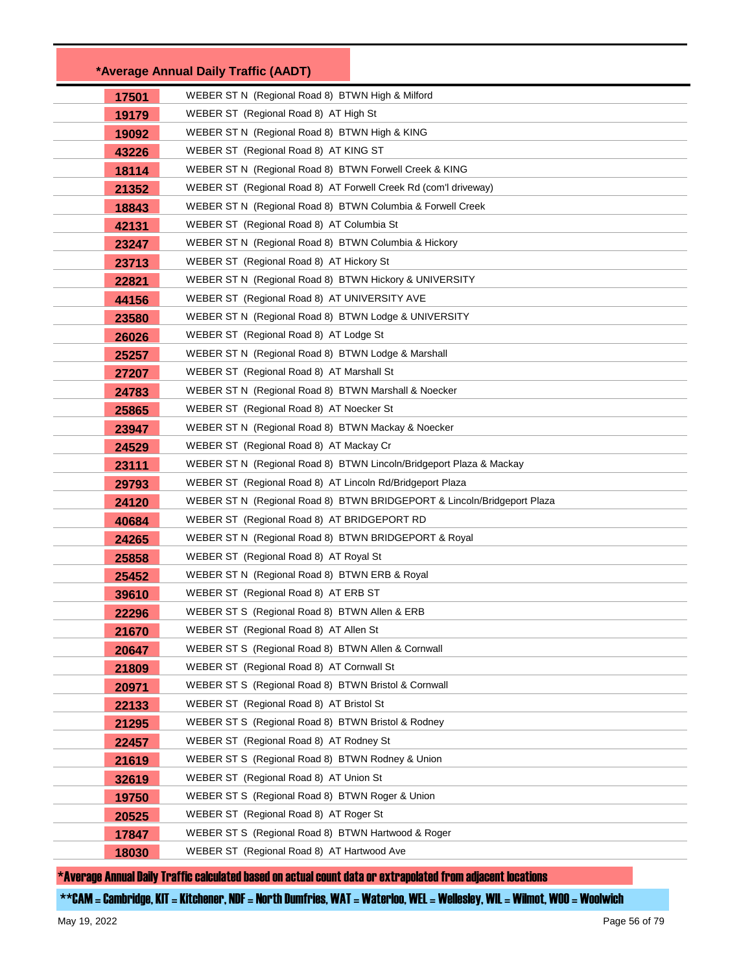|       | *Average Annual Daily Traffic (AADT)                                    |
|-------|-------------------------------------------------------------------------|
| 17501 | WEBER ST N (Regional Road 8) BTWN High & Milford                        |
| 19179 | WEBER ST (Regional Road 8) AT High St                                   |
| 19092 | WEBER ST N (Regional Road 8) BTWN High & KING                           |
| 43226 | WEBER ST (Regional Road 8) AT KING ST                                   |
| 18114 | WEBER ST N (Regional Road 8) BTWN Forwell Creek & KING                  |
| 21352 | WEBER ST (Regional Road 8) AT Forwell Creek Rd (com'l driveway)         |
| 18843 | WEBER ST N (Regional Road 8) BTWN Columbia & Forwell Creek              |
| 42131 | WEBER ST (Regional Road 8) AT Columbia St                               |
| 23247 | WEBER ST N (Regional Road 8) BTWN Columbia & Hickory                    |
| 23713 | WEBER ST (Regional Road 8) AT Hickory St                                |
| 22821 | WEBER ST N (Regional Road 8) BTWN Hickory & UNIVERSITY                  |
| 44156 | WEBER ST (Regional Road 8) AT UNIVERSITY AVE                            |
| 23580 | WEBER ST N (Regional Road 8) BTWN Lodge & UNIVERSITY                    |
| 26026 | WEBER ST (Regional Road 8) AT Lodge St                                  |
| 25257 | WEBER ST N (Regional Road 8) BTWN Lodge & Marshall                      |
| 27207 | WEBER ST (Regional Road 8) AT Marshall St                               |
| 24783 | WEBER ST N (Regional Road 8) BTWN Marshall & Noecker                    |
| 25865 | WEBER ST (Regional Road 8) AT Noecker St                                |
| 23947 | WEBER ST N (Regional Road 8) BTWN Mackay & Noecker                      |
| 24529 | WEBER ST (Regional Road 8) AT Mackay Cr                                 |
| 23111 | WEBER ST N (Regional Road 8) BTWN Lincoln/Bridgeport Plaza & Mackay     |
| 29793 | WEBER ST (Regional Road 8) AT Lincoln Rd/Bridgeport Plaza               |
| 24120 | WEBER ST N (Regional Road 8) BTWN BRIDGEPORT & Lincoln/Bridgeport Plaza |
| 40684 | WEBER ST (Regional Road 8) AT BRIDGEPORT RD                             |
| 24265 | WEBER ST N (Regional Road 8) BTWN BRIDGEPORT & Royal                    |
| 25858 | WEBER ST (Regional Road 8) AT Royal St                                  |
| 25452 | WEBER ST N (Regional Road 8) BTWN ERB & Royal                           |
| 39610 | WEBER ST (Regional Road 8) AT ERB ST                                    |
| 22296 | WEBER ST S (Regional Road 8) BTWN Allen & ERB                           |
| 21670 | WEBER ST (Regional Road 8) AT Allen St                                  |
| 20647 | WEBER ST S (Regional Road 8) BTWN Allen & Cornwall                      |
| 21809 | WEBER ST (Regional Road 8) AT Cornwall St                               |
| 20971 | WEBER ST S (Regional Road 8) BTWN Bristol & Cornwall                    |
| 22133 | WEBER ST (Regional Road 8) AT Bristol St                                |
| 21295 | WEBER ST S (Regional Road 8) BTWN Bristol & Rodney                      |
| 22457 | WEBER ST (Regional Road 8) AT Rodney St                                 |
| 21619 | WEBER ST S (Regional Road 8) BTWN Rodney & Union                        |
| 32619 | WEBER ST (Regional Road 8) AT Union St                                  |
| 19750 | WEBER ST S (Regional Road 8) BTWN Roger & Union                         |
| 20525 | WEBER ST (Regional Road 8) AT Roger St                                  |
| 17847 | WEBER ST S (Regional Road 8) BTWN Hartwood & Roger                      |
| 18030 | WEBER ST (Regional Road 8) AT Hartwood Ave                              |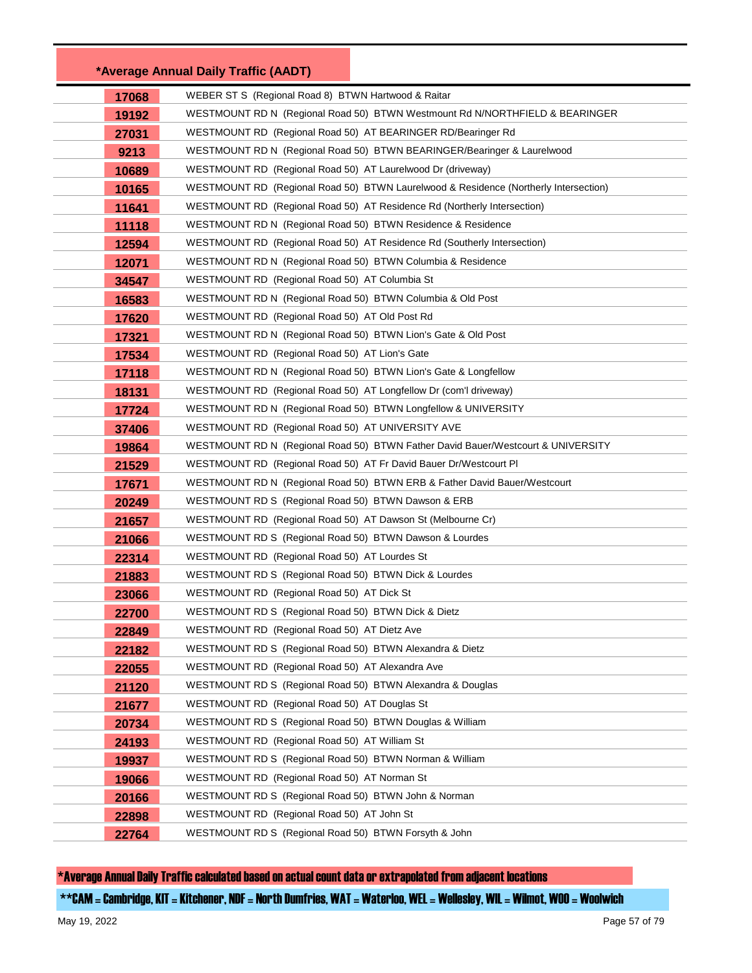|       | *Average Annual Daily Traffic (AADT)                                                                 |
|-------|------------------------------------------------------------------------------------------------------|
| 17068 | WEBER ST S (Regional Road 8) BTWN Hartwood & Raitar                                                  |
| 19192 | WESTMOUNT RD N (Regional Road 50) BTWN Westmount Rd N/NORTHFIELD & BEARINGER                         |
| 27031 | WESTMOUNT RD (Regional Road 50) AT BEARINGER RD/Bearinger Rd                                         |
| 9213  | WESTMOUNT RD N (Regional Road 50) BTWN BEARINGER/Bearinger & Laurelwood                              |
| 10689 | WESTMOUNT RD (Regional Road 50) AT Laurelwood Dr (driveway)                                          |
| 10165 | WESTMOUNT RD (Regional Road 50) BTWN Laurelwood & Residence (Northerly Intersection)                 |
| 11641 | WESTMOUNT RD (Regional Road 50) AT Residence Rd (Northerly Intersection)                             |
| 11118 | WESTMOUNT RD N (Regional Road 50) BTWN Residence & Residence                                         |
| 12594 | WESTMOUNT RD (Regional Road 50) AT Residence Rd (Southerly Intersection)                             |
| 12071 | WESTMOUNT RD N (Regional Road 50) BTWN Columbia & Residence                                          |
| 34547 | WESTMOUNT RD (Regional Road 50) AT Columbia St                                                       |
| 16583 | WESTMOUNT RD N (Regional Road 50) BTWN Columbia & Old Post                                           |
| 17620 | WESTMOUNT RD (Regional Road 50) AT Old Post Rd                                                       |
| 17321 | WESTMOUNT RD N (Regional Road 50) BTWN Lion's Gate & Old Post                                        |
| 17534 | WESTMOUNT RD (Regional Road 50) AT Lion's Gate                                                       |
| 17118 | WESTMOUNT RD N (Regional Road 50) BTWN Lion's Gate & Longfellow                                      |
| 18131 | WESTMOUNT RD (Regional Road 50) AT Longfellow Dr (com'l driveway)                                    |
| 17724 | WESTMOUNT RD N (Regional Road 50) BTWN Longfellow & UNIVERSITY                                       |
| 37406 | WESTMOUNT RD (Regional Road 50) AT UNIVERSITY AVE                                                    |
| 19864 | WESTMOUNT RD N (Regional Road 50) BTWN Father David Bauer/Westcourt & UNIVERSITY                     |
| 21529 | WESTMOUNT RD (Regional Road 50) AT Fr David Bauer Dr/Westcourt Pl                                    |
| 17671 | WESTMOUNT RD N (Regional Road 50) BTWN ERB & Father David Bauer/Westcourt                            |
| 20249 | WESTMOUNT RD S (Regional Road 50) BTWN Dawson & ERB                                                  |
| 21657 | WESTMOUNT RD (Regional Road 50) AT Dawson St (Melbourne Cr)                                          |
| 21066 | WESTMOUNT RD S (Regional Road 50) BTWN Dawson & Lourdes                                              |
| 22314 | WESTMOUNT RD (Regional Road 50) AT Lourdes St                                                        |
| 21883 | WESTMOUNT RD S (Regional Road 50) BTWN Dick & Lourdes                                                |
| 23066 | WESTMOUNT RD (Regional Road 50) AT Dick St                                                           |
| 22700 | WESTMOUNT RD S (Regional Road 50) BTWN Dick & Dietz                                                  |
| 22849 | WESTMOUNT RD (Regional Road 50) AT Dietz Ave                                                         |
| 22182 | WESTMOUNT RD S (Regional Road 50) BTWN Alexandra & Dietz                                             |
| 22055 | WESTMOUNT RD (Regional Road 50) AT Alexandra Ave                                                     |
| 21120 | WESTMOUNT RD S (Regional Road 50) BTWN Alexandra & Douglas                                           |
| 21677 | WESTMOUNT RD (Regional Road 50) AT Douglas St                                                        |
| 20734 | WESTMOUNT RD S (Regional Road 50) BTWN Douglas & William                                             |
| 24193 | WESTMOUNT RD (Regional Road 50) AT William St                                                        |
| 19937 | WESTMOUNT RD S (Regional Road 50) BTWN Norman & William                                              |
| 19066 | WESTMOUNT RD (Regional Road 50) AT Norman St<br>WESTMOUNT RD S (Regional Road 50) BTWN John & Norman |
| 20166 | WESTMOUNT RD (Regional Road 50) AT John St                                                           |
| 22898 | WESTMOUNT RD S (Regional Road 50) BTWN Forsyth & John                                                |
| 22764 |                                                                                                      |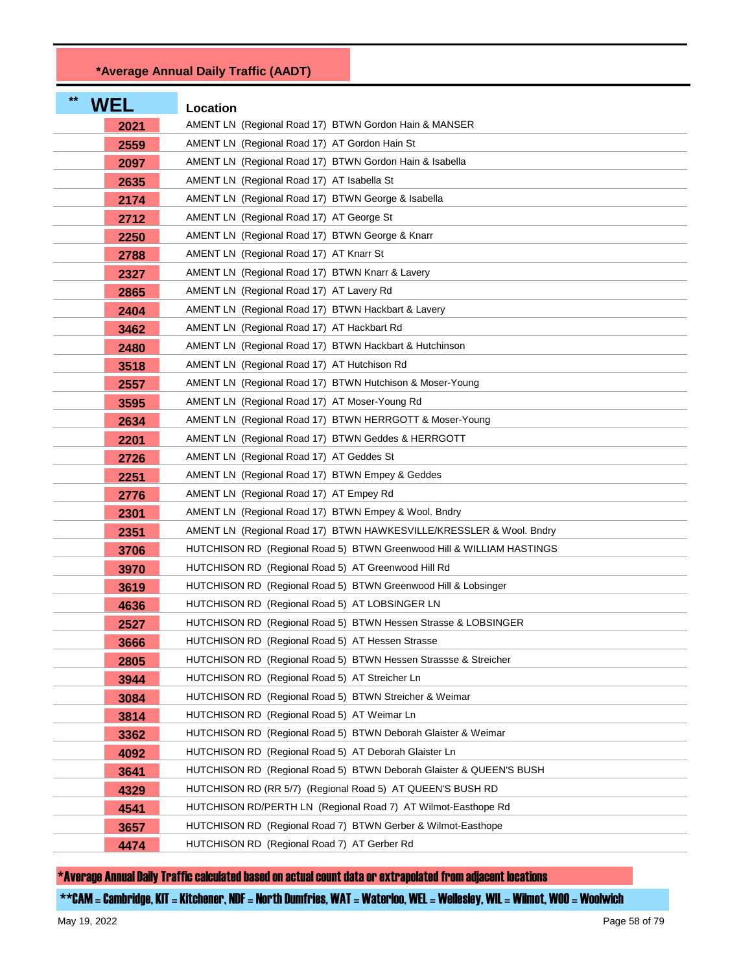## **\*Average Annual Daily Traffic (AADT)**

| $**$<br><b>WEL</b> | Location                                                              |
|--------------------|-----------------------------------------------------------------------|
| 2021               | AMENT LN (Regional Road 17) BTWN Gordon Hain & MANSER                 |
| 2559               | AMENT LN (Regional Road 17) AT Gordon Hain St                         |
| 2097               | AMENT LN (Regional Road 17) BTWN Gordon Hain & Isabella               |
| 2635               | AMENT LN (Regional Road 17) AT Isabella St                            |
| 2174               | AMENT LN (Regional Road 17) BTWN George & Isabella                    |
| 2712               | AMENT LN (Regional Road 17) AT George St                              |
| 2250               | AMENT LN (Regional Road 17) BTWN George & Knarr                       |
| 2788               | AMENT LN (Regional Road 17) AT Knarr St                               |
| 2327               | AMENT LN (Regional Road 17) BTWN Knarr & Lavery                       |
| 2865               | AMENT LN (Regional Road 17) AT Lavery Rd                              |
| 2404               | AMENT LN (Regional Road 17) BTWN Hackbart & Lavery                    |
| 3462               | AMENT LN (Regional Road 17) AT Hackbart Rd                            |
| 2480               | AMENT LN (Regional Road 17) BTWN Hackbart & Hutchinson                |
| 3518               | AMENT LN (Regional Road 17) AT Hutchison Rd                           |
| 2557               | AMENT LN (Regional Road 17) BTWN Hutchison & Moser-Young              |
| 3595               | AMENT LN (Regional Road 17) AT Moser-Young Rd                         |
| 2634               | AMENT LN (Regional Road 17) BTWN HERRGOTT & Moser-Young               |
| 2201               | AMENT LN (Regional Road 17) BTWN Geddes & HERRGOTT                    |
| 2726               | AMENT LN (Regional Road 17) AT Geddes St                              |
| 2251               | AMENT LN (Regional Road 17) BTWN Empey & Geddes                       |
| 2776               | AMENT LN (Regional Road 17) AT Empey Rd                               |
| 2301               | AMENT LN (Regional Road 17) BTWN Empey & Wool. Bndry                  |
| 2351               | AMENT LN (Regional Road 17) BTWN HAWKESVILLE/KRESSLER & Wool. Bndry   |
| 3706               | HUTCHISON RD (Regional Road 5) BTWN Greenwood Hill & WILLIAM HASTINGS |
| 3970               | HUTCHISON RD (Regional Road 5) AT Greenwood Hill Rd                   |
| 3619               | HUTCHISON RD (Regional Road 5) BTWN Greenwood Hill & Lobsinger        |
| 4636               | HUTCHISON RD (Regional Road 5) AT LOBSINGER LN                        |
| 2527               | HUTCHISON RD (Regional Road 5) BTWN Hessen Strasse & LOBSINGER        |
| 3666               | HUTCHISON RD (Regional Road 5) AT Hessen Strasse                      |
| 2805               | HUTCHISON RD (Regional Road 5) BTWN Hessen Strassse & Streicher       |
| 3944               | HUTCHISON RD (Regional Road 5) AT Streicher Ln                        |
| 3084               | HUTCHISON RD (Regional Road 5) BTWN Streicher & Weimar                |
| 3814               | HUTCHISON RD (Regional Road 5) AT Weimar Ln                           |
| 3362               | HUTCHISON RD (Regional Road 5) BTWN Deborah Glaister & Weimar         |
| 4092               | HUTCHISON RD (Regional Road 5) AT Deborah Glaister Ln                 |
| 3641               | HUTCHISON RD (Regional Road 5) BTWN Deborah Glaister & QUEEN'S BUSH   |
| 4329               | HUTCHISON RD (RR 5/7) (Regional Road 5) AT QUEEN'S BUSH RD            |
| 4541               | HUTCHISON RD/PERTH LN (Regional Road 7) AT Wilmot-Easthope Rd         |
| 3657               | HUTCHISON RD (Regional Road 7) BTWN Gerber & Wilmot-Easthope          |
| 4474               | HUTCHISON RD (Regional Road 7) AT Gerber Rd                           |

\*Average Annual Daily Traffic calculated based on actual count data or extrapolated from adjacent locations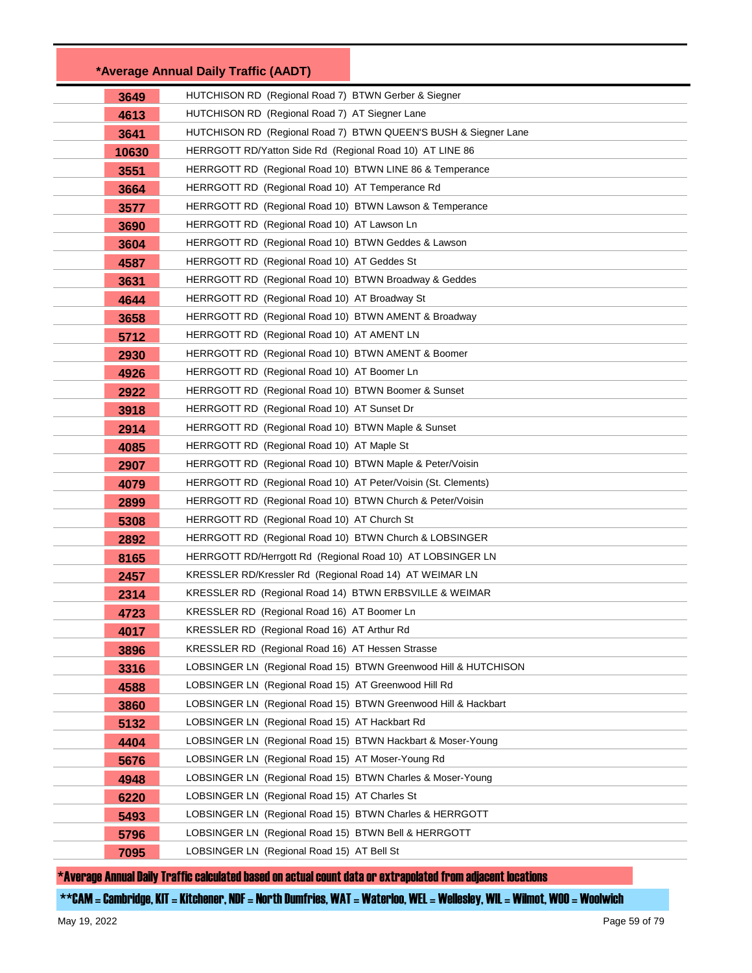|       | *Average Annual Daily Traffic (AADT)                           |                                                                 |
|-------|----------------------------------------------------------------|-----------------------------------------------------------------|
| 3649  | HUTCHISON RD (Regional Road 7) BTWN Gerber & Siegner           |                                                                 |
| 4613  | HUTCHISON RD (Regional Road 7) AT Siegner Lane                 |                                                                 |
| 3641  |                                                                | HUTCHISON RD (Regional Road 7) BTWN QUEEN'S BUSH & Siegner Lane |
| 10630 | HERRGOTT RD/Yatton Side Rd (Regional Road 10) AT LINE 86       |                                                                 |
| 3551  | HERRGOTT RD (Regional Road 10) BTWN LINE 86 & Temperance       |                                                                 |
| 3664  | HERRGOTT RD (Regional Road 10) AT Temperance Rd                |                                                                 |
| 3577  | HERRGOTT RD (Regional Road 10) BTWN Lawson & Temperance        |                                                                 |
| 3690  | HERRGOTT RD (Regional Road 10) AT Lawson Ln                    |                                                                 |
| 3604  | HERRGOTT RD (Regional Road 10) BTWN Geddes & Lawson            |                                                                 |
| 4587  | HERRGOTT RD (Regional Road 10) AT Geddes St                    |                                                                 |
| 3631  | HERRGOTT RD (Regional Road 10) BTWN Broadway & Geddes          |                                                                 |
| 4644  | HERRGOTT RD (Regional Road 10) AT Broadway St                  |                                                                 |
| 3658  | HERRGOTT RD (Regional Road 10) BTWN AMENT & Broadway           |                                                                 |
| 5712  | HERRGOTT RD (Regional Road 10) AT AMENT LN                     |                                                                 |
| 2930  | HERRGOTT RD (Regional Road 10) BTWN AMENT & Boomer             |                                                                 |
| 4926  | HERRGOTT RD (Regional Road 10) AT Boomer Ln                    |                                                                 |
| 2922  | HERRGOTT RD (Regional Road 10) BTWN Boomer & Sunset            |                                                                 |
| 3918  | HERRGOTT RD (Regional Road 10) AT Sunset Dr                    |                                                                 |
| 2914  | HERRGOTT RD (Regional Road 10) BTWN Maple & Sunset             |                                                                 |
| 4085  | HERRGOTT RD (Regional Road 10) AT Maple St                     |                                                                 |
| 2907  | HERRGOTT RD (Regional Road 10) BTWN Maple & Peter/Voisin       |                                                                 |
| 4079  | HERRGOTT RD (Regional Road 10) AT Peter/Voisin (St. Clements)  |                                                                 |
| 2899  | HERRGOTT RD (Regional Road 10) BTWN Church & Peter/Voisin      |                                                                 |
| 5308  | HERRGOTT RD (Regional Road 10) AT Church St                    |                                                                 |
| 2892  | HERRGOTT RD (Regional Road 10) BTWN Church & LOBSINGER         |                                                                 |
| 8165  | HERRGOTT RD/Herrgott Rd (Regional Road 10) AT LOBSINGER LN     |                                                                 |
| 2457  | KRESSLER RD/Kressler Rd (Regional Road 14) AT WEIMAR LN        |                                                                 |
| 2314  | KRESSLER RD (Regional Road 14) BTWN ERBSVILLE & WEIMAR         |                                                                 |
| 4723  | KRESSLER RD (Regional Road 16) AT Boomer Ln                    |                                                                 |
| 4017  | KRESSLER RD (Regional Road 16) AT Arthur Rd                    |                                                                 |
| 3896  | KRESSLER RD (Regional Road 16) AT Hessen Strasse               |                                                                 |
| 3316  |                                                                | LOBSINGER LN (Regional Road 15) BTWN Greenwood Hill & HUTCHISON |
| 4588  | LOBSINGER LN (Regional Road 15) AT Greenwood Hill Rd           |                                                                 |
| 3860  | LOBSINGER LN (Regional Road 15) BTWN Greenwood Hill & Hackbart |                                                                 |
| 5132  | LOBSINGER LN (Regional Road 15) AT Hackbart Rd                 |                                                                 |
| 4404  | LOBSINGER LN (Regional Road 15) BTWN Hackbart & Moser-Young    |                                                                 |
| 5676  | LOBSINGER LN (Regional Road 15) AT Moser-Young Rd              |                                                                 |
| 4948  | LOBSINGER LN (Regional Road 15) BTWN Charles & Moser-Young     |                                                                 |
| 6220  | LOBSINGER LN (Regional Road 15) AT Charles St                  |                                                                 |
| 5493  | LOBSINGER LN (Regional Road 15) BTWN Charles & HERRGOTT        |                                                                 |
| 5796  | LOBSINGER LN (Regional Road 15) BTWN Bell & HERRGOTT           |                                                                 |
| 7095  | LOBSINGER LN (Regional Road 15) AT Bell St                     |                                                                 |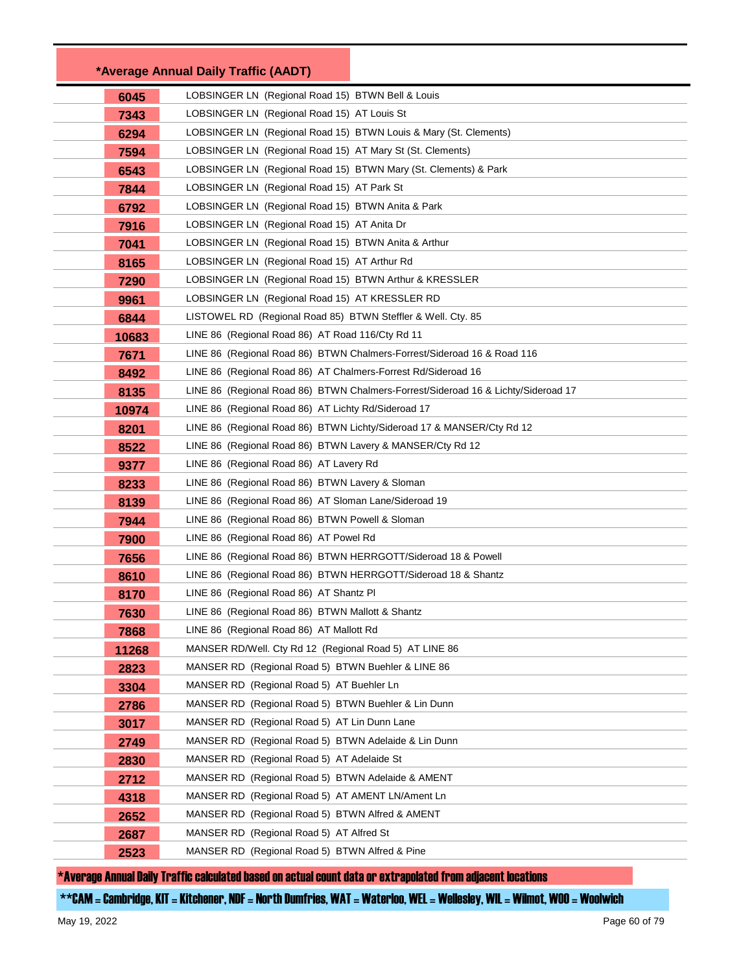|       | *Average Annual Daily Traffic (AADT)                                              |
|-------|-----------------------------------------------------------------------------------|
| 6045  | LOBSINGER LN (Regional Road 15) BTWN Bell & Louis                                 |
| 7343  | LOBSINGER LN (Regional Road 15) AT Louis St                                       |
| 6294  | LOBSINGER LN (Regional Road 15) BTWN Louis & Mary (St. Clements)                  |
| 7594  | LOBSINGER LN (Regional Road 15) AT Mary St (St. Clements)                         |
| 6543  | LOBSINGER LN (Regional Road 15) BTWN Mary (St. Clements) & Park                   |
| 7844  | LOBSINGER LN (Regional Road 15) AT Park St                                        |
| 6792  | LOBSINGER LN (Regional Road 15) BTWN Anita & Park                                 |
| 7916  | LOBSINGER LN (Regional Road 15) AT Anita Dr                                       |
| 7041  | LOBSINGER LN (Regional Road 15) BTWN Anita & Arthur                               |
| 8165  | LOBSINGER LN (Regional Road 15) AT Arthur Rd                                      |
| 7290  | LOBSINGER LN (Regional Road 15) BTWN Arthur & KRESSLER                            |
| 9961  | LOBSINGER LN (Regional Road 15) AT KRESSLER RD                                    |
| 6844  | LISTOWEL RD (Regional Road 85) BTWN Steffler & Well. Cty. 85                      |
| 10683 | LINE 86 (Regional Road 86) AT Road 116/Cty Rd 11                                  |
| 7671  | LINE 86 (Regional Road 86) BTWN Chalmers-Forrest/Sideroad 16 & Road 116           |
| 8492  | LINE 86 (Regional Road 86) AT Chalmers-Forrest Rd/Sideroad 16                     |
| 8135  | LINE 86 (Regional Road 86) BTWN Chalmers-Forrest/Sideroad 16 & Lichty/Sideroad 17 |
| 10974 | LINE 86 (Regional Road 86) AT Lichty Rd/Sideroad 17                               |
| 8201  | LINE 86 (Regional Road 86) BTWN Lichty/Sideroad 17 & MANSER/Cty Rd 12             |
| 8522  | LINE 86 (Regional Road 86) BTWN Lavery & MANSER/Cty Rd 12                         |
| 9377  | LINE 86 (Regional Road 86) AT Lavery Rd                                           |
| 8233  | LINE 86 (Regional Road 86) BTWN Lavery & Sloman                                   |
| 8139  | LINE 86 (Regional Road 86) AT Sloman Lane/Sideroad 19                             |
| 7944  | LINE 86 (Regional Road 86) BTWN Powell & Sloman                                   |
| 7900  | LINE 86 (Regional Road 86) AT Powel Rd                                            |
| 7656  | LINE 86 (Regional Road 86) BTWN HERRGOTT/Sideroad 18 & Powell                     |
| 8610  | LINE 86 (Regional Road 86) BTWN HERRGOTT/Sideroad 18 & Shantz                     |
| 8170  | LINE 86 (Regional Road 86) AT Shantz PI                                           |
| 7630  | LINE 86 (Regional Road 86) BTWN Mallott & Shantz                                  |
| 7868  | LINE 86 (Regional Road 86) AT Mallott Rd                                          |
| 11268 | MANSER RD/Well. Cty Rd 12 (Regional Road 5) AT LINE 86                            |
| 2823  | MANSER RD (Regional Road 5) BTWN Buehler & LINE 86                                |
| 3304  | MANSER RD (Regional Road 5) AT Buehler Ln                                         |
| 2786  | MANSER RD (Regional Road 5) BTWN Buehler & Lin Dunn                               |
| 3017  | MANSER RD (Regional Road 5) AT Lin Dunn Lane                                      |
| 2749  | MANSER RD (Regional Road 5) BTWN Adelaide & Lin Dunn                              |
| 2830  | MANSER RD (Regional Road 5) AT Adelaide St                                        |
| 2712  | MANSER RD (Regional Road 5) BTWN Adelaide & AMENT                                 |
| 4318  | MANSER RD (Regional Road 5) AT AMENT LN/Ament Ln                                  |
| 2652  | MANSER RD (Regional Road 5) BTWN Alfred & AMENT                                   |
| 2687  | MANSER RD (Regional Road 5) AT Alfred St                                          |
| 2523  | MANSER RD (Regional Road 5) BTWN Alfred & Pine                                    |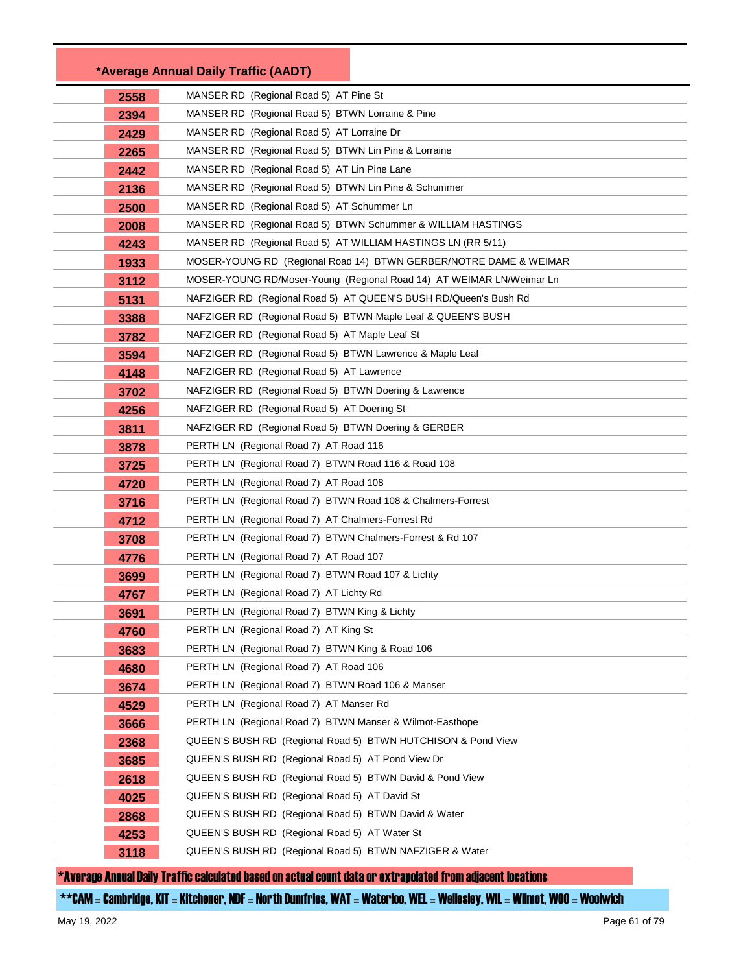|      | *Average Annual Daily Traffic (AADT)                                 |  |
|------|----------------------------------------------------------------------|--|
| 2558 | MANSER RD (Regional Road 5) AT Pine St                               |  |
| 2394 | MANSER RD (Regional Road 5) BTWN Lorraine & Pine                     |  |
| 2429 | MANSER RD (Regional Road 5) AT Lorraine Dr                           |  |
| 2265 | MANSER RD (Regional Road 5) BTWN Lin Pine & Lorraine                 |  |
| 2442 | MANSER RD (Regional Road 5) AT Lin Pine Lane                         |  |
| 2136 | MANSER RD (Regional Road 5) BTWN Lin Pine & Schummer                 |  |
| 2500 | MANSER RD (Regional Road 5) AT Schummer Ln                           |  |
| 2008 | MANSER RD (Regional Road 5) BTWN Schummer & WILLIAM HASTINGS         |  |
| 4243 | MANSER RD (Regional Road 5) AT WILLIAM HASTINGS LN (RR 5/11)         |  |
| 1933 | MOSER-YOUNG RD (Regional Road 14) BTWN GERBER/NOTRE DAME & WEIMAR    |  |
| 3112 | MOSER-YOUNG RD/Moser-Young (Regional Road 14) AT WEIMAR LN/Weimar Ln |  |
| 5131 | NAFZIGER RD (Regional Road 5) AT QUEEN'S BUSH RD/Queen's Bush Rd     |  |
| 3388 | NAFZIGER RD (Regional Road 5) BTWN Maple Leaf & QUEEN'S BUSH         |  |
| 3782 | NAFZIGER RD (Regional Road 5) AT Maple Leaf St                       |  |
| 3594 | NAFZIGER RD (Regional Road 5) BTWN Lawrence & Maple Leaf             |  |
| 4148 | NAFZIGER RD (Regional Road 5) AT Lawrence                            |  |
| 3702 | NAFZIGER RD (Regional Road 5) BTWN Doering & Lawrence                |  |
| 4256 | NAFZIGER RD (Regional Road 5) AT Doering St                          |  |
| 3811 | NAFZIGER RD (Regional Road 5) BTWN Doering & GERBER                  |  |
| 3878 | PERTH LN (Regional Road 7) AT Road 116                               |  |
| 3725 | PERTH LN (Regional Road 7) BTWN Road 116 & Road 108                  |  |
| 4720 | PERTH LN (Regional Road 7) AT Road 108                               |  |
| 3716 | PERTH LN (Regional Road 7) BTWN Road 108 & Chalmers-Forrest          |  |
| 4712 | PERTH LN (Regional Road 7) AT Chalmers-Forrest Rd                    |  |
| 3708 | PERTH LN (Regional Road 7) BTWN Chalmers-Forrest & Rd 107            |  |
| 4776 | PERTH LN (Regional Road 7) AT Road 107                               |  |
| 3699 | PERTH LN (Regional Road 7) BTWN Road 107 & Lichty                    |  |
| 4767 | PERTH LN (Regional Road 7) AT Lichty Rd                              |  |
| 3691 | PERTH LN (Regional Road 7) BTWN King & Lichty                        |  |
| 4760 | PERTH LN (Regional Road 7) AT King St                                |  |
| 3683 | PERTH LN (Regional Road 7) BTWN King & Road 106                      |  |
| 4680 | PERTH LN (Regional Road 7) AT Road 106                               |  |
| 3674 | PERTH LN (Regional Road 7) BTWN Road 106 & Manser                    |  |
| 4529 | PERTH LN (Regional Road 7) AT Manser Rd                              |  |
| 3666 | PERTH LN (Regional Road 7) BTWN Manser & Wilmot-Easthope             |  |
| 2368 | QUEEN'S BUSH RD (Regional Road 5) BTWN HUTCHISON & Pond View         |  |
| 3685 | QUEEN'S BUSH RD (Regional Road 5) AT Pond View Dr                    |  |
| 2618 | QUEEN'S BUSH RD (Regional Road 5) BTWN David & Pond View             |  |
| 4025 | QUEEN'S BUSH RD (Regional Road 5) AT David St                        |  |
| 2868 | QUEEN'S BUSH RD (Regional Road 5) BTWN David & Water                 |  |
| 4253 | QUEEN'S BUSH RD (Regional Road 5) AT Water St                        |  |
| 3118 | QUEEN'S BUSH RD (Regional Road 5) BTWN NAFZIGER & Water              |  |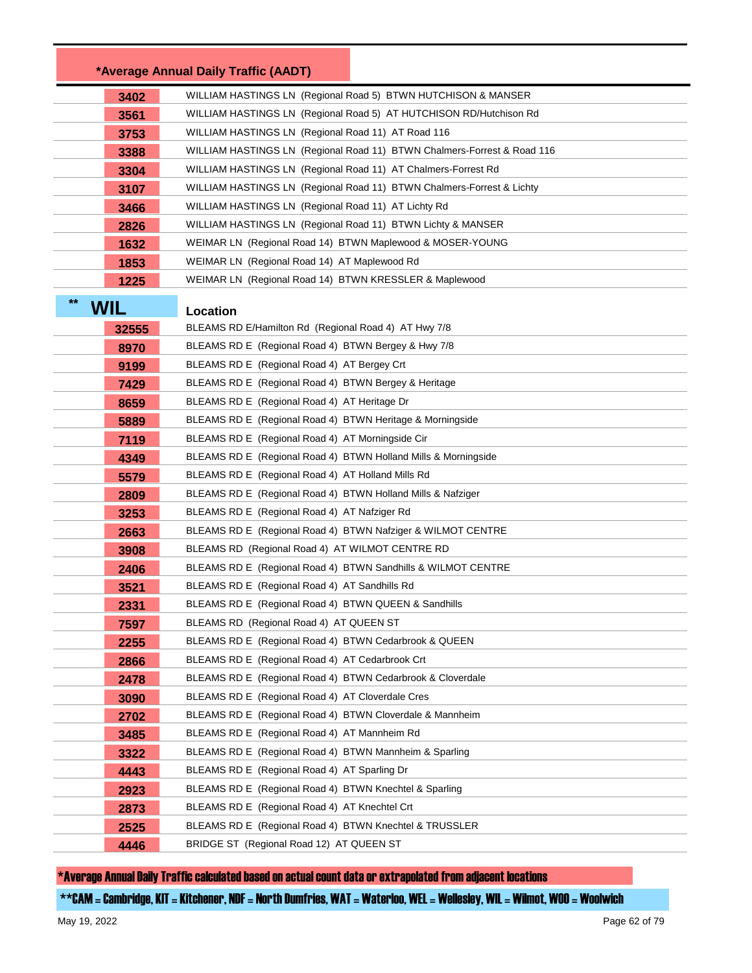|       |            | *Average Annual Daily Traffic (AADT)                                    |  |
|-------|------------|-------------------------------------------------------------------------|--|
|       | 3402       | WILLIAM HASTINGS LN (Regional Road 5) BTWN HUTCHISON & MANSER           |  |
|       | 3561       | WILLIAM HASTINGS LN (Regional Road 5) AT HUTCHISON RD/Hutchison Rd      |  |
|       | 3753       | WILLIAM HASTINGS LN (Regional Road 11) AT Road 116                      |  |
|       | 3388       | WILLIAM HASTINGS LN (Regional Road 11) BTWN Chalmers-Forrest & Road 116 |  |
|       | 3304       | WILLIAM HASTINGS LN (Regional Road 11) AT Chalmers-Forrest Rd           |  |
|       | 3107       | WILLIAM HASTINGS LN (Regional Road 11) BTWN Chalmers-Forrest & Lichty   |  |
|       | 3466       | WILLIAM HASTINGS LN (Regional Road 11) AT Lichty Rd                     |  |
|       | 2826       | WILLIAM HASTINGS LN (Regional Road 11) BTWN Lichty & MANSER             |  |
|       | 1632       | WEIMAR LN (Regional Road 14) BTWN Maplewood & MOSER-YOUNG               |  |
|       | 1853       | WEIMAR LN (Regional Road 14) AT Maplewood Rd                            |  |
|       | 1225       | WEIMAR LN (Regional Road 14) BTWN KRESSLER & Maplewood                  |  |
| $***$ | <b>WIL</b> | Location                                                                |  |
|       | 32555      | BLEAMS RD E/Hamilton Rd (Regional Road 4) AT Hwy 7/8                    |  |
|       | 8970       | BLEAMS RD E (Regional Road 4) BTWN Bergey & Hwy 7/8                     |  |
|       | 9199       | BLEAMS RD E (Regional Road 4) AT Bergey Crt                             |  |
|       | 7429       | BLEAMS RD E (Regional Road 4) BTWN Bergey & Heritage                    |  |
|       | 8659       | BLEAMS RD E (Regional Road 4) AT Heritage Dr                            |  |
|       | 5889       | BLEAMS RD E (Regional Road 4) BTWN Heritage & Morningside               |  |
|       | 7119       | BLEAMS RD E (Regional Road 4) AT Morningside Cir                        |  |
|       | 4349       | BLEAMS RD E (Regional Road 4) BTWN Holland Mills & Morningside          |  |
|       | 5579       | BLEAMS RD E (Regional Road 4) AT Holland Mills Rd                       |  |
|       | 2809       | BLEAMS RD E (Regional Road 4) BTWN Holland Mills & Nafziger             |  |
|       | 3253       | BLEAMS RD E (Regional Road 4) AT Nafziger Rd                            |  |
|       | 2663       | BLEAMS RD E (Regional Road 4) BTWN Nafziger & WILMOT CENTRE             |  |
|       | 3908       | BLEAMS RD (Regional Road 4) AT WILMOT CENTRE RD                         |  |
|       | 2406       | BLEAMS RD E (Regional Road 4) BTWN Sandhills & WILMOT CENTRE            |  |
|       | 3521       | BLEAMS RD E (Regional Road 4) AT Sandhills Rd                           |  |
|       | 2331       | BLEAMS RD E (Regional Road 4) BTWN QUEEN & Sandhills                    |  |
|       | 7597       | BLEAMS RD (Regional Road 4) AT QUEEN ST                                 |  |
|       | 2255       | BLEAMS RD E (Regional Road 4) BTWN Cedarbrook & QUEEN                   |  |
|       | 2866       | BLEAMS RD E (Regional Road 4) AT Cedarbrook Crt                         |  |
|       | 2478       | BLEAMS RD E (Regional Road 4) BTWN Cedarbrook & Cloverdale              |  |
|       | 3090       | BLEAMS RD E (Regional Road 4) AT Cloverdale Cres                        |  |
|       | 2702       | BLEAMS RD E (Regional Road 4) BTWN Cloverdale & Mannheim                |  |
|       | 3485       | BLEAMS RD E (Regional Road 4) AT Mannheim Rd                            |  |
|       | 3322       | BLEAMS RD E (Regional Road 4) BTWN Mannheim & Sparling                  |  |
|       | 4443       | BLEAMS RD E (Regional Road 4) AT Sparling Dr                            |  |
|       | 2923       | BLEAMS RD E (Regional Road 4) BTWN Knechtel & Sparling                  |  |
|       | 2873       | BLEAMS RD E (Regional Road 4) AT Knechtel Crt                           |  |
|       | 2525       | BLEAMS RD E (Regional Road 4) BTWN Knechtel & TRUSSLER                  |  |
|       | 4446       | BRIDGE ST (Regional Road 12) AT QUEEN ST                                |  |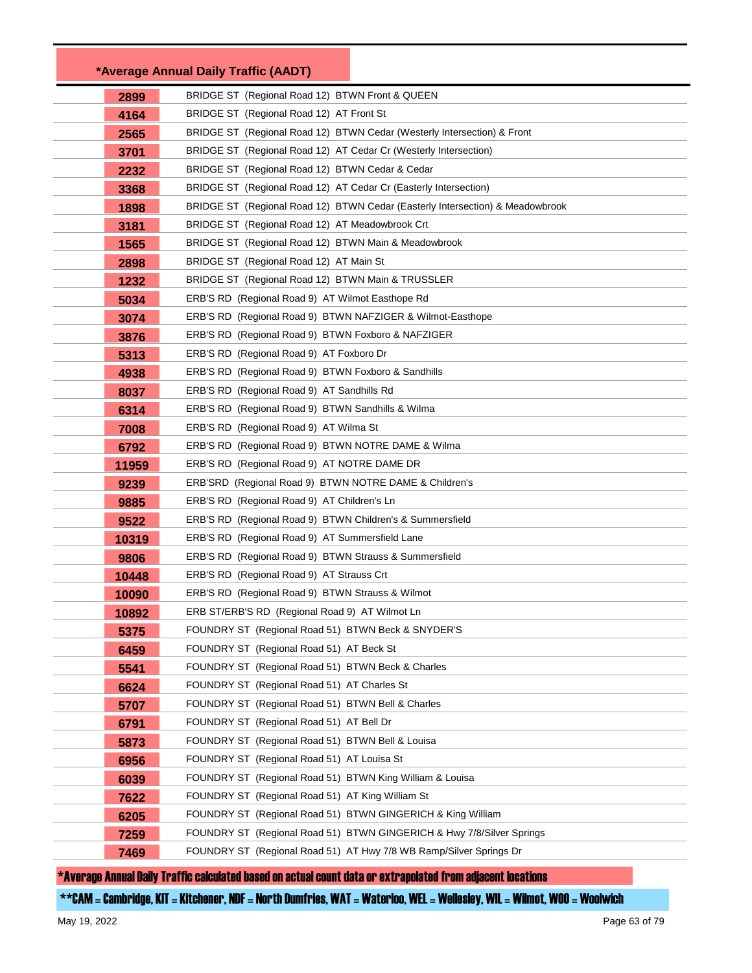|              | *Average Annual Daily Traffic (AADT)                                                             |
|--------------|--------------------------------------------------------------------------------------------------|
| 2899         | BRIDGE ST (Regional Road 12) BTWN Front & QUEEN                                                  |
| 4164         | BRIDGE ST (Regional Road 12) AT Front St                                                         |
| 2565         | BRIDGE ST (Regional Road 12) BTWN Cedar (Westerly Intersection) & Front                          |
| 3701         | BRIDGE ST (Regional Road 12) AT Cedar Cr (Westerly Intersection)                                 |
| 2232         | BRIDGE ST (Regional Road 12) BTWN Cedar & Cedar                                                  |
| 3368         | BRIDGE ST (Regional Road 12) AT Cedar Cr (Easterly Intersection)                                 |
| 1898         | BRIDGE ST (Regional Road 12) BTWN Cedar (Easterly Intersection) & Meadowbrook                    |
| 3181         | BRIDGE ST (Regional Road 12) AT Meadowbrook Crt                                                  |
| 1565         | BRIDGE ST (Regional Road 12) BTWN Main & Meadowbrook                                             |
| 2898         | BRIDGE ST (Regional Road 12) AT Main St                                                          |
| 1232         | BRIDGE ST (Regional Road 12) BTWN Main & TRUSSLER                                                |
| 5034         | ERB'S RD (Regional Road 9) AT Wilmot Easthope Rd                                                 |
| 3074         | ERB'S RD (Regional Road 9) BTWN NAFZIGER & Wilmot-Easthope                                       |
| 3876         | ERB'S RD (Regional Road 9) BTWN Foxboro & NAFZIGER                                               |
| 5313         | ERB'S RD (Regional Road 9) AT Foxboro Dr                                                         |
| 4938         | ERB'S RD (Regional Road 9) BTWN Foxboro & Sandhills                                              |
| 8037         | ERB'S RD (Regional Road 9) AT Sandhills Rd                                                       |
| 6314         | ERB'S RD (Regional Road 9) BTWN Sandhills & Wilma                                                |
| 7008         | ERB'S RD (Regional Road 9) AT Wilma St                                                           |
| 6792         | ERB'S RD (Regional Road 9) BTWN NOTRE DAME & Wilma                                               |
| 11959        | ERB'S RD (Regional Road 9) AT NOTRE DAME DR                                                      |
| 9239         | ERB'SRD (Regional Road 9) BTWN NOTRE DAME & Children's                                           |
| 9885         | ERB'S RD (Regional Road 9) AT Children's Ln                                                      |
| 9522         | ERB'S RD (Regional Road 9) BTWN Children's & Summersfield                                        |
| 10319        | ERB'S RD (Regional Road 9) AT Summersfield Lane                                                  |
| 9806         | ERB'S RD (Regional Road 9) BTWN Strauss & Summersfield                                           |
| 10448        | ERB'S RD (Regional Road 9) AT Strauss Crt                                                        |
| 10090        | ERB'S RD (Regional Road 9) BTWN Strauss & Wilmot                                                 |
| 10892        | ERB ST/ERB'S RD (Regional Road 9) AT Wilmot Ln                                                   |
| 5375         | FOUNDRY ST (Regional Road 51) BTWN Beck & SNYDER'S                                               |
| 6459         | FOUNDRY ST (Regional Road 51) AT Beck St                                                         |
| 5541         | FOUNDRY ST (Regional Road 51) BTWN Beck & Charles<br>FOUNDRY ST (Regional Road 51) AT Charles St |
| 6624         | FOUNDRY ST (Regional Road 51) BTWN Bell & Charles                                                |
| 5707         | FOUNDRY ST (Regional Road 51) AT Bell Dr                                                         |
| 6791         | FOUNDRY ST (Regional Road 51) BTWN Bell & Louisa                                                 |
| 5873         | FOUNDRY ST (Regional Road 51) AT Louisa St                                                       |
| 6956         | FOUNDRY ST (Regional Road 51) BTWN King William & Louisa                                         |
| 6039<br>7622 | FOUNDRY ST (Regional Road 51) AT King William St                                                 |
| 6205         | FOUNDRY ST (Regional Road 51) BTWN GINGERICH & King William                                      |
| 7259         | FOUNDRY ST (Regional Road 51) BTWN GINGERICH & Hwy 7/8/Silver Springs                            |
| 7469         | FOUNDRY ST (Regional Road 51) AT Hwy 7/8 WB Ramp/Silver Springs Dr                               |
|              |                                                                                                  |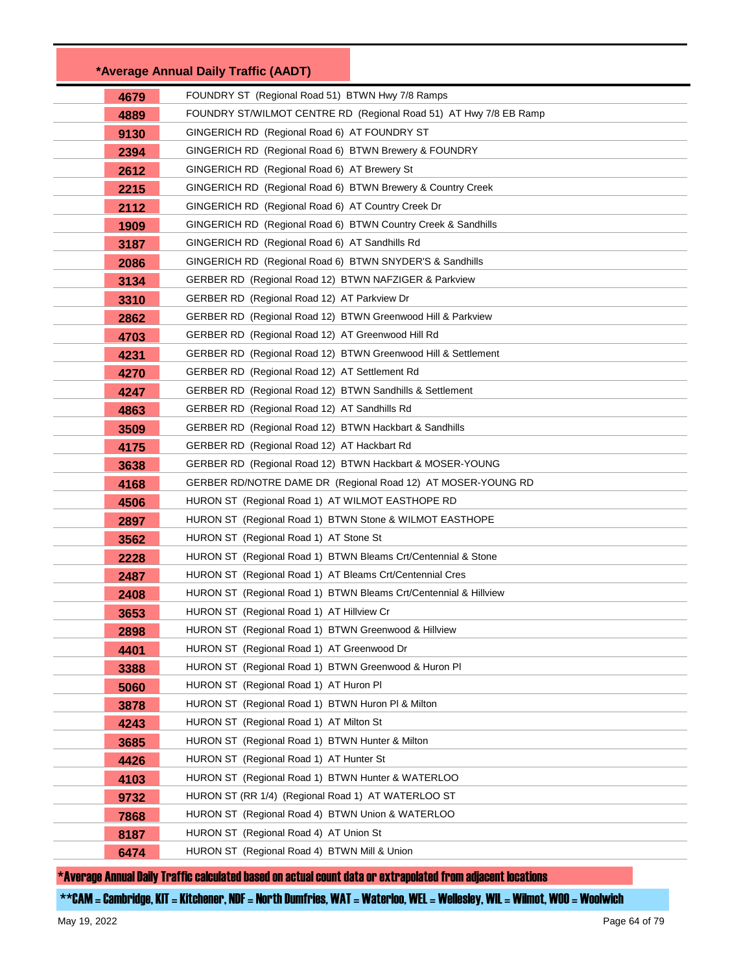|              | *Average Annual Daily Traffic (AADT)                                                               |  |
|--------------|----------------------------------------------------------------------------------------------------|--|
| 4679         | FOUNDRY ST (Regional Road 51) BTWN Hwy 7/8 Ramps                                                   |  |
| 4889         | FOUNDRY ST/WILMOT CENTRE RD (Regional Road 51) AT Hwy 7/8 EB Ramp                                  |  |
| 9130         | GINGERICH RD (Regional Road 6) AT FOUNDRY ST                                                       |  |
| 2394         | GINGERICH RD (Regional Road 6) BTWN Brewery & FOUNDRY                                              |  |
| 2612         | GINGERICH RD (Regional Road 6) AT Brewery St                                                       |  |
| 2215         | GINGERICH RD (Regional Road 6) BTWN Brewery & Country Creek                                        |  |
| 2112         | GINGERICH RD (Regional Road 6) AT Country Creek Dr                                                 |  |
| 1909         | GINGERICH RD (Regional Road 6) BTWN Country Creek & Sandhills                                      |  |
| 3187         | GINGERICH RD (Regional Road 6) AT Sandhills Rd                                                     |  |
| 2086         | GINGERICH RD (Regional Road 6) BTWN SNYDER'S & Sandhills                                           |  |
| 3134         | GERBER RD (Regional Road 12) BTWN NAFZIGER & Parkview                                              |  |
| 3310         | GERBER RD (Regional Road 12) AT Parkview Dr                                                        |  |
| 2862         | GERBER RD (Regional Road 12) BTWN Greenwood Hill & Parkview                                        |  |
| 4703         | GERBER RD (Regional Road 12) AT Greenwood Hill Rd                                                  |  |
| 4231         | GERBER RD (Regional Road 12) BTWN Greenwood Hill & Settlement                                      |  |
| 4270         | GERBER RD (Regional Road 12) AT Settlement Rd                                                      |  |
| 4247         | GERBER RD (Regional Road 12) BTWN Sandhills & Settlement                                           |  |
| 4863         | GERBER RD (Regional Road 12) AT Sandhills Rd                                                       |  |
| 3509         | GERBER RD (Regional Road 12) BTWN Hackbart & Sandhills                                             |  |
| 4175         | GERBER RD (Regional Road 12) AT Hackbart Rd                                                        |  |
| 3638         | GERBER RD (Regional Road 12) BTWN Hackbart & MOSER-YOUNG                                           |  |
| 4168         | GERBER RD/NOTRE DAME DR (Regional Road 12) AT MOSER-YOUNG RD                                       |  |
| 4506         | HURON ST (Regional Road 1) AT WILMOT EASTHOPE RD                                                   |  |
| 2897         | HURON ST (Regional Road 1) BTWN Stone & WILMOT EASTHOPE                                            |  |
| 3562         | HURON ST (Regional Road 1) AT Stone St                                                             |  |
| 2228         | HURON ST (Regional Road 1) BTWN Bleams Crt/Centennial & Stone                                      |  |
| 2487         | HURON ST (Regional Road 1) AT Bleams Crt/Centennial Cres                                           |  |
| 2408         | HURON ST (Regional Road 1) BTWN Bleams Crt/Centennial & Hillview                                   |  |
| 3653         | HURON ST (Regional Road 1) AT Hillview Cr                                                          |  |
| 2898         | HURON ST (Regional Road 1) BTWN Greenwood & Hillview                                               |  |
| 4401         | HURON ST (Regional Road 1) AT Greenwood Dr<br>HURON ST (Regional Road 1) BTWN Greenwood & Huron PI |  |
| 3388         | HURON ST (Regional Road 1) AT Huron PI                                                             |  |
| 5060<br>3878 | HURON ST (Regional Road 1) BTWN Huron PI & Milton                                                  |  |
| 4243         | HURON ST (Regional Road 1) AT Milton St                                                            |  |
| 3685         | HURON ST (Regional Road 1) BTWN Hunter & Milton                                                    |  |
| 4426         | HURON ST (Regional Road 1) AT Hunter St                                                            |  |
| 4103         | HURON ST (Regional Road 1) BTWN Hunter & WATERLOO                                                  |  |
| 9732         | HURON ST (RR 1/4) (Regional Road 1) AT WATERLOO ST                                                 |  |
| 7868         | HURON ST (Regional Road 4) BTWN Union & WATERLOO                                                   |  |
| 8187         | HURON ST (Regional Road 4) AT Union St                                                             |  |
| 6474         | HURON ST (Regional Road 4) BTWN Mill & Union                                                       |  |
|              |                                                                                                    |  |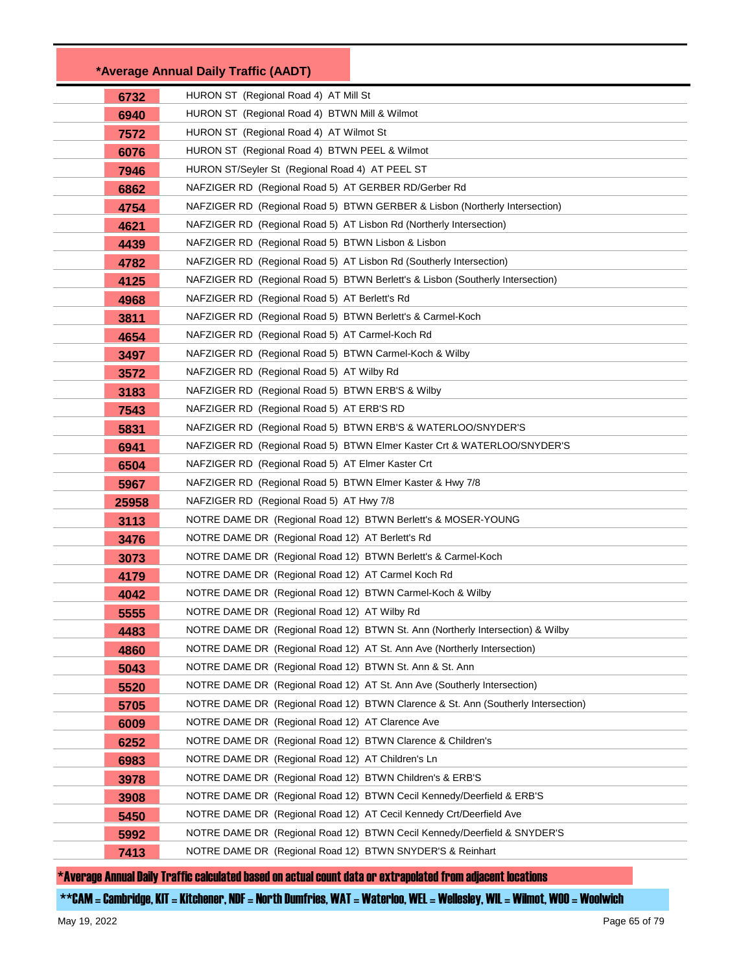|       | *Average Annual Daily Traffic (AADT)                                              |
|-------|-----------------------------------------------------------------------------------|
| 6732  | HURON ST (Regional Road 4) AT Mill St                                             |
| 6940  | HURON ST (Regional Road 4) BTWN Mill & Wilmot                                     |
| 7572  | HURON ST (Regional Road 4) AT Wilmot St                                           |
| 6076  | HURON ST (Regional Road 4) BTWN PEEL & Wilmot                                     |
| 7946  | HURON ST/Seyler St (Regional Road 4) AT PEEL ST                                   |
| 6862  | NAFZIGER RD (Regional Road 5) AT GERBER RD/Gerber Rd                              |
| 4754  | NAFZIGER RD (Regional Road 5) BTWN GERBER & Lisbon (Northerly Intersection)       |
| 4621  | NAFZIGER RD (Regional Road 5) AT Lisbon Rd (Northerly Intersection)               |
| 4439  | NAFZIGER RD (Regional Road 5) BTWN Lisbon & Lisbon                                |
| 4782  | NAFZIGER RD (Regional Road 5) AT Lisbon Rd (Southerly Intersection)               |
| 4125  | NAFZIGER RD (Regional Road 5) BTWN Berlett's & Lisbon (Southerly Intersection)    |
| 4968  | NAFZIGER RD (Regional Road 5) AT Berlett's Rd                                     |
| 3811  | NAFZIGER RD (Regional Road 5) BTWN Berlett's & Carmel-Koch                        |
| 4654  | NAFZIGER RD (Regional Road 5) AT Carmel-Koch Rd                                   |
| 3497  | NAFZIGER RD (Regional Road 5) BTWN Carmel-Koch & Wilby                            |
| 3572  | NAFZIGER RD (Regional Road 5) AT Wilby Rd                                         |
| 3183  | NAFZIGER RD (Regional Road 5) BTWN ERB'S & Wilby                                  |
| 7543  | NAFZIGER RD (Regional Road 5) AT ERB'S RD                                         |
| 5831  | NAFZIGER RD (Regional Road 5) BTWN ERB'S & WATERLOO/SNYDER'S                      |
| 6941  | NAFZIGER RD (Regional Road 5) BTWN Elmer Kaster Crt & WATERLOO/SNYDER'S           |
| 6504  | NAFZIGER RD (Regional Road 5) AT Elmer Kaster Crt                                 |
| 5967  | NAFZIGER RD (Regional Road 5) BTWN Elmer Kaster & Hwy 7/8                         |
| 25958 | NAFZIGER RD (Regional Road 5) AT Hwy 7/8                                          |
| 3113  | NOTRE DAME DR (Regional Road 12) BTWN Berlett's & MOSER-YOUNG                     |
| 3476  | NOTRE DAME DR (Regional Road 12) AT Berlett's Rd                                  |
| 3073  | NOTRE DAME DR (Regional Road 12) BTWN Berlett's & Carmel-Koch                     |
| 4179  | NOTRE DAME DR (Regional Road 12) AT Carmel Koch Rd                                |
| 4042  | NOTRE DAME DR (Regional Road 12) BTWN Carmel-Koch & Wilby                         |
| 5555  | NOTRE DAME DR (Regional Road 12) AT Wilby Rd                                      |
| 4483  | NOTRE DAME DR (Regional Road 12) BTWN St. Ann (Northerly Intersection) & Wilby    |
| 4860  | NOTRE DAME DR (Regional Road 12) AT St. Ann Ave (Northerly Intersection)          |
| 5043  | NOTRE DAME DR (Regional Road 12) BTWN St. Ann & St. Ann                           |
| 5520  | NOTRE DAME DR (Regional Road 12) AT St. Ann Ave (Southerly Intersection)          |
| 5705  | NOTRE DAME DR (Regional Road 12) BTWN Clarence & St. Ann (Southerly Intersection) |
| 6009  | NOTRE DAME DR (Regional Road 12) AT Clarence Ave                                  |
| 6252  | NOTRE DAME DR (Regional Road 12) BTWN Clarence & Children's                       |
| 6983  | NOTRE DAME DR (Regional Road 12) AT Children's Ln                                 |
| 3978  | NOTRE DAME DR (Regional Road 12) BTWN Children's & ERB'S                          |
| 3908  | NOTRE DAME DR (Regional Road 12) BTWN Cecil Kennedy/Deerfield & ERB'S             |
| 5450  | NOTRE DAME DR (Regional Road 12) AT Cecil Kennedy Crt/Deerfield Ave               |
| 5992  | NOTRE DAME DR (Regional Road 12) BTWN Cecil Kennedy/Deerfield & SNYDER'S          |
| 7413  | NOTRE DAME DR (Regional Road 12) BTWN SNYDER'S & Reinhart                         |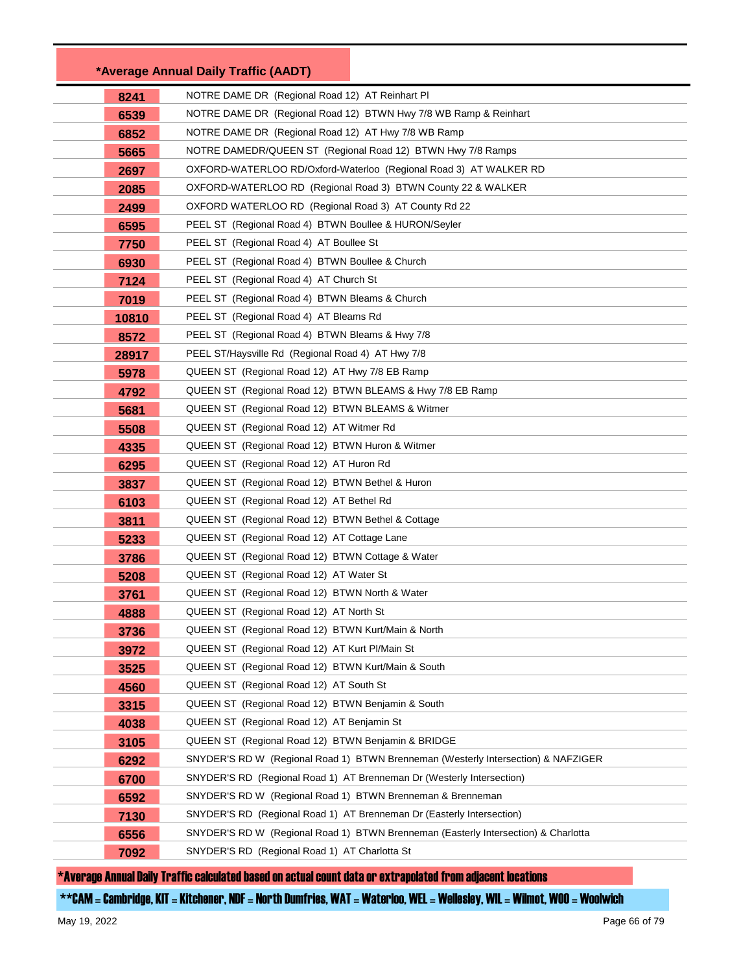|       | *Average Annual Daily Traffic (AADT)                                               |  |
|-------|------------------------------------------------------------------------------------|--|
| 8241  | NOTRE DAME DR (Regional Road 12) AT Reinhart PI                                    |  |
| 6539  | NOTRE DAME DR (Regional Road 12) BTWN Hwy 7/8 WB Ramp & Reinhart                   |  |
| 6852  | NOTRE DAME DR (Regional Road 12) AT Hwy 7/8 WB Ramp                                |  |
| 5665  | NOTRE DAMEDR/QUEEN ST (Regional Road 12) BTWN Hwy 7/8 Ramps                        |  |
| 2697  | OXFORD-WATERLOO RD/Oxford-Waterloo (Regional Road 3) AT WALKER RD                  |  |
| 2085  | OXFORD-WATERLOO RD (Regional Road 3) BTWN County 22 & WALKER                       |  |
| 2499  | OXFORD WATERLOO RD (Regional Road 3) AT County Rd 22                               |  |
| 6595  | PEEL ST (Regional Road 4) BTWN Boullee & HURON/Seyler                              |  |
| 7750  | PEEL ST (Regional Road 4) AT Boullee St                                            |  |
| 6930  | PEEL ST (Regional Road 4) BTWN Boullee & Church                                    |  |
| 7124  | PEEL ST (Regional Road 4) AT Church St                                             |  |
| 7019  | PEEL ST (Regional Road 4) BTWN Bleams & Church                                     |  |
| 10810 | PEEL ST (Regional Road 4) AT Bleams Rd                                             |  |
| 8572  | PEEL ST (Regional Road 4) BTWN Bleams & Hwy 7/8                                    |  |
| 28917 | PEEL ST/Haysville Rd (Regional Road 4) AT Hwy 7/8                                  |  |
| 5978  | QUEEN ST (Regional Road 12) AT Hwy 7/8 EB Ramp                                     |  |
| 4792  | QUEEN ST (Regional Road 12) BTWN BLEAMS & Hwy 7/8 EB Ramp                          |  |
| 5681  | QUEEN ST (Regional Road 12) BTWN BLEAMS & Witmer                                   |  |
| 5508  | QUEEN ST (Regional Road 12) AT Witmer Rd                                           |  |
| 4335  | QUEEN ST (Regional Road 12) BTWN Huron & Witmer                                    |  |
| 6295  | QUEEN ST (Regional Road 12) AT Huron Rd                                            |  |
| 3837  | QUEEN ST (Regional Road 12) BTWN Bethel & Huron                                    |  |
| 6103  | QUEEN ST (Regional Road 12) AT Bethel Rd                                           |  |
| 3811  | QUEEN ST (Regional Road 12) BTWN Bethel & Cottage                                  |  |
| 5233  | QUEEN ST (Regional Road 12) AT Cottage Lane                                        |  |
| 3786  | QUEEN ST (Regional Road 12) BTWN Cottage & Water                                   |  |
| 5208  | QUEEN ST (Regional Road 12) AT Water St                                            |  |
| 3761  | QUEEN ST (Regional Road 12) BTWN North & Water                                     |  |
| 4888  | QUEEN ST (Regional Road 12) AT North St                                            |  |
| 3736  | QUEEN ST (Regional Road 12) BTWN Kurt/Main & North                                 |  |
| 3972  | QUEEN ST (Regional Road 12) AT Kurt Pl/Main St                                     |  |
| 3525  | QUEEN ST (Regional Road 12) BTWN Kurt/Main & South                                 |  |
| 4560  | QUEEN ST (Regional Road 12) AT South St                                            |  |
| 3315  | QUEEN ST (Regional Road 12) BTWN Benjamin & South                                  |  |
| 4038  | QUEEN ST (Regional Road 12) AT Benjamin St                                         |  |
| 3105  | QUEEN ST (Regional Road 12) BTWN Benjamin & BRIDGE                                 |  |
| 6292  | SNYDER'S RD W (Regional Road 1) BTWN Brenneman (Westerly Intersection) & NAFZIGER  |  |
| 6700  | SNYDER'S RD (Regional Road 1) AT Brenneman Dr (Westerly Intersection)              |  |
| 6592  | SNYDER'S RD W (Regional Road 1) BTWN Brenneman & Brenneman                         |  |
| 7130  | SNYDER'S RD (Regional Road 1) AT Brenneman Dr (Easterly Intersection)              |  |
| 6556  | SNYDER'S RD W (Regional Road 1) BTWN Brenneman (Easterly Intersection) & Charlotta |  |
| 7092  | SNYDER'S RD (Regional Road 1) AT Charlotta St                                      |  |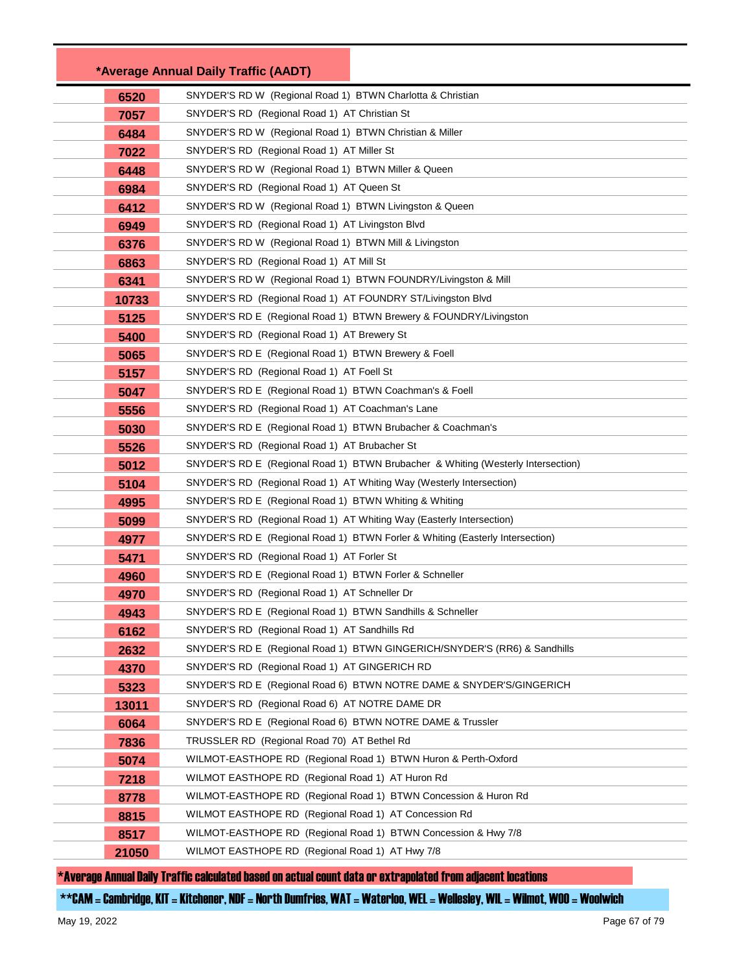|       | *Average Annual Daily Traffic (AADT)                                 |                                                                                  |
|-------|----------------------------------------------------------------------|----------------------------------------------------------------------------------|
| 6520  | SNYDER'S RD W (Regional Road 1) BTWN Charlotta & Christian           |                                                                                  |
| 7057  | SNYDER'S RD (Regional Road 1) AT Christian St                        |                                                                                  |
| 6484  | SNYDER'S RD W (Regional Road 1) BTWN Christian & Miller              |                                                                                  |
| 7022  | SNYDER'S RD (Regional Road 1) AT Miller St                           |                                                                                  |
| 6448  | SNYDER'S RD W (Regional Road 1) BTWN Miller & Queen                  |                                                                                  |
| 6984  | SNYDER'S RD (Regional Road 1) AT Queen St                            |                                                                                  |
| 6412  | SNYDER'S RD W (Regional Road 1) BTWN Livingston & Queen              |                                                                                  |
| 6949  | SNYDER'S RD (Regional Road 1) AT Livingston Blvd                     |                                                                                  |
| 6376  | SNYDER'S RD W (Regional Road 1) BTWN Mill & Livingston               |                                                                                  |
| 6863  | SNYDER'S RD (Regional Road 1) AT Mill St                             |                                                                                  |
| 6341  | SNYDER'S RD W (Regional Road 1) BTWN FOUNDRY/Livingston & Mill       |                                                                                  |
| 10733 | SNYDER'S RD (Regional Road 1) AT FOUNDRY ST/Livingston Blvd          |                                                                                  |
| 5125  | SNYDER'S RD E (Regional Road 1) BTWN Brewery & FOUNDRY/Livingston    |                                                                                  |
| 5400  | SNYDER'S RD (Regional Road 1) AT Brewery St                          |                                                                                  |
| 5065  | SNYDER'S RD E (Regional Road 1) BTWN Brewery & Foell                 |                                                                                  |
| 5157  | SNYDER'S RD (Regional Road 1) AT Foell St                            |                                                                                  |
| 5047  | SNYDER'S RD E (Regional Road 1) BTWN Coachman's & Foell              |                                                                                  |
| 5556  | SNYDER'S RD (Regional Road 1) AT Coachman's Lane                     |                                                                                  |
| 5030  | SNYDER'S RD E (Regional Road 1) BTWN Brubacher & Coachman's          |                                                                                  |
| 5526  | SNYDER'S RD (Regional Road 1) AT Brubacher St                        |                                                                                  |
| 5012  |                                                                      | SNYDER'S RD E (Regional Road 1) BTWN Brubacher & Whiting (Westerly Intersection) |
| 5104  | SNYDER'S RD (Regional Road 1) AT Whiting Way (Westerly Intersection) |                                                                                  |
| 4995  | SNYDER'S RD E (Regional Road 1) BTWN Whiting & Whiting               |                                                                                  |
| 5099  | SNYDER'S RD (Regional Road 1) AT Whiting Way (Easterly Intersection) |                                                                                  |
| 4977  |                                                                      | SNYDER'S RD E (Regional Road 1) BTWN Forler & Whiting (Easterly Intersection)    |
| 5471  | SNYDER'S RD (Regional Road 1) AT Forler St                           |                                                                                  |
| 4960  | SNYDER'S RD E (Regional Road 1) BTWN Forler & Schneller              |                                                                                  |
| 4970  | SNYDER'S RD (Regional Road 1) AT Schneller Dr                        |                                                                                  |
| 4943  | SNYDER'S RD E (Regional Road 1) BTWN Sandhills & Schneller           |                                                                                  |
| 6162  | SNYDER'S RD (Regional Road 1) AT Sandhills Rd                        |                                                                                  |
| 2632  |                                                                      | SNYDER'S RD E (Regional Road 1) BTWN GINGERICH/SNYDER'S (RR6) & Sandhills        |
| 4370  | SNYDER'S RD (Regional Road 1) AT GINGERICH RD                        |                                                                                  |
| 5323  |                                                                      | SNYDER'S RD E (Regional Road 6) BTWN NOTRE DAME & SNYDER'S/GINGERICH             |
| 13011 | SNYDER'S RD (Regional Road 6) AT NOTRE DAME DR                       |                                                                                  |
| 6064  | SNYDER'S RD E (Regional Road 6) BTWN NOTRE DAME & Trussler           |                                                                                  |
| 7836  | TRUSSLER RD (Regional Road 70) AT Bethel Rd                          |                                                                                  |
| 5074  | WILMOT-EASTHOPE RD (Regional Road 1) BTWN Huron & Perth-Oxford       |                                                                                  |
| 7218  | WILMOT EASTHOPE RD (Regional Road 1) AT Huron Rd                     |                                                                                  |
| 8778  | WILMOT-EASTHOPE RD (Regional Road 1) BTWN Concession & Huron Rd      |                                                                                  |
| 8815  | WILMOT EASTHOPE RD (Regional Road 1) AT Concession Rd                |                                                                                  |
| 8517  | WILMOT-EASTHOPE RD (Regional Road 1) BTWN Concession & Hwy 7/8       |                                                                                  |
| 21050 | WILMOT EASTHOPE RD (Regional Road 1) AT Hwy 7/8                      |                                                                                  |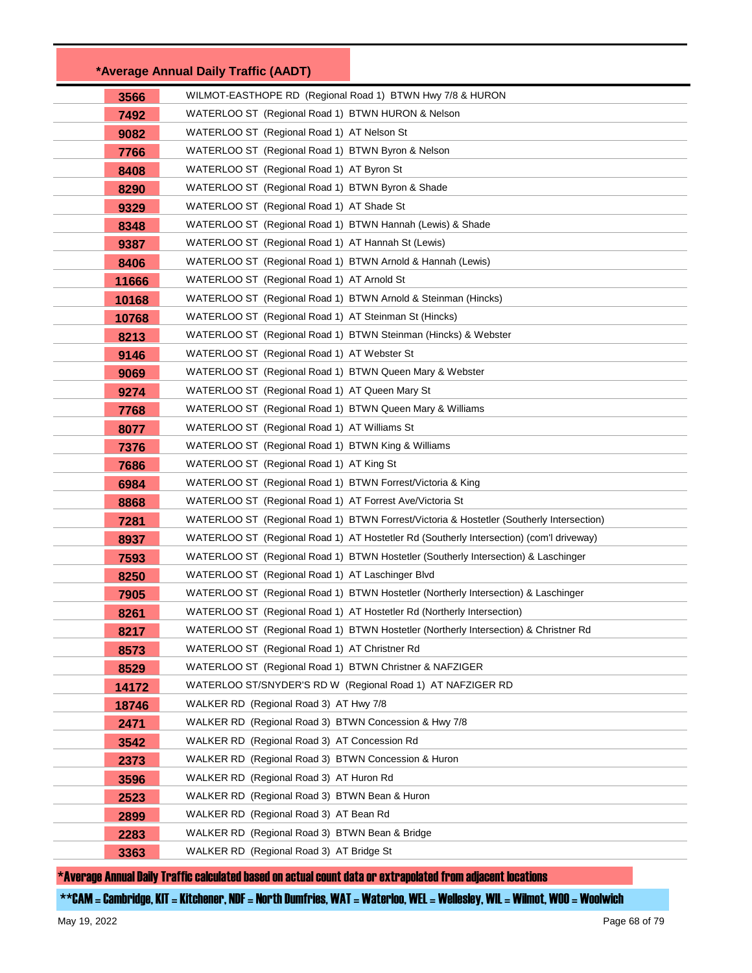|       | *Average Annual Daily Traffic (AADT)                           |                                                                                          |
|-------|----------------------------------------------------------------|------------------------------------------------------------------------------------------|
| 3566  | WILMOT-EASTHOPE RD (Regional Road 1) BTWN Hwy 7/8 & HURON      |                                                                                          |
| 7492  | WATERLOO ST (Regional Road 1) BTWN HURON & Nelson              |                                                                                          |
| 9082  | WATERLOO ST (Regional Road 1) AT Nelson St                     |                                                                                          |
| 7766  | WATERLOO ST (Regional Road 1) BTWN Byron & Nelson              |                                                                                          |
| 8408  | WATERLOO ST (Regional Road 1) AT Byron St                      |                                                                                          |
| 8290  | WATERLOO ST (Regional Road 1) BTWN Byron & Shade               |                                                                                          |
| 9329  | WATERLOO ST (Regional Road 1) AT Shade St                      |                                                                                          |
| 8348  | WATERLOO ST (Regional Road 1) BTWN Hannah (Lewis) & Shade      |                                                                                          |
| 9387  | WATERLOO ST (Regional Road 1) AT Hannah St (Lewis)             |                                                                                          |
| 8406  | WATERLOO ST (Regional Road 1) BTWN Arnold & Hannah (Lewis)     |                                                                                          |
| 11666 | WATERLOO ST (Regional Road 1) AT Arnold St                     |                                                                                          |
| 10168 | WATERLOO ST (Regional Road 1) BTWN Arnold & Steinman (Hincks)  |                                                                                          |
| 10768 | WATERLOO ST (Regional Road 1) AT Steinman St (Hincks)          |                                                                                          |
| 8213  | WATERLOO ST (Regional Road 1) BTWN Steinman (Hincks) & Webster |                                                                                          |
| 9146  | WATERLOO ST (Regional Road 1) AT Webster St                    |                                                                                          |
| 9069  | WATERLOO ST (Regional Road 1) BTWN Queen Mary & Webster        |                                                                                          |
| 9274  | WATERLOO ST (Regional Road 1) AT Queen Mary St                 |                                                                                          |
| 7768  | WATERLOO ST (Regional Road 1) BTWN Queen Mary & Williams       |                                                                                          |
| 8077  | WATERLOO ST (Regional Road 1) AT Williams St                   |                                                                                          |
| 7376  | WATERLOO ST (Regional Road 1) BTWN King & Williams             |                                                                                          |
| 7686  | WATERLOO ST (Regional Road 1) AT King St                       |                                                                                          |
| 6984  | WATERLOO ST (Regional Road 1) BTWN Forrest/Victoria & King     |                                                                                          |
| 8868  | WATERLOO ST (Regional Road 1) AT Forrest Ave/Victoria St       |                                                                                          |
| 7281  |                                                                | WATERLOO ST (Regional Road 1) BTWN Forrest/Victoria & Hostetler (Southerly Intersection) |
| 8937  |                                                                | WATERLOO ST (Regional Road 1) AT Hostetler Rd (Southerly Intersection) (com'l driveway)  |
| 7593  |                                                                | WATERLOO ST (Regional Road 1) BTWN Hostetler (Southerly Intersection) & Laschinger       |
| 8250  | WATERLOO ST (Regional Road 1) AT Laschinger Blvd               |                                                                                          |
| 7905  |                                                                | WATERLOO ST (Regional Road 1) BTWN Hostetler (Northerly Intersection) & Laschinger       |
| 8261  |                                                                | WATERLOO ST (Regional Road 1) AT Hostetler Rd (Northerly Intersection)                   |
| 8217  |                                                                | WATERLOO ST (Regional Road 1) BTWN Hostetler (Northerly Intersection) & Christner Rd     |
| 8573  | WATERLOO ST (Regional Road 1) AT Christner Rd                  |                                                                                          |
| 8529  | WATERLOO ST (Regional Road 1) BTWN Christner & NAFZIGER        |                                                                                          |
| 14172 | WATERLOO ST/SNYDER'S RD W (Regional Road 1) AT NAFZIGER RD     |                                                                                          |
| 18746 | WALKER RD (Regional Road 3) AT Hwy 7/8                         |                                                                                          |
| 2471  | WALKER RD (Regional Road 3) BTWN Concession & Hwy 7/8          |                                                                                          |
| 3542  | WALKER RD (Regional Road 3) AT Concession Rd                   |                                                                                          |
| 2373  | WALKER RD (Regional Road 3) BTWN Concession & Huron            |                                                                                          |
| 3596  | WALKER RD (Regional Road 3) AT Huron Rd                        |                                                                                          |
| 2523  | WALKER RD (Regional Road 3) BTWN Bean & Huron                  |                                                                                          |
| 2899  | WALKER RD (Regional Road 3) AT Bean Rd                         |                                                                                          |
| 2283  | WALKER RD (Regional Road 3) BTWN Bean & Bridge                 |                                                                                          |
| 3363  | WALKER RD (Regional Road 3) AT Bridge St                       |                                                                                          |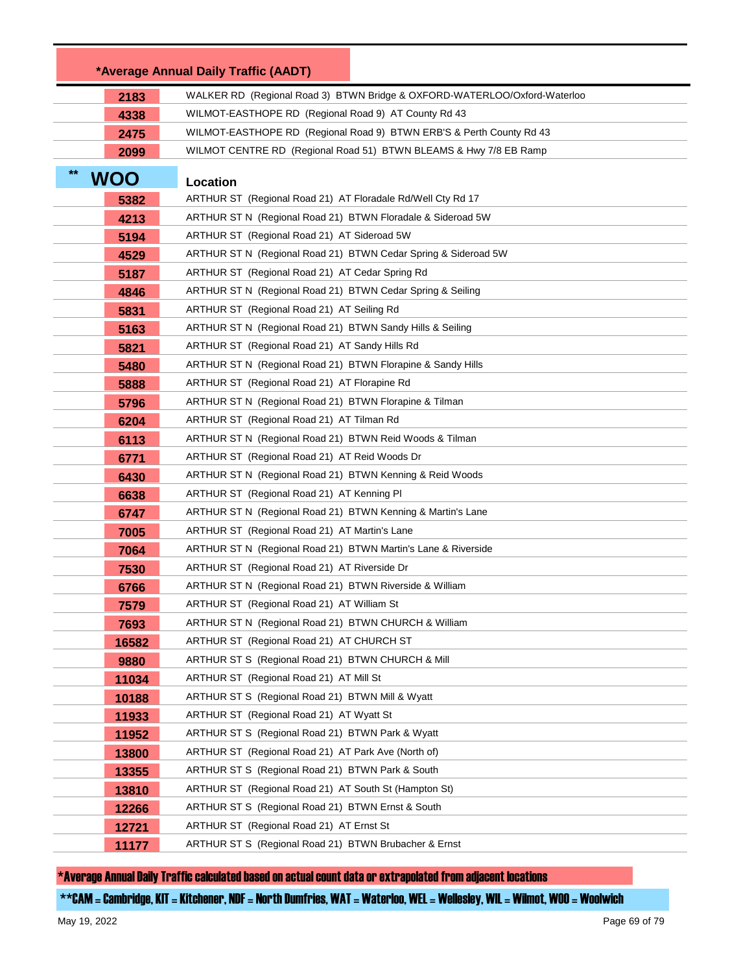|            | *Average Annual Daily Traffic (AADT)                                      |  |
|------------|---------------------------------------------------------------------------|--|
| 2183       | WALKER RD (Regional Road 3) BTWN Bridge & OXFORD-WATERLOO/Oxford-Waterloo |  |
| 4338       | WILMOT-EASTHOPE RD (Regional Road 9) AT County Rd 43                      |  |
| 2475       | WILMOT-EASTHOPE RD (Regional Road 9) BTWN ERB'S & Perth County Rd 43      |  |
| 2099       | WILMOT CENTRE RD (Regional Road 51) BTWN BLEAMS & Hwy 7/8 EB Ramp         |  |
| <b>WOO</b> | Location                                                                  |  |
| 5382       | ARTHUR ST (Regional Road 21) AT Floradale Rd/Well Cty Rd 17               |  |
| 4213       | ARTHUR ST N (Regional Road 21) BTWN Floradale & Sideroad 5W               |  |
| 5194       | ARTHUR ST (Regional Road 21) AT Sideroad 5W                               |  |
| 4529       | ARTHUR ST N (Regional Road 21) BTWN Cedar Spring & Sideroad 5W            |  |
| 5187       | ARTHUR ST (Regional Road 21) AT Cedar Spring Rd                           |  |
| 4846       | ARTHUR ST N (Regional Road 21) BTWN Cedar Spring & Seiling                |  |
| 5831       | ARTHUR ST (Regional Road 21) AT Seiling Rd                                |  |
| 5163       | ARTHUR ST N (Regional Road 21) BTWN Sandy Hills & Seiling                 |  |
| 5821       | ARTHUR ST (Regional Road 21) AT Sandy Hills Rd                            |  |
| 5480       | ARTHUR ST N (Regional Road 21) BTWN Florapine & Sandy Hills               |  |
| 5888       | ARTHUR ST (Regional Road 21) AT Florapine Rd                              |  |
| 5796       | ARTHUR ST N (Regional Road 21) BTWN Florapine & Tilman                    |  |
| 6204       | ARTHUR ST (Regional Road 21) AT Tilman Rd                                 |  |
| 6113       | ARTHUR ST N (Regional Road 21) BTWN Reid Woods & Tilman                   |  |
| 6771       | ARTHUR ST (Regional Road 21) AT Reid Woods Dr                             |  |
| 6430       | ARTHUR ST N (Regional Road 21) BTWN Kenning & Reid Woods                  |  |
| 6638       | ARTHUR ST (Regional Road 21) AT Kenning PI                                |  |
| 6747       | ARTHUR ST N (Regional Road 21) BTWN Kenning & Martin's Lane               |  |
| 7005       | ARTHUR ST (Regional Road 21) AT Martin's Lane                             |  |
| 7064       | ARTHUR ST N (Regional Road 21) BTWN Martin's Lane & Riverside             |  |
| 7530       | ARTHUR ST (Regional Road 21) AT Riverside Dr                              |  |
| 6766       | ARTHUR ST N (Regional Road 21) BTWN Riverside & William                   |  |
| 7579       | ARTHUR ST (Regional Road 21) AT William St                                |  |
| 7693       | ARTHUR ST N (Regional Road 21) BTWN CHURCH & William                      |  |
| 16582      | ARTHUR ST (Regional Road 21) AT CHURCH ST                                 |  |
| 9880       | ARTHUR ST S (Regional Road 21) BTWN CHURCH & Mill                         |  |
| 11034      | ARTHUR ST (Regional Road 21) AT Mill St                                   |  |
| 10188      | ARTHUR ST S (Regional Road 21) BTWN Mill & Wyatt                          |  |
| 11933      | ARTHUR ST (Regional Road 21) AT Wyatt St                                  |  |
| 11952      | ARTHUR ST S (Regional Road 21) BTWN Park & Wyatt                          |  |
| 13800      | ARTHUR ST (Regional Road 21) AT Park Ave (North of)                       |  |
| 13355      | ARTHUR ST S (Regional Road 21) BTWN Park & South                          |  |
| 13810      | ARTHUR ST (Regional Road 21) AT South St (Hampton St)                     |  |
| 12266      | ARTHUR ST S (Regional Road 21) BTWN Ernst & South                         |  |
| 12721      | ARTHUR ST (Regional Road 21) AT Ernst St                                  |  |
| 11177      | ARTHUR ST S (Regional Road 21) BTWN Brubacher & Ernst                     |  |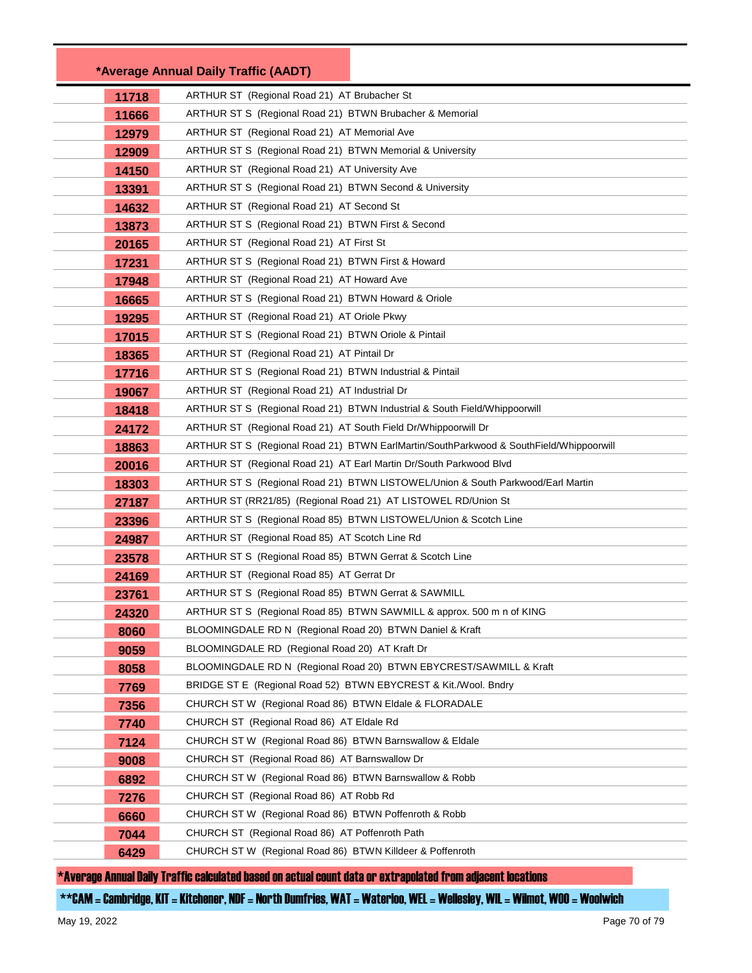|       | *Average Annual Daily Traffic (AADT)                                                   |  |
|-------|----------------------------------------------------------------------------------------|--|
| 11718 | ARTHUR ST (Regional Road 21) AT Brubacher St                                           |  |
| 11666 | ARTHUR ST S (Regional Road 21) BTWN Brubacher & Memorial                               |  |
| 12979 | ARTHUR ST (Regional Road 21) AT Memorial Ave                                           |  |
| 12909 | ARTHUR ST S (Regional Road 21) BTWN Memorial & University                              |  |
| 14150 | ARTHUR ST (Regional Road 21) AT University Ave                                         |  |
| 13391 | ARTHUR ST S (Regional Road 21) BTWN Second & University                                |  |
| 14632 | ARTHUR ST (Regional Road 21) AT Second St                                              |  |
| 13873 | ARTHUR ST S (Regional Road 21) BTWN First & Second                                     |  |
| 20165 | ARTHUR ST (Regional Road 21) AT First St                                               |  |
| 17231 | ARTHUR ST S (Regional Road 21) BTWN First & Howard                                     |  |
| 17948 | ARTHUR ST (Regional Road 21) AT Howard Ave                                             |  |
| 16665 | ARTHUR ST S (Regional Road 21) BTWN Howard & Oriole                                    |  |
| 19295 | ARTHUR ST (Regional Road 21) AT Oriole Pkwy                                            |  |
| 17015 | ARTHUR ST S (Regional Road 21) BTWN Oriole & Pintail                                   |  |
| 18365 | ARTHUR ST (Regional Road 21) AT Pintail Dr                                             |  |
| 17716 | ARTHUR ST S (Regional Road 21) BTWN Industrial & Pintail                               |  |
| 19067 | ARTHUR ST (Regional Road 21) AT Industrial Dr                                          |  |
| 18418 | ARTHUR ST S (Regional Road 21) BTWN Industrial & South Field/Whippoorwill              |  |
| 24172 | ARTHUR ST (Regional Road 21) AT South Field Dr/Whippoorwill Dr                         |  |
| 18863 | ARTHUR ST S (Regional Road 21) BTWN EarlMartin/SouthParkwood & SouthField/Whippoorwill |  |
| 20016 | ARTHUR ST (Regional Road 21) AT Earl Martin Dr/South Parkwood Blvd                     |  |
| 18303 | ARTHUR ST S (Regional Road 21) BTWN LISTOWEL/Union & South Parkwood/Earl Martin        |  |
| 27187 | ARTHUR ST (RR21/85) (Regional Road 21) AT LISTOWEL RD/Union St                         |  |
| 23396 | ARTHUR ST S (Regional Road 85) BTWN LISTOWEL/Union & Scotch Line                       |  |
| 24987 | ARTHUR ST (Regional Road 85) AT Scotch Line Rd                                         |  |
| 23578 | ARTHUR ST S (Regional Road 85) BTWN Gerrat & Scotch Line                               |  |
| 24169 | ARTHUR ST (Regional Road 85) AT Gerrat Dr                                              |  |
| 23761 | ARTHUR ST S (Regional Road 85) BTWN Gerrat & SAWMILL                                   |  |
| 24320 | ARTHUR ST S (Regional Road 85) BTWN SAWMILL & approx. 500 m n of KING                  |  |
| 8060  | BLOOMINGDALE RD N (Regional Road 20) BTWN Daniel & Kraft                               |  |
| 9059  | BLOOMINGDALE RD (Regional Road 20) AT Kraft Dr                                         |  |
| 8058  | BLOOMINGDALE RD N (Regional Road 20) BTWN EBYCREST/SAWMILL & Kraft                     |  |
| 7769  | BRIDGE ST E (Regional Road 52) BTWN EBYCREST & Kit./Wool. Bndry                        |  |
| 7356  | CHURCH ST W (Regional Road 86) BTWN Eldale & FLORADALE                                 |  |
| 7740  | CHURCH ST (Regional Road 86) AT Eldale Rd                                              |  |
| 7124  | CHURCH ST W (Regional Road 86) BTWN Barnswallow & Eldale                               |  |
| 9008  | CHURCH ST (Regional Road 86) AT Barnswallow Dr                                         |  |
| 6892  | CHURCH ST W (Regional Road 86) BTWN Barnswallow & Robb                                 |  |
| 7276  | CHURCH ST (Regional Road 86) AT Robb Rd                                                |  |
| 6660  | CHURCH ST W (Regional Road 86) BTWN Poffenroth & Robb                                  |  |
| 7044  | CHURCH ST (Regional Road 86) AT Poffenroth Path                                        |  |
| 6429  | CHURCH ST W (Regional Road 86) BTWN Killdeer & Poffenroth                              |  |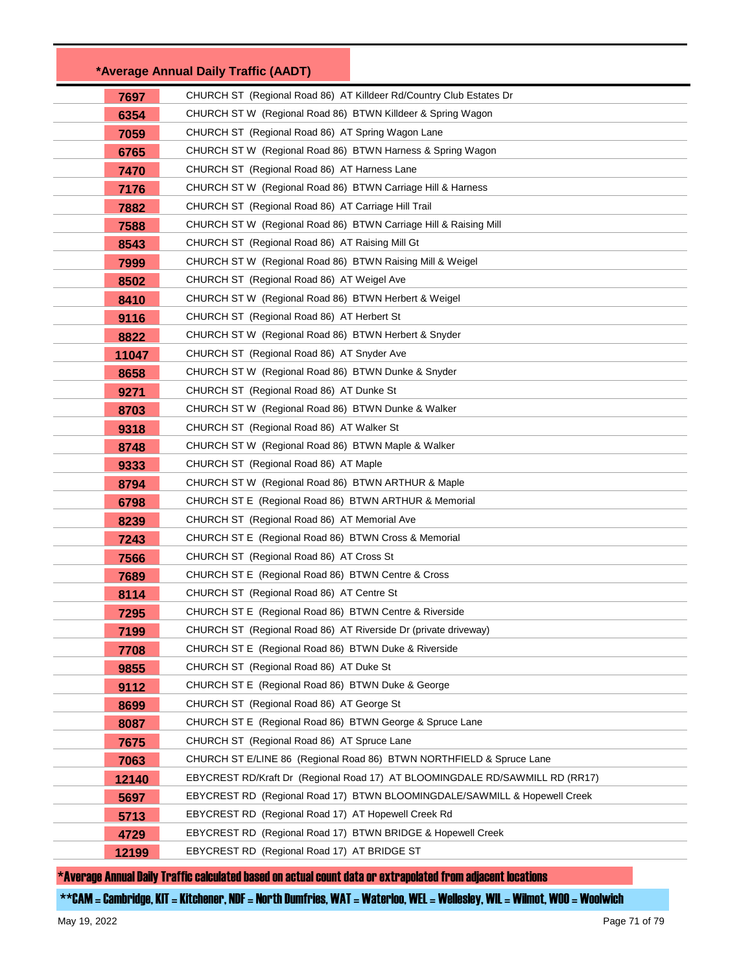|       | *Average Annual Daily Traffic (AADT)                                         |  |
|-------|------------------------------------------------------------------------------|--|
| 7697  | CHURCH ST (Regional Road 86) AT Killdeer Rd/Country Club Estates Dr          |  |
| 6354  | CHURCH ST W (Regional Road 86) BTWN Killdeer & Spring Wagon                  |  |
| 7059  | CHURCH ST (Regional Road 86) AT Spring Wagon Lane                            |  |
| 6765  | CHURCH ST W (Regional Road 86) BTWN Harness & Spring Wagon                   |  |
| 7470  | CHURCH ST (Regional Road 86) AT Harness Lane                                 |  |
| 7176  | CHURCH ST W (Regional Road 86) BTWN Carriage Hill & Harness                  |  |
| 7882  | CHURCH ST (Regional Road 86) AT Carriage Hill Trail                          |  |
| 7588  | CHURCH ST W (Regional Road 86) BTWN Carriage Hill & Raising Mill             |  |
| 8543  | CHURCH ST (Regional Road 86) AT Raising Mill Gt                              |  |
| 7999  | CHURCH ST W (Regional Road 86) BTWN Raising Mill & Weigel                    |  |
| 8502  | CHURCH ST (Regional Road 86) AT Weigel Ave                                   |  |
| 8410  | CHURCH ST W (Regional Road 86) BTWN Herbert & Weigel                         |  |
| 9116  | CHURCH ST (Regional Road 86) AT Herbert St                                   |  |
| 8822  | CHURCH ST W (Regional Road 86) BTWN Herbert & Snyder                         |  |
| 11047 | CHURCH ST (Regional Road 86) AT Snyder Ave                                   |  |
| 8658  | CHURCH ST W (Regional Road 86) BTWN Dunke & Snyder                           |  |
| 9271  | CHURCH ST (Regional Road 86) AT Dunke St                                     |  |
| 8703  | CHURCH ST W (Regional Road 86) BTWN Dunke & Walker                           |  |
| 9318  | CHURCH ST (Regional Road 86) AT Walker St                                    |  |
| 8748  | CHURCH ST W (Regional Road 86) BTWN Maple & Walker                           |  |
| 9333  | CHURCH ST (Regional Road 86) AT Maple                                        |  |
| 8794  | CHURCH ST W (Regional Road 86) BTWN ARTHUR & Maple                           |  |
| 6798  | CHURCH ST E (Regional Road 86) BTWN ARTHUR & Memorial                        |  |
| 8239  | CHURCH ST (Regional Road 86) AT Memorial Ave                                 |  |
| 7243  | CHURCH ST E (Regional Road 86) BTWN Cross & Memorial                         |  |
| 7566  | CHURCH ST (Regional Road 86) AT Cross St                                     |  |
| 7689  | CHURCH ST E (Regional Road 86) BTWN Centre & Cross                           |  |
| 8114  | CHURCH ST (Regional Road 86) AT Centre St                                    |  |
| 7295  | CHURCH ST E (Regional Road 86) BTWN Centre & Riverside                       |  |
| 7199  | CHURCH ST (Regional Road 86) AT Riverside Dr (private driveway)              |  |
| 7708  | CHURCH ST E (Regional Road 86) BTWN Duke & Riverside                         |  |
| 9855  | CHURCH ST (Regional Road 86) AT Duke St                                      |  |
| 9112  | CHURCH ST E (Regional Road 86) BTWN Duke & George                            |  |
| 8699  | CHURCH ST (Regional Road 86) AT George St                                    |  |
| 8087  | CHURCH ST E (Regional Road 86) BTWN George & Spruce Lane                     |  |
| 7675  | CHURCH ST (Regional Road 86) AT Spruce Lane                                  |  |
| 7063  | CHURCH ST E/LINE 86 (Regional Road 86) BTWN NORTHFIELD & Spruce Lane         |  |
| 12140 | EBYCREST RD/Kraft Dr (Regional Road 17) AT BLOOMINGDALE RD/SAWMILL RD (RR17) |  |
| 5697  | EBYCREST RD (Regional Road 17) BTWN BLOOMINGDALE/SAWMILL & Hopewell Creek    |  |
| 5713  | EBYCREST RD (Regional Road 17) AT Hopewell Creek Rd                          |  |
| 4729  | EBYCREST RD (Regional Road 17) BTWN BRIDGE & Hopewell Creek                  |  |
| 12199 | EBYCREST RD (Regional Road 17) AT BRIDGE ST                                  |  |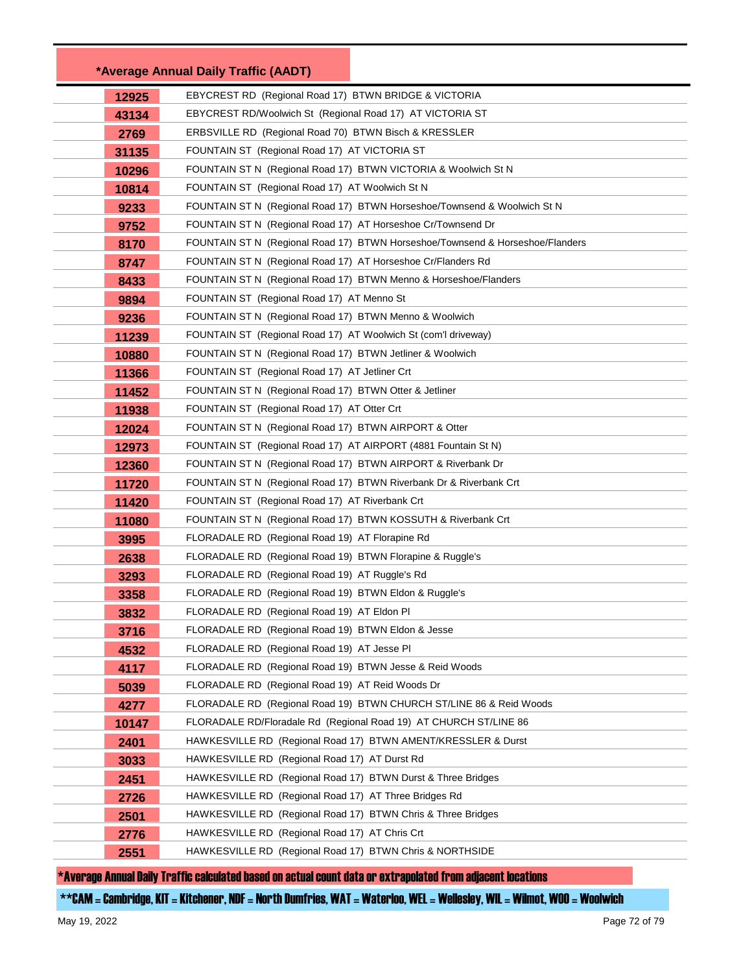|       | *Average Annual Daily Traffic (AADT)                                                                       |                                                                               |  |
|-------|------------------------------------------------------------------------------------------------------------|-------------------------------------------------------------------------------|--|
| 12925 | EBYCREST RD (Regional Road 17) BTWN BRIDGE & VICTORIA                                                      |                                                                               |  |
| 43134 | EBYCREST RD/Woolwich St (Regional Road 17) AT VICTORIA ST                                                  |                                                                               |  |
| 2769  | ERBSVILLE RD (Regional Road 70) BTWN Bisch & KRESSLER                                                      |                                                                               |  |
| 31135 | FOUNTAIN ST (Regional Road 17) AT VICTORIA ST                                                              |                                                                               |  |
| 10296 | FOUNTAIN ST N (Regional Road 17) BTWN VICTORIA & Woolwich St N                                             |                                                                               |  |
| 10814 |                                                                                                            | FOUNTAIN ST (Regional Road 17) AT Woolwich St N                               |  |
| 9233  |                                                                                                            | FOUNTAIN ST N (Regional Road 17) BTWN Horseshoe/Townsend & Woolwich St N      |  |
| 9752  |                                                                                                            | FOUNTAIN ST N (Regional Road 17) AT Horseshoe Cr/Townsend Dr                  |  |
| 8170  |                                                                                                            | FOUNTAIN ST N (Regional Road 17) BTWN Horseshoe/Townsend & Horseshoe/Flanders |  |
| 8747  | FOUNTAIN ST N (Regional Road 17) AT Horseshoe Cr/Flanders Rd                                               |                                                                               |  |
| 8433  | FOUNTAIN ST N (Regional Road 17) BTWN Menno & Horseshoe/Flanders                                           |                                                                               |  |
| 9894  | FOUNTAIN ST (Regional Road 17) AT Menno St                                                                 |                                                                               |  |
| 9236  | FOUNTAIN ST N (Regional Road 17) BTWN Menno & Woolwich                                                     |                                                                               |  |
| 11239 | FOUNTAIN ST (Regional Road 17) AT Woolwich St (com'l driveway)                                             |                                                                               |  |
| 10880 | FOUNTAIN ST N (Regional Road 17) BTWN Jetliner & Woolwich                                                  |                                                                               |  |
| 11366 | FOUNTAIN ST (Regional Road 17) AT Jetliner Crt                                                             |                                                                               |  |
| 11452 |                                                                                                            | FOUNTAIN ST N (Regional Road 17) BTWN Otter & Jetliner                        |  |
| 11938 | FOUNTAIN ST (Regional Road 17) AT Otter Crt                                                                |                                                                               |  |
| 12024 | FOUNTAIN ST N (Regional Road 17) BTWN AIRPORT & Otter                                                      |                                                                               |  |
| 12973 | FOUNTAIN ST (Regional Road 17) AT AIRPORT (4881 Fountain St N)                                             |                                                                               |  |
| 12360 | FOUNTAIN ST N (Regional Road 17) BTWN AIRPORT & Riverbank Dr                                               |                                                                               |  |
| 11720 | FOUNTAIN ST N (Regional Road 17) BTWN Riverbank Dr & Riverbank Crt                                         |                                                                               |  |
| 11420 | FOUNTAIN ST (Regional Road 17) AT Riverbank Crt                                                            |                                                                               |  |
| 11080 | FOUNTAIN ST N (Regional Road 17) BTWN KOSSUTH & Riverbank Crt                                              |                                                                               |  |
| 3995  | FLORADALE RD (Regional Road 19) AT Florapine Rd                                                            |                                                                               |  |
| 2638  | FLORADALE RD (Regional Road 19) BTWN Florapine & Ruggle's                                                  |                                                                               |  |
| 3293  | FLORADALE RD (Regional Road 19) AT Ruggle's Rd                                                             |                                                                               |  |
| 3358  | FLORADALE RD (Regional Road 19) BTWN Eldon & Ruggle's                                                      |                                                                               |  |
| 3832  | FLORADALE RD (Regional Road 19) AT Eldon Pl                                                                |                                                                               |  |
| 3716  | FLORADALE RD (Regional Road 19) BTWN Eldon & Jesse                                                         |                                                                               |  |
| 4532  | FLORADALE RD (Regional Road 19) AT Jesse PI                                                                |                                                                               |  |
| 4117  | FLORADALE RD (Regional Road 19) BTWN Jesse & Reid Woods                                                    |                                                                               |  |
| 5039  | FLORADALE RD (Regional Road 19) AT Reid Woods Dr                                                           |                                                                               |  |
| 4277  |                                                                                                            | FLORADALE RD (Regional Road 19) BTWN CHURCH ST/LINE 86 & Reid Woods           |  |
| 10147 |                                                                                                            | FLORADALE RD/Floradale Rd (Regional Road 19) AT CHURCH ST/LINE 86             |  |
| 2401  |                                                                                                            | HAWKESVILLE RD (Regional Road 17) BTWN AMENT/KRESSLER & Durst                 |  |
| 3033  | HAWKESVILLE RD (Regional Road 17) AT Durst Rd                                                              |                                                                               |  |
| 2451  | HAWKESVILLE RD (Regional Road 17) BTWN Durst & Three Bridges                                               |                                                                               |  |
| 2726  | HAWKESVILLE RD (Regional Road 17) AT Three Bridges Rd                                                      |                                                                               |  |
| 2501  | HAWKESVILLE RD (Regional Road 17) BTWN Chris & Three Bridges                                               |                                                                               |  |
| 2776  | HAWKESVILLE RD (Regional Road 17) AT Chris Crt<br>HAWKESVILLE RD (Regional Road 17) BTWN Chris & NORTHSIDE |                                                                               |  |
| 2551  |                                                                                                            |                                                                               |  |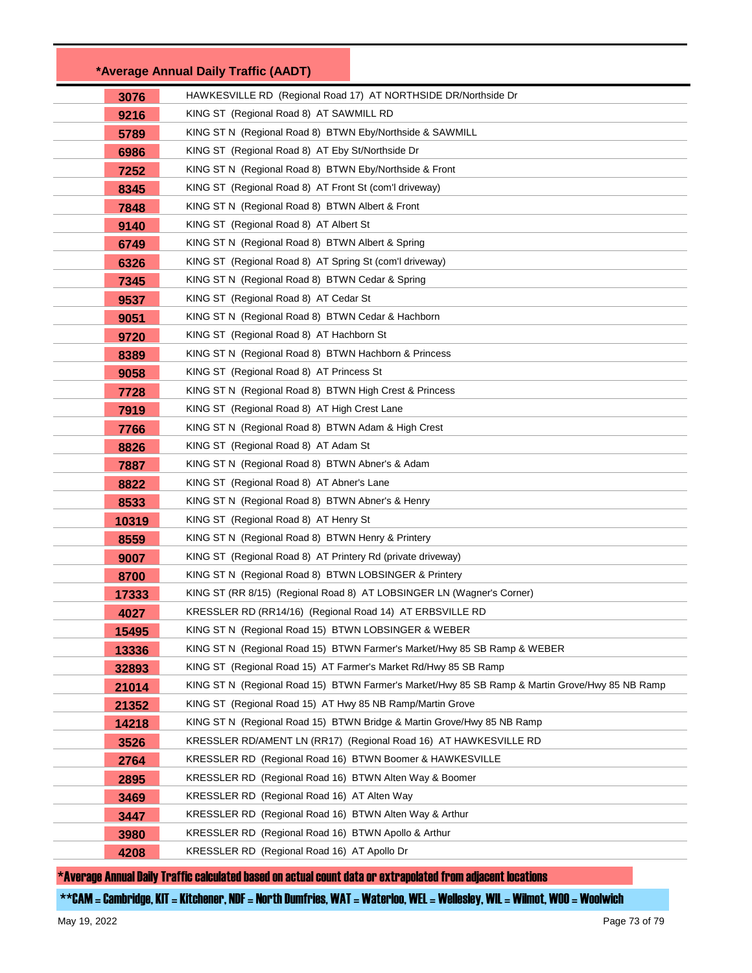|       | *Average Annual Daily Traffic (AADT)                                                           |
|-------|------------------------------------------------------------------------------------------------|
| 3076  | HAWKESVILLE RD (Regional Road 17) AT NORTHSIDE DR/Northside Dr                                 |
| 9216  | KING ST (Regional Road 8) AT SAWMILL RD                                                        |
| 5789  | KING ST N (Regional Road 8) BTWN Eby/Northside & SAWMILL                                       |
| 6986  | KING ST (Regional Road 8) AT Eby St/Northside Dr                                               |
| 7252  | KING ST N (Regional Road 8) BTWN Eby/Northside & Front                                         |
| 8345  | KING ST (Regional Road 8) AT Front St (com'l driveway)                                         |
| 7848  | KING ST N (Regional Road 8) BTWN Albert & Front                                                |
| 9140  | KING ST (Regional Road 8) AT Albert St                                                         |
| 6749  | KING ST N (Regional Road 8) BTWN Albert & Spring                                               |
| 6326  | KING ST (Regional Road 8) AT Spring St (com'l driveway)                                        |
| 7345  | KING ST N (Regional Road 8) BTWN Cedar & Spring                                                |
| 9537  | KING ST (Regional Road 8) AT Cedar St                                                          |
| 9051  | KING ST N (Regional Road 8) BTWN Cedar & Hachborn                                              |
| 9720  | KING ST (Regional Road 8) AT Hachborn St                                                       |
| 8389  | KING ST N (Regional Road 8) BTWN Hachborn & Princess                                           |
| 9058  | KING ST (Regional Road 8) AT Princess St                                                       |
| 7728  | KING ST N (Regional Road 8) BTWN High Crest & Princess                                         |
| 7919  | KING ST (Regional Road 8) AT High Crest Lane                                                   |
| 7766  | KING ST N (Regional Road 8) BTWN Adam & High Crest                                             |
| 8826  | KING ST (Regional Road 8) AT Adam St                                                           |
| 7887  | KING ST N (Regional Road 8) BTWN Abner's & Adam                                                |
| 8822  | KING ST (Regional Road 8) AT Abner's Lane                                                      |
| 8533  | KING ST N (Regional Road 8) BTWN Abner's & Henry                                               |
| 10319 | KING ST (Regional Road 8) AT Henry St                                                          |
| 8559  | KING ST N (Regional Road 8) BTWN Henry & Printery                                              |
| 9007  | KING ST (Regional Road 8) AT Printery Rd (private driveway)                                    |
| 8700  | KING ST N (Regional Road 8) BTWN LOBSINGER & Printery                                          |
| 17333 | KING ST (RR 8/15) (Regional Road 8) AT LOBSINGER LN (Wagner's Corner)                          |
| 4027  | KRESSLER RD (RR14/16) (Regional Road 14) AT ERBSVILLE RD                                       |
| 15495 | KING ST N (Regional Road 15) BTWN LOBSINGER & WEBER                                            |
| 13336 | KING ST N (Regional Road 15) BTWN Farmer's Market/Hwy 85 SB Ramp & WEBER                       |
| 32893 | KING ST (Regional Road 15) AT Farmer's Market Rd/Hwy 85 SB Ramp                                |
| 21014 | KING ST N (Regional Road 15) BTWN Farmer's Market/Hwy 85 SB Ramp & Martin Grove/Hwy 85 NB Ramp |
| 21352 | KING ST (Regional Road 15) AT Hwy 85 NB Ramp/Martin Grove                                      |
| 14218 | KING ST N (Regional Road 15) BTWN Bridge & Martin Grove/Hwy 85 NB Ramp                         |
| 3526  | KRESSLER RD/AMENT LN (RR17) (Regional Road 16) AT HAWKESVILLE RD                               |
| 2764  | KRESSLER RD (Regional Road 16) BTWN Boomer & HAWKESVILLE                                       |
| 2895  | KRESSLER RD (Regional Road 16) BTWN Alten Way & Boomer                                         |
| 3469  | KRESSLER RD (Regional Road 16) AT Alten Way                                                    |
| 3447  | KRESSLER RD (Regional Road 16) BTWN Alten Way & Arthur                                         |
| 3980  | KRESSLER RD (Regional Road 16) BTWN Apollo & Arthur                                            |
| 4208  | KRESSLER RD (Regional Road 16) AT Apollo Dr                                                    |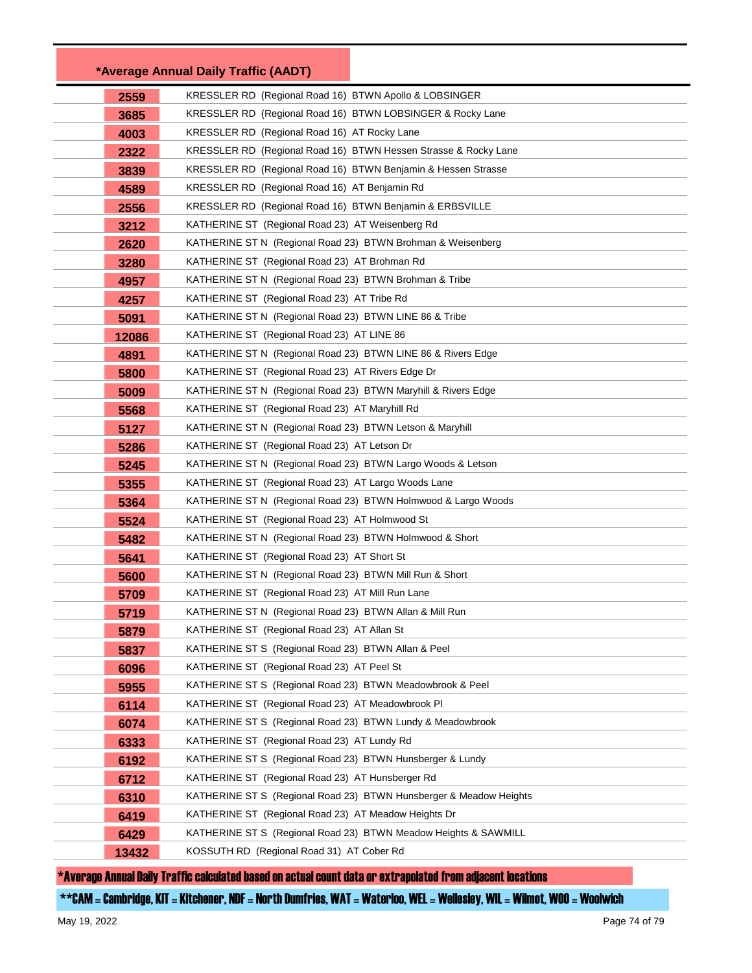|       | *Average Annual Daily Traffic (AADT)                               |  |
|-------|--------------------------------------------------------------------|--|
| 2559  | KRESSLER RD (Regional Road 16) BTWN Apollo & LOBSINGER             |  |
| 3685  | KRESSLER RD (Regional Road 16) BTWN LOBSINGER & Rocky Lane         |  |
| 4003  | KRESSLER RD (Regional Road 16) AT Rocky Lane                       |  |
| 2322  | KRESSLER RD (Regional Road 16) BTWN Hessen Strasse & Rocky Lane    |  |
| 3839  | KRESSLER RD (Regional Road 16) BTWN Benjamin & Hessen Strasse      |  |
| 4589  | KRESSLER RD (Regional Road 16) AT Benjamin Rd                      |  |
| 2556  | KRESSLER RD (Regional Road 16) BTWN Benjamin & ERBSVILLE           |  |
| 3212  | KATHERINE ST (Regional Road 23) AT Weisenberg Rd                   |  |
| 2620  | KATHERINE ST N (Regional Road 23) BTWN Brohman & Weisenberg        |  |
| 3280  | KATHERINE ST (Regional Road 23) AT Brohman Rd                      |  |
| 4957  | KATHERINE ST N (Regional Road 23) BTWN Brohman & Tribe             |  |
| 4257  | KATHERINE ST (Regional Road 23) AT Tribe Rd                        |  |
| 5091  | KATHERINE ST N (Regional Road 23) BTWN LINE 86 & Tribe             |  |
| 12086 | KATHERINE ST (Regional Road 23) AT LINE 86                         |  |
| 4891  | KATHERINE ST N (Regional Road 23) BTWN LINE 86 & Rivers Edge       |  |
| 5800  | KATHERINE ST (Regional Road 23) AT Rivers Edge Dr                  |  |
| 5009  | KATHERINE ST N (Regional Road 23) BTWN Maryhill & Rivers Edge      |  |
| 5568  | KATHERINE ST (Regional Road 23) AT Maryhill Rd                     |  |
| 5127  | KATHERINE ST N (Regional Road 23) BTWN Letson & Maryhill           |  |
| 5286  | KATHERINE ST (Regional Road 23) AT Letson Dr                       |  |
| 5245  | KATHERINE ST N (Regional Road 23) BTWN Largo Woods & Letson        |  |
| 5355  | KATHERINE ST (Regional Road 23) AT Largo Woods Lane                |  |
| 5364  | KATHERINE ST N (Regional Road 23) BTWN Holmwood & Largo Woods      |  |
| 5524  | KATHERINE ST (Regional Road 23) AT Holmwood St                     |  |
| 5482  | KATHERINE ST N (Regional Road 23) BTWN Holmwood & Short            |  |
| 5641  | KATHERINE ST (Regional Road 23) AT Short St                        |  |
| 5600  | KATHERINE ST N (Regional Road 23) BTWN Mill Run & Short            |  |
| 5709  | KATHERINE ST (Regional Road 23) AT Mill Run Lane                   |  |
| 5719  | KATHERINE ST N (Regional Road 23) BTWN Allan & Mill Run            |  |
| 5879  | KATHERINE ST (Regional Road 23) AT Allan St                        |  |
| 5837  | KATHERINE ST S (Regional Road 23) BTWN Allan & Peel                |  |
| 6096  | KATHERINE ST (Regional Road 23) AT Peel St                         |  |
| 5955  | KATHERINE ST S (Regional Road 23) BTWN Meadowbrook & Peel          |  |
| 6114  | KATHERINE ST (Regional Road 23) AT Meadowbrook PI                  |  |
| 6074  | KATHERINE ST S (Regional Road 23) BTWN Lundy & Meadowbrook         |  |
| 6333  | KATHERINE ST (Regional Road 23) AT Lundy Rd                        |  |
| 6192  | KATHERINE ST S (Regional Road 23) BTWN Hunsberger & Lundy          |  |
| 6712  | KATHERINE ST (Regional Road 23) AT Hunsberger Rd                   |  |
| 6310  | KATHERINE ST S (Regional Road 23) BTWN Hunsberger & Meadow Heights |  |
| 6419  | KATHERINE ST (Regional Road 23) AT Meadow Heights Dr               |  |
| 6429  | KATHERINE ST S (Regional Road 23) BTWN Meadow Heights & SAWMILL    |  |
| 13432 | KOSSUTH RD (Regional Road 31) AT Cober Rd                          |  |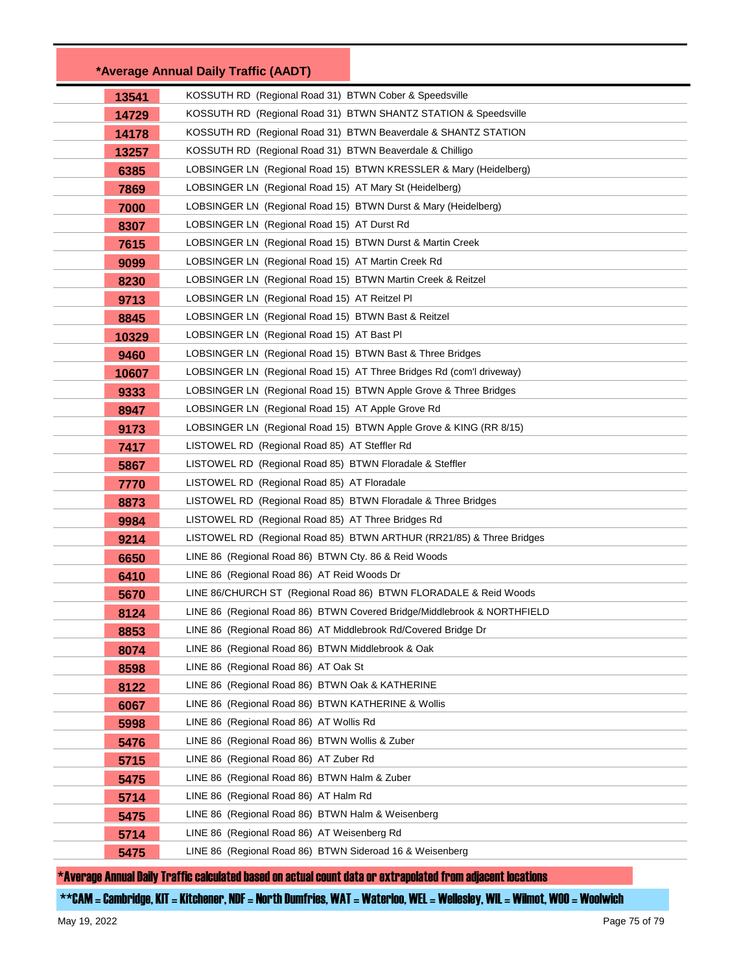|       | *Average Annual Daily Traffic (AADT)                                    |
|-------|-------------------------------------------------------------------------|
| 13541 | KOSSUTH RD (Regional Road 31) BTWN Cober & Speedsville                  |
| 14729 | KOSSUTH RD (Regional Road 31) BTWN SHANTZ STATION & Speedsville         |
| 14178 | KOSSUTH RD (Regional Road 31) BTWN Beaverdale & SHANTZ STATION          |
| 13257 | KOSSUTH RD (Regional Road 31) BTWN Beaverdale & Chilligo                |
| 6385  | LOBSINGER LN (Regional Road 15) BTWN KRESSLER & Mary (Heidelberg)       |
| 7869  | LOBSINGER LN (Regional Road 15) AT Mary St (Heidelberg)                 |
| 7000  | LOBSINGER LN (Regional Road 15) BTWN Durst & Mary (Heidelberg)          |
| 8307  | LOBSINGER LN (Regional Road 15) AT Durst Rd                             |
| 7615  | LOBSINGER LN (Regional Road 15) BTWN Durst & Martin Creek               |
| 9099  | LOBSINGER LN (Regional Road 15) AT Martin Creek Rd                      |
| 8230  | LOBSINGER LN (Regional Road 15) BTWN Martin Creek & Reitzel             |
| 9713  | LOBSINGER LN (Regional Road 15) AT Reitzel PI                           |
| 8845  | LOBSINGER LN (Regional Road 15) BTWN Bast & Reitzel                     |
| 10329 | LOBSINGER LN (Regional Road 15) AT Bast PI                              |
| 9460  | LOBSINGER LN (Regional Road 15) BTWN Bast & Three Bridges               |
| 10607 | LOBSINGER LN (Regional Road 15) AT Three Bridges Rd (com'l driveway)    |
| 9333  | LOBSINGER LN (Regional Road 15) BTWN Apple Grove & Three Bridges        |
| 8947  | LOBSINGER LN (Regional Road 15) AT Apple Grove Rd                       |
| 9173  | LOBSINGER LN (Regional Road 15) BTWN Apple Grove & KING (RR 8/15)       |
| 7417  | LISTOWEL RD (Regional Road 85) AT Steffler Rd                           |
| 5867  | LISTOWEL RD (Regional Road 85) BTWN Floradale & Steffler                |
| 7770  | LISTOWEL RD (Regional Road 85) AT Floradale                             |
| 8873  | LISTOWEL RD (Regional Road 85) BTWN Floradale & Three Bridges           |
| 9984  | LISTOWEL RD (Regional Road 85) AT Three Bridges Rd                      |
| 9214  | LISTOWEL RD (Regional Road 85) BTWN ARTHUR (RR21/85) & Three Bridges    |
| 6650  | LINE 86 (Regional Road 86) BTWN Cty. 86 & Reid Woods                    |
| 6410  | LINE 86 (Regional Road 86) AT Reid Woods Dr                             |
| 5670  | LINE 86/CHURCH ST (Regional Road 86) BTWN FLORADALE & Reid Woods        |
| 8124  | LINE 86 (Regional Road 86) BTWN Covered Bridge/Middlebrook & NORTHFIELD |
| 8853  | LINE 86 (Regional Road 86) AT Middlebrook Rd/Covered Bridge Dr          |
| 8074  | LINE 86 (Regional Road 86) BTWN Middlebrook & Oak                       |
| 8598  | LINE 86 (Regional Road 86) AT Oak St                                    |
| 8122  | LINE 86 (Regional Road 86) BTWN Oak & KATHERINE                         |
| 6067  | LINE 86 (Regional Road 86) BTWN KATHERINE & Wollis                      |
| 5998  | LINE 86 (Regional Road 86) AT Wollis Rd                                 |
| 5476  | LINE 86 (Regional Road 86) BTWN Wollis & Zuber                          |
| 5715  | LINE 86 (Regional Road 86) AT Zuber Rd                                  |
| 5475  | LINE 86 (Regional Road 86) BTWN Halm & Zuber                            |
| 5714  | LINE 86 (Regional Road 86) AT Halm Rd                                   |
| 5475  | LINE 86 (Regional Road 86) BTWN Halm & Weisenberg                       |
| 5714  | LINE 86 (Regional Road 86) AT Weisenberg Rd                             |
| 5475  | LINE 86 (Regional Road 86) BTWN Sideroad 16 & Weisenberg                |

\*\*CAM = Cambridge, KIT = Kitchener, NDF = North Dumfries, WAT = Waterloo, WEL = Wellesley, WIL = Wilmot, WOO = Woolwich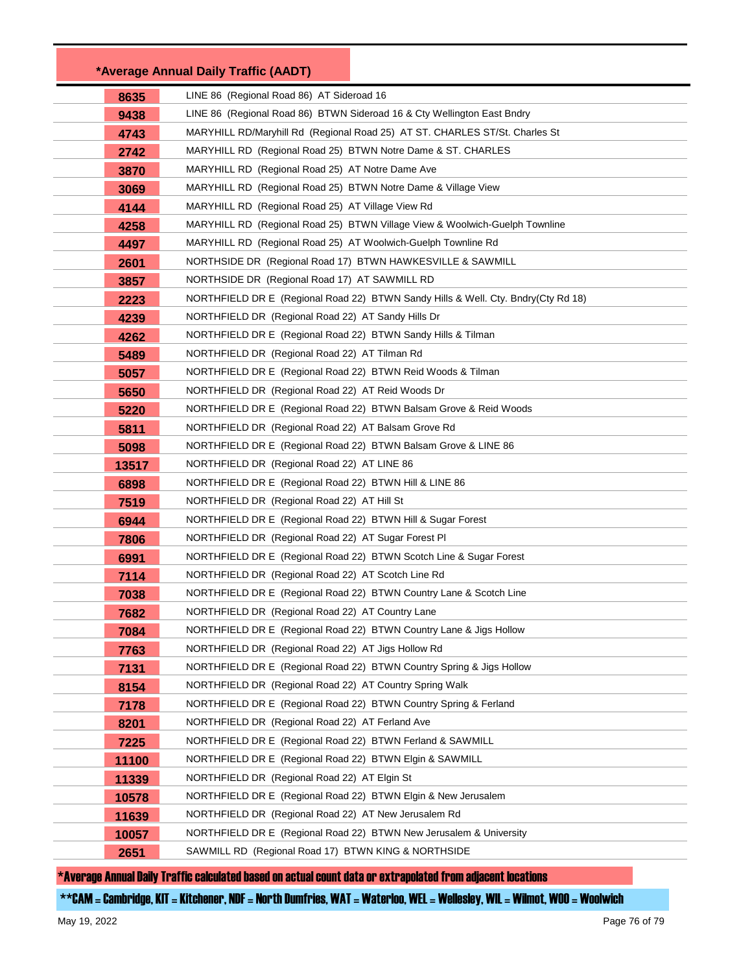| LINE 86 (Regional Road 86) AT Sideroad 16<br>8635<br>LINE 86 (Regional Road 86) BTWN Sideroad 16 & Cty Wellington East Bndry<br>9438<br>MARYHILL RD/Maryhill Rd (Regional Road 25) AT ST. CHARLES ST/St. Charles St<br>4743<br>MARYHILL RD (Regional Road 25) BTWN Notre Dame & ST. CHARLES<br>2742<br>3870<br>MARYHILL RD (Regional Road 25) AT Notre Dame Ave<br>MARYHILL RD (Regional Road 25) BTWN Notre Dame & Village View<br>3069<br>4144<br>MARYHILL RD (Regional Road 25) AT Village View Rd<br>MARYHILL RD (Regional Road 25) BTWN Village View & Woolwich-Guelph Townline<br>4258<br>MARYHILL RD (Regional Road 25) AT Woolwich-Guelph Townline Rd<br>4497<br>NORTHSIDE DR (Regional Road 17) BTWN HAWKESVILLE & SAWMILL<br>2601<br>NORTHSIDE DR (Regional Road 17) AT SAWMILL RD<br>3857<br>NORTHFIELD DR E (Regional Road 22) BTWN Sandy Hills & Well. Cty. Bndry(Cty Rd 18)<br>2223<br>4239<br>NORTHFIELD DR (Regional Road 22) AT Sandy Hills Dr<br>NORTHFIELD DR E (Regional Road 22) BTWN Sandy Hills & Tilman<br>4262<br>5489<br>NORTHFIELD DR (Regional Road 22) AT Tilman Rd<br>NORTHFIELD DR E (Regional Road 22) BTWN Reid Woods & Tilman<br>5057<br>NORTHFIELD DR (Regional Road 22) AT Reid Woods Dr<br>5650<br>NORTHFIELD DR E (Regional Road 22) BTWN Balsam Grove & Reid Woods<br>5220<br>5811<br>NORTHFIELD DR (Regional Road 22) AT Balsam Grove Rd<br>NORTHFIELD DR E (Regional Road 22) BTWN Balsam Grove & LINE 86<br>5098<br>13517<br>NORTHFIELD DR (Regional Road 22) AT LINE 86<br>6898<br>NORTHFIELD DR E (Regional Road 22) BTWN Hill & LINE 86<br>NORTHFIELD DR (Regional Road 22) AT Hill St<br>7519<br>6944<br>NORTHFIELD DR E (Regional Road 22) BTWN Hill & Sugar Forest<br>7806<br>NORTHFIELD DR (Regional Road 22) AT Sugar Forest PI<br>6991<br>NORTHFIELD DR E (Regional Road 22) BTWN Scotch Line & Sugar Forest<br>7114<br>NORTHFIELD DR (Regional Road 22) AT Scotch Line Rd<br>NORTHFIELD DR E (Regional Road 22) BTWN Country Lane & Scotch Line<br>7038<br>NORTHFIELD DR (Regional Road 22) AT Country Lane<br>7682<br>NORTHFIELD DR E (Regional Road 22) BTWN Country Lane & Jigs Hollow<br>7084<br>NORTHFIELD DR (Regional Road 22) AT Jigs Hollow Rd<br>7763 |  |
|---------------------------------------------------------------------------------------------------------------------------------------------------------------------------------------------------------------------------------------------------------------------------------------------------------------------------------------------------------------------------------------------------------------------------------------------------------------------------------------------------------------------------------------------------------------------------------------------------------------------------------------------------------------------------------------------------------------------------------------------------------------------------------------------------------------------------------------------------------------------------------------------------------------------------------------------------------------------------------------------------------------------------------------------------------------------------------------------------------------------------------------------------------------------------------------------------------------------------------------------------------------------------------------------------------------------------------------------------------------------------------------------------------------------------------------------------------------------------------------------------------------------------------------------------------------------------------------------------------------------------------------------------------------------------------------------------------------------------------------------------------------------------------------------------------------------------------------------------------------------------------------------------------------------------------------------------------------------------------------------------------------------------------------------------------------------------------------------------------------------------------------------------------------------------------------------------------------------|--|
|                                                                                                                                                                                                                                                                                                                                                                                                                                                                                                                                                                                                                                                                                                                                                                                                                                                                                                                                                                                                                                                                                                                                                                                                                                                                                                                                                                                                                                                                                                                                                                                                                                                                                                                                                                                                                                                                                                                                                                                                                                                                                                                                                                                                                     |  |
|                                                                                                                                                                                                                                                                                                                                                                                                                                                                                                                                                                                                                                                                                                                                                                                                                                                                                                                                                                                                                                                                                                                                                                                                                                                                                                                                                                                                                                                                                                                                                                                                                                                                                                                                                                                                                                                                                                                                                                                                                                                                                                                                                                                                                     |  |
|                                                                                                                                                                                                                                                                                                                                                                                                                                                                                                                                                                                                                                                                                                                                                                                                                                                                                                                                                                                                                                                                                                                                                                                                                                                                                                                                                                                                                                                                                                                                                                                                                                                                                                                                                                                                                                                                                                                                                                                                                                                                                                                                                                                                                     |  |
|                                                                                                                                                                                                                                                                                                                                                                                                                                                                                                                                                                                                                                                                                                                                                                                                                                                                                                                                                                                                                                                                                                                                                                                                                                                                                                                                                                                                                                                                                                                                                                                                                                                                                                                                                                                                                                                                                                                                                                                                                                                                                                                                                                                                                     |  |
|                                                                                                                                                                                                                                                                                                                                                                                                                                                                                                                                                                                                                                                                                                                                                                                                                                                                                                                                                                                                                                                                                                                                                                                                                                                                                                                                                                                                                                                                                                                                                                                                                                                                                                                                                                                                                                                                                                                                                                                                                                                                                                                                                                                                                     |  |
|                                                                                                                                                                                                                                                                                                                                                                                                                                                                                                                                                                                                                                                                                                                                                                                                                                                                                                                                                                                                                                                                                                                                                                                                                                                                                                                                                                                                                                                                                                                                                                                                                                                                                                                                                                                                                                                                                                                                                                                                                                                                                                                                                                                                                     |  |
|                                                                                                                                                                                                                                                                                                                                                                                                                                                                                                                                                                                                                                                                                                                                                                                                                                                                                                                                                                                                                                                                                                                                                                                                                                                                                                                                                                                                                                                                                                                                                                                                                                                                                                                                                                                                                                                                                                                                                                                                                                                                                                                                                                                                                     |  |
|                                                                                                                                                                                                                                                                                                                                                                                                                                                                                                                                                                                                                                                                                                                                                                                                                                                                                                                                                                                                                                                                                                                                                                                                                                                                                                                                                                                                                                                                                                                                                                                                                                                                                                                                                                                                                                                                                                                                                                                                                                                                                                                                                                                                                     |  |
|                                                                                                                                                                                                                                                                                                                                                                                                                                                                                                                                                                                                                                                                                                                                                                                                                                                                                                                                                                                                                                                                                                                                                                                                                                                                                                                                                                                                                                                                                                                                                                                                                                                                                                                                                                                                                                                                                                                                                                                                                                                                                                                                                                                                                     |  |
|                                                                                                                                                                                                                                                                                                                                                                                                                                                                                                                                                                                                                                                                                                                                                                                                                                                                                                                                                                                                                                                                                                                                                                                                                                                                                                                                                                                                                                                                                                                                                                                                                                                                                                                                                                                                                                                                                                                                                                                                                                                                                                                                                                                                                     |  |
|                                                                                                                                                                                                                                                                                                                                                                                                                                                                                                                                                                                                                                                                                                                                                                                                                                                                                                                                                                                                                                                                                                                                                                                                                                                                                                                                                                                                                                                                                                                                                                                                                                                                                                                                                                                                                                                                                                                                                                                                                                                                                                                                                                                                                     |  |
|                                                                                                                                                                                                                                                                                                                                                                                                                                                                                                                                                                                                                                                                                                                                                                                                                                                                                                                                                                                                                                                                                                                                                                                                                                                                                                                                                                                                                                                                                                                                                                                                                                                                                                                                                                                                                                                                                                                                                                                                                                                                                                                                                                                                                     |  |
|                                                                                                                                                                                                                                                                                                                                                                                                                                                                                                                                                                                                                                                                                                                                                                                                                                                                                                                                                                                                                                                                                                                                                                                                                                                                                                                                                                                                                                                                                                                                                                                                                                                                                                                                                                                                                                                                                                                                                                                                                                                                                                                                                                                                                     |  |
|                                                                                                                                                                                                                                                                                                                                                                                                                                                                                                                                                                                                                                                                                                                                                                                                                                                                                                                                                                                                                                                                                                                                                                                                                                                                                                                                                                                                                                                                                                                                                                                                                                                                                                                                                                                                                                                                                                                                                                                                                                                                                                                                                                                                                     |  |
|                                                                                                                                                                                                                                                                                                                                                                                                                                                                                                                                                                                                                                                                                                                                                                                                                                                                                                                                                                                                                                                                                                                                                                                                                                                                                                                                                                                                                                                                                                                                                                                                                                                                                                                                                                                                                                                                                                                                                                                                                                                                                                                                                                                                                     |  |
|                                                                                                                                                                                                                                                                                                                                                                                                                                                                                                                                                                                                                                                                                                                                                                                                                                                                                                                                                                                                                                                                                                                                                                                                                                                                                                                                                                                                                                                                                                                                                                                                                                                                                                                                                                                                                                                                                                                                                                                                                                                                                                                                                                                                                     |  |
|                                                                                                                                                                                                                                                                                                                                                                                                                                                                                                                                                                                                                                                                                                                                                                                                                                                                                                                                                                                                                                                                                                                                                                                                                                                                                                                                                                                                                                                                                                                                                                                                                                                                                                                                                                                                                                                                                                                                                                                                                                                                                                                                                                                                                     |  |
|                                                                                                                                                                                                                                                                                                                                                                                                                                                                                                                                                                                                                                                                                                                                                                                                                                                                                                                                                                                                                                                                                                                                                                                                                                                                                                                                                                                                                                                                                                                                                                                                                                                                                                                                                                                                                                                                                                                                                                                                                                                                                                                                                                                                                     |  |
|                                                                                                                                                                                                                                                                                                                                                                                                                                                                                                                                                                                                                                                                                                                                                                                                                                                                                                                                                                                                                                                                                                                                                                                                                                                                                                                                                                                                                                                                                                                                                                                                                                                                                                                                                                                                                                                                                                                                                                                                                                                                                                                                                                                                                     |  |
|                                                                                                                                                                                                                                                                                                                                                                                                                                                                                                                                                                                                                                                                                                                                                                                                                                                                                                                                                                                                                                                                                                                                                                                                                                                                                                                                                                                                                                                                                                                                                                                                                                                                                                                                                                                                                                                                                                                                                                                                                                                                                                                                                                                                                     |  |
|                                                                                                                                                                                                                                                                                                                                                                                                                                                                                                                                                                                                                                                                                                                                                                                                                                                                                                                                                                                                                                                                                                                                                                                                                                                                                                                                                                                                                                                                                                                                                                                                                                                                                                                                                                                                                                                                                                                                                                                                                                                                                                                                                                                                                     |  |
|                                                                                                                                                                                                                                                                                                                                                                                                                                                                                                                                                                                                                                                                                                                                                                                                                                                                                                                                                                                                                                                                                                                                                                                                                                                                                                                                                                                                                                                                                                                                                                                                                                                                                                                                                                                                                                                                                                                                                                                                                                                                                                                                                                                                                     |  |
|                                                                                                                                                                                                                                                                                                                                                                                                                                                                                                                                                                                                                                                                                                                                                                                                                                                                                                                                                                                                                                                                                                                                                                                                                                                                                                                                                                                                                                                                                                                                                                                                                                                                                                                                                                                                                                                                                                                                                                                                                                                                                                                                                                                                                     |  |
|                                                                                                                                                                                                                                                                                                                                                                                                                                                                                                                                                                                                                                                                                                                                                                                                                                                                                                                                                                                                                                                                                                                                                                                                                                                                                                                                                                                                                                                                                                                                                                                                                                                                                                                                                                                                                                                                                                                                                                                                                                                                                                                                                                                                                     |  |
|                                                                                                                                                                                                                                                                                                                                                                                                                                                                                                                                                                                                                                                                                                                                                                                                                                                                                                                                                                                                                                                                                                                                                                                                                                                                                                                                                                                                                                                                                                                                                                                                                                                                                                                                                                                                                                                                                                                                                                                                                                                                                                                                                                                                                     |  |
|                                                                                                                                                                                                                                                                                                                                                                                                                                                                                                                                                                                                                                                                                                                                                                                                                                                                                                                                                                                                                                                                                                                                                                                                                                                                                                                                                                                                                                                                                                                                                                                                                                                                                                                                                                                                                                                                                                                                                                                                                                                                                                                                                                                                                     |  |
|                                                                                                                                                                                                                                                                                                                                                                                                                                                                                                                                                                                                                                                                                                                                                                                                                                                                                                                                                                                                                                                                                                                                                                                                                                                                                                                                                                                                                                                                                                                                                                                                                                                                                                                                                                                                                                                                                                                                                                                                                                                                                                                                                                                                                     |  |
|                                                                                                                                                                                                                                                                                                                                                                                                                                                                                                                                                                                                                                                                                                                                                                                                                                                                                                                                                                                                                                                                                                                                                                                                                                                                                                                                                                                                                                                                                                                                                                                                                                                                                                                                                                                                                                                                                                                                                                                                                                                                                                                                                                                                                     |  |
|                                                                                                                                                                                                                                                                                                                                                                                                                                                                                                                                                                                                                                                                                                                                                                                                                                                                                                                                                                                                                                                                                                                                                                                                                                                                                                                                                                                                                                                                                                                                                                                                                                                                                                                                                                                                                                                                                                                                                                                                                                                                                                                                                                                                                     |  |
|                                                                                                                                                                                                                                                                                                                                                                                                                                                                                                                                                                                                                                                                                                                                                                                                                                                                                                                                                                                                                                                                                                                                                                                                                                                                                                                                                                                                                                                                                                                                                                                                                                                                                                                                                                                                                                                                                                                                                                                                                                                                                                                                                                                                                     |  |
|                                                                                                                                                                                                                                                                                                                                                                                                                                                                                                                                                                                                                                                                                                                                                                                                                                                                                                                                                                                                                                                                                                                                                                                                                                                                                                                                                                                                                                                                                                                                                                                                                                                                                                                                                                                                                                                                                                                                                                                                                                                                                                                                                                                                                     |  |
| NORTHFIELD DR E (Regional Road 22) BTWN Country Spring & Jigs Hollow<br>7131                                                                                                                                                                                                                                                                                                                                                                                                                                                                                                                                                                                                                                                                                                                                                                                                                                                                                                                                                                                                                                                                                                                                                                                                                                                                                                                                                                                                                                                                                                                                                                                                                                                                                                                                                                                                                                                                                                                                                                                                                                                                                                                                        |  |
| NORTHFIELD DR (Regional Road 22) AT Country Spring Walk<br>8154                                                                                                                                                                                                                                                                                                                                                                                                                                                                                                                                                                                                                                                                                                                                                                                                                                                                                                                                                                                                                                                                                                                                                                                                                                                                                                                                                                                                                                                                                                                                                                                                                                                                                                                                                                                                                                                                                                                                                                                                                                                                                                                                                     |  |
| NORTHFIELD DR E (Regional Road 22) BTWN Country Spring & Ferland<br>7178                                                                                                                                                                                                                                                                                                                                                                                                                                                                                                                                                                                                                                                                                                                                                                                                                                                                                                                                                                                                                                                                                                                                                                                                                                                                                                                                                                                                                                                                                                                                                                                                                                                                                                                                                                                                                                                                                                                                                                                                                                                                                                                                            |  |
| NORTHFIELD DR (Regional Road 22) AT Ferland Ave<br>8201                                                                                                                                                                                                                                                                                                                                                                                                                                                                                                                                                                                                                                                                                                                                                                                                                                                                                                                                                                                                                                                                                                                                                                                                                                                                                                                                                                                                                                                                                                                                                                                                                                                                                                                                                                                                                                                                                                                                                                                                                                                                                                                                                             |  |
| NORTHFIELD DR E (Regional Road 22) BTWN Ferland & SAWMILL<br>7225                                                                                                                                                                                                                                                                                                                                                                                                                                                                                                                                                                                                                                                                                                                                                                                                                                                                                                                                                                                                                                                                                                                                                                                                                                                                                                                                                                                                                                                                                                                                                                                                                                                                                                                                                                                                                                                                                                                                                                                                                                                                                                                                                   |  |
| NORTHFIELD DR E (Regional Road 22) BTWN Elgin & SAWMILL<br>11100                                                                                                                                                                                                                                                                                                                                                                                                                                                                                                                                                                                                                                                                                                                                                                                                                                                                                                                                                                                                                                                                                                                                                                                                                                                                                                                                                                                                                                                                                                                                                                                                                                                                                                                                                                                                                                                                                                                                                                                                                                                                                                                                                    |  |
| NORTHFIELD DR (Regional Road 22) AT Elgin St<br>11339                                                                                                                                                                                                                                                                                                                                                                                                                                                                                                                                                                                                                                                                                                                                                                                                                                                                                                                                                                                                                                                                                                                                                                                                                                                                                                                                                                                                                                                                                                                                                                                                                                                                                                                                                                                                                                                                                                                                                                                                                                                                                                                                                               |  |
| NORTHFIELD DR E (Regional Road 22) BTWN Elgin & New Jerusalem<br>10578                                                                                                                                                                                                                                                                                                                                                                                                                                                                                                                                                                                                                                                                                                                                                                                                                                                                                                                                                                                                                                                                                                                                                                                                                                                                                                                                                                                                                                                                                                                                                                                                                                                                                                                                                                                                                                                                                                                                                                                                                                                                                                                                              |  |
| NORTHFIELD DR (Regional Road 22) AT New Jerusalem Rd<br>11639                                                                                                                                                                                                                                                                                                                                                                                                                                                                                                                                                                                                                                                                                                                                                                                                                                                                                                                                                                                                                                                                                                                                                                                                                                                                                                                                                                                                                                                                                                                                                                                                                                                                                                                                                                                                                                                                                                                                                                                                                                                                                                                                                       |  |
| NORTHFIELD DR E (Regional Road 22) BTWN New Jerusalem & University<br>10057                                                                                                                                                                                                                                                                                                                                                                                                                                                                                                                                                                                                                                                                                                                                                                                                                                                                                                                                                                                                                                                                                                                                                                                                                                                                                                                                                                                                                                                                                                                                                                                                                                                                                                                                                                                                                                                                                                                                                                                                                                                                                                                                         |  |
| SAWMILL RD (Regional Road 17) BTWN KING & NORTHSIDE<br>2651                                                                                                                                                                                                                                                                                                                                                                                                                                                                                                                                                                                                                                                                                                                                                                                                                                                                                                                                                                                                                                                                                                                                                                                                                                                                                                                                                                                                                                                                                                                                                                                                                                                                                                                                                                                                                                                                                                                                                                                                                                                                                                                                                         |  |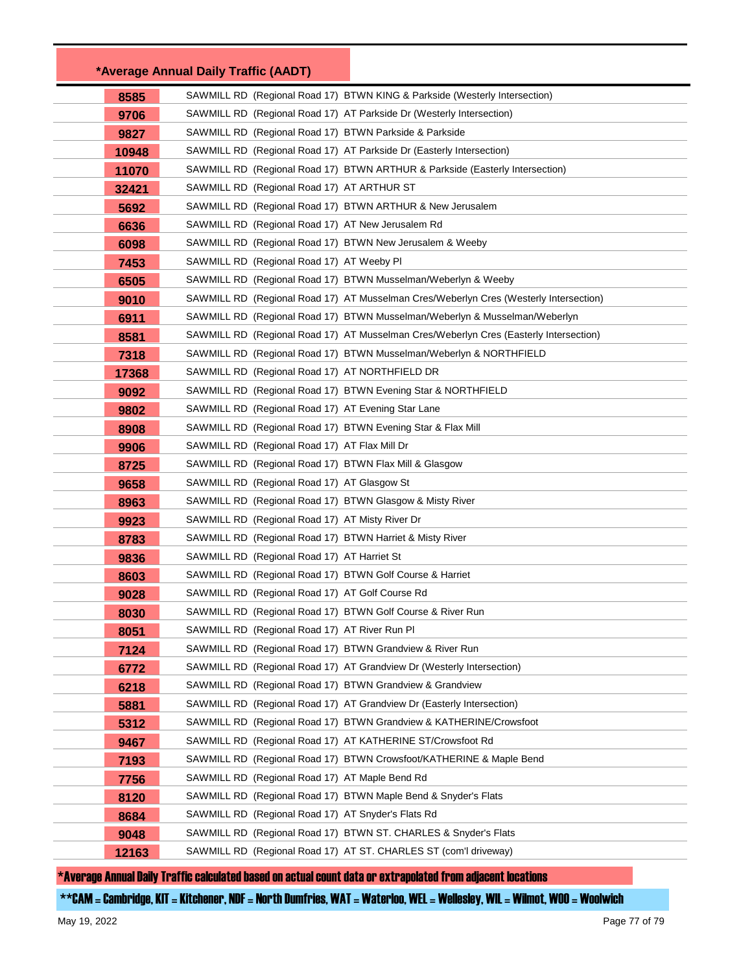|       | *Average Annual Daily Traffic (AADT)                             |                                                                                       |
|-------|------------------------------------------------------------------|---------------------------------------------------------------------------------------|
| 8585  |                                                                  | SAWMILL RD (Regional Road 17) BTWN KING & Parkside (Westerly Intersection)            |
| 9706  |                                                                  | SAWMILL RD (Regional Road 17) AT Parkside Dr (Westerly Intersection)                  |
| 9827  | SAWMILL RD (Regional Road 17) BTWN Parkside & Parkside           |                                                                                       |
| 10948 |                                                                  | SAWMILL RD (Regional Road 17) AT Parkside Dr (Easterly Intersection)                  |
| 11070 |                                                                  | SAWMILL RD (Regional Road 17) BTWN ARTHUR & Parkside (Easterly Intersection)          |
| 32421 | SAWMILL RD (Regional Road 17) AT ARTHUR ST                       |                                                                                       |
| 5692  |                                                                  | SAWMILL RD (Regional Road 17) BTWN ARTHUR & New Jerusalem                             |
| 6636  | SAWMILL RD (Regional Road 17) AT New Jerusalem Rd                |                                                                                       |
| 6098  | SAWMILL RD (Regional Road 17) BTWN New Jerusalem & Weeby         |                                                                                       |
| 7453  | SAWMILL RD (Regional Road 17) AT Weeby PI                        |                                                                                       |
| 6505  |                                                                  | SAWMILL RD (Regional Road 17) BTWN Musselman/Weberlyn & Weeby                         |
| 9010  |                                                                  | SAWMILL RD (Regional Road 17) AT Musselman Cres/Weberlyn Cres (Westerly Intersection) |
| 6911  |                                                                  | SAWMILL RD (Regional Road 17) BTWN Musselman/Weberlyn & Musselman/Weberlyn            |
| 8581  |                                                                  | SAWMILL RD (Regional Road 17) AT Musselman Cres/Weberlyn Cres (Easterly Intersection) |
| 7318  |                                                                  | SAWMILL RD (Regional Road 17) BTWN Musselman/Weberlyn & NORTHFIELD                    |
| 17368 | SAWMILL RD (Regional Road 17) AT NORTHFIELD DR                   |                                                                                       |
| 9092  |                                                                  | SAWMILL RD (Regional Road 17) BTWN Evening Star & NORTHFIELD                          |
| 9802  | SAWMILL RD (Regional Road 17) AT Evening Star Lane               |                                                                                       |
| 8908  | SAWMILL RD (Regional Road 17) BTWN Evening Star & Flax Mill      |                                                                                       |
| 9906  | SAWMILL RD (Regional Road 17) AT Flax Mill Dr                    |                                                                                       |
| 8725  | SAWMILL RD (Regional Road 17) BTWN Flax Mill & Glasgow           |                                                                                       |
| 9658  | SAWMILL RD (Regional Road 17) AT Glasgow St                      |                                                                                       |
| 8963  | SAWMILL RD (Regional Road 17) BTWN Glasgow & Misty River         |                                                                                       |
| 9923  | SAWMILL RD (Regional Road 17) AT Misty River Dr                  |                                                                                       |
| 8783  | SAWMILL RD (Regional Road 17) BTWN Harriet & Misty River         |                                                                                       |
| 9836  | SAWMILL RD (Regional Road 17) AT Harriet St                      |                                                                                       |
| 8603  | SAWMILL RD (Regional Road 17) BTWN Golf Course & Harriet         |                                                                                       |
| 9028  | SAWMILL RD (Regional Road 17) AT Golf Course Rd                  |                                                                                       |
| 8030  | SAWMILL RD (Regional Road 17) BTWN Golf Course & River Run       |                                                                                       |
| 8051  | SAWMILL RD (Regional Road 17) AT River Run PI                    |                                                                                       |
| 7124  | SAWMILL RD (Regional Road 17) BTWN Grandview & River Run         |                                                                                       |
| 6772  |                                                                  | SAWMILL RD (Regional Road 17) AT Grandview Dr (Westerly Intersection)                 |
| 6218  | SAWMILL RD (Regional Road 17) BTWN Grandview & Grandview         |                                                                                       |
| 5881  |                                                                  | SAWMILL RD (Regional Road 17) AT Grandview Dr (Easterly Intersection)                 |
| 5312  |                                                                  | SAWMILL RD (Regional Road 17) BTWN Grandview & KATHERINE/Crowsfoot                    |
| 9467  | SAWMILL RD (Regional Road 17) AT KATHERINE ST/Crowsfoot Rd       |                                                                                       |
| 7193  |                                                                  | SAWMILL RD (Regional Road 17) BTWN Crowsfoot/KATHERINE & Maple Bend                   |
| 7756  | SAWMILL RD (Regional Road 17) AT Maple Bend Rd                   |                                                                                       |
| 8120  |                                                                  | SAWMILL RD (Regional Road 17) BTWN Maple Bend & Snyder's Flats                        |
| 8684  | SAWMILL RD (Regional Road 17) AT Snyder's Flats Rd               |                                                                                       |
| 9048  |                                                                  | SAWMILL RD (Regional Road 17) BTWN ST. CHARLES & Snyder's Flats                       |
| 12163 | SAWMILL RD (Regional Road 17) AT ST. CHARLES ST (com'l driveway) |                                                                                       |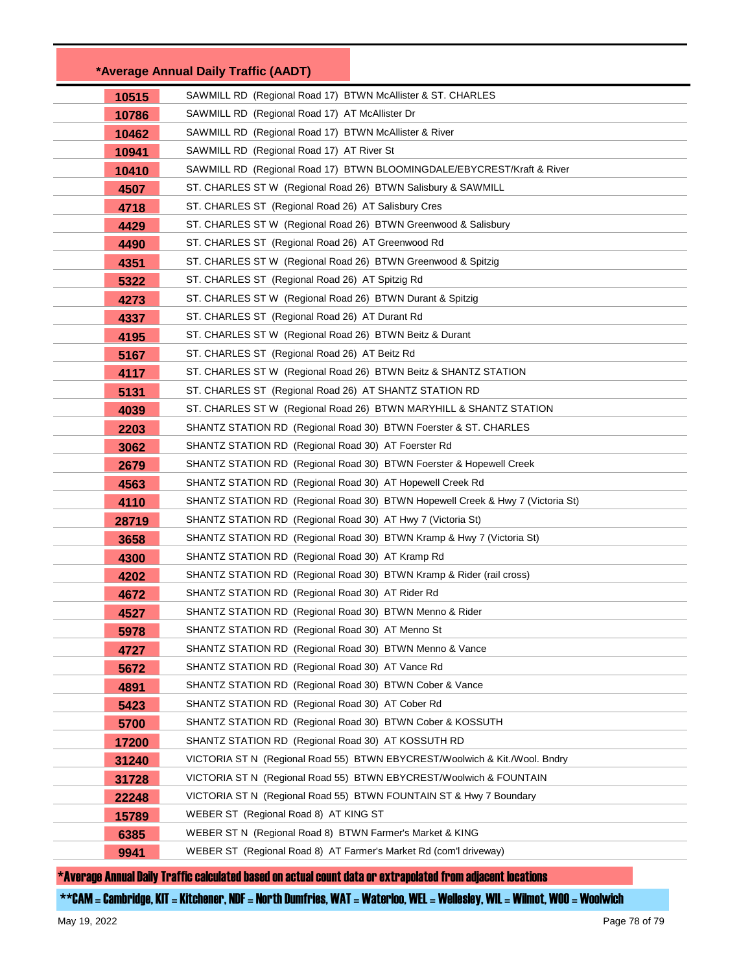|       | *Average Annual Daily Traffic (AADT)                                           |
|-------|--------------------------------------------------------------------------------|
| 10515 | SAWMILL RD (Regional Road 17) BTWN McAllister & ST. CHARLES                    |
| 10786 | SAWMILL RD (Regional Road 17) AT McAllister Dr                                 |
| 10462 | SAWMILL RD (Regional Road 17) BTWN McAllister & River                          |
| 10941 | SAWMILL RD (Regional Road 17) AT River St                                      |
| 10410 | SAWMILL RD (Regional Road 17) BTWN BLOOMINGDALE/EBYCREST/Kraft & River         |
| 4507  | ST. CHARLES ST W (Regional Road 26) BTWN Salisbury & SAWMILL                   |
| 4718  | ST. CHARLES ST (Regional Road 26) AT Salisbury Cres                            |
| 4429  | ST. CHARLES ST W (Regional Road 26) BTWN Greenwood & Salisbury                 |
| 4490  | ST. CHARLES ST (Regional Road 26) AT Greenwood Rd                              |
| 4351  | ST. CHARLES ST W (Regional Road 26) BTWN Greenwood & Spitzig                   |
| 5322  | ST. CHARLES ST (Regional Road 26) AT Spitzig Rd                                |
| 4273  | ST. CHARLES ST W (Regional Road 26) BTWN Durant & Spitzig                      |
| 4337  | ST. CHARLES ST (Regional Road 26) AT Durant Rd                                 |
| 4195  | ST. CHARLES ST W (Regional Road 26) BTWN Beitz & Durant                        |
| 5167  | ST. CHARLES ST (Regional Road 26) AT Beitz Rd                                  |
| 4117  | ST. CHARLES ST W (Regional Road 26) BTWN Beitz & SHANTZ STATION                |
| 5131  | ST. CHARLES ST (Regional Road 26) AT SHANTZ STATION RD                         |
| 4039  | ST. CHARLES ST W (Regional Road 26) BTWN MARYHILL & SHANTZ STATION             |
| 2203  | SHANTZ STATION RD (Regional Road 30) BTWN Foerster & ST. CHARLES               |
| 3062  | SHANTZ STATION RD (Regional Road 30) AT Foerster Rd                            |
| 2679  | SHANTZ STATION RD (Regional Road 30) BTWN Foerster & Hopewell Creek            |
| 4563  | SHANTZ STATION RD (Regional Road 30) AT Hopewell Creek Rd                      |
| 4110  | SHANTZ STATION RD (Regional Road 30) BTWN Hopewell Creek & Hwy 7 (Victoria St) |
| 28719 | SHANTZ STATION RD (Regional Road 30) AT Hwy 7 (Victoria St)                    |
| 3658  | SHANTZ STATION RD (Regional Road 30) BTWN Kramp & Hwy 7 (Victoria St)          |
| 4300  | SHANTZ STATION RD (Regional Road 30) AT Kramp Rd                               |
| 4202  | SHANTZ STATION RD (Regional Road 30) BTWN Kramp & Rider (rail cross)           |
| 4672  | SHANTZ STATION RD (Regional Road 30) AT Rider Rd                               |
| 4527  | SHANTZ STATION RD (Regional Road 30) BTWN Menno & Rider                        |
| 5978  | SHANTZ STATION RD (Regional Road 30) AT Menno St                               |
| 4727  | SHANTZ STATION RD (Regional Road 30) BTWN Menno & Vance                        |
| 5672  | SHANTZ STATION RD (Regional Road 30) AT Vance Rd                               |
| 4891  | SHANTZ STATION RD (Regional Road 30) BTWN Cober & Vance                        |
| 5423  | SHANTZ STATION RD (Regional Road 30) AT Cober Rd                               |
| 5700  | SHANTZ STATION RD (Regional Road 30) BTWN Cober & KOSSUTH                      |
| 17200 | SHANTZ STATION RD (Regional Road 30) AT KOSSUTH RD                             |
| 31240 | VICTORIA ST N (Regional Road 55) BTWN EBYCREST/Woolwich & Kit./Wool. Bndry     |
| 31728 | VICTORIA ST N (Regional Road 55) BTWN EBYCREST/Woolwich & FOUNTAIN             |
| 22248 | VICTORIA ST N (Regional Road 55) BTWN FOUNTAIN ST & Hwy 7 Boundary             |
| 15789 | WEBER ST (Regional Road 8) AT KING ST                                          |
| 6385  | WEBER ST N (Regional Road 8) BTWN Farmer's Market & KING                       |
| 9941  | WEBER ST (Regional Road 8) AT Farmer's Market Rd (com'l driveway)              |